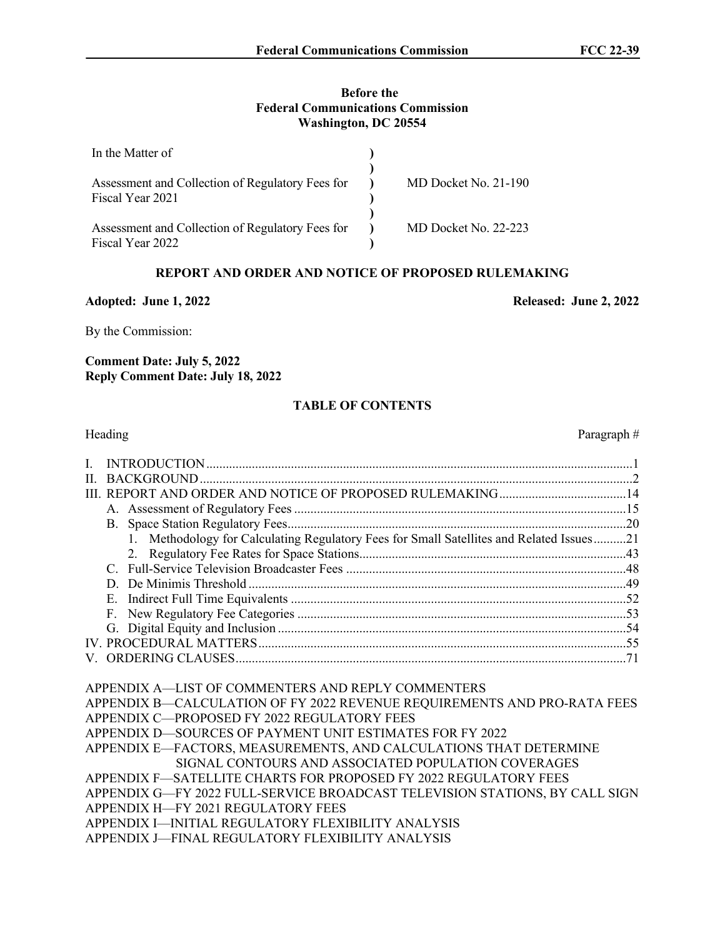#### **Before the Federal Communications Commission Washington, DC 20554**

| In the Matter of                                                     |                      |
|----------------------------------------------------------------------|----------------------|
| Assessment and Collection of Regulatory Fees for<br>Fiscal Year 2021 | MD Docket No. 21-190 |
| Assessment and Collection of Regulatory Fees for<br>Fiscal Year 2022 | MD Docket No. 22-223 |

# **REPORT AND ORDER AND NOTICE OF PROPOSED RULEMAKING**

#### **Adopted: June 1, 2022 Released: June 2, 2022**

By the Commission:

**Comment Date: July 5, 2022 Reply Comment Date: July 18, 2022**

#### **TABLE OF CONTENTS**

# Heading Paragraph  $#$ I. INTRODUCTION...................................................................................................................................1 II. BACKGROUND.....................................................................................................................................2 III. REPORT AND ORDER AND NOTICE OF PROPOSED RULEMAKING.......................................14 A. Assessment of Regulatory Fees ......................................................................................................15 B. Space Station Regulatory Fees........................................................................................................20 1. Methodology for Calculating Regulatory Fees for Small Satellites and Related Issues..........21 2. Regulatory Fee Rates for Space Stations..................................................................................43 C. Full-Service Television Broadcaster Fees ......................................................................................48 D. De Minimis Threshold ....................................................................................................................49 E. Indirect Full Time Equivalents .......................................................................................................52 F. New Regulatory Fee Categories .....................................................................................................53 G. Digital Equity and Inclusion ...........................................................................................................54 IV. PROCEDURAL MATTERS.................................................................................................................55 V. ORDERING CLAUSES........................................................................................................................71 APPENDIX A—LIST OF COMMENTERS AND REPLY COMMENTERS APPENDIX B—CALCULATION OF FY 2022 REVENUE REQUIREMENTS AND PRO-RATA FEES APPENDIX C—PROPOSED FY 2022 REGULATORY FEES APPENDIX D—SOURCES OF PAYMENT UNIT ESTIMATES FOR FY 2022 APPENDIX E—FACTORS, MEASUREMENTS, AND CALCULATIONS THAT DETERMINE SIGNAL CONTOURS AND ASSOCIATED POPULATION COVERAGES APPENDIX F—SATELLITE CHARTS FOR PROPOSED FY 2022 REGULATORY FEES APPENDIX G—FY 2022 FULL-SERVICE BROADCAST TELEVISION STATIONS, BY CALL SIGN APPENDIX H—FY 2021 REGULATORY FEES

APPENDIX I—INITIAL REGULATORY FLEXIBILITY ANALYSIS

APPENDIX J—FINAL REGULATORY FLEXIBILITY ANALYSIS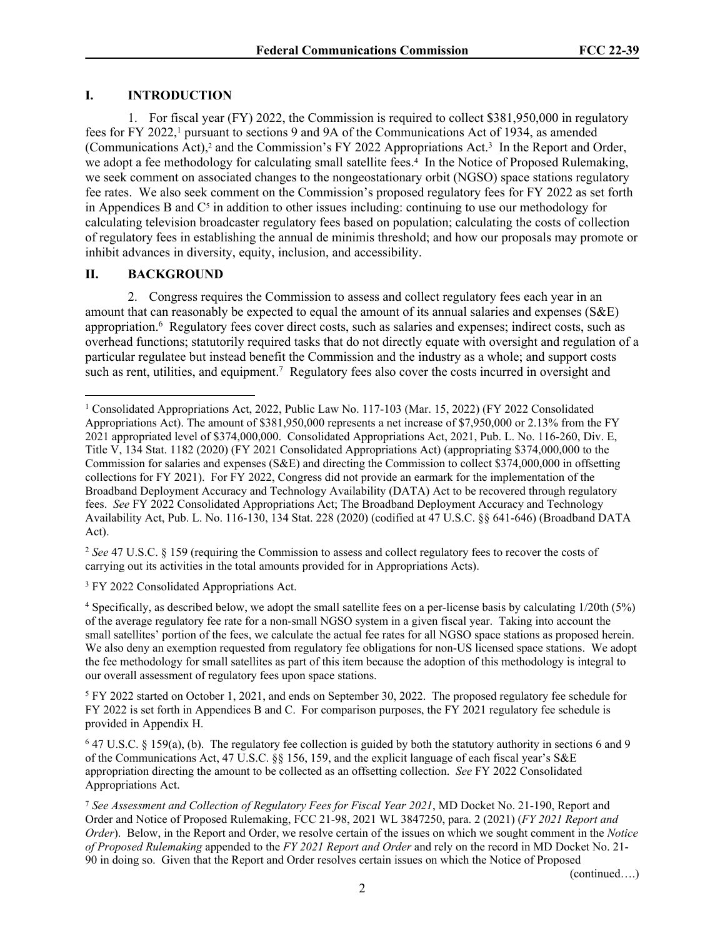# **I. INTRODUCTION**

1. For fiscal year (FY) 2022, the Commission is required to collect \$381,950,000 in regulatory fees for FY 2022,<sup>1</sup> pursuant to sections 9 and 9A of the Communications Act of 1934, as amended (Communications Act),<sup>2</sup> and the Commission's FY 2022 Appropriations Act.<sup>3</sup> In the Report and Order, we adopt a fee methodology for calculating small satellite fees.<sup>4</sup> In the Notice of Proposed Rulemaking, we seek comment on associated changes to the nongeostationary orbit (NGSO) space stations regulatory fee rates. We also seek comment on the Commission's proposed regulatory fees for FY 2022 as set forth in Appendices B and  $C<sup>5</sup>$  in addition to other issues including: continuing to use our methodology for calculating television broadcaster regulatory fees based on population; calculating the costs of collection of regulatory fees in establishing the annual de minimis threshold; and how our proposals may promote or inhibit advances in diversity, equity, inclusion, and accessibility.

# **II. BACKGROUND**

2. Congress requires the Commission to assess and collect regulatory fees each year in an amount that can reasonably be expected to equal the amount of its annual salaries and expenses (S&E) appropriation.<sup>6</sup> Regulatory fees cover direct costs, such as salaries and expenses; indirect costs, such as overhead functions; statutorily required tasks that do not directly equate with oversight and regulation of a particular regulatee but instead benefit the Commission and the industry as a whole; and support costs such as rent, utilities, and equipment.<sup>7</sup> Regulatory fees also cover the costs incurred in oversight and

<sup>2</sup> *See* 47 U.S.C. § 159 (requiring the Commission to assess and collect regulatory fees to recover the costs of carrying out its activities in the total amounts provided for in Appropriations Acts).

<sup>3</sup> FY 2022 Consolidated Appropriations Act.

4 Specifically, as described below, we adopt the small satellite fees on a per-license basis by calculating 1/20th (5%) of the average regulatory fee rate for a non-small NGSO system in a given fiscal year. Taking into account the small satellites' portion of the fees, we calculate the actual fee rates for all NGSO space stations as proposed herein. We also deny an exemption requested from regulatory fee obligations for non-US licensed space stations. We adopt the fee methodology for small satellites as part of this item because the adoption of this methodology is integral to our overall assessment of regulatory fees upon space stations.

<sup>5</sup> FY 2022 started on October 1, 2021, and ends on September 30, 2022. The proposed regulatory fee schedule for FY 2022 is set forth in Appendices B and C. For comparison purposes, the FY 2021 regulatory fee schedule is provided in Appendix H.

6 47 U.S.C. § 159(a), (b). The regulatory fee collection is guided by both the statutory authority in sections 6 and 9 of the Communications Act, 47 U.S.C. §§ 156, 159, and the explicit language of each fiscal year's S&E appropriation directing the amount to be collected as an offsetting collection. *See* FY 2022 Consolidated Appropriations Act.

7  *See Assessment and Collection of Regulatory Fees for Fiscal Year 2021*, MD Docket No. 21-190, Report and Order and Notice of Proposed Rulemaking, FCC 21-98, 2021 WL 3847250, para. 2 (2021) (*FY 2021 Report and Order*). Below, in the Report and Order, we resolve certain of the issues on which we sought comment in the *Notice of Proposed Rulemaking* appended to the *FY 2021 Report and Order* and rely on the record in MD Docket No. 21- 90 in doing so. Given that the Report and Order resolves certain issues on which the Notice of Proposed

(continued….)

<sup>1</sup> Consolidated Appropriations Act, 2022, Public Law No. 117-103 (Mar. 15, 2022) (FY 2022 Consolidated Appropriations Act). The amount of \$381,950,000 represents a net increase of \$7,950,000 or 2.13% from the FY 2021 appropriated level of \$374,000,000.Consolidated Appropriations Act, 2021, Pub. L. No. 116-260, Div. E, Title V, 134 Stat. 1182 (2020) (FY 2021 Consolidated Appropriations Act) (appropriating \$374,000,000 to the Commission for salaries and expenses (S&E) and directing the Commission to collect \$374,000,000 in offsetting collections for FY 2021). For FY 2022, Congress did not provide an earmark for the implementation of the Broadband Deployment Accuracy and Technology Availability (DATA) Act to be recovered through regulatory fees. *See* FY 2022 Consolidated Appropriations Act; The Broadband Deployment Accuracy and Technology Availability Act, Pub. L. No. 116-130, 134 Stat. 228 (2020) (codified at 47 U.S.C. §§ 641-646) (Broadband DATA Act).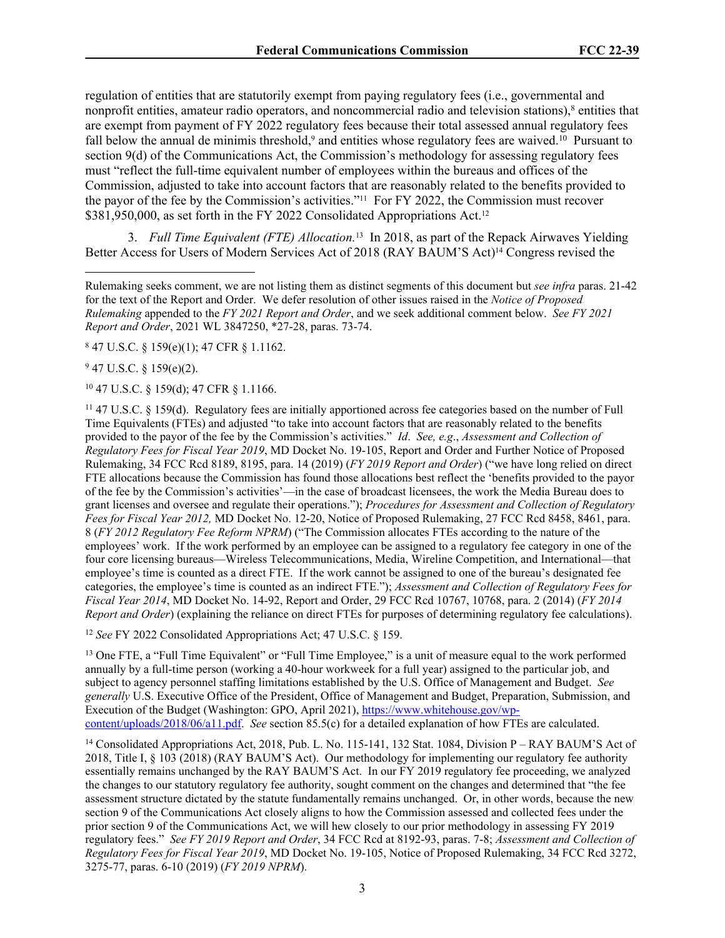regulation of entities that are statutorily exempt from paying regulatory fees (i.e., governmental and nonprofit entities, amateur radio operators, and noncommercial radio and television stations),<sup>8</sup> entities that are exempt from payment of FY 2022 regulatory fees because their total assessed annual regulatory fees fall below the annual de minimis threshold,<sup>9</sup> and entities whose regulatory fees are waived.<sup>10</sup> Pursuant to section 9(d) of the Communications Act, the Commission's methodology for assessing regulatory fees must "reflect the full-time equivalent number of employees within the bureaus and offices of the Commission, adjusted to take into account factors that are reasonably related to the benefits provided to the payor of the fee by the Commission's activities."11 For FY 2022, the Commission must recover \$381,950,000, as set forth in the FY 2022 Consolidated Appropriations Act.<sup>12</sup>

3. Full Time Equivalent (FTE) Allocation.<sup>13</sup> In 2018, as part of the Repack Airwaves Yielding Better Access for Users of Modern Services Act of 2018 (RAY BAUM'S Act)14 Congress revised the

8 47 U.S.C. § 159(e)(1); 47 CFR § 1.1162.

 $947$  U.S.C. § 159(e)(2).

<sup>10</sup> 47 U.S.C. § 159(d); 47 CFR § 1.1166.

<sup>11</sup> 47 U.S.C. § 159(d). Regulatory fees are initially apportioned across fee categories based on the number of Full Time Equivalents (FTEs) and adjusted "to take into account factors that are reasonably related to the benefits provided to the payor of the fee by the Commission's activities." *Id*. *See, e.g*., *Assessment and Collection of Regulatory Fees for Fiscal Year 2019*, MD Docket No. 19-105, Report and Order and Further Notice of Proposed Rulemaking, 34 FCC Rcd 8189, 8195, para. 14 (2019) (*FY 2019 Report and Order*) ("we have long relied on direct FTE allocations because the Commission has found those allocations best reflect the 'benefits provided to the payor of the fee by the Commission's activities'—in the case of broadcast licensees, the work the Media Bureau does to grant licenses and oversee and regulate their operations."); *Procedures for Assessment and Collection of Regulatory Fees for Fiscal Year 2012,* MD Docket No. 12-20, Notice of Proposed Rulemaking, 27 FCC Rcd 8458, 8461, para. 8 (*FY 2012 Regulatory Fee Reform NPRM*) ("The Commission allocates FTEs according to the nature of the employees' work. If the work performed by an employee can be assigned to a regulatory fee category in one of the four core licensing bureaus—Wireless Telecommunications, Media, Wireline Competition, and International—that employee's time is counted as a direct FTE. If the work cannot be assigned to one of the bureau's designated fee categories, the employee's time is counted as an indirect FTE."); *Assessment and Collection of Regulatory Fees for Fiscal Year 2014*, MD Docket No. 14-92, Report and Order, 29 FCC Rcd 10767, 10768, para. 2 (2014) (*FY 2014 Report and Order*) (explaining the reliance on direct FTEs for purposes of determining regulatory fee calculations).

<sup>12</sup> *See* FY 2022 Consolidated Appropriations Act; 47 U.S.C. § 159.

<sup>13</sup> One FTE, a "Full Time Equivalent" or "Full Time Employee," is a unit of measure equal to the work performed annually by a full-time person (working a 40-hour workweek for a full year) assigned to the particular job, and subject to agency personnel staffing limitations established by the U.S. Office of Management and Budget. *See generally* U.S. Executive Office of the President, Office of Management and Budget, Preparation, Submission, and Execution of the Budget (Washington: GPO, April 2021), [https://www.whitehouse.gov/wp](https://www.whitehouse.gov/wp-content/uploads/2018/06/a11.pdf)[content/uploads/2018/06/a11.pdf.](https://www.whitehouse.gov/wp-content/uploads/2018/06/a11.pdf) *See* section 85.5(c) for a detailed explanation of how FTEs are calculated.

<sup>14</sup> Consolidated Appropriations Act, 2018, Pub. L. No. 115-141, 132 Stat. 1084, Division P – RAY BAUM'S Act of 2018, Title I, § 103 (2018) (RAY BAUM'S Act). Our methodology for implementing our regulatory fee authority essentially remains unchanged by the RAY BAUM'S Act. In our FY 2019 regulatory fee proceeding, we analyzed the changes to our statutory regulatory fee authority, sought comment on the changes and determined that "the fee assessment structure dictated by the statute fundamentally remains unchanged. Or, in other words, because the new section 9 of the Communications Act closely aligns to how the Commission assessed and collected fees under the prior section 9 of the Communications Act, we will hew closely to our prior methodology in assessing FY 2019 regulatory fees." *See FY 2019 Report and Order*, 34 FCC Rcd at 8192-93, paras. 7-8; *Assessment and Collection of Regulatory Fees for Fiscal Year 2019*, MD Docket No. 19-105, Notice of Proposed Rulemaking, 34 FCC Rcd 3272, 3275-77, paras. 6-10 (2019) (*FY 2019 NPRM*).

Rulemaking seeks comment, we are not listing them as distinct segments of this document but *see infra* paras. 21-42 for the text of the Report and Order. We defer resolution of other issues raised in the *Notice of Proposed Rulemaking* appended to the *FY 2021 Report and Order*, and we seek additional comment below. *See FY 2021 Report and Order*, 2021 WL 3847250, \*27-28, paras. 73-74.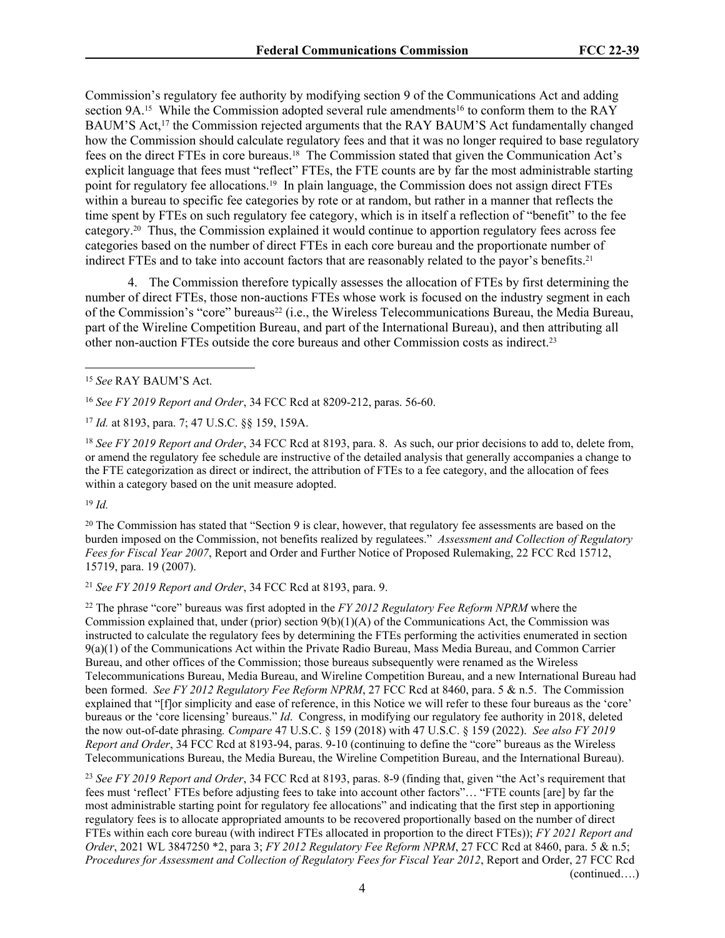Commission's regulatory fee authority by modifying section 9 of the Communications Act and adding section 9A.<sup>15</sup> While the Commission adopted several rule amendments<sup>16</sup> to conform them to the RAY BAUM'S Act,<sup>17</sup> the Commission rejected arguments that the RAY BAUM'S Act fundamentally changed how the Commission should calculate regulatory fees and that it was no longer required to base regulatory fees on the direct FTEs in core bureaus.18 The Commission stated that given the Communication Act's explicit language that fees must "reflect" FTEs, the FTE counts are by far the most administrable starting point for regulatory fee allocations.19 In plain language, the Commission does not assign direct FTEs within a bureau to specific fee categories by rote or at random, but rather in a manner that reflects the time spent by FTEs on such regulatory fee category, which is in itself a reflection of "benefit" to the fee category.20 Thus, the Commission explained it would continue to apportion regulatory fees across fee categories based on the number of direct FTEs in each core bureau and the proportionate number of indirect FTEs and to take into account factors that are reasonably related to the payor's benefits.<sup>21</sup>

4. The Commission therefore typically assesses the allocation of FTEs by first determining the number of direct FTEs, those non-auctions FTEs whose work is focused on the industry segment in each of the Commission's "core" bureaus<sup>22</sup> (i.e., the Wireless Telecommunications Bureau, the Media Bureau, part of the Wireline Competition Bureau, and part of the International Bureau), and then attributing all other non-auction FTEs outside the core bureaus and other Commission costs as indirect.<sup>23</sup>

<sup>18</sup> *See FY 2019 Report and Order*, 34 FCC Rcd at 8193, para. 8. As such, our prior decisions to add to, delete from, or amend the regulatory fee schedule are instructive of the detailed analysis that generally accompanies a change to the FTE categorization as direct or indirect, the attribution of FTEs to a fee category, and the allocation of fees within a category based on the unit measure adopted.

 $19 \, Id.$ 

 $20$  The Commission has stated that "Section 9 is clear, however, that regulatory fee assessments are based on the burden imposed on the Commission, not benefits realized by regulatees." *Assessment and Collection of Regulatory Fees for Fiscal Year 2007*, Report and Order and Further Notice of Proposed Rulemaking, 22 FCC Rcd 15712, 15719, para. 19 (2007).

<sup>21</sup> *See FY 2019 Report and Order*, 34 FCC Rcd at 8193, para. 9.

<sup>22</sup> The phrase "core" bureaus was first adopted in the *FY 2012 Regulatory Fee Reform NPRM* where the Commission explained that, under (prior) section  $9(b)(1)(A)$  of the Communications Act, the Commission was instructed to calculate the regulatory fees by determining the FTEs performing the activities enumerated in section 9(a)(1) of the Communications Act within the Private Radio Bureau, Mass Media Bureau, and Common Carrier Bureau, and other offices of the Commission; those bureaus subsequently were renamed as the Wireless Telecommunications Bureau, Media Bureau, and Wireline Competition Bureau, and a new International Bureau had been formed. *See FY 2012 Regulatory Fee Reform NPRM*, 27 FCC Rcd at 8460, para. 5 & n.5. The Commission explained that "[f]or simplicity and ease of reference, in this Notice we will refer to these four bureaus as the 'core' bureaus or the 'core licensing' bureaus." *Id*. Congress, in modifying our regulatory fee authority in 2018, deleted the now out-of-date phrasing*. Compare* 47 U.S.C. § 159 (2018) with 47 U.S.C. § 159 (2022). *See also FY 2019 Report and Order*, 34 FCC Rcd at 8193-94, paras. 9-10 (continuing to define the "core" bureaus as the Wireless Telecommunications Bureau, the Media Bureau, the Wireline Competition Bureau, and the International Bureau).

<sup>23</sup> *See FY 2019 Report and Order*, 34 FCC Rcd at 8193, paras. 8-9 (finding that, given "the Act's requirement that fees must 'reflect' FTEs before adjusting fees to take into account other factors"… "FTE counts [are] by far the most administrable starting point for regulatory fee allocations" and indicating that the first step in apportioning regulatory fees is to allocate appropriated amounts to be recovered proportionally based on the number of direct FTEs within each core bureau (with indirect FTEs allocated in proportion to the direct FTEs)); *FY 2021 Report and Order*, 2021 WL 3847250 \*2, para 3; *FY 2012 Regulatory Fee Reform NPRM*, 27 FCC Rcd at 8460, para. 5 & n.5; *Procedures for Assessment and Collection of Regulatory Fees for Fiscal Year 2012*, Report and Order, 27 FCC Rcd (continued….)

4

<sup>15</sup> *See* RAY BAUM'S Act.

<sup>16</sup> *See FY 2019 Report and Order*, 34 FCC Rcd at 8209-212, paras. 56-60.

<sup>17</sup> *Id.* at 8193, para. 7; 47 U.S.C. §§ 159, 159A.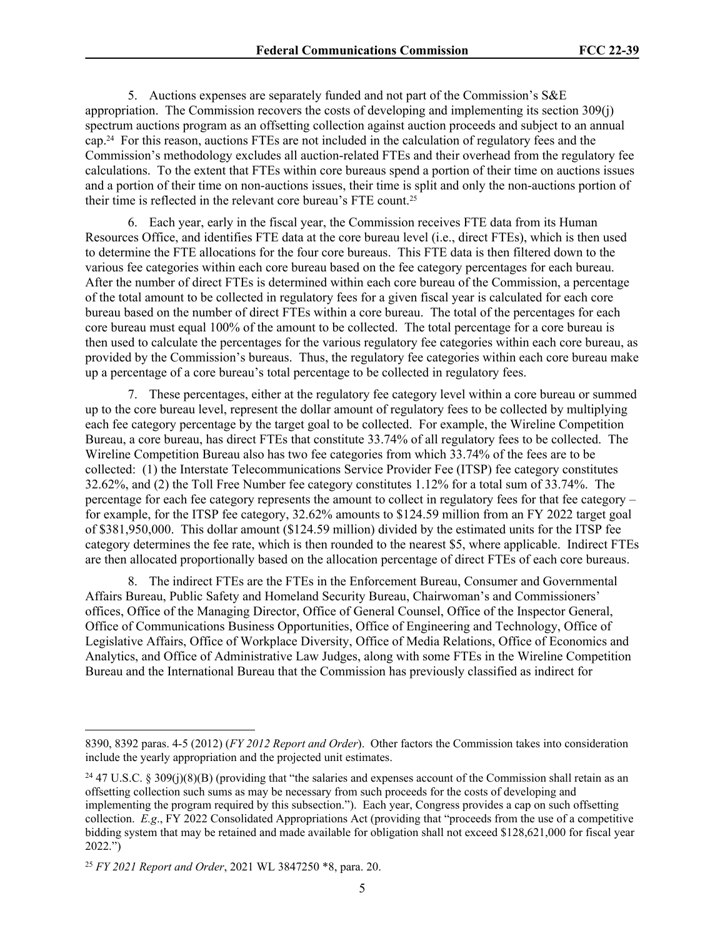5. Auctions expenses are separately funded and not part of the Commission's S&E appropriation. The Commission recovers the costs of developing and implementing its section 309(j) spectrum auctions program as an offsetting collection against auction proceeds and subject to an annual cap.24 For this reason, auctions FTEs are not included in the calculation of regulatory fees and the Commission's methodology excludes all auction-related FTEs and their overhead from the regulatory fee calculations. To the extent that FTEs within core bureaus spend a portion of their time on auctions issues and a portion of their time on non-auctions issues, their time is split and only the non-auctions portion of their time is reflected in the relevant core bureau's FTE count.<sup>25</sup>

6. Each year, early in the fiscal year, the Commission receives FTE data from its Human Resources Office, and identifies FTE data at the core bureau level (i.e., direct FTEs), which is then used to determine the FTE allocations for the four core bureaus. This FTE data is then filtered down to the various fee categories within each core bureau based on the fee category percentages for each bureau. After the number of direct FTEs is determined within each core bureau of the Commission, a percentage of the total amount to be collected in regulatory fees for a given fiscal year is calculated for each core bureau based on the number of direct FTEs within a core bureau. The total of the percentages for each core bureau must equal 100% of the amount to be collected. The total percentage for a core bureau is then used to calculate the percentages for the various regulatory fee categories within each core bureau, as provided by the Commission's bureaus. Thus, the regulatory fee categories within each core bureau make up a percentage of a core bureau's total percentage to be collected in regulatory fees.

7. These percentages, either at the regulatory fee category level within a core bureau or summed up to the core bureau level, represent the dollar amount of regulatory fees to be collected by multiplying each fee category percentage by the target goal to be collected. For example, the Wireline Competition Bureau, a core bureau, has direct FTEs that constitute 33.74% of all regulatory fees to be collected. The Wireline Competition Bureau also has two fee categories from which 33.74% of the fees are to be collected: (1) the Interstate Telecommunications Service Provider Fee (ITSP) fee category constitutes 32.62%, and (2) the Toll Free Number fee category constitutes 1.12% for a total sum of 33.74%. The percentage for each fee category represents the amount to collect in regulatory fees for that fee category – for example, for the ITSP fee category, 32.62% amounts to \$124.59 million from an FY 2022 target goal of \$381,950,000. This dollar amount (\$124.59 million) divided by the estimated units for the ITSP fee category determines the fee rate, which is then rounded to the nearest \$5, where applicable. Indirect FTEs are then allocated proportionally based on the allocation percentage of direct FTEs of each core bureaus.

8. The indirect FTEs are the FTEs in the Enforcement Bureau, Consumer and Governmental Affairs Bureau, Public Safety and Homeland Security Bureau, Chairwoman's and Commissioners' offices, Office of the Managing Director, Office of General Counsel, Office of the Inspector General, Office of Communications Business Opportunities, Office of Engineering and Technology, Office of Legislative Affairs, Office of Workplace Diversity, Office of Media Relations, Office of Economics and Analytics, and Office of Administrative Law Judges, along with some FTEs in the Wireline Competition Bureau and the International Bureau that the Commission has previously classified as indirect for

<sup>8390, 8392</sup> paras. 4-5 (2012) (*FY 2012 Report and Order*). Other factors the Commission takes into consideration include the yearly appropriation and the projected unit estimates.

<sup>&</sup>lt;sup>24</sup> 47 U.S.C. § 309(j)(8)(B) (providing that "the salaries and expenses account of the Commission shall retain as an offsetting collection such sums as may be necessary from such proceeds for the costs of developing and implementing the program required by this subsection."). Each year, Congress provides a cap on such offsetting collection. *E.g*., FY 2022 Consolidated Appropriations Act (providing that "proceeds from the use of a competitive bidding system that may be retained and made available for obligation shall not exceed \$128,621,000 for fiscal year 2022.")

<sup>25</sup> *FY 2021 Report and Order*, 2021 WL 3847250 \*8, para. 20.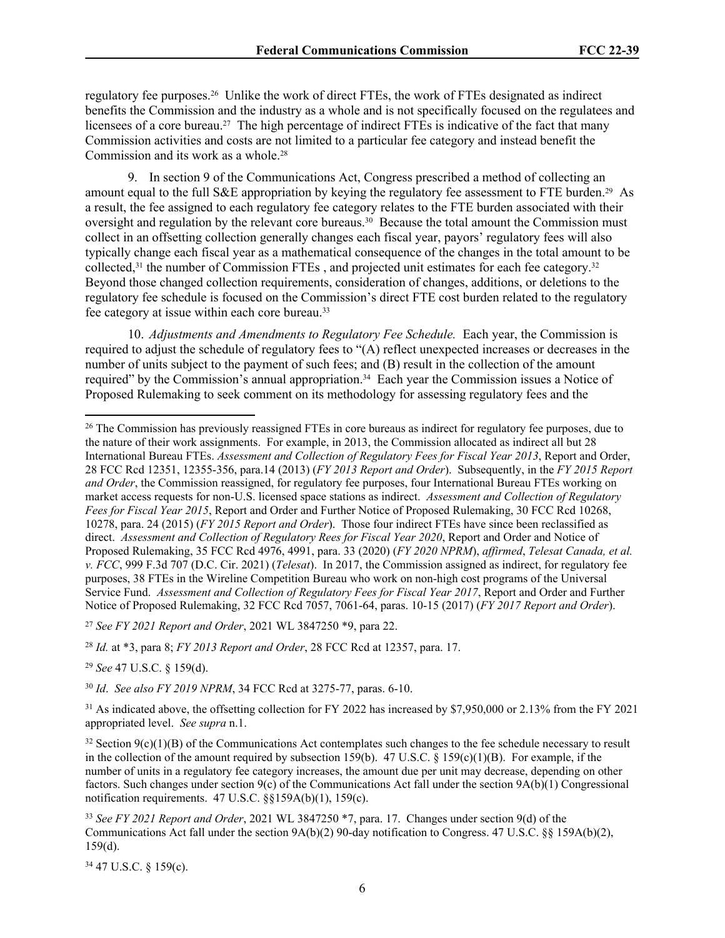regulatory fee purposes.26 Unlike the work of direct FTEs, the work of FTEs designated as indirect benefits the Commission and the industry as a whole and is not specifically focused on the regulatees and licensees of a core bureau.<sup>27</sup> The high percentage of indirect FTEs is indicative of the fact that many Commission activities and costs are not limited to a particular fee category and instead benefit the Commission and its work as a whole.<sup>28</sup>

9. In section 9 of the Communications Act, Congress prescribed a method of collecting an amount equal to the full S&E appropriation by keying the regulatory fee assessment to FTE burden.29 As a result, the fee assigned to each regulatory fee category relates to the FTE burden associated with their oversight and regulation by the relevant core bureaus.<sup>30</sup> Because the total amount the Commission must collect in an offsetting collection generally changes each fiscal year, payors' regulatory fees will also typically change each fiscal year as a mathematical consequence of the changes in the total amount to be collected,<sup>31</sup> the number of Commission FTEs, and projected unit estimates for each fee category.<sup>32</sup> Beyond those changed collection requirements, consideration of changes, additions, or deletions to the regulatory fee schedule is focused on the Commission's direct FTE cost burden related to the regulatory fee category at issue within each core bureau.<sup>33</sup>

10. *Adjustments and Amendments to Regulatory Fee Schedule.* Each year, the Commission is required to adjust the schedule of regulatory fees to "(A) reflect unexpected increases or decreases in the number of units subject to the payment of such fees; and (B) result in the collection of the amount required" by the Commission's annual appropriation.34 Each year the Commission issues a Notice of Proposed Rulemaking to seek comment on its methodology for assessing regulatory fees and the

<sup>27</sup> *See FY 2021 Report and Order*, 2021 WL 3847250 \*9, para 22.

<sup>28</sup> *Id.* at \*3, para 8; *FY 2013 Report and Order*, 28 FCC Rcd at 12357, para. 17.

<sup>29</sup> *See* 47 U.S.C. § 159(d).

<sup>30</sup> *Id*. *See also FY 2019 NPRM*, 34 FCC Rcd at 3275-77, paras. 6-10.

<sup>31</sup> As indicated above, the offsetting collection for FY 2022 has increased by \$7,950,000 or 2.13% from the FY 2021 appropriated level. *See supra* n.1.

 $32$  Section  $9(c)(1)(B)$  of the Communications Act contemplates such changes to the fee schedule necessary to result in the collection of the amount required by subsection 159(b). 47 U.S.C. § 159(c)(1)(B). For example, if the number of units in a regulatory fee category increases, the amount due per unit may decrease, depending on other factors. Such changes under section 9(c) of the Communications Act fall under the section 9A(b)(1) Congressional notification requirements. 47 U.S.C. §§159A(b)(1), 159(c).

34 47 U.S.C. § 159(c).

<sup>&</sup>lt;sup>26</sup> The Commission has previously reassigned FTEs in core bureaus as indirect for regulatory fee purposes, due to the nature of their work assignments. For example, in 2013, the Commission allocated as indirect all but 28 International Bureau FTEs. *Assessment and Collection of Regulatory Fees for Fiscal Year 2013*, Report and Order, 28 FCC Rcd 12351, 12355-356, para.14 (2013) (*FY 2013 Report and Order*). Subsequently, in the *FY 2015 Report and Order*, the Commission reassigned, for regulatory fee purposes, four International Bureau FTEs working on market access requests for non-U.S. licensed space stations as indirect. *Assessment and Collection of Regulatory Fees for Fiscal Year 2015*, Report and Order and Further Notice of Proposed Rulemaking, 30 FCC Rcd 10268, 10278, para. 24 (2015) (*FY 2015 Report and Order*). Those four indirect FTEs have since been reclassified as direct. *Assessment and Collection of Regulatory Rees for Fiscal Year 2020*, Report and Order and Notice of Proposed Rulemaking, 35 FCC Rcd 4976, 4991, para. 33 (2020) (*FY 2020 NPRM*), *affirmed*, *Telesat Canada, et al. v. FCC*, 999 F.3d 707 (D.C. Cir. 2021) (*Telesat*). In 2017, the Commission assigned as indirect, for regulatory fee purposes, 38 FTEs in the Wireline Competition Bureau who work on non-high cost programs of the Universal Service Fund. *Assessment and Collection of Regulatory Fees for Fiscal Year 2017*, Report and Order and Further Notice of Proposed Rulemaking, 32 FCC Rcd 7057, 7061-64, paras. 10-15 (2017) (*FY 2017 Report and Order*).

<sup>33</sup> *See FY 2021 Report and Order*, 2021 WL 3847250 \*7, para. 17. Changes under section 9(d) of the Communications Act fall under the section  $9A(b)(2)$  90-day notification to Congress. 47 U.S.C. §§ 159A(b)(2), 159(d).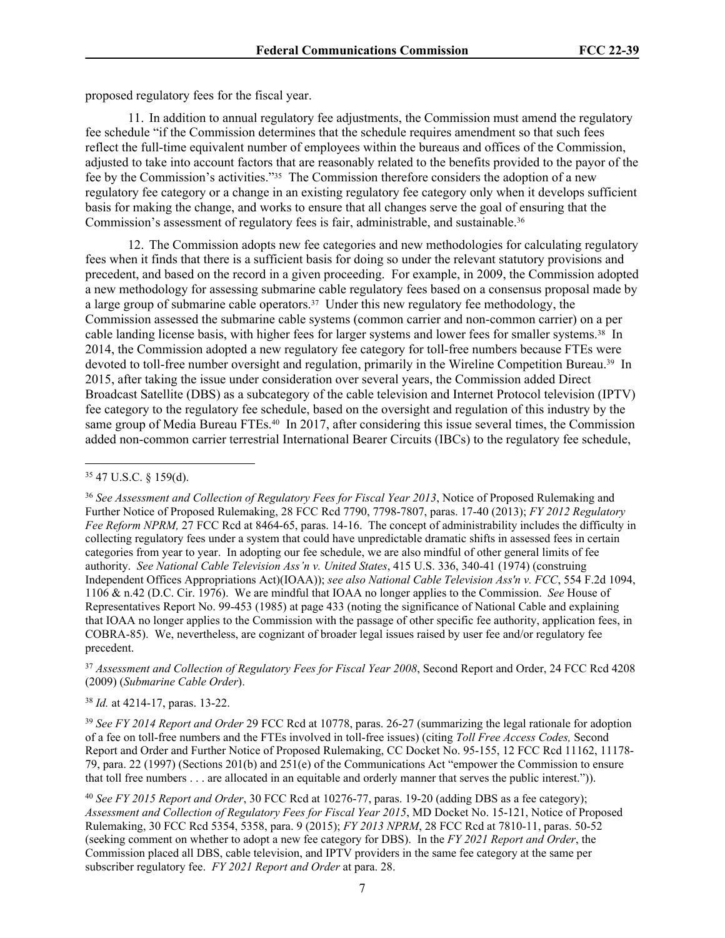proposed regulatory fees for the fiscal year.

11. In addition to annual regulatory fee adjustments, the Commission must amend the regulatory fee schedule "if the Commission determines that the schedule requires amendment so that such fees reflect the full-time equivalent number of employees within the bureaus and offices of the Commission, adjusted to take into account factors that are reasonably related to the benefits provided to the payor of the fee by the Commission's activities."35 The Commission therefore considers the adoption of a new regulatory fee category or a change in an existing regulatory fee category only when it develops sufficient basis for making the change, and works to ensure that all changes serve the goal of ensuring that the Commission's assessment of regulatory fees is fair, administrable, and sustainable.<sup>36</sup>

12. The Commission adopts new fee categories and new methodologies for calculating regulatory fees when it finds that there is a sufficient basis for doing so under the relevant statutory provisions and precedent, and based on the record in a given proceeding. For example, in 2009, the Commission adopted a new methodology for assessing submarine cable regulatory fees based on a consensus proposal made by a large group of submarine cable operators.37 Under this new regulatory fee methodology, the Commission assessed the submarine cable systems (common carrier and non-common carrier) on a per cable landing license basis, with higher fees for larger systems and lower fees for smaller systems.38 In 2014, the Commission adopted a new regulatory fee category for toll-free numbers because FTEs were devoted to toll-free number oversight and regulation, primarily in the Wireline Competition Bureau.<sup>39</sup> In 2015, after taking the issue under consideration over several years, the Commission added Direct Broadcast Satellite (DBS) as a subcategory of the cable television and Internet Protocol television (IPTV) fee category to the regulatory fee schedule, based on the oversight and regulation of this industry by the same group of Media Bureau FTEs.<sup>40</sup> In 2017, after considering this issue several times, the Commission added non-common carrier terrestrial International Bearer Circuits (IBCs) to the regulatory fee schedule,

<sup>37</sup> *Assessment and Collection of Regulatory Fees for Fiscal Year 2008*, Second Report and Order, 24 FCC Rcd 4208 (2009) (*Submarine Cable Order*).

<sup>38</sup> *Id.* at 4214-17, paras. 13-22.

<sup>39</sup> *See FY 2014 Report and Order* 29 FCC Rcd at 10778, paras. 26-27 (summarizing the legal rationale for adoption of a fee on toll-free numbers and the FTEs involved in toll-free issues) (citing *Toll Free Access Codes,* Second Report and Order and Further Notice of Proposed Rulemaking, CC Docket No. 95-155, 12 FCC Rcd 11162, 11178- 79, para. 22 (1997) (Sections 201(b) and 251(e) of the Communications Act "empower the Commission to ensure that toll free numbers . . . are allocated in an equitable and orderly manner that serves the public interest.")).

<sup>40</sup> *See FY 2015 Report and Order*, 30 FCC Rcd at 10276-77, paras. 19-20 (adding DBS as a fee category); *Assessment and Collection of Regulatory Fees for Fiscal Year 2015*, MD Docket No. 15-121, Notice of Proposed Rulemaking, 30 FCC Rcd 5354, 5358, para. 9 (2015); *FY 2013 NPRM*, 28 FCC Rcd at 7810-11, paras. 50-52 (seeking comment on whether to adopt a new fee category for DBS). In the *FY 2021 Report and Order*, the Commission placed all DBS, cable television, and IPTV providers in the same fee category at the same per subscriber regulatory fee. *FY 2021 Report and Order* at para. 28.

<sup>35</sup> 47 U.S.C. § 159(d).

<sup>36</sup> *See Assessment and Collection of Regulatory Fees for Fiscal Year 2013*, Notice of Proposed Rulemaking and Further Notice of Proposed Rulemaking, 28 FCC Rcd 7790, 7798-7807, paras. 17-40 (2013); *FY 2012 Regulatory Fee Reform NPRM,* 27 FCC Rcd at 8464-65, paras. 14-16. The concept of administrability includes the difficulty in collecting regulatory fees under a system that could have unpredictable dramatic shifts in assessed fees in certain categories from year to year. In adopting our fee schedule, we are also mindful of other general limits of fee authority. *See National Cable Television Ass'n v. United States*, 415 U.S. 336, 340-41 (1974) (construing Independent Offices Appropriations Act)(IOAA)); *see also National Cable Television Ass'n v. FCC*, 554 F.2d 1094, 1106 & n.42 (D.C. Cir. 1976). We are mindful that IOAA no longer applies to the Commission. *See* House of Representatives Report No. 99-453 (1985) at page 433 (noting the significance of National Cable and explaining that IOAA no longer applies to the Commission with the passage of other specific fee authority, application fees, in COBRA-85). We, nevertheless, are cognizant of broader legal issues raised by user fee and/or regulatory fee precedent.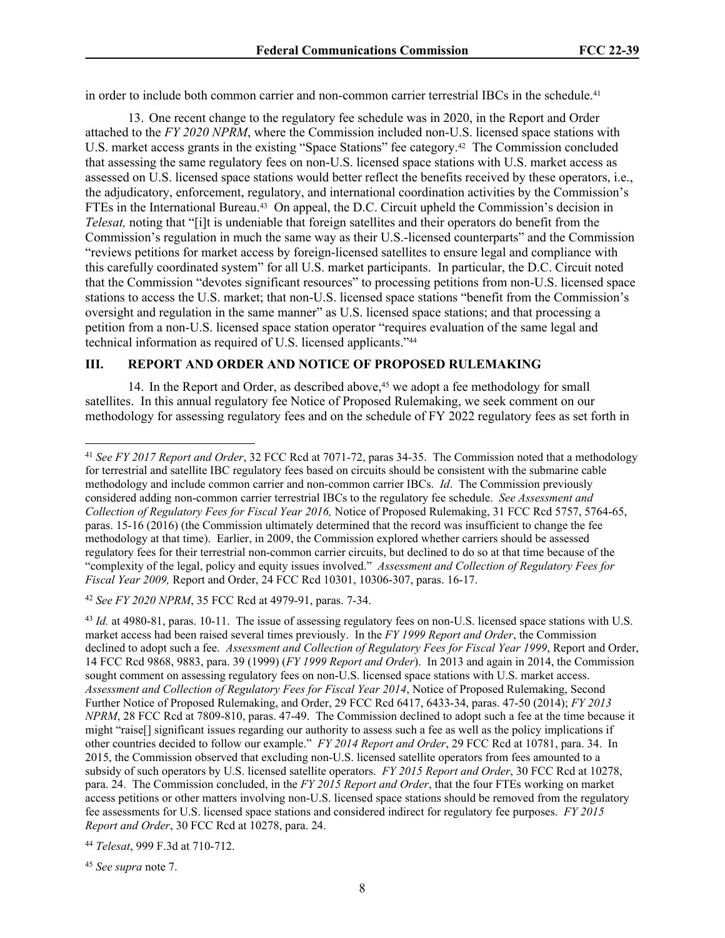in order to include both common carrier and non-common carrier terrestrial IBCs in the schedule.<sup>41</sup>

13. One recent change to the regulatory fee schedule was in 2020, in the Report and Order attached to the *FY 2020 NPRM*, where the Commission included non-U.S. licensed space stations with U.S. market access grants in the existing "Space Stations" fee category.42 The Commission concluded that assessing the same regulatory fees on non-U.S. licensed space stations with U.S. market access as assessed on U.S. licensed space stations would better reflect the benefits received by these operators, i.e., the adjudicatory, enforcement, regulatory, and international coordination activities by the Commission's FTEs in the International Bureau.<sup>43</sup> On appeal, the D.C. Circuit upheld the Commission's decision in *Telesat*, noting that "[i]t is undeniable that foreign satellites and their operators do benefit from the Commission's regulation in much the same way as their U.S.-licensed counterparts" and the Commission "reviews petitions for market access by foreign-licensed satellites to ensure legal and compliance with this carefully coordinated system" for all U.S. market participants. In particular, the D.C. Circuit noted that the Commission "devotes significant resources" to processing petitions from non-U.S. licensed space stations to access the U.S. market; that non-U.S. licensed space stations "benefit from the Commission's oversight and regulation in the same manner" as U.S. licensed space stations; and that processing a petition from a non-U.S. licensed space station operator "requires evaluation of the same legal and technical information as required of U.S. licensed applicants."<sup>44</sup>

#### **III. REPORT AND ORDER AND NOTICE OF PROPOSED RULEMAKING**

14. In the Report and Order, as described above,45 we adopt a fee methodology for small satellites. In this annual regulatory fee Notice of Proposed Rulemaking, we seek comment on our methodology for assessing regulatory fees and on the schedule of FY 2022 regulatory fees as set forth in

<sup>42</sup> *See FY 2020 NPRM*, 35 FCC Rcd at 4979-91, paras. 7-34.

<sup>45</sup> *See supra* note 7.

<sup>41</sup> *See FY 2017 Report and Order*, 32 FCC Rcd at 7071-72, paras 34-35. The Commission noted that a methodology for terrestrial and satellite IBC regulatory fees based on circuits should be consistent with the submarine cable methodology and include common carrier and non-common carrier IBCs. *Id*. The Commission previously considered adding non-common carrier terrestrial IBCs to the regulatory fee schedule. *See Assessment and Collection of Regulatory Fees for Fiscal Year 2016,* Notice of Proposed Rulemaking, 31 FCC Rcd 5757, 5764-65, paras. 15-16 (2016) (the Commission ultimately determined that the record was insufficient to change the fee methodology at that time). Earlier, in 2009, the Commission explored whether carriers should be assessed regulatory fees for their terrestrial non-common carrier circuits, but declined to do so at that time because of the "complexity of the legal, policy and equity issues involved." *Assessment and Collection of Regulatory Fees for Fiscal Year 2009,* Report and Order, 24 FCC Rcd 10301, 10306-307, paras. 16-17.

<sup>43</sup> *Id.* at 4980-81, paras. 10-11. The issue of assessing regulatory fees on non-U.S. licensed space stations with U.S. market access had been raised several times previously. In the *FY 1999 Report and Order*, the Commission declined to adopt such a fee. *Assessment and Collection of Regulatory Fees for Fiscal Year 1999*, Report and Order, 14 FCC Rcd 9868, 9883, para. 39 (1999) (*FY 1999 Report and Order*). In 2013 and again in 2014, the Commission sought comment on assessing regulatory fees on non-U.S. licensed space stations with U.S. market access. *Assessment and Collection of Regulatory Fees for Fiscal Year 2014*, Notice of Proposed Rulemaking, Second Further Notice of Proposed Rulemaking, and Order, 29 FCC Rcd 6417, 6433-34, paras. 47-50 (2014); *FY 2013 NPRM*, 28 FCC Rcd at 7809-810, paras. 47-49. The Commission declined to adopt such a fee at the time because it might "raise[] significant issues regarding our authority to assess such a fee as well as the policy implications if other countries decided to follow our example." *FY 2014 Report and Order*, 29 FCC Rcd at 10781, para. 34. In 2015, the Commission observed that excluding non-U.S. licensed satellite operators from fees amounted to a subsidy of such operators by U.S. licensed satellite operators. *FY 2015 Report and Order*, 30 FCC Rcd at 10278, para. 24. The Commission concluded, in the *FY 2015 Report and Order*, that the four FTEs working on market access petitions or other matters involving non-U.S. licensed space stations should be removed from the regulatory fee assessments for U.S. licensed space stations and considered indirect for regulatory fee purposes. *FY 2015 Report and Order*, 30 FCC Rcd at 10278, para. 24.

<sup>44</sup> *Telesat*, 999 F.3d at 710-712.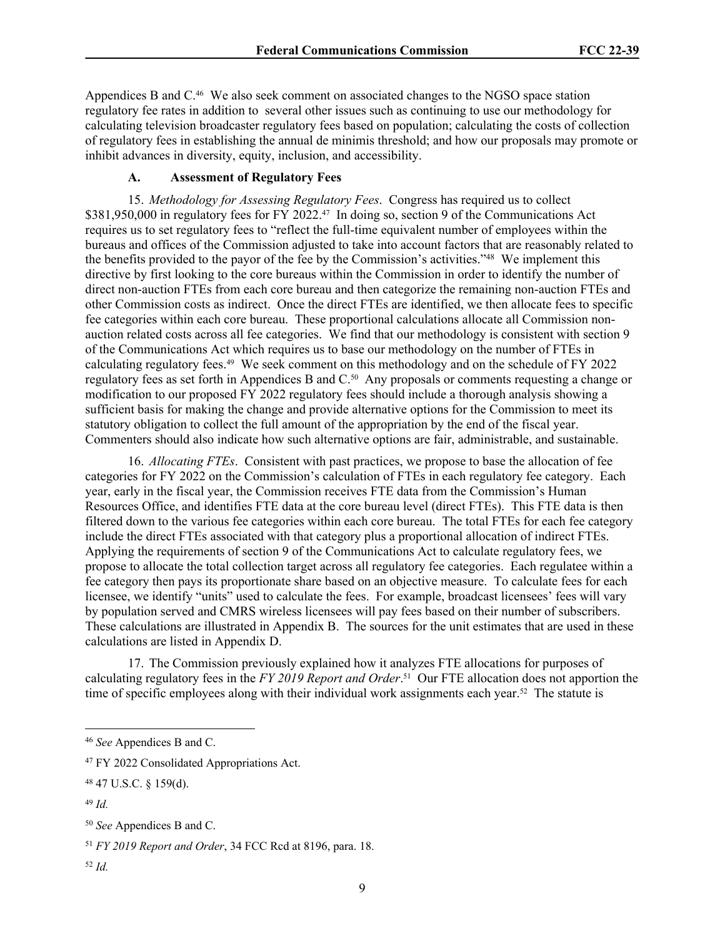Appendices B and C.<sup>46</sup> We also seek comment on associated changes to the NGSO space station regulatory fee rates in addition to several other issues such as continuing to use our methodology for calculating television broadcaster regulatory fees based on population; calculating the costs of collection of regulatory fees in establishing the annual de minimis threshold; and how our proposals may promote or inhibit advances in diversity, equity, inclusion, and accessibility.

# **A. Assessment of Regulatory Fees**

15. *Methodology for Assessing Regulatory Fees*. Congress has required us to collect \$381,950,000 in regulatory fees for FY 2022.<sup>47</sup> In doing so, section 9 of the Communications Act requires us to set regulatory fees to "reflect the full-time equivalent number of employees within the bureaus and offices of the Commission adjusted to take into account factors that are reasonably related to the benefits provided to the payor of the fee by the Commission's activities."<sup>48</sup> We implement this directive by first looking to the core bureaus within the Commission in order to identify the number of direct non-auction FTEs from each core bureau and then categorize the remaining non-auction FTEs and other Commission costs as indirect. Once the direct FTEs are identified, we then allocate fees to specific fee categories within each core bureau. These proportional calculations allocate all Commission nonauction related costs across all fee categories. We find that our methodology is consistent with section 9 of the Communications Act which requires us to base our methodology on the number of FTEs in calculating regulatory fees.49 We seek comment on this methodology and on the schedule of FY 2022 regulatory fees as set forth in Appendices B and C.50 Any proposals or comments requesting a change or modification to our proposed FY 2022 regulatory fees should include a thorough analysis showing a sufficient basis for making the change and provide alternative options for the Commission to meet its statutory obligation to collect the full amount of the appropriation by the end of the fiscal year. Commenters should also indicate how such alternative options are fair, administrable, and sustainable.

16. *Allocating FTEs*. Consistent with past practices, we propose to base the allocation of fee categories for FY 2022 on the Commission's calculation of FTEs in each regulatory fee category. Each year, early in the fiscal year, the Commission receives FTE data from the Commission's Human Resources Office, and identifies FTE data at the core bureau level (direct FTEs). This FTE data is then filtered down to the various fee categories within each core bureau. The total FTEs for each fee category include the direct FTEs associated with that category plus a proportional allocation of indirect FTEs. Applying the requirements of section 9 of the Communications Act to calculate regulatory fees, we propose to allocate the total collection target across all regulatory fee categories. Each regulatee within a fee category then pays its proportionate share based on an objective measure. To calculate fees for each licensee, we identify "units" used to calculate the fees. For example, broadcast licensees' fees will vary by population served and CMRS wireless licensees will pay fees based on their number of subscribers. These calculations are illustrated in Appendix B. The sources for the unit estimates that are used in these calculations are listed in Appendix D.

17. The Commission previously explained how it analyzes FTE allocations for purposes of calculating regulatory fees in the *FY 2019 Report and Order*. <sup>51</sup> Our FTE allocation does not apportion the time of specific employees along with their individual work assignments each year.<sup>52</sup> The statute is

<sup>46</sup> *See* Appendices B and C.

<sup>47</sup> FY 2022 Consolidated Appropriations Act.

<sup>48</sup> 47 U.S.C. § 159(d).

<sup>49</sup> *Id.*

<sup>50</sup> *See* Appendices B and C.

<sup>51</sup> *FY 2019 Report and Order*, 34 FCC Rcd at 8196, para. 18.

<sup>52</sup> *Id.*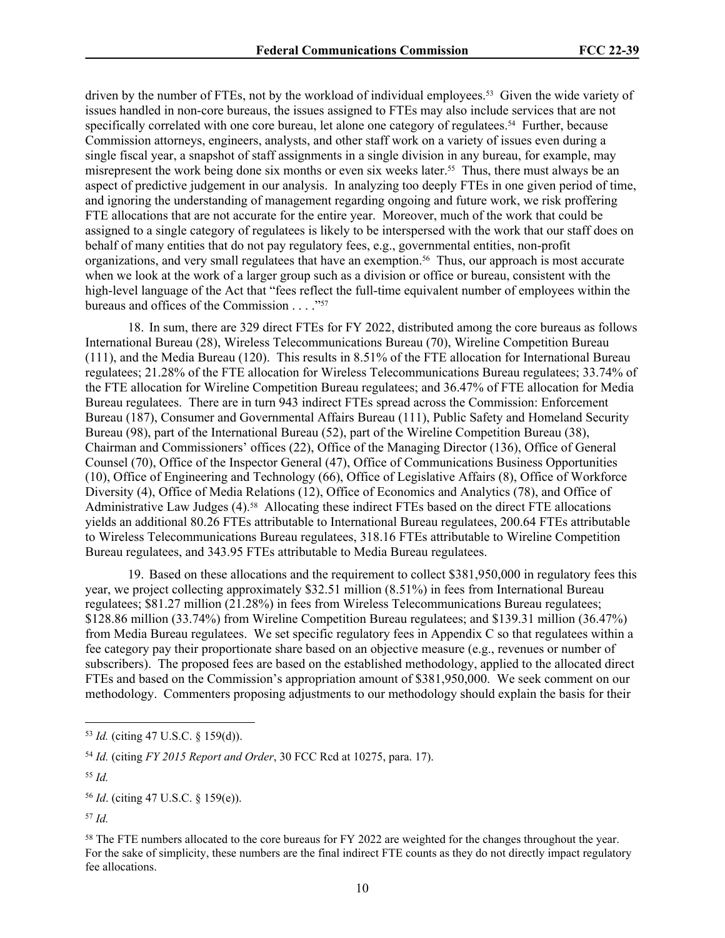driven by the number of FTEs, not by the workload of individual employees.53 Given the wide variety of issues handled in non-core bureaus, the issues assigned to FTEs may also include services that are not specifically correlated with one core bureau, let alone one category of regulatees.<sup>54</sup> Further, because Commission attorneys, engineers, analysts, and other staff work on a variety of issues even during a single fiscal year, a snapshot of staff assignments in a single division in any bureau, for example, may misrepresent the work being done six months or even six weeks later.<sup>55</sup> Thus, there must always be an aspect of predictive judgement in our analysis. In analyzing too deeply FTEs in one given period of time, and ignoring the understanding of management regarding ongoing and future work, we risk proffering FTE allocations that are not accurate for the entire year. Moreover, much of the work that could be assigned to a single category of regulatees is likely to be interspersed with the work that our staff does on behalf of many entities that do not pay regulatory fees, e.g., governmental entities, non-profit organizations, and very small regulatees that have an exemption.<sup>56</sup> Thus, our approach is most accurate when we look at the work of a larger group such as a division or office or bureau, consistent with the high-level language of the Act that "fees reflect the full-time equivalent number of employees within the bureaus and offices of the Commission . . . . "<sup>57</sup>

18. In sum, there are 329 direct FTEs for FY 2022, distributed among the core bureaus as follows International Bureau (28), Wireless Telecommunications Bureau (70), Wireline Competition Bureau (111), and the Media Bureau (120). This results in 8.51% of the FTE allocation for International Bureau regulatees; 21.28% of the FTE allocation for Wireless Telecommunications Bureau regulatees; 33.74% of the FTE allocation for Wireline Competition Bureau regulatees; and 36.47% of FTE allocation for Media Bureau regulatees. There are in turn 943 indirect FTEs spread across the Commission: Enforcement Bureau (187), Consumer and Governmental Affairs Bureau (111), Public Safety and Homeland Security Bureau (98), part of the International Bureau (52), part of the Wireline Competition Bureau (38), Chairman and Commissioners' offices (22), Office of the Managing Director (136), Office of General Counsel (70), Office of the Inspector General (47), Office of Communications Business Opportunities (10), Office of Engineering and Technology (66), Office of Legislative Affairs (8), Office of Workforce Diversity (4), Office of Media Relations (12), Office of Economics and Analytics (78), and Office of Administrative Law Judges (4).<sup>58</sup> Allocating these indirect FTEs based on the direct FTE allocations yields an additional 80.26 FTEs attributable to International Bureau regulatees, 200.64 FTEs attributable to Wireless Telecommunications Bureau regulatees, 318.16 FTEs attributable to Wireline Competition Bureau regulatees, and 343.95 FTEs attributable to Media Bureau regulatees.

19. Based on these allocations and the requirement to collect \$381,950,000 in regulatory fees this year, we project collecting approximately \$32.51 million (8.51%) in fees from International Bureau regulatees; \$81.27 million (21.28%) in fees from Wireless Telecommunications Bureau regulatees; \$128.86 million (33.74%) from Wireline Competition Bureau regulatees; and \$139.31 million (36.47%) from Media Bureau regulatees. We set specific regulatory fees in Appendix C so that regulatees within a fee category pay their proportionate share based on an objective measure (e.g., revenues or number of subscribers). The proposed fees are based on the established methodology, applied to the allocated direct FTEs and based on the Commission's appropriation amount of \$381,950,000. We seek comment on our methodology. Commenters proposing adjustments to our methodology should explain the basis for their

<sup>53</sup> *Id.* (citing 47 U.S.C. § 159(d)).

<sup>54</sup> *Id.* (citing *FY 2015 Report and Order*, 30 FCC Rcd at 10275, para. 17).

<sup>55</sup> *Id.*

<sup>56</sup> *Id*. (citing 47 U.S.C. § 159(e)).

<sup>57</sup> *Id.*

<sup>58</sup> The FTE numbers allocated to the core bureaus for FY 2022 are weighted for the changes throughout the year. For the sake of simplicity, these numbers are the final indirect FTE counts as they do not directly impact regulatory fee allocations.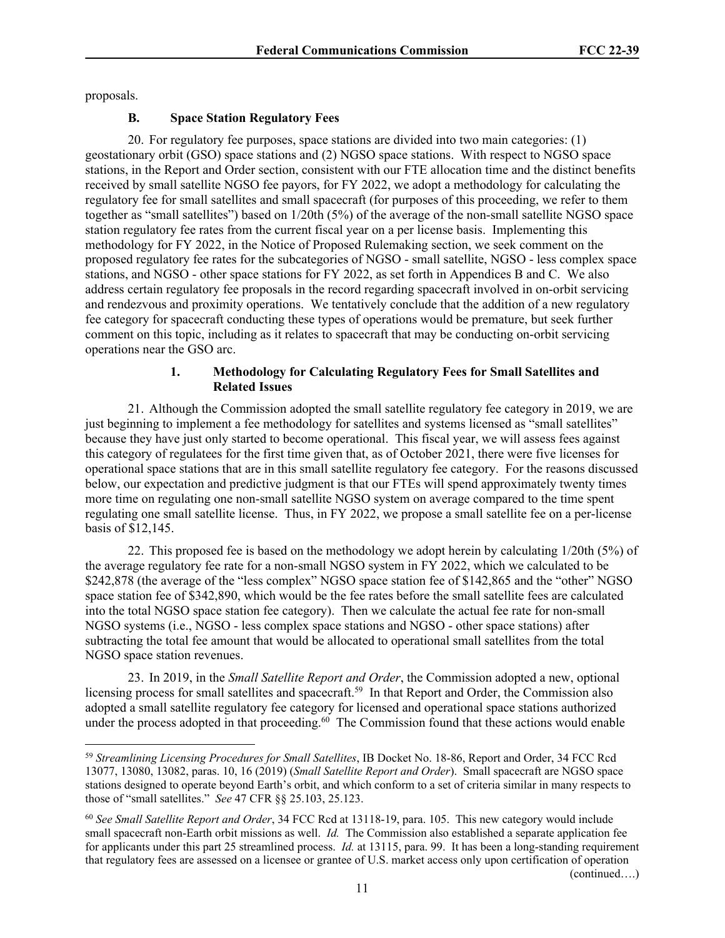proposals.

# **B. Space Station Regulatory Fees**

20. For regulatory fee purposes, space stations are divided into two main categories: (1) geostationary orbit (GSO) space stations and (2) NGSO space stations. With respect to NGSO space stations, in the Report and Order section, consistent with our FTE allocation time and the distinct benefits received by small satellite NGSO fee payors, for FY 2022, we adopt a methodology for calculating the regulatory fee for small satellites and small spacecraft (for purposes of this proceeding, we refer to them together as "small satellites") based on 1/20th (5%) of the average of the non-small satellite NGSO space station regulatory fee rates from the current fiscal year on a per license basis. Implementing this methodology for FY 2022, in the Notice of Proposed Rulemaking section, we seek comment on the proposed regulatory fee rates for the subcategories of NGSO - small satellite, NGSO - less complex space stations, and NGSO - other space stations for FY 2022, as set forth in Appendices B and C. We also address certain regulatory fee proposals in the record regarding spacecraft involved in on-orbit servicing and rendezvous and proximity operations. We tentatively conclude that the addition of a new regulatory fee category for spacecraft conducting these types of operations would be premature, but seek further comment on this topic, including as it relates to spacecraft that may be conducting on-orbit servicing operations near the GSO arc.

#### **1. Methodology for Calculating Regulatory Fees for Small Satellites and Related Issues**

21. Although the Commission adopted the small satellite regulatory fee category in 2019, we are just beginning to implement a fee methodology for satellites and systems licensed as "small satellites" because they have just only started to become operational. This fiscal year, we will assess fees against this category of regulatees for the first time given that, as of October 2021, there were five licenses for operational space stations that are in this small satellite regulatory fee category. For the reasons discussed below, our expectation and predictive judgment is that our FTEs will spend approximately twenty times more time on regulating one non-small satellite NGSO system on average compared to the time spent regulating one small satellite license. Thus, in FY 2022, we propose a small satellite fee on a per-license basis of \$12,145.

22. This proposed fee is based on the methodology we adopt herein by calculating 1/20th (5%) of the average regulatory fee rate for a non-small NGSO system in FY 2022, which we calculated to be \$242,878 (the average of the "less complex" NGSO space station fee of \$142,865 and the "other" NGSO space station fee of \$342,890, which would be the fee rates before the small satellite fees are calculated into the total NGSO space station fee category). Then we calculate the actual fee rate for non-small NGSO systems (i.e., NGSO - less complex space stations and NGSO - other space stations) after subtracting the total fee amount that would be allocated to operational small satellites from the total NGSO space station revenues.

23. In 2019, in the *Small Satellite Report and Order*, the Commission adopted a new, optional licensing process for small satellites and spacecraft.<sup>59</sup> In that Report and Order, the Commission also adopted a small satellite regulatory fee category for licensed and operational space stations authorized under the process adopted in that proceeding.<sup>60</sup> The Commission found that these actions would enable

(continued….)

<sup>59</sup> *Streamlining Licensing Procedures for Small Satellites*, IB Docket No. 18-86, Report and Order, 34 FCC Rcd 13077, 13080, 13082, paras. 10, 16 (2019) (*Small Satellite Report and Order*). Small spacecraft are NGSO space stations designed to operate beyond Earth's orbit, and which conform to a set of criteria similar in many respects to those of "small satellites." *See* 47 CFR §§ 25.103, 25.123.

<sup>60</sup> *See Small Satellite Report and Order*, 34 FCC Rcd at 13118-19, para. 105. This new category would include small spacecraft non-Earth orbit missions as well. *Id.* The Commission also established a separate application fee for applicants under this part 25 streamlined process. *Id.* at 13115, para. 99. It has been a long-standing requirement that regulatory fees are assessed on a licensee or grantee of U.S. market access only upon certification of operation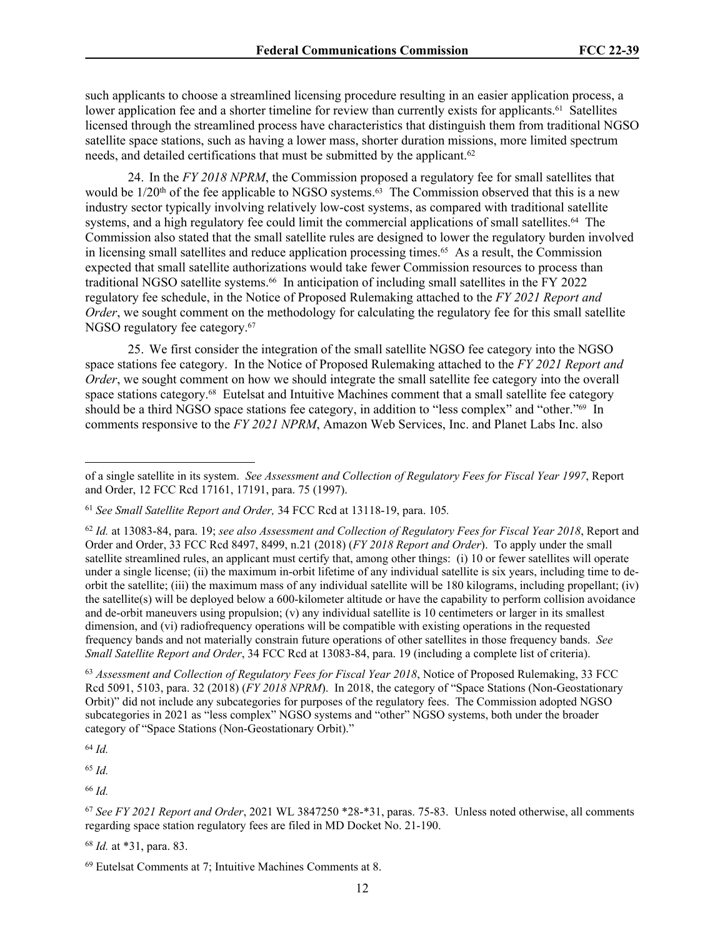such applicants to choose a streamlined licensing procedure resulting in an easier application process, a lower application fee and a shorter timeline for review than currently exists for applicants.<sup>61</sup> Satellites licensed through the streamlined process have characteristics that distinguish them from traditional NGSO satellite space stations, such as having a lower mass, shorter duration missions, more limited spectrum needs, and detailed certifications that must be submitted by the applicant.<sup>62</sup>

24. In the *FY 2018 NPRM*, the Commission proposed a regulatory fee for small satellites that would be  $1/20<sup>th</sup>$  of the fee applicable to NGSO systems.<sup>63</sup> The Commission observed that this is a new industry sector typically involving relatively low-cost systems, as compared with traditional satellite systems, and a high regulatory fee could limit the commercial applications of small satellites.<sup>64</sup> The Commission also stated that the small satellite rules are designed to lower the regulatory burden involved in licensing small satellites and reduce application processing times.<sup>65</sup> As a result, the Commission expected that small satellite authorizations would take fewer Commission resources to process than traditional NGSO satellite systems.66 In anticipation of including small satellites in the FY 2022 regulatory fee schedule, in the Notice of Proposed Rulemaking attached to the *FY 2021 Report and Order*, we sought comment on the methodology for calculating the regulatory fee for this small satellite NGSO regulatory fee category.<sup>67</sup>

25. We first consider the integration of the small satellite NGSO fee category into the NGSO space stations fee category. In the Notice of Proposed Rulemaking attached to the *FY 2021 Report and Order*, we sought comment on how we should integrate the small satellite fee category into the overall space stations category.<sup>68</sup> Eutelsat and Intuitive Machines comment that a small satellite fee category should be a third NGSO space stations fee category, in addition to "less complex" and "other."69 In comments responsive to the *FY 2021 NPRM*, Amazon Web Services, Inc. and Planet Labs Inc. also

<sup>62</sup> *Id.* at 13083-84, para. 19; *see also Assessment and Collection of Regulatory Fees for Fiscal Year 2018*, Report and Order and Order, 33 FCC Rcd 8497, 8499, n.21 (2018) (*FY 2018 Report and Order*). To apply under the small satellite streamlined rules, an applicant must certify that, among other things: (i) 10 or fewer satellites will operate under a single license; (ii) the maximum in-orbit lifetime of any individual satellite is six years, including time to deorbit the satellite; (iii) the maximum mass of any individual satellite will be 180 kilograms, including propellant; (iv) the satellite(s) will be deployed below a 600-kilometer altitude or have the capability to perform collision avoidance and de-orbit maneuvers using propulsion; (v) any individual satellite is 10 centimeters or larger in its smallest dimension, and (vi) radiofrequency operations will be compatible with existing operations in the requested frequency bands and not materially constrain future operations of other satellites in those frequency bands. *See Small Satellite Report and Order*, 34 FCC Rcd at 13083-84, para. 19 (including a complete list of criteria).

<sup>63</sup> *Assessment and Collection of Regulatory Fees for Fiscal Year 2018*, Notice of Proposed Rulemaking, 33 FCC Rcd 5091, 5103, para. 32 (2018) (*FY 2018 NPRM*). In 2018, the category of "Space Stations (Non-Geostationary Orbit)" did not include any subcategories for purposes of the regulatory fees. The Commission adopted NGSO subcategories in 2021 as "less complex" NGSO systems and "other" NGSO systems, both under the broader category of "Space Stations (Non-Geostationary Orbit)."

<sup>64</sup> *Id.*

<sup>65</sup> *Id.*

<sup>66</sup> *Id.*

<sup>67</sup> *See FY 2021 Report and Order*, 2021 WL 3847250 \*28-\*31, paras. 75-83. Unless noted otherwise, all comments regarding space station regulatory fees are filed in MD Docket No. 21-190.

<sup>68</sup> *Id.* at \*31, para. 83.

of a single satellite in its system. *See Assessment and Collection of Regulatory Fees for Fiscal Year 1997*, Report and Order, 12 FCC Rcd 17161, 17191, para. 75 (1997).

<sup>61</sup> *See Small Satellite Report and Order,* 34 FCC Rcd at 13118-19, para. 105*.*

<sup>69</sup> Eutelsat Comments at 7; Intuitive Machines Comments at 8.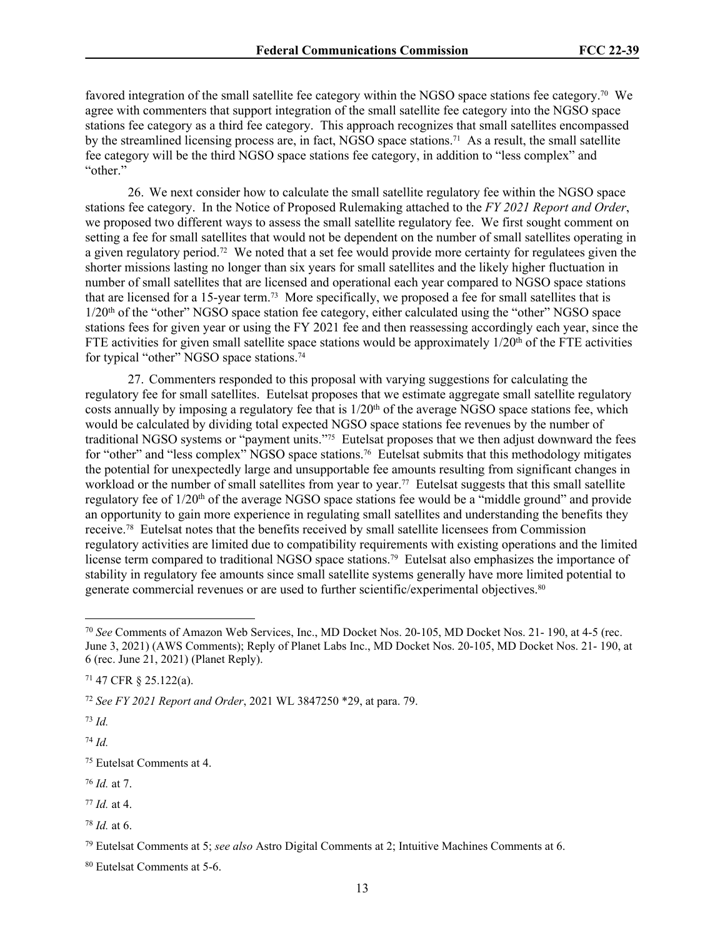favored integration of the small satellite fee category within the NGSO space stations fee category.70 We agree with commenters that support integration of the small satellite fee category into the NGSO space stations fee category as a third fee category. This approach recognizes that small satellites encompassed by the streamlined licensing process are, in fact, NGSO space stations.71 As a result, the small satellite fee category will be the third NGSO space stations fee category, in addition to "less complex" and "other"

26. We next consider how to calculate the small satellite regulatory fee within the NGSO space stations fee category. In the Notice of Proposed Rulemaking attached to the *FY 2021 Report and Order*, we proposed two different ways to assess the small satellite regulatory fee. We first sought comment on setting a fee for small satellites that would not be dependent on the number of small satellites operating in a given regulatory period.72 We noted that a set fee would provide more certainty for regulatees given the shorter missions lasting no longer than six years for small satellites and the likely higher fluctuation in number of small satellites that are licensed and operational each year compared to NGSO space stations that are licensed for a 15-year term.73 More specifically, we proposed a fee for small satellites that is 1/20th of the "other" NGSO space station fee category, either calculated using the "other" NGSO space stations fees for given year or using the FY 2021 fee and then reassessing accordingly each year, since the FTE activities for given small satellite space stations would be approximately  $1/20<sup>th</sup>$  of the FTE activities for typical "other" NGSO space stations.<sup>74</sup>

27. Commenters responded to this proposal with varying suggestions for calculating the regulatory fee for small satellites. Eutelsat proposes that we estimate aggregate small satellite regulatory costs annually by imposing a regulatory fee that is  $1/20<sup>th</sup>$  of the average NGSO space stations fee, which would be calculated by dividing total expected NGSO space stations fee revenues by the number of traditional NGSO systems or "payment units."75 Eutelsat proposes that we then adjust downward the fees for "other" and "less complex" NGSO space stations.<sup>76</sup> Eutelsat submits that this methodology mitigates the potential for unexpectedly large and unsupportable fee amounts resulting from significant changes in workload or the number of small satellites from year to year.<sup>77</sup> Eutelsat suggests that this small satellite regulatory fee of  $1/20<sup>th</sup>$  of the average NGSO space stations fee would be a "middle ground" and provide an opportunity to gain more experience in regulating small satellites and understanding the benefits they receive.78 Eutelsat notes that the benefits received by small satellite licensees from Commission regulatory activities are limited due to compatibility requirements with existing operations and the limited license term compared to traditional NGSO space stations.<sup>79</sup> Eutelsat also emphasizes the importance of stability in regulatory fee amounts since small satellite systems generally have more limited potential to generate commercial revenues or are used to further scientific/experimental objectives.<sup>80</sup>

<sup>72</sup> *See FY 2021 Report and Order*, 2021 WL 3847250 \*29, at para. 79.

<sup>73</sup> *Id.*

<sup>74</sup> *Id.*

<sup>75</sup> Eutelsat Comments at 4.

<sup>76</sup> *Id.* at 7.

<sup>77</sup> *Id.* at 4.

<sup>70</sup> *See* Comments of Amazon Web Services, Inc., MD Docket Nos. 20-105, MD Docket Nos. 21- 190, at 4-5 (rec. June 3, 2021) (AWS Comments); Reply of Planet Labs Inc., MD Docket Nos. 20-105, MD Docket Nos. 21- 190, at 6 (rec. June 21, 2021) (Planet Reply).

<sup>71</sup> 47 CFR § 25.122(a).

<sup>78</sup> *Id.* at 6.

<sup>79</sup> Eutelsat Comments at 5; *see also* Astro Digital Comments at 2; Intuitive Machines Comments at 6.

<sup>80</sup> Eutelsat Comments at 5-6.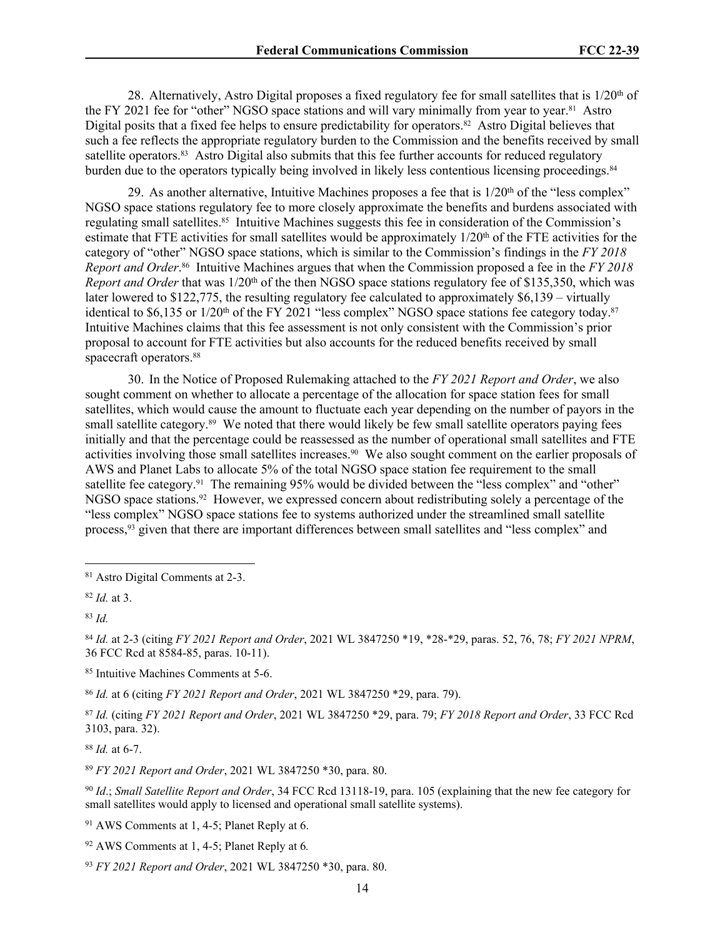28. Alternatively, Astro Digital proposes a fixed regulatory fee for small satellites that is  $1/20<sup>th</sup>$  of the FY 2021 fee for "other" NGSO space stations and will vary minimally from year to year.81 Astro Digital posits that a fixed fee helps to ensure predictability for operators.<sup>82</sup> Astro Digital believes that such a fee reflects the appropriate regulatory burden to the Commission and the benefits received by small satellite operators.83 Astro Digital also submits that this fee further accounts for reduced regulatory burden due to the operators typically being involved in likely less contentious licensing proceedings.<sup>84</sup>

29. As another alternative, Intuitive Machines proposes a fee that is  $1/20<sup>th</sup>$  of the "less complex" NGSO space stations regulatory fee to more closely approximate the benefits and burdens associated with regulating small satellites.<sup>85</sup> Intuitive Machines suggests this fee in consideration of the Commission's estimate that FTE activities for small satellites would be approximately 1/20<sup>th</sup> of the FTE activities for the category of "other" NGSO space stations, which is similar to the Commission's findings in the *FY 2018 Report and Order*. <sup>86</sup> Intuitive Machines argues that when the Commission proposed a fee in the *FY 2018 Report and Order* that was 1/20<sup>th</sup> of the then NGSO space stations regulatory fee of \$135,350, which was later lowered to \$122,775, the resulting regulatory fee calculated to approximately \$6,139 – virtually identical to \$6,135 or  $1/20<sup>th</sup>$  of the FY 2021 "less complex" NGSO space stations fee category today.<sup>87</sup> Intuitive Machines claims that this fee assessment is not only consistent with the Commission's prior proposal to account for FTE activities but also accounts for the reduced benefits received by small spacecraft operators.<sup>88</sup>

30. In the Notice of Proposed Rulemaking attached to the *FY 2021 Report and Order*, we also sought comment on whether to allocate a percentage of the allocation for space station fees for small satellites, which would cause the amount to fluctuate each year depending on the number of payors in the small satellite category.<sup>89</sup> We noted that there would likely be few small satellite operators paying fees initially and that the percentage could be reassessed as the number of operational small satellites and FTE activities involving those small satellites increases.<sup>90</sup> We also sought comment on the earlier proposals of AWS and Planet Labs to allocate 5% of the total NGSO space station fee requirement to the small satellite fee category.<sup>91</sup> The remaining 95% would be divided between the "less complex" and "other" NGSO space stations.<sup>92</sup> However, we expressed concern about redistributing solely a percentage of the "less complex" NGSO space stations fee to systems authorized under the streamlined small satellite process,93 given that there are important differences between small satellites and "less complex" and

<sup>84</sup> *Id.* at 2-3 (citing *FY 2021 Report and Order*, 2021 WL 3847250 \*19, \*28-\*29, paras. 52, 76, 78; *FY 2021 NPRM*, 36 FCC Rcd at 8584-85, paras. 10-11).

<sup>85</sup> Intuitive Machines Comments at 5-6.

<sup>86</sup> *Id.* at 6 (citing *FY 2021 Report and Order*, 2021 WL 3847250 \*29, para. 79).

<sup>87</sup> *Id.* (citing *FY 2021 Report and Order*, 2021 WL 3847250 \*29, para. 79; *FY 2018 Report and Order*, 33 FCC Rcd 3103, para. 32).

<sup>88</sup> *Id.* at 6-7.

<sup>89</sup> *FY 2021 Report and Order*, 2021 WL 3847250 \*30, para. 80.

<sup>90</sup> *Id*.; *Small Satellite Report and Order*, 34 FCC Rcd 13118-19, para. 105 (explaining that the new fee category for small satellites would apply to licensed and operational small satellite systems).

<sup>91</sup> AWS Comments at 1, 4-5; Planet Reply at 6.

<sup>92</sup> AWS Comments at 1, 4-5; Planet Reply at 6*.*

<sup>93</sup> *FY 2021 Report and Order*, 2021 WL 3847250 \*30, para. 80.

<sup>81</sup> Astro Digital Comments at 2-3.

<sup>82</sup> *Id.* at 3.

<sup>83</sup> *Id.*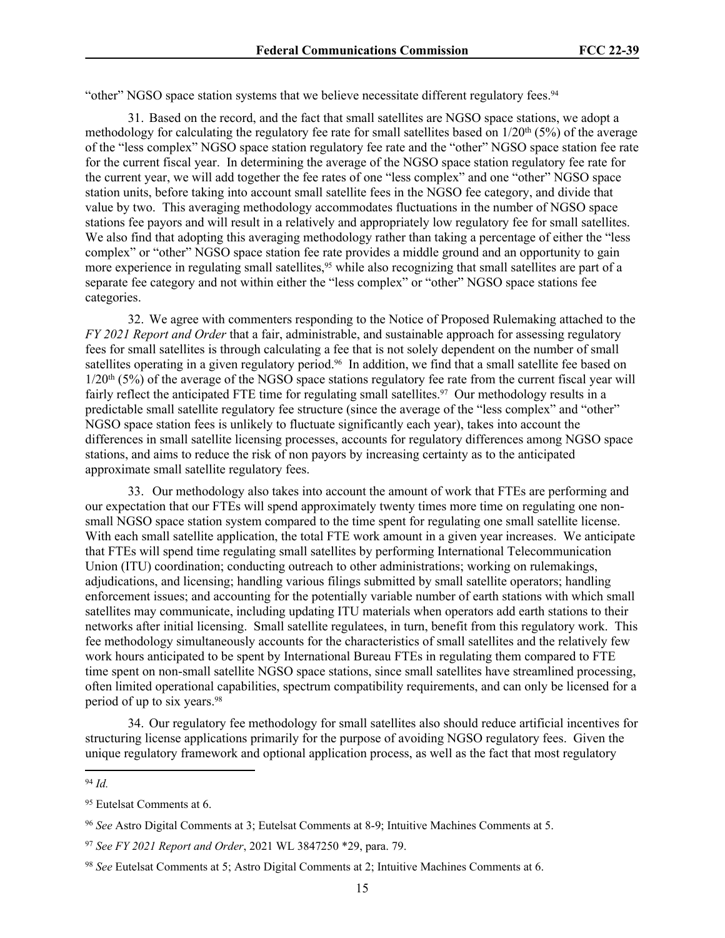"other" NGSO space station systems that we believe necessitate different regulatory fees.<sup>94</sup>

31. Based on the record, and the fact that small satellites are NGSO space stations, we adopt a methodology for calculating the regulatory fee rate for small satellites based on  $1/20^{th}$  (5%) of the average of the "less complex" NGSO space station regulatory fee rate and the "other" NGSO space station fee rate for the current fiscal year. In determining the average of the NGSO space station regulatory fee rate for the current year, we will add together the fee rates of one "less complex" and one "other" NGSO space station units, before taking into account small satellite fees in the NGSO fee category, and divide that value by two. This averaging methodology accommodates fluctuations in the number of NGSO space stations fee payors and will result in a relatively and appropriately low regulatory fee for small satellites. We also find that adopting this averaging methodology rather than taking a percentage of either the "less" complex" or "other" NGSO space station fee rate provides a middle ground and an opportunity to gain more experience in regulating small satellites,<sup>95</sup> while also recognizing that small satellites are part of a separate fee category and not within either the "less complex" or "other" NGSO space stations fee categories.

32. We agree with commenters responding to the Notice of Proposed Rulemaking attached to the *FY 2021 Report and Order* that a fair, administrable, and sustainable approach for assessing regulatory fees for small satellites is through calculating a fee that is not solely dependent on the number of small satellites operating in a given regulatory period.<sup>96</sup> In addition, we find that a small satellite fee based on  $1/20<sup>th</sup>$  (5%) of the average of the NGSO space stations regulatory fee rate from the current fiscal year will fairly reflect the anticipated FTE time for regulating small satellites.<sup>97</sup> Our methodology results in a predictable small satellite regulatory fee structure (since the average of the "less complex" and "other" NGSO space station fees is unlikely to fluctuate significantly each year), takes into account the differences in small satellite licensing processes, accounts for regulatory differences among NGSO space stations, and aims to reduce the risk of non payors by increasing certainty as to the anticipated approximate small satellite regulatory fees.

33. Our methodology also takes into account the amount of work that FTEs are performing and our expectation that our FTEs will spend approximately twenty times more time on regulating one nonsmall NGSO space station system compared to the time spent for regulating one small satellite license. With each small satellite application, the total FTE work amount in a given year increases. We anticipate that FTEs will spend time regulating small satellites by performing International Telecommunication Union (ITU) coordination; conducting outreach to other administrations; working on rulemakings, adjudications, and licensing; handling various filings submitted by small satellite operators; handling enforcement issues; and accounting for the potentially variable number of earth stations with which small satellites may communicate, including updating ITU materials when operators add earth stations to their networks after initial licensing. Small satellite regulatees, in turn, benefit from this regulatory work. This fee methodology simultaneously accounts for the characteristics of small satellites and the relatively few work hours anticipated to be spent by International Bureau FTEs in regulating them compared to FTE time spent on non-small satellite NGSO space stations, since small satellites have streamlined processing, often limited operational capabilities, spectrum compatibility requirements, and can only be licensed for a period of up to six years.<sup>98</sup>

34. Our regulatory fee methodology for small satellites also should reduce artificial incentives for structuring license applications primarily for the purpose of avoiding NGSO regulatory fees. Given the unique regulatory framework and optional application process, as well as the fact that most regulatory

<sup>94</sup> *Id.*

<sup>95</sup> Eutelsat Comments at 6.

<sup>96</sup> *See* Astro Digital Comments at 3; Eutelsat Comments at 8-9; Intuitive Machines Comments at 5.

<sup>97</sup> *See FY 2021 Report and Order*, 2021 WL 3847250 \*29, para. 79.

<sup>98</sup> *See* Eutelsat Comments at 5; Astro Digital Comments at 2; Intuitive Machines Comments at 6.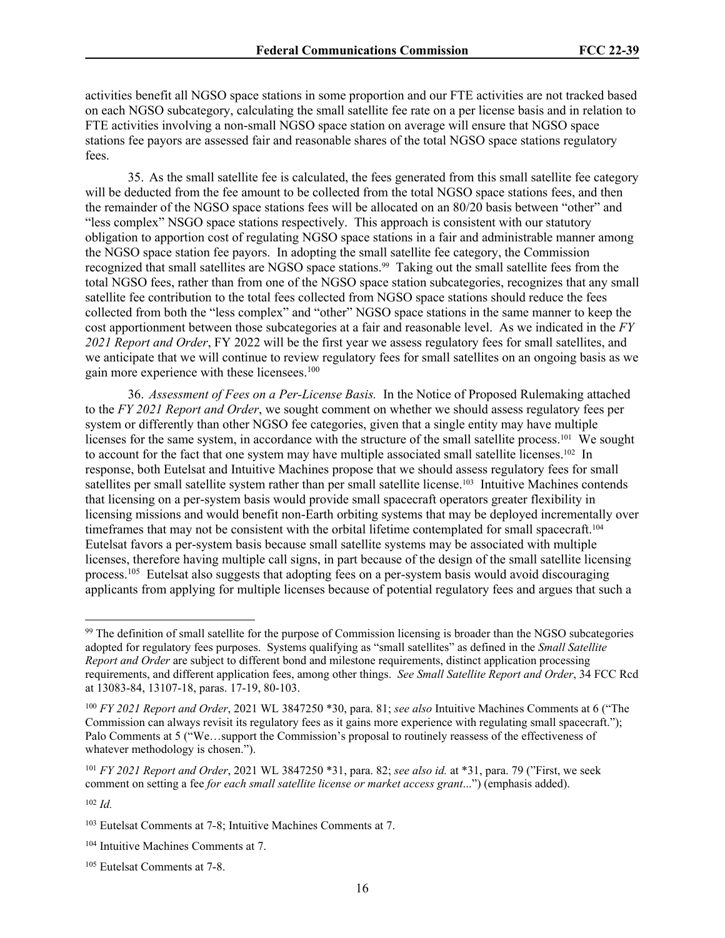activities benefit all NGSO space stations in some proportion and our FTE activities are not tracked based on each NGSO subcategory, calculating the small satellite fee rate on a per license basis and in relation to FTE activities involving a non-small NGSO space station on average will ensure that NGSO space stations fee payors are assessed fair and reasonable shares of the total NGSO space stations regulatory fees.

35. As the small satellite fee is calculated, the fees generated from this small satellite fee category will be deducted from the fee amount to be collected from the total NGSO space stations fees, and then the remainder of the NGSO space stations fees will be allocated on an 80/20 basis between "other" and "less complex" NSGO space stations respectively. This approach is consistent with our statutory obligation to apportion cost of regulating NGSO space stations in a fair and administrable manner among the NGSO space station fee payors. In adopting the small satellite fee category, the Commission recognized that small satellites are NGSO space stations.<sup>99</sup> Taking out the small satellite fees from the total NGSO fees, rather than from one of the NGSO space station subcategories, recognizes that any small satellite fee contribution to the total fees collected from NGSO space stations should reduce the fees collected from both the "less complex" and "other" NGSO space stations in the same manner to keep the cost apportionment between those subcategories at a fair and reasonable level. As we indicated in the *FY 2021 Report and Order*, FY 2022 will be the first year we assess regulatory fees for small satellites, and we anticipate that we will continue to review regulatory fees for small satellites on an ongoing basis as we gain more experience with these licensees.<sup>100</sup>

36. *Assessment of Fees on a Per-License Basis.* In the Notice of Proposed Rulemaking attached to the *FY 2021 Report and Order*, we sought comment on whether we should assess regulatory fees per system or differently than other NGSO fee categories, given that a single entity may have multiple licenses for the same system, in accordance with the structure of the small satellite process.<sup>101</sup> We sought to account for the fact that one system may have multiple associated small satellite licenses.<sup>102</sup> In response, both Eutelsat and Intuitive Machines propose that we should assess regulatory fees for small satellites per small satellite system rather than per small satellite license.103 Intuitive Machines contends that licensing on a per-system basis would provide small spacecraft operators greater flexibility in licensing missions and would benefit non-Earth orbiting systems that may be deployed incrementally over timeframes that may not be consistent with the orbital lifetime contemplated for small spacecraft.<sup>104</sup> Eutelsat favors a per-system basis because small satellite systems may be associated with multiple licenses, therefore having multiple call signs, in part because of the design of the small satellite licensing process.<sup>105</sup> Eutelsat also suggests that adopting fees on a per-system basis would avoid discouraging applicants from applying for multiple licenses because of potential regulatory fees and argues that such a

<sup>99</sup> The definition of small satellite for the purpose of Commission licensing is broader than the NGSO subcategories adopted for regulatory fees purposes. Systems qualifying as "small satellites" as defined in the *Small Satellite Report and Order* are subject to different bond and milestone requirements, distinct application processing requirements, and different application fees, among other things. *See Small Satellite Report and Order*, 34 FCC Rcd at 13083-84, 13107-18, paras. 17-19, 80-103.

<sup>100</sup> *FY 2021 Report and Order*, 2021 WL 3847250 \*30, para. 81; *see also* Intuitive Machines Comments at 6 ("The Commission can always revisit its regulatory fees as it gains more experience with regulating small spacecraft."); Palo Comments at 5 ("We…support the Commission's proposal to routinely reassess of the effectiveness of whatever methodology is chosen.").

<sup>101</sup> *FY 2021 Report and Order*, 2021 WL 3847250 \*31, para. 82; *see also id.* at \*31, para. 79 ("First, we seek comment on setting a fee *for each small satellite license or market access grant*...") (emphasis added).

<sup>102</sup> *Id.*

<sup>103</sup> Eutelsat Comments at 7-8; Intuitive Machines Comments at 7.

<sup>104</sup> Intuitive Machines Comments at 7.

<sup>105</sup> Eutelsat Comments at 7-8.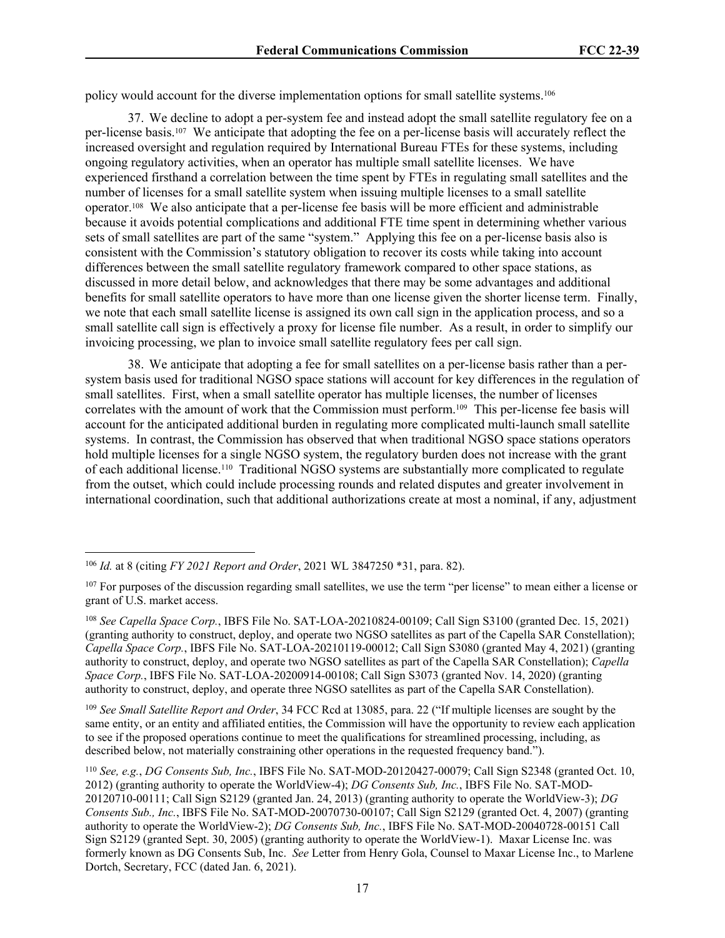policy would account for the diverse implementation options for small satellite systems.<sup>106</sup>

37. We decline to adopt a per-system fee and instead adopt the small satellite regulatory fee on a per-license basis.107 We anticipate that adopting the fee on a per-license basis will accurately reflect the increased oversight and regulation required by International Bureau FTEs for these systems, including ongoing regulatory activities, when an operator has multiple small satellite licenses. We have experienced firsthand a correlation between the time spent by FTEs in regulating small satellites and the number of licenses for a small satellite system when issuing multiple licenses to a small satellite operator.108 We also anticipate that a per-license fee basis will be more efficient and administrable because it avoids potential complications and additional FTE time spent in determining whether various sets of small satellites are part of the same "system." Applying this fee on a per-license basis also is consistent with the Commission's statutory obligation to recover its costs while taking into account differences between the small satellite regulatory framework compared to other space stations, as discussed in more detail below, and acknowledges that there may be some advantages and additional benefits for small satellite operators to have more than one license given the shorter license term. Finally, we note that each small satellite license is assigned its own call sign in the application process, and so a small satellite call sign is effectively a proxy for license file number. As a result, in order to simplify our invoicing processing, we plan to invoice small satellite regulatory fees per call sign.

38. We anticipate that adopting a fee for small satellites on a per-license basis rather than a persystem basis used for traditional NGSO space stations will account for key differences in the regulation of small satellites. First, when a small satellite operator has multiple licenses, the number of licenses correlates with the amount of work that the Commission must perform.109 This per-license fee basis will account for the anticipated additional burden in regulating more complicated multi-launch small satellite systems. In contrast, the Commission has observed that when traditional NGSO space stations operators hold multiple licenses for a single NGSO system, the regulatory burden does not increase with the grant of each additional license.110 Traditional NGSO systems are substantially more complicated to regulate from the outset, which could include processing rounds and related disputes and greater involvement in international coordination, such that additional authorizations create at most a nominal, if any, adjustment

<sup>109</sup> *See Small Satellite Report and Order*, 34 FCC Rcd at 13085, para. 22 ("If multiple licenses are sought by the same entity, or an entity and affiliated entities, the Commission will have the opportunity to review each application to see if the proposed operations continue to meet the qualifications for streamlined processing, including, as described below, not materially constraining other operations in the requested frequency band.").

<sup>106</sup> *Id.* at 8 (citing *FY 2021 Report and Order*, 2021 WL 3847250 \*31, para. 82).

<sup>&</sup>lt;sup>107</sup> For purposes of the discussion regarding small satellites, we use the term "per license" to mean either a license or grant of U.S. market access.

<sup>108</sup> *See Capella Space Corp.*, IBFS File No. SAT-LOA-20210824-00109; Call Sign S3100 (granted Dec. 15, 2021) (granting authority to construct, deploy, and operate two NGSO satellites as part of the Capella SAR Constellation); *Capella Space Corp.*, IBFS File No. SAT-LOA-20210119-00012; Call Sign S3080 (granted May 4, 2021) (granting authority to construct, deploy, and operate two NGSO satellites as part of the Capella SAR Constellation); *Capella Space Corp.*, IBFS File No. SAT-LOA-20200914-00108; Call Sign S3073 (granted Nov. 14, 2020) (granting authority to construct, deploy, and operate three NGSO satellites as part of the Capella SAR Constellation).

<sup>110</sup> *See, e.g.*, *DG Consents Sub, Inc.*, IBFS File No. SAT-MOD-20120427-00079; Call Sign S2348 (granted Oct. 10, 2012) (granting authority to operate the WorldView-4); *DG Consents Sub, Inc.*, IBFS File No. SAT-MOD-20120710-00111; Call Sign S2129 (granted Jan. 24, 2013) (granting authority to operate the WorldView-3); *DG Consents Sub., Inc.*, IBFS File No. SAT-MOD-20070730-00107; Call Sign S2129 (granted Oct. 4, 2007) (granting authority to operate the WorldView-2); *DG Consents Sub, Inc.*, IBFS File No. SAT-MOD-20040728-00151 Call Sign S2129 (granted Sept. 30, 2005) (granting authority to operate the WorldView-1). Maxar License Inc. was formerly known as DG Consents Sub, Inc. *See* Letter from Henry Gola, Counsel to Maxar License Inc., to Marlene Dortch, Secretary, FCC (dated Jan. 6, 2021).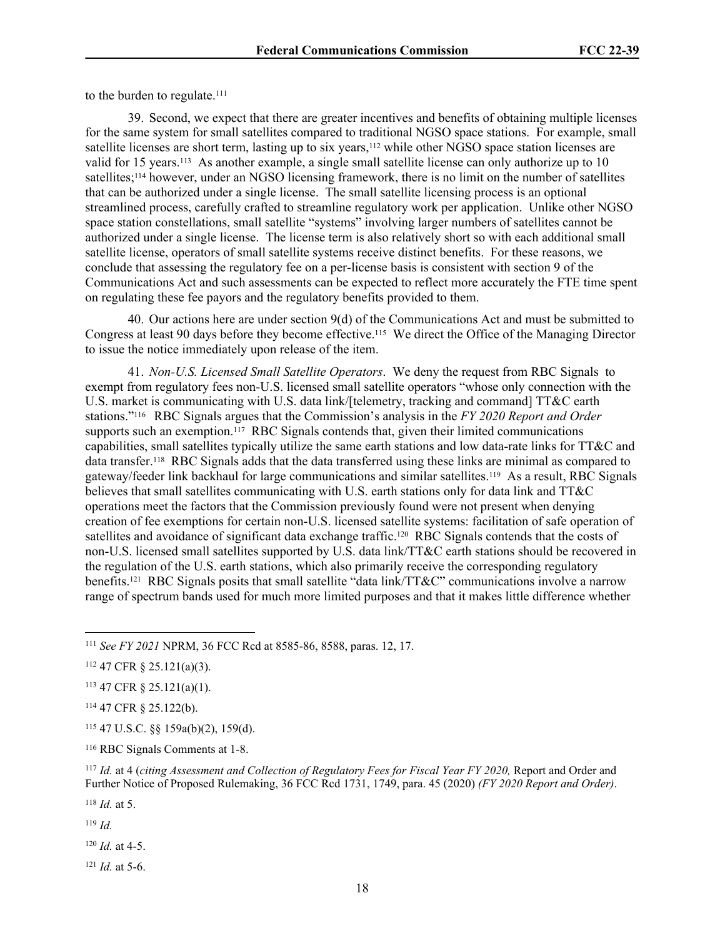to the burden to regulate.<sup>111</sup>

39. Second, we expect that there are greater incentives and benefits of obtaining multiple licenses for the same system for small satellites compared to traditional NGSO space stations. For example, small satellite licenses are short term, lasting up to six years,<sup>112</sup> while other NGSO space station licenses are valid for 15 years.113 As another example, a single small satellite license can only authorize up to 10 satellites;114 however, under an NGSO licensing framework, there is no limit on the number of satellites that can be authorized under a single license. The small satellite licensing process is an optional streamlined process, carefully crafted to streamline regulatory work per application. Unlike other NGSO space station constellations, small satellite "systems" involving larger numbers of satellites cannot be authorized under a single license. The license term is also relatively short so with each additional small satellite license, operators of small satellite systems receive distinct benefits. For these reasons, we conclude that assessing the regulatory fee on a per-license basis is consistent with section 9 of the Communications Act and such assessments can be expected to reflect more accurately the FTE time spent on regulating these fee payors and the regulatory benefits provided to them.

40. Our actions here are under section 9(d) of the Communications Act and must be submitted to Congress at least 90 days before they become effective.115 We direct the Office of the Managing Director to issue the notice immediately upon release of the item.

41. *Non-U.S. Licensed Small Satellite Operators*. We deny the request from RBC Signals to exempt from regulatory fees non-U.S. licensed small satellite operators "whose only connection with the U.S. market is communicating with U.S. data link/[telemetry, tracking and command] TT&C earth stations."116 RBC Signals argues that the Commission's analysis in the *FY 2020 Report and Order* supports such an exemption.<sup>117</sup> RBC Signals contends that, given their limited communications capabilities, small satellites typically utilize the same earth stations and low data-rate links for TT&C and data transfer.118 RBC Signals adds that the data transferred using these links are minimal as compared to gateway/feeder link backhaul for large communications and similar satellites.119 As a result, RBC Signals believes that small satellites communicating with U.S. earth stations only for data link and TT&C operations meet the factors that the Commission previously found were not present when denying creation of fee exemptions for certain non-U.S. licensed satellite systems: facilitation of safe operation of satellites and avoidance of significant data exchange traffic.<sup>120</sup> RBC Signals contends that the costs of non-U.S. licensed small satellites supported by U.S. data link/TT&C earth stations should be recovered in the regulation of the U.S. earth stations, which also primarily receive the corresponding regulatory benefits.<sup>121</sup> RBC Signals posits that small satellite "data link/TT&C" communications involve a narrow range of spectrum bands used for much more limited purposes and that it makes little difference whether

<sup>118</sup> *Id.* at 5.

<sup>119</sup> *Id.*

<sup>120</sup> *Id.* at 4-5.

<sup>121</sup> *Id.* at 5-6.

<sup>111</sup> *See FY 2021* NPRM, 36 FCC Rcd at 8585-86, 8588, paras. 12, 17.

<sup>112</sup> 47 CFR § 25.121(a)(3).

<sup>113</sup> 47 CFR § 25.121(a)(1).

<sup>114</sup> 47 CFR § 25.122(b).

<sup>115</sup> 47 U.S.C. §§ 159a(b)(2), 159(d).

<sup>116</sup> RBC Signals Comments at 1-8.

<sup>117</sup> *Id.* at 4 (*citing Assessment and Collection of Regulatory Fees for Fiscal Year FY 2020,* Report and Order and Further Notice of Proposed Rulemaking, 36 FCC Rcd 1731, 1749, para. 45 (2020) *(FY 2020 Report and Order)*.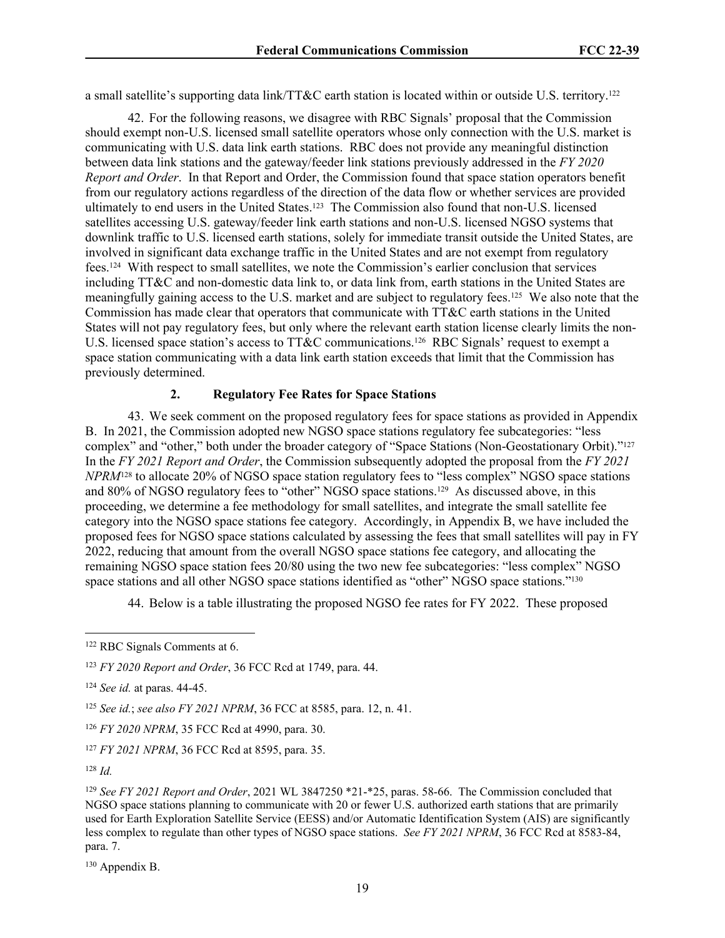a small satellite's supporting data link/TT&C earth station is located within or outside U.S. territory.<sup>122</sup>

42. For the following reasons, we disagree with RBC Signals' proposal that the Commission should exempt non-U.S. licensed small satellite operators whose only connection with the U.S. market is communicating with U.S. data link earth stations. RBC does not provide any meaningful distinction between data link stations and the gateway/feeder link stations previously addressed in the *FY 2020 Report and Order*. In that Report and Order, the Commission found that space station operators benefit from our regulatory actions regardless of the direction of the data flow or whether services are provided ultimately to end users in the United States.<sup>123</sup> The Commission also found that non-U.S. licensed satellites accessing U.S. gateway/feeder link earth stations and non-U.S. licensed NGSO systems that downlink traffic to U.S. licensed earth stations, solely for immediate transit outside the United States, are involved in significant data exchange traffic in the United States and are not exempt from regulatory fees.124 With respect to small satellites, we note the Commission's earlier conclusion that services including TT&C and non-domestic data link to, or data link from, earth stations in the United States are meaningfully gaining access to the U.S. market and are subject to regulatory fees.125 We also note that the Commission has made clear that operators that communicate with TT&C earth stations in the United States will not pay regulatory fees, but only where the relevant earth station license clearly limits the non-U.S. licensed space station's access to TT&C communications.<sup>126</sup> RBC Signals' request to exempt a space station communicating with a data link earth station exceeds that limit that the Commission has previously determined.

#### **2. Regulatory Fee Rates for Space Stations**

43. We seek comment on the proposed regulatory fees for space stations as provided in Appendix B. In 2021, the Commission adopted new NGSO space stations regulatory fee subcategories: "less complex" and "other," both under the broader category of "Space Stations (Non-Geostationary Orbit)."<sup>127</sup> In the *FY 2021 Report and Order*, the Commission subsequently adopted the proposal from the *FY 2021 NPRM*<sup>128</sup> to allocate 20% of NGSO space station regulatory fees to "less complex" NGSO space stations and 80% of NGSO regulatory fees to "other" NGSO space stations.129 As discussed above, in this proceeding, we determine a fee methodology for small satellites, and integrate the small satellite fee category into the NGSO space stations fee category. Accordingly, in Appendix B, we have included the proposed fees for NGSO space stations calculated by assessing the fees that small satellites will pay in FY 2022, reducing that amount from the overall NGSO space stations fee category, and allocating the remaining NGSO space station fees 20/80 using the two new fee subcategories: "less complex" NGSO space stations and all other NGSO space stations identified as "other" NGSO space stations."<sup>130</sup>

44. Below is a table illustrating the proposed NGSO fee rates for FY 2022. These proposed

130 Appendix B.

<sup>122</sup> RBC Signals Comments at 6.

<sup>123</sup> *FY 2020 Report and Order*, 36 FCC Rcd at 1749, para. 44.

<sup>124</sup> *See id.* at paras. 44-45.

<sup>125</sup> *See id.*; *see also FY 2021 NPRM*, 36 FCC at 8585, para. 12, n. 41.

<sup>126</sup> *FY 2020 NPRM*, 35 FCC Rcd at 4990, para. 30.

<sup>127</sup> *FY 2021 NPRM*, 36 FCC Rcd at 8595, para. 35.

 $128$  *Id.* 

<sup>129</sup> *See FY 2021 Report and Order*, 2021 WL 3847250 \*21-\*25, paras. 58-66. The Commission concluded that NGSO space stations planning to communicate with 20 or fewer U.S. authorized earth stations that are primarily used for Earth Exploration Satellite Service (EESS) and/or Automatic Identification System (AIS) are significantly less complex to regulate than other types of NGSO space stations. *See FY 2021 NPRM*, 36 FCC Rcd at 8583-84, para. 7.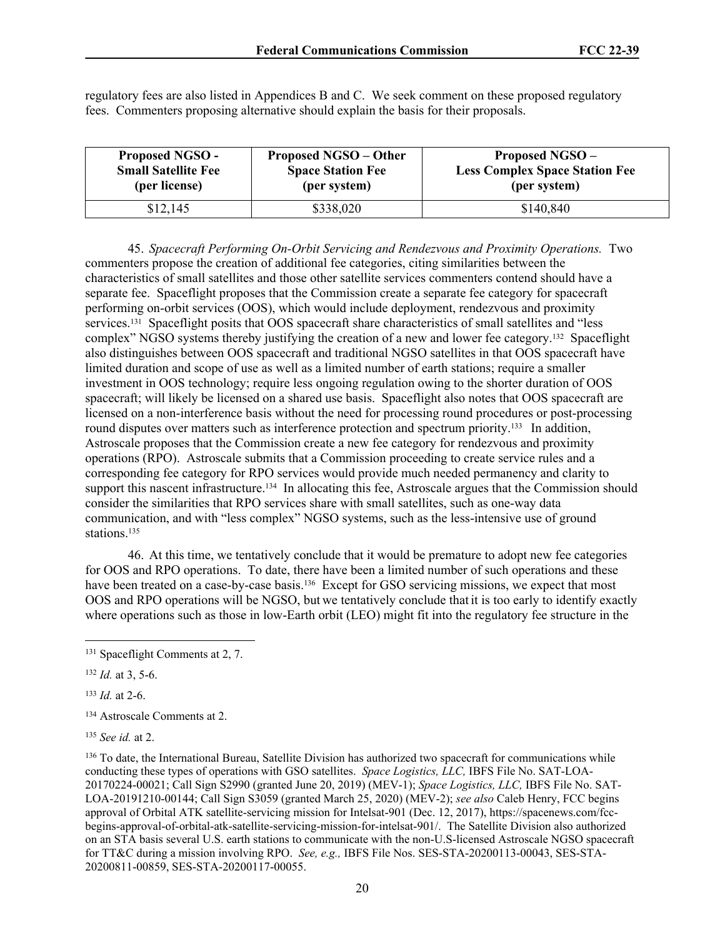regulatory fees are also listed in Appendices B and C. We seek comment on these proposed regulatory fees. Commenters proposing alternative should explain the basis for their proposals.

| <b>Proposed NGSO -</b>     | <b>Proposed NGSO – Other</b> | <b>Proposed NGSO-</b>                 |
|----------------------------|------------------------------|---------------------------------------|
| <b>Small Satellite Fee</b> | <b>Space Station Fee</b>     | <b>Less Complex Space Station Fee</b> |
| (per license)              | (per system)                 | (per system)                          |
| \$12,145                   | \$338,020                    | \$140,840                             |

45. *Spacecraft Performing On-Orbit Servicing and Rendezvous and Proximity Operations.* Two commenters propose the creation of additional fee categories, citing similarities between the characteristics of small satellites and those other satellite services commenters contend should have a separate fee. Spaceflight proposes that the Commission create a separate fee category for spacecraft performing on-orbit services (OOS), which would include deployment, rendezvous and proximity services.131 Spaceflight posits that OOS spacecraft share characteristics of small satellites and "less complex" NGSO systems thereby justifying the creation of a new and lower fee category.132 Spaceflight also distinguishes between OOS spacecraft and traditional NGSO satellites in that OOS spacecraft have limited duration and scope of use as well as a limited number of earth stations; require a smaller investment in OOS technology; require less ongoing regulation owing to the shorter duration of OOS spacecraft; will likely be licensed on a shared use basis. Spaceflight also notes that OOS spacecraft are licensed on a non-interference basis without the need for processing round procedures or post-processing round disputes over matters such as interference protection and spectrum priority.<sup>133</sup> In addition, Astroscale proposes that the Commission create a new fee category for rendezvous and proximity operations (RPO). Astroscale submits that a Commission proceeding to create service rules and a corresponding fee category for RPO services would provide much needed permanency and clarity to support this nascent infrastructure.<sup>134</sup> In allocating this fee, Astroscale argues that the Commission should consider the similarities that RPO services share with small satellites, such as one-way data communication, and with "less complex" NGSO systems, such as the less-intensive use of ground stations.<sup>135</sup>

46. At this time, we tentatively conclude that it would be premature to adopt new fee categories for OOS and RPO operations. To date, there have been a limited number of such operations and these have been treated on a case-by-case basis.<sup>136</sup> Except for GSO servicing missions, we expect that most OOS and RPO operations will be NGSO, but we tentatively conclude that it is too early to identify exactly where operations such as those in low-Earth orbit (LEO) might fit into the regulatory fee structure in the

<sup>133</sup> *Id.* at 2-6.

<sup>134</sup> Astroscale Comments at 2.

<sup>135</sup> *See id.* at 2.

<sup>136</sup> To date, the International Bureau, Satellite Division has authorized two spacecraft for communications while conducting these types of operations with GSO satellites. *Space Logistics, LLC,* IBFS File No. SAT-LOA-20170224-00021; Call Sign S2990 (granted June 20, 2019) (MEV-1); *Space Logistics, LLC,* IBFS File No. SAT-LOA-20191210-00144; Call Sign S3059 (granted March 25, 2020) (MEV-2); *see also* Caleb Henry, FCC begins approval of Orbital ATK satellite-servicing mission for Intelsat-901 (Dec. 12, 2017), https://spacenews.com/fccbegins-approval-of-orbital-atk-satellite-servicing-mission-for-intelsat-901/. The Satellite Division also authorized on an STA basis several U.S. earth stations to communicate with the non-U.S-licensed Astroscale NGSO spacecraft for TT&C during a mission involving RPO. *See, e.g.,* IBFS File Nos. SES-STA-20200113-00043, SES-STA-20200811-00859, SES-STA-20200117-00055.

<sup>131</sup> Spaceflight Comments at 2, 7.

<sup>132</sup> *Id.* at 3, 5-6.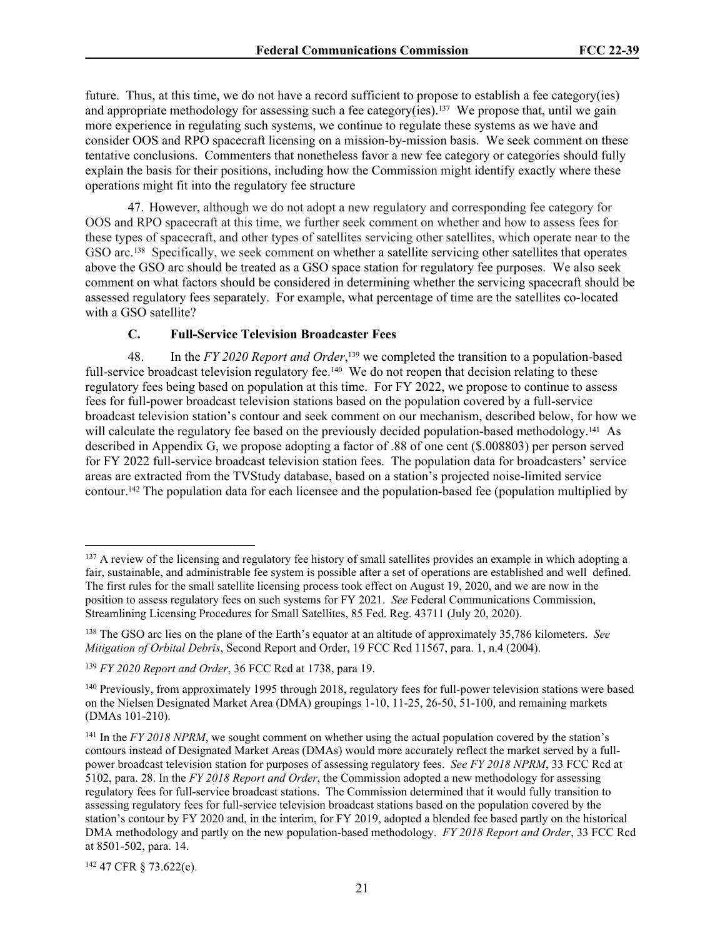future. Thus, at this time, we do not have a record sufficient to propose to establish a fee category(ies) and appropriate methodology for assessing such a fee category(ies).137 We propose that, until we gain more experience in regulating such systems, we continue to regulate these systems as we have and consider OOS and RPO spacecraft licensing on a mission-by-mission basis. We seek comment on these tentative conclusions. Commenters that nonetheless favor a new fee category or categories should fully explain the basis for their positions, including how the Commission might identify exactly where these operations might fit into the regulatory fee structure

47. However, although we do not adopt a new regulatory and corresponding fee category for OOS and RPO spacecraft at this time, we further seek comment on whether and how to assess fees for these types of spacecraft, and other types of satellites servicing other satellites, which operate near to the GSO arc.<sup>138</sup> Specifically, we seek comment on whether a satellite servicing other satellites that operates above the GSO arc should be treated as a GSO space station for regulatory fee purposes. We also seek comment on what factors should be considered in determining whether the servicing spacecraft should be assessed regulatory fees separately. For example, what percentage of time are the satellites co-located with a GSO satellite?

#### **C. Full-Service Television Broadcaster Fees**

48. In the *FY 2020 Report and Order*, <sup>139</sup> we completed the transition to a population-based full-service broadcast television regulatory fee.<sup>140</sup> We do not reopen that decision relating to these regulatory fees being based on population at this time. For FY 2022, we propose to continue to assess fees for full-power broadcast television stations based on the population covered by a full-service broadcast television station's contour and seek comment on our mechanism, described below, for how we will calculate the regulatory fee based on the previously decided population-based methodology.<sup>141</sup> As described in Appendix G, we propose adopting a factor of .88 of one cent (\$.008803) per person served for FY 2022 full-service broadcast television station fees. The population data for broadcasters' service areas are extracted from the TVStudy database, based on a station's projected noise-limited service contour.142 The population data for each licensee and the population-based fee (population multiplied by

142 47 CFR § 73.622(e).

<sup>&</sup>lt;sup>137</sup> A review of the licensing and regulatory fee history of small satellites provides an example in which adopting a fair, sustainable, and administrable fee system is possible after a set of operations are established and well defined. The first rules for the small satellite licensing process took effect on August 19, 2020, and we are now in the position to assess regulatory fees on such systems for FY 2021. *See* Federal Communications Commission, Streamlining Licensing Procedures for Small Satellites, 85 Fed. Reg. 43711 (July 20, 2020).

<sup>138</sup> The GSO arc lies on the plane of the Earth's equator at an altitude of approximately 35,786 kilometers. *See Mitigation of Orbital Debris*, Second Report and Order, 19 FCC Rcd 11567, para. 1, n.4 (2004).

<sup>139</sup> *FY 2020 Report and Order*, 36 FCC Rcd at 1738, para 19.

<sup>&</sup>lt;sup>140</sup> Previously, from approximately 1995 through 2018, regulatory fees for full-power television stations were based on the Nielsen Designated Market Area (DMA) groupings 1-10, 11-25, 26-50, 51-100, and remaining markets (DMAs 101-210).

<sup>&</sup>lt;sup>141</sup> In the *FY 2018 NPRM*, we sought comment on whether using the actual population covered by the station's contours instead of Designated Market Areas (DMAs) would more accurately reflect the market served by a fullpower broadcast television station for purposes of assessing regulatory fees. *See FY 2018 NPRM*, 33 FCC Rcd at 5102, para. 28. In the *FY 2018 Report and Order*, the Commission adopted a new methodology for assessing regulatory fees for full-service broadcast stations. The Commission determined that it would fully transition to assessing regulatory fees for full-service television broadcast stations based on the population covered by the station's contour by FY 2020 and, in the interim, for FY 2019, adopted a blended fee based partly on the historical DMA methodology and partly on the new population-based methodology. *FY 2018 Report and Order*, 33 FCC Rcd at 8501-502, para. 14.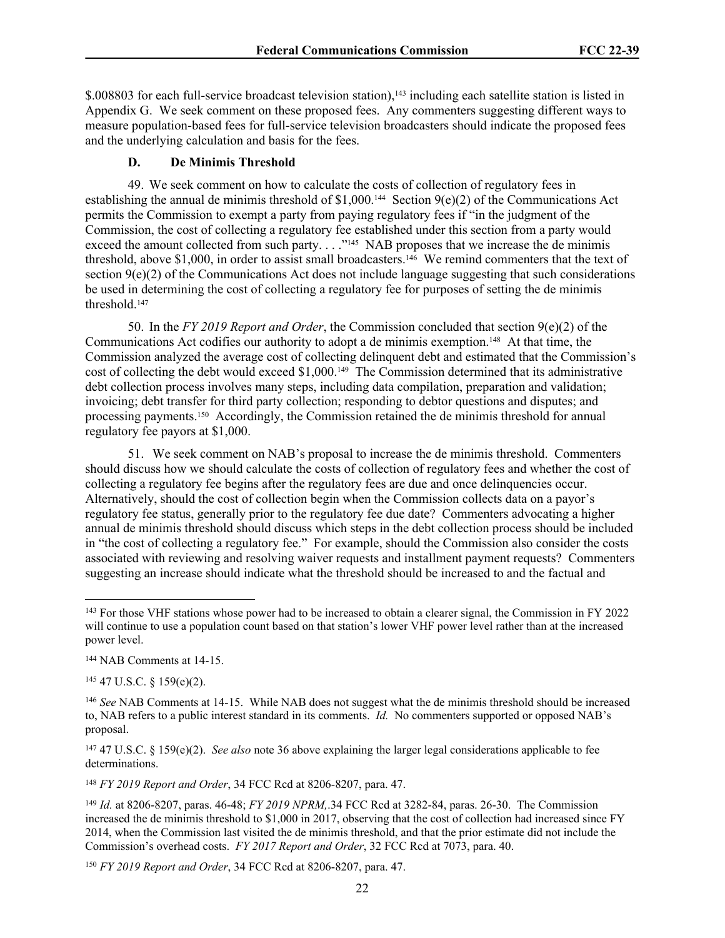\$.008803 for each full-service broadcast television station),<sup>143</sup> including each satellite station is listed in Appendix G. We seek comment on these proposed fees. Any commenters suggesting different ways to measure population-based fees for full-service television broadcasters should indicate the proposed fees and the underlying calculation and basis for the fees.

#### **D. De Minimis Threshold**

49. We seek comment on how to calculate the costs of collection of regulatory fees in establishing the annual de minimis threshold of \$1,000.<sup>144</sup> Section 9(e)(2) of the Communications Act permits the Commission to exempt a party from paying regulatory fees if "in the judgment of the Commission, the cost of collecting a regulatory fee established under this section from a party would exceed the amount collected from such party. . . . "<sup>145</sup> NAB proposes that we increase the de minimis threshold, above \$1,000, in order to assist small broadcasters.<sup>146</sup> We remind commenters that the text of section  $9(e)(2)$  of the Communications Act does not include language suggesting that such considerations be used in determining the cost of collecting a regulatory fee for purposes of setting the de minimis threshold.<sup>147</sup>

50. In the *FY 2019 Report and Order*, the Commission concluded that section 9(e)(2) of the Communications Act codifies our authority to adopt a de minimis exemption.148 At that time, the Commission analyzed the average cost of collecting delinquent debt and estimated that the Commission's cost of collecting the debt would exceed \$1,000.149 The Commission determined that its administrative debt collection process involves many steps, including data compilation, preparation and validation; invoicing; debt transfer for third party collection; responding to debtor questions and disputes; and processing payments.<sup>150</sup> Accordingly, the Commission retained the de minimis threshold for annual regulatory fee payors at \$1,000.

51. We seek comment on NAB's proposal to increase the de minimis threshold. Commenters should discuss how we should calculate the costs of collection of regulatory fees and whether the cost of collecting a regulatory fee begins after the regulatory fees are due and once delinquencies occur. Alternatively, should the cost of collection begin when the Commission collects data on a payor's regulatory fee status, generally prior to the regulatory fee due date? Commenters advocating a higher annual de minimis threshold should discuss which steps in the debt collection process should be included in "the cost of collecting a regulatory fee." For example, should the Commission also consider the costs associated with reviewing and resolving waiver requests and installment payment requests? Commenters suggesting an increase should indicate what the threshold should be increased to and the factual and

<sup>145</sup> 47 U.S.C. § 159(e)(2).

<sup>148</sup> *FY 2019 Report and Order*, 34 FCC Rcd at 8206-8207, para. 47.

<sup>150</sup> *FY 2019 Report and Order*, 34 FCC Rcd at 8206-8207, para. 47.

<sup>&</sup>lt;sup>143</sup> For those VHF stations whose power had to be increased to obtain a clearer signal, the Commission in FY 2022 will continue to use a population count based on that station's lower VHF power level rather than at the increased power level.

<sup>144</sup> NAB Comments at 14-15.

<sup>146</sup> *See* NAB Comments at 14-15. While NAB does not suggest what the de minimis threshold should be increased to, NAB refers to a public interest standard in its comments. *Id.* No commenters supported or opposed NAB's proposal.

<sup>147</sup> 47 U.S.C. § 159(e)(2). *See also* note 36 above explaining the larger legal considerations applicable to fee determinations.

<sup>149</sup> *Id.* at 8206-8207, paras. 46-48; *FY 2019 NPRM,*.34 FCC Rcd at 3282-84, paras. 26-30. The Commission increased the de minimis threshold to \$1,000 in 2017, observing that the cost of collection had increased since FY 2014, when the Commission last visited the de minimis threshold, and that the prior estimate did not include the Commission's overhead costs. *FY 2017 Report and Order*, 32 FCC Rcd at 7073, para. 40.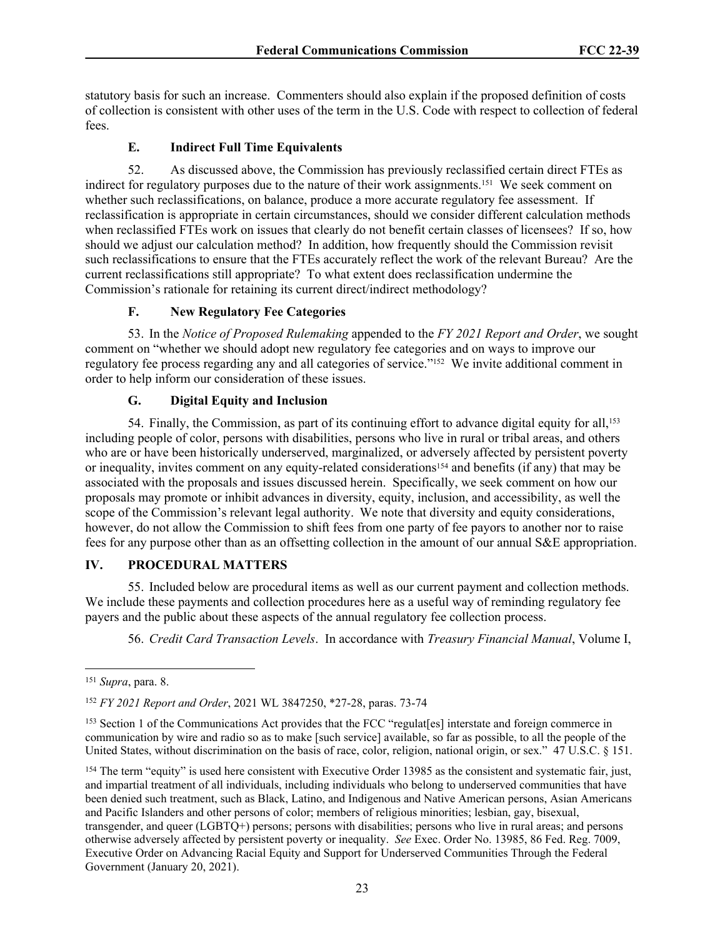statutory basis for such an increase. Commenters should also explain if the proposed definition of costs of collection is consistent with other uses of the term in the U.S. Code with respect to collection of federal fees.

# **E. Indirect Full Time Equivalents**

52. As discussed above, the Commission has previously reclassified certain direct FTEs as indirect for regulatory purposes due to the nature of their work assignments.<sup>151</sup> We seek comment on whether such reclassifications, on balance, produce a more accurate regulatory fee assessment. If reclassification is appropriate in certain circumstances, should we consider different calculation methods when reclassified FTEs work on issues that clearly do not benefit certain classes of licensees? If so, how should we adjust our calculation method? In addition, how frequently should the Commission revisit such reclassifications to ensure that the FTEs accurately reflect the work of the relevant Bureau? Are the current reclassifications still appropriate? To what extent does reclassification undermine the Commission's rationale for retaining its current direct/indirect methodology?

#### **F. New Regulatory Fee Categories**

53. In the *Notice of Proposed Rulemaking* appended to the *FY 2021 Report and Order*, we sought comment on "whether we should adopt new regulatory fee categories and on ways to improve our regulatory fee process regarding any and all categories of service."152 We invite additional comment in order to help inform our consideration of these issues.

# **G. Digital Equity and Inclusion**

54. Finally, the Commission, as part of its continuing effort to advance digital equity for all,<sup>153</sup> including people of color, persons with disabilities, persons who live in rural or tribal areas, and others who are or have been historically underserved, marginalized, or adversely affected by persistent poverty or inequality, invites comment on any equity-related considerations154 and benefits (if any) that may be associated with the proposals and issues discussed herein. Specifically, we seek comment on how our proposals may promote or inhibit advances in diversity, equity, inclusion, and accessibility, as well the scope of the Commission's relevant legal authority. We note that diversity and equity considerations, however, do not allow the Commission to shift fees from one party of fee payors to another nor to raise fees for any purpose other than as an offsetting collection in the amount of our annual S&E appropriation.

# **IV. PROCEDURAL MATTERS**

55. Included below are procedural items as well as our current payment and collection methods. We include these payments and collection procedures here as a useful way of reminding regulatory fee payers and the public about these aspects of the annual regulatory fee collection process.

56. *Credit Card Transaction Levels*. In accordance with *Treasury Financial Manual*, Volume I,

<sup>151</sup> *Supra*, para. 8.

<sup>152</sup> *FY 2021 Report and Order*, 2021 WL 3847250, \*27-28, paras. 73-74

<sup>153</sup> Section 1 of the Communications Act provides that the FCC "regulat[es] interstate and foreign commerce in communication by wire and radio so as to make [such service] available, so far as possible, to all the people of the United States, without discrimination on the basis of race, color, religion, national origin, or sex." 47 U.S.C. § 151.

<sup>&</sup>lt;sup>154</sup> The term "equity" is used here consistent with Executive Order 13985 as the consistent and systematic fair, just, and impartial treatment of all individuals, including individuals who belong to underserved communities that have been denied such treatment, such as Black, Latino, and Indigenous and Native American persons, Asian Americans and Pacific Islanders and other persons of color; members of religious minorities; lesbian, gay, bisexual, transgender, and queer (LGBTQ+) persons; persons with disabilities; persons who live in rural areas; and persons otherwise adversely affected by persistent poverty or inequality. *See* Exec. Order No. 13985, 86 Fed. Reg. 7009, Executive Order on Advancing Racial Equity and Support for Underserved Communities Through the Federal Government (January 20, 2021).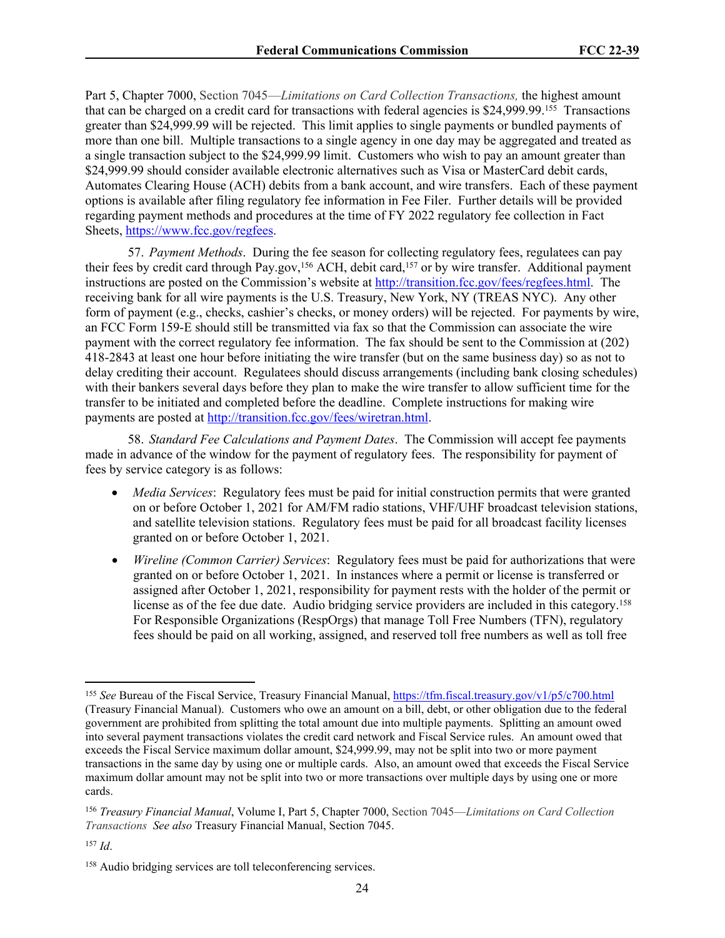Part 5, Chapter 7000, Section 7045—*Limitations on Card Collection Transactions,* the highest amount that can be charged on a credit card for transactions with federal agencies is \$24,999.99.<sup>155</sup> Transactions greater than \$24,999.99 will be rejected. This limit applies to single payments or bundled payments of more than one bill. Multiple transactions to a single agency in one day may be aggregated and treated as a single transaction subject to the \$24,999.99 limit. Customers who wish to pay an amount greater than \$24,999.99 should consider available electronic alternatives such as Visa or MasterCard debit cards, Automates Clearing House (ACH) debits from a bank account, and wire transfers. Each of these payment options is available after filing regulatory fee information in Fee Filer. Further details will be provided regarding payment methods and procedures at the time of FY 2022 regulatory fee collection in Fact Sheets, [https://www.fcc.gov/regfees.](https://www.fcc.gov/regfees)

57. *Payment Methods*. During the fee season for collecting regulatory fees, regulatees can pay their fees by credit card through Pay.gov,<sup>156</sup> ACH, debit card,<sup>157</sup> or by wire transfer. Additional payment instructions are posted on the Commission's website at [http://transition.fcc.gov/fees/regfees.html.](http://transition.fcc.gov/fees/regfees.html) The receiving bank for all wire payments is the U.S. Treasury, New York, NY (TREAS NYC). Any other form of payment (e.g., checks, cashier's checks, or money orders) will be rejected. For payments by wire, an FCC Form 159-E should still be transmitted via fax so that the Commission can associate the wire payment with the correct regulatory fee information. The fax should be sent to the Commission at (202) 418-2843 at least one hour before initiating the wire transfer (but on the same business day) so as not to delay crediting their account. Regulatees should discuss arrangements (including bank closing schedules) with their bankers several days before they plan to make the wire transfer to allow sufficient time for the transfer to be initiated and completed before the deadline. Complete instructions for making wire payments are posted at [http://transition.fcc.gov/fees/wiretran.html.](http://transition.fcc.gov/fees/wiretran.html)

58. *Standard Fee Calculations and Payment Dates*. The Commission will accept fee payments made in advance of the window for the payment of regulatory fees. The responsibility for payment of fees by service category is as follows:

- *Media Services*: Regulatory fees must be paid for initial construction permits that were granted on or before October 1, 2021 for AM/FM radio stations, VHF/UHF broadcast television stations, and satellite television stations. Regulatory fees must be paid for all broadcast facility licenses granted on or before October 1, 2021.
- *Wireline (Common Carrier) Services*: Regulatory fees must be paid for authorizations that were granted on or before October 1, 2021. In instances where a permit or license is transferred or assigned after October 1, 2021, responsibility for payment rests with the holder of the permit or license as of the fee due date. Audio bridging service providers are included in this category.<sup>158</sup> For Responsible Organizations (RespOrgs) that manage Toll Free Numbers (TFN), regulatory fees should be paid on all working, assigned, and reserved toll free numbers as well as toll free

<sup>155</sup> *See* Bureau of the Fiscal Service, Treasury Financial Manual,<https://tfm.fiscal.treasury.gov/v1/p5/c700.html> (Treasury Financial Manual). Customers who owe an amount on a bill, debt, or other obligation due to the federal government are prohibited from splitting the total amount due into multiple payments. Splitting an amount owed into several payment transactions violates the credit card network and Fiscal Service rules. An amount owed that exceeds the Fiscal Service maximum dollar amount, \$24,999.99, may not be split into two or more payment transactions in the same day by using one or multiple cards. Also, an amount owed that exceeds the Fiscal Service maximum dollar amount may not be split into two or more transactions over multiple days by using one or more cards.

<sup>156</sup> *Treasury Financial Manual*, Volume I, Part 5, Chapter 7000, Section 7045—*Limitations on Card Collection Transactions See also* Treasury Financial Manual, Section 7045.

<sup>157</sup> *Id*.

<sup>158</sup> Audio bridging services are toll teleconferencing services.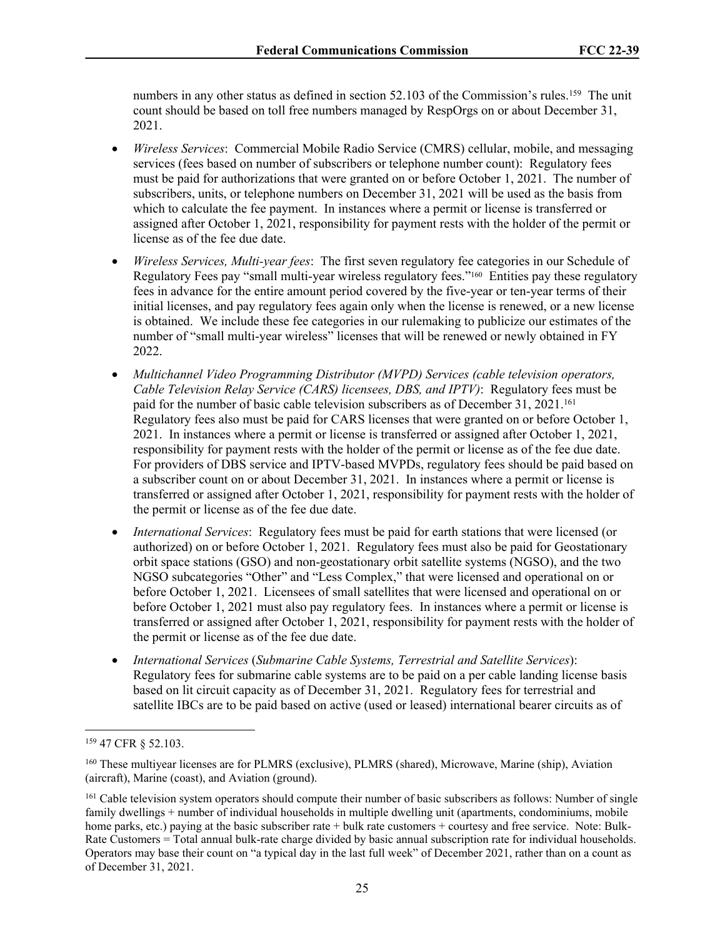numbers in any other status as defined in section 52.103 of the Commission's rules.<sup>159</sup> The unit count should be based on toll free numbers managed by RespOrgs on or about December 31, 2021.

- *Wireless Services*: Commercial Mobile Radio Service (CMRS) cellular, mobile, and messaging services (fees based on number of subscribers or telephone number count): Regulatory fees must be paid for authorizations that were granted on or before October 1, 2021. The number of subscribers, units, or telephone numbers on December 31, 2021 will be used as the basis from which to calculate the fee payment. In instances where a permit or license is transferred or assigned after October 1, 2021, responsibility for payment rests with the holder of the permit or license as of the fee due date.
- *Wireless Services, Multi-year fees*: The first seven regulatory fee categories in our Schedule of Regulatory Fees pay "small multi-year wireless regulatory fees."160 Entities pay these regulatory fees in advance for the entire amount period covered by the five-year or ten-year terms of their initial licenses, and pay regulatory fees again only when the license is renewed, or a new license is obtained. We include these fee categories in our rulemaking to publicize our estimates of the number of "small multi-year wireless" licenses that will be renewed or newly obtained in FY 2022.
- *Multichannel Video Programming Distributor (MVPD) Services (cable television operators, Cable Television Relay Service (CARS) licensees, DBS, and IPTV)*: Regulatory fees must be paid for the number of basic cable television subscribers as of December 31, 2021.<sup>161</sup> Regulatory fees also must be paid for CARS licenses that were granted on or before October 1, 2021. In instances where a permit or license is transferred or assigned after October 1, 2021, responsibility for payment rests with the holder of the permit or license as of the fee due date. For providers of DBS service and IPTV-based MVPDs, regulatory fees should be paid based on a subscriber count on or about December 31, 2021. In instances where a permit or license is transferred or assigned after October 1, 2021, responsibility for payment rests with the holder of the permit or license as of the fee due date.
- *International Services*: Regulatory fees must be paid for earth stations that were licensed (or authorized) on or before October 1, 2021. Regulatory fees must also be paid for Geostationary orbit space stations (GSO) and non-geostationary orbit satellite systems (NGSO), and the two NGSO subcategories "Other" and "Less Complex," that were licensed and operational on or before October 1, 2021. Licensees of small satellites that were licensed and operational on or before October 1, 2021 must also pay regulatory fees. In instances where a permit or license is transferred or assigned after October 1, 2021, responsibility for payment rests with the holder of the permit or license as of the fee due date.
- *International Services* (*Submarine Cable Systems, Terrestrial and Satellite Services*): Regulatory fees for submarine cable systems are to be paid on a per cable landing license basis based on lit circuit capacity as of December 31, 2021. Regulatory fees for terrestrial and satellite IBCs are to be paid based on active (used or leased) international bearer circuits as of

<sup>159</sup> 47 CFR § 52.103.

<sup>160</sup> These multiyear licenses are for PLMRS (exclusive), PLMRS (shared), Microwave, Marine (ship), Aviation (aircraft), Marine (coast), and Aviation (ground).

<sup>&</sup>lt;sup>161</sup> Cable television system operators should compute their number of basic subscribers as follows: Number of single family dwellings + number of individual households in multiple dwelling unit (apartments, condominiums, mobile home parks, etc.) paying at the basic subscriber rate + bulk rate customers + courtesy and free service. Note: Bulk-Rate Customers = Total annual bulk-rate charge divided by basic annual subscription rate for individual households. Operators may base their count on "a typical day in the last full week" of December 2021, rather than on a count as of December 31, 2021.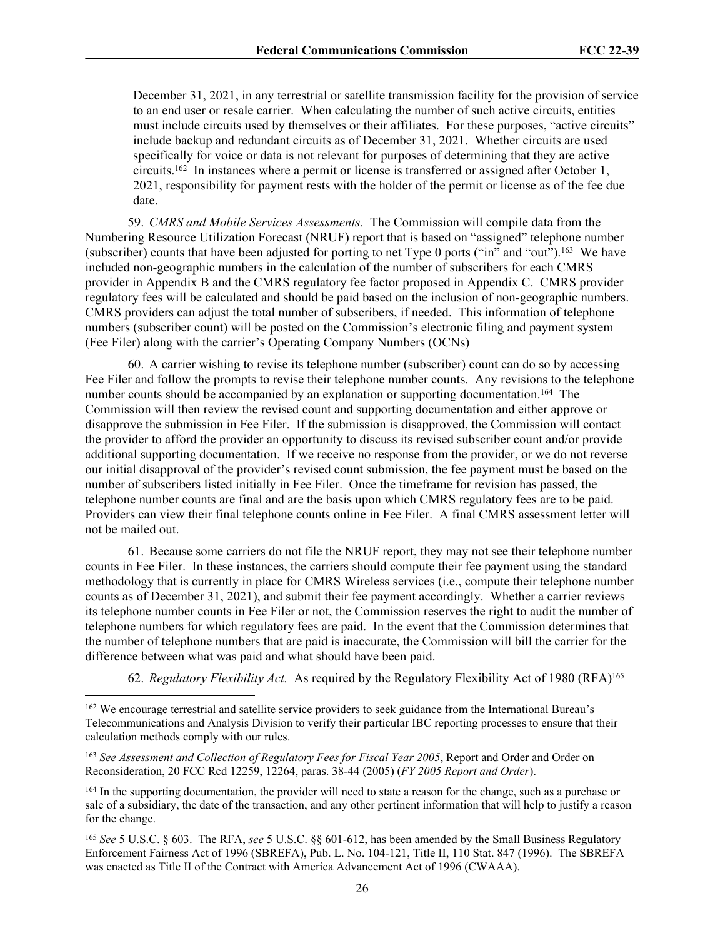December 31, 2021, in any terrestrial or satellite transmission facility for the provision of service to an end user or resale carrier. When calculating the number of such active circuits, entities must include circuits used by themselves or their affiliates. For these purposes, "active circuits" include backup and redundant circuits as of December 31, 2021. Whether circuits are used specifically for voice or data is not relevant for purposes of determining that they are active circuits.<sup>162</sup> In instances where a permit or license is transferred or assigned after October 1, 2021, responsibility for payment rests with the holder of the permit or license as of the fee due date.

59. *CMRS and Mobile Services Assessments.* The Commission will compile data from the Numbering Resource Utilization Forecast (NRUF) report that is based on "assigned" telephone number (subscriber) counts that have been adjusted for porting to net Type 0 ports ("in" and "out").<sup>163</sup> We have included non-geographic numbers in the calculation of the number of subscribers for each CMRS provider in Appendix B and the CMRS regulatory fee factor proposed in Appendix C. CMRS provider regulatory fees will be calculated and should be paid based on the inclusion of non-geographic numbers. CMRS providers can adjust the total number of subscribers, if needed. This information of telephone numbers (subscriber count) will be posted on the Commission's electronic filing and payment system (Fee Filer) along with the carrier's Operating Company Numbers (OCNs)

60. A carrier wishing to revise its telephone number (subscriber) count can do so by accessing Fee Filer and follow the prompts to revise their telephone number counts. Any revisions to the telephone number counts should be accompanied by an explanation or supporting documentation.<sup>164</sup> The Commission will then review the revised count and supporting documentation and either approve or disapprove the submission in Fee Filer. If the submission is disapproved, the Commission will contact the provider to afford the provider an opportunity to discuss its revised subscriber count and/or provide additional supporting documentation. If we receive no response from the provider, or we do not reverse our initial disapproval of the provider's revised count submission, the fee payment must be based on the number of subscribers listed initially in Fee Filer. Once the timeframe for revision has passed, the telephone number counts are final and are the basis upon which CMRS regulatory fees are to be paid. Providers can view their final telephone counts online in Fee Filer. A final CMRS assessment letter will not be mailed out.

61. Because some carriers do not file the NRUF report, they may not see their telephone number counts in Fee Filer. In these instances, the carriers should compute their fee payment using the standard methodology that is currently in place for CMRS Wireless services (i.e., compute their telephone number counts as of December 31, 2021), and submit their fee payment accordingly. Whether a carrier reviews its telephone number counts in Fee Filer or not, the Commission reserves the right to audit the number of telephone numbers for which regulatory fees are paid. In the event that the Commission determines that the number of telephone numbers that are paid is inaccurate, the Commission will bill the carrier for the difference between what was paid and what should have been paid.

62. *Regulatory Flexibility Act.* As required by the Regulatory Flexibility Act of 1980 (RFA)<sup>165</sup>

<sup>162</sup> We encourage terrestrial and satellite service providers to seek guidance from the International Bureau's Telecommunications and Analysis Division to verify their particular IBC reporting processes to ensure that their calculation methods comply with our rules.

<sup>&</sup>lt;sup>163</sup> See Assessment and Collection of Regulatory Fees for Fiscal Year 2005, Report and Order and Order on Reconsideration, 20 FCC Rcd 12259, 12264, paras. 38-44 (2005) (*FY 2005 Report and Order*).

<sup>164</sup> In the supporting documentation, the provider will need to state a reason for the change, such as a purchase or sale of a subsidiary, the date of the transaction, and any other pertinent information that will help to justify a reason for the change.

<sup>165</sup> *See* 5 U.S.C. § 603. The RFA, *see* 5 U.S.C. §§ 601-612, has been amended by the Small Business Regulatory Enforcement Fairness Act of 1996 (SBREFA), Pub. L. No. 104-121, Title II, 110 Stat. 847 (1996). The SBREFA was enacted as Title II of the Contract with America Advancement Act of 1996 (CWAAA).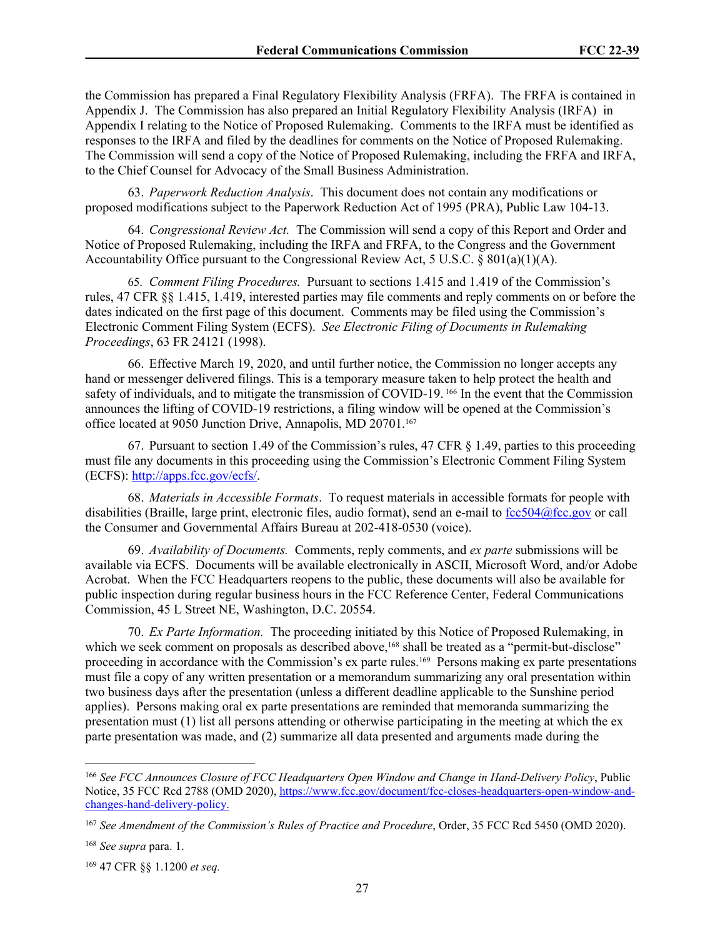the Commission has prepared a Final Regulatory Flexibility Analysis (FRFA). The FRFA is contained in Appendix J. The Commission has also prepared an Initial Regulatory Flexibility Analysis (IRFA) in Appendix I relating to the Notice of Proposed Rulemaking. Comments to the IRFA must be identified as responses to the IRFA and filed by the deadlines for comments on the Notice of Proposed Rulemaking. The Commission will send a copy of the Notice of Proposed Rulemaking, including the FRFA and IRFA, to the Chief Counsel for Advocacy of the Small Business Administration.

63. *Paperwork Reduction Analysis*. This document does not contain any modifications or proposed modifications subject to the Paperwork Reduction Act of 1995 (PRA), Public Law 104-13.

64. *Congressional Review Act.* The Commission will send a copy of this Report and Order and Notice of Proposed Rulemaking, including the IRFA and FRFA, to the Congress and the Government Accountability Office pursuant to the Congressional Review Act, 5 U.S.C. § 801(a)(1)(A).

65. *Comment Filing Procedures.* Pursuant to sections 1.415 and 1.419 of the Commission's rules, 47 CFR §§ 1.415, 1.419, interested parties may file comments and reply comments on or before the dates indicated on the first page of this document. Comments may be filed using the Commission's Electronic Comment Filing System (ECFS). *See Electronic Filing of Documents in Rulemaking Proceedings*, 63 FR 24121 (1998).

66. Effective March 19, 2020, and until further notice, the Commission no longer accepts any hand or messenger delivered filings. This is a temporary measure taken to help protect the health and safety of individuals, and to mitigate the transmission of COVID-19.<sup>166</sup> In the event that the Commission announces the lifting of COVID-19 restrictions, a filing window will be opened at the Commission's office located at 9050 Junction Drive, Annapolis, MD 20701.<sup>167</sup>

67. Pursuant to section 1.49 of the Commission's rules, 47 CFR § 1.49, parties to this proceeding must file any documents in this proceeding using the Commission's Electronic Comment Filing System (ECFS):<http://apps.fcc.gov/ecfs/>.

68. *Materials in Accessible Formats*. To request materials in accessible formats for people with disabilities (Braille, large print, electronic files, audio format), send an e-mail to [fcc504@fcc.gov](mailto:fcc504@fcc.gov) or call the Consumer and Governmental Affairs Bureau at 202-418-0530 (voice).

69. *Availability of Documents.* Comments, reply comments, and *ex parte* submissions will be available via ECFS. Documents will be available electronically in ASCII, Microsoft Word, and/or Adobe Acrobat. When the FCC Headquarters reopens to the public, these documents will also be available for public inspection during regular business hours in the FCC Reference Center, Federal Communications Commission, 45 L Street NE, Washington, D.C. 20554.

70. *Ex Parte Information.* The proceeding initiated by this Notice of Proposed Rulemaking, in which we seek comment on proposals as described above,<sup>168</sup> shall be treated as a "permit-but-disclose" proceeding in accordance with the Commission's ex parte rules.169 Persons making ex parte presentations must file a copy of any written presentation or a memorandum summarizing any oral presentation within two business days after the presentation (unless a different deadline applicable to the Sunshine period applies). Persons making oral ex parte presentations are reminded that memoranda summarizing the presentation must (1) list all persons attending or otherwise participating in the meeting at which the ex parte presentation was made, and (2) summarize all data presented and arguments made during the

<sup>166</sup> *See FCC Announces Closure of FCC Headquarters Open Window and Change in Hand-Delivery Policy*, Public Notice, 35 FCC Rcd 2788 (OMD 2020), [https://www.fcc.gov/document/fcc-closes-headquarters-open-window-and](https://www.fcc.gov/document/fcc-closes-headquarters-open-window-and-changes-hand-delivery-policy.)[changes-hand-delivery-policy.](https://www.fcc.gov/document/fcc-closes-headquarters-open-window-and-changes-hand-delivery-policy.) 

<sup>167</sup> *See Amendment of the Commission's Rules of Practice and Procedure*, Order, 35 FCC Rcd 5450 (OMD 2020).

<sup>168</sup> *See supra* para. 1.

<sup>169</sup> 47 CFR §§ 1.1200 *et seq.*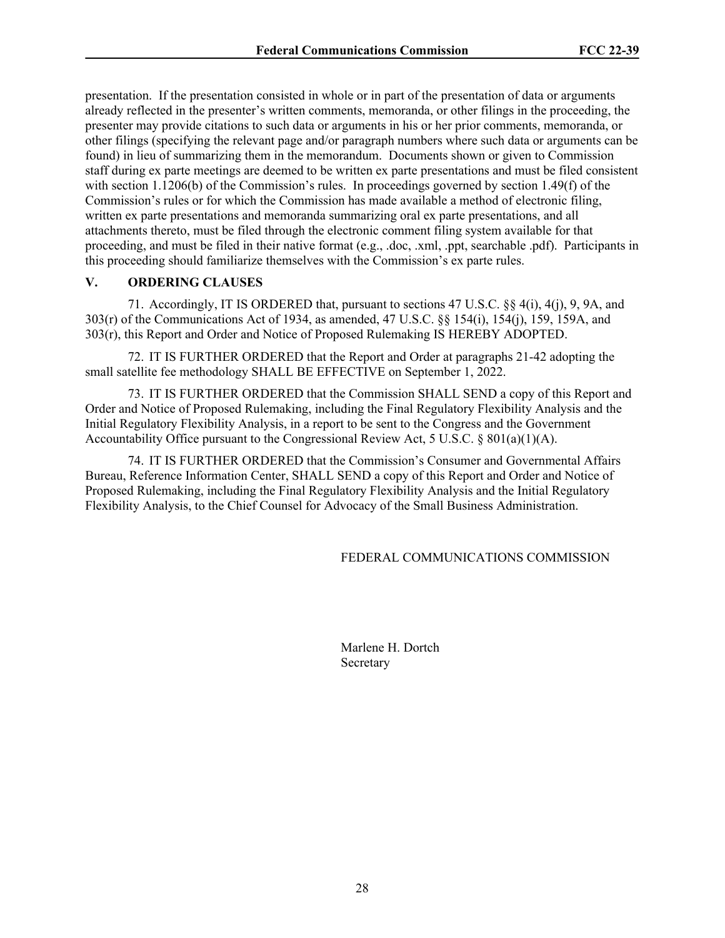presentation. If the presentation consisted in whole or in part of the presentation of data or arguments already reflected in the presenter's written comments, memoranda, or other filings in the proceeding, the presenter may provide citations to such data or arguments in his or her prior comments, memoranda, or other filings (specifying the relevant page and/or paragraph numbers where such data or arguments can be found) in lieu of summarizing them in the memorandum. Documents shown or given to Commission staff during ex parte meetings are deemed to be written ex parte presentations and must be filed consistent with section 1.1206(b) of the Commission's rules. In proceedings governed by section 1.49(f) of the Commission's rules or for which the Commission has made available a method of electronic filing, written ex parte presentations and memoranda summarizing oral ex parte presentations, and all attachments thereto, must be filed through the electronic comment filing system available for that proceeding, and must be filed in their native format (e.g., .doc, .xml, .ppt, searchable .pdf). Participants in this proceeding should familiarize themselves with the Commission's ex parte rules.

# **V. ORDERING CLAUSES**

71. Accordingly, IT IS ORDERED that, pursuant to sections 47 U.S.C. §§ 4(i), 4(j), 9, 9A, and 303(r) of the Communications Act of 1934, as amended, 47 U.S.C. §§ 154(i), 154(j), 159, 159A, and 303(r), this Report and Order and Notice of Proposed Rulemaking IS HEREBY ADOPTED.

72. IT IS FURTHER ORDERED that the Report and Order at paragraphs 21-42 adopting the small satellite fee methodology SHALL BE EFFECTIVE on September 1, 2022.

73. IT IS FURTHER ORDERED that the Commission SHALL SEND a copy of this Report and Order and Notice of Proposed Rulemaking, including the Final Regulatory Flexibility Analysis and the Initial Regulatory Flexibility Analysis, in a report to be sent to the Congress and the Government Accountability Office pursuant to the Congressional Review Act, 5 U.S.C. §  $801(a)(1)(A)$ .

74. IT IS FURTHER ORDERED that the Commission's Consumer and Governmental Affairs Bureau, Reference Information Center, SHALL SEND a copy of this Report and Order and Notice of Proposed Rulemaking, including the Final Regulatory Flexibility Analysis and the Initial Regulatory Flexibility Analysis, to the Chief Counsel for Advocacy of the Small Business Administration.

#### FEDERAL COMMUNICATIONS COMMISSION

Marlene H. Dortch Secretary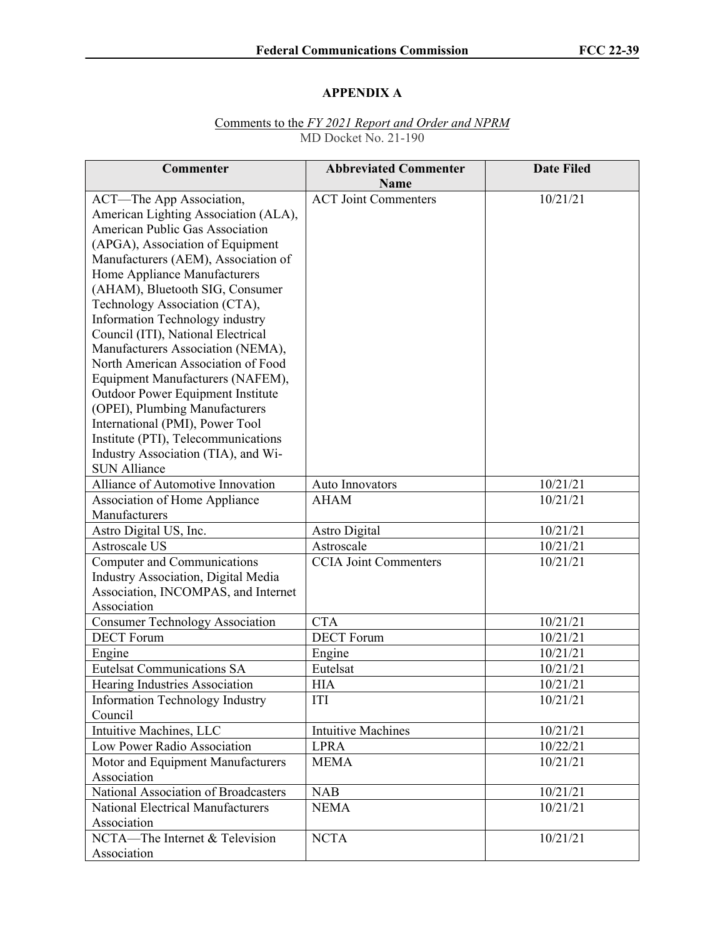# **APPENDIX A**

# Comments to the *FY 2021 Report and Order and NPRM* MD Docket No. 21-190

| Commenter                                          | <b>Abbreviated Commenter</b><br><b>Name</b> | <b>Date Filed</b> |
|----------------------------------------------------|---------------------------------------------|-------------------|
| ACT—The App Association,                           | <b>ACT Joint Commenters</b>                 | 10/21/21          |
| American Lighting Association (ALA),               |                                             |                   |
| American Public Gas Association                    |                                             |                   |
| (APGA), Association of Equipment                   |                                             |                   |
| Manufacturers (AEM), Association of                |                                             |                   |
| Home Appliance Manufacturers                       |                                             |                   |
| (AHAM), Bluetooth SIG, Consumer                    |                                             |                   |
| Technology Association (CTA),                      |                                             |                   |
| Information Technology industry                    |                                             |                   |
| Council (ITI), National Electrical                 |                                             |                   |
| Manufacturers Association (NEMA),                  |                                             |                   |
| North American Association of Food                 |                                             |                   |
| Equipment Manufacturers (NAFEM),                   |                                             |                   |
| Outdoor Power Equipment Institute                  |                                             |                   |
| (OPEI), Plumbing Manufacturers                     |                                             |                   |
| International (PMI), Power Tool                    |                                             |                   |
| Institute (PTI), Telecommunications                |                                             |                   |
| Industry Association (TIA), and Wi-                |                                             |                   |
| <b>SUN Alliance</b>                                |                                             |                   |
| Alliance of Automotive Innovation                  | Auto Innovators                             | 10/21/21          |
| <b>Association of Home Appliance</b>               | <b>AHAM</b>                                 | 10/21/21          |
| Manufacturers                                      |                                             |                   |
| Astro Digital US, Inc.                             | <b>Astro Digital</b>                        | 10/21/21          |
| Astroscale US                                      | Astroscale                                  | 10/21/21          |
| Computer and Communications                        | <b>CCIA</b> Joint Commenters                | 10/21/21          |
| Industry Association, Digital Media                |                                             |                   |
| Association, INCOMPAS, and Internet<br>Association |                                             |                   |
| <b>Consumer Technology Association</b>             | <b>CTA</b>                                  | 10/21/21          |
| <b>DECT</b> Forum                                  | <b>DECT</b> Forum                           | 10/21/21          |
| Engine                                             | Engine                                      | 10/21/21          |
| <b>Eutelsat Communications SA</b>                  | Eutelsat                                    | 10/21/21          |
| Hearing Industries Association                     | <b>HIA</b>                                  | 10/21/21          |
| <b>Information Technology Industry</b>             | ITI                                         | 10/21/21          |
| Council                                            |                                             |                   |
| Intuitive Machines, LLC                            | <b>Intuitive Machines</b>                   | 10/21/21          |
| Low Power Radio Association                        | <b>LPRA</b>                                 | 10/22/21          |
| Motor and Equipment Manufacturers                  | <b>MEMA</b>                                 | 10/21/21          |
| Association                                        |                                             |                   |
| National Association of Broadcasters               | <b>NAB</b>                                  | 10/21/21          |
| <b>National Electrical Manufacturers</b>           | <b>NEMA</b>                                 | 10/21/21          |
| Association                                        |                                             |                   |
| NCTA-The Internet & Television                     | <b>NCTA</b>                                 | 10/21/21          |
| Association                                        |                                             |                   |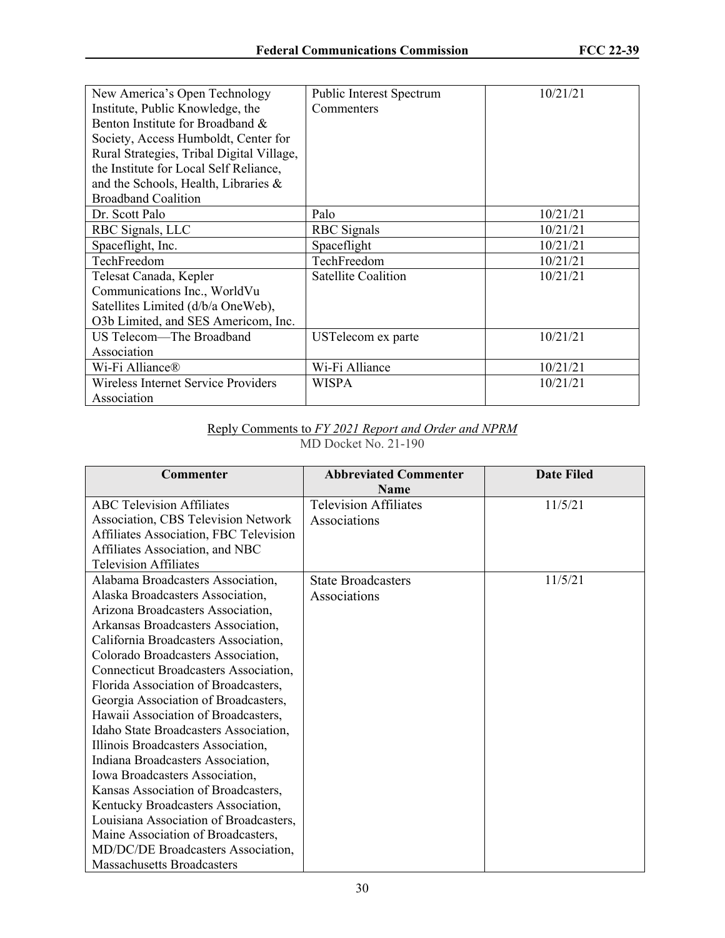| New America's Open Technology<br>Institute, Public Knowledge, the<br>Benton Institute for Broadband &<br>Society, Access Humboldt, Center for<br>Rural Strategies, Tribal Digital Village,<br>the Institute for Local Self Reliance,<br>and the Schools, Health, Libraries $\&$ | <b>Public Interest Spectrum</b><br>Commenters | 10/21/21 |
|---------------------------------------------------------------------------------------------------------------------------------------------------------------------------------------------------------------------------------------------------------------------------------|-----------------------------------------------|----------|
| <b>Broadband Coalition</b>                                                                                                                                                                                                                                                      |                                               |          |
| Dr. Scott Palo                                                                                                                                                                                                                                                                  | Palo                                          | 10/21/21 |
| RBC Signals, LLC                                                                                                                                                                                                                                                                | <b>RBC</b> Signals                            | 10/21/21 |
| Spaceflight, Inc.                                                                                                                                                                                                                                                               | Spaceflight                                   | 10/21/21 |
| TechFreedom                                                                                                                                                                                                                                                                     | TechFreedom                                   | 10/21/21 |
| Telesat Canada, Kepler                                                                                                                                                                                                                                                          | <b>Satellite Coalition</b>                    | 10/21/21 |
| Communications Inc., WorldVu                                                                                                                                                                                                                                                    |                                               |          |
| Satellites Limited (d/b/a OneWeb),                                                                                                                                                                                                                                              |                                               |          |
| O3b Limited, and SES Americom, Inc.                                                                                                                                                                                                                                             |                                               |          |
| US Telecom-The Broadband                                                                                                                                                                                                                                                        | USTelecom ex parte                            | 10/21/21 |
| Association                                                                                                                                                                                                                                                                     |                                               |          |
| Wi-Fi Alliance®                                                                                                                                                                                                                                                                 | Wi-Fi Alliance                                | 10/21/21 |
| Wireless Internet Service Providers                                                                                                                                                                                                                                             | <b>WISPA</b>                                  | 10/21/21 |
| Association                                                                                                                                                                                                                                                                     |                                               |          |

#### Reply Comments to *FY 2021 Report and Order and NPRM* MD Docket No. 21-190

| Commenter                              | <b>Abbreviated Commenter</b><br><b>Name</b> | <b>Date Filed</b> |
|----------------------------------------|---------------------------------------------|-------------------|
| <b>ABC Television Affiliates</b>       | <b>Television Affiliates</b>                | 11/5/21           |
| Association, CBS Television Network    | Associations                                |                   |
| Affiliates Association, FBC Television |                                             |                   |
| Affiliates Association, and NBC        |                                             |                   |
| <b>Television Affiliates</b>           |                                             |                   |
| Alabama Broadcasters Association,      | <b>State Broadcasters</b>                   | 11/5/21           |
| Alaska Broadcasters Association,       | Associations                                |                   |
| Arizona Broadcasters Association,      |                                             |                   |
| Arkansas Broadcasters Association,     |                                             |                   |
| California Broadcasters Association,   |                                             |                   |
| Colorado Broadcasters Association,     |                                             |                   |
| Connecticut Broadcasters Association,  |                                             |                   |
| Florida Association of Broadcasters,   |                                             |                   |
| Georgia Association of Broadcasters,   |                                             |                   |
| Hawaii Association of Broadcasters,    |                                             |                   |
| Idaho State Broadcasters Association,  |                                             |                   |
| Illinois Broadcasters Association,     |                                             |                   |
| Indiana Broadcasters Association,      |                                             |                   |
| Iowa Broadcasters Association,         |                                             |                   |
| Kansas Association of Broadcasters,    |                                             |                   |
| Kentucky Broadcasters Association,     |                                             |                   |
| Louisiana Association of Broadcasters, |                                             |                   |
| Maine Association of Broadcasters,     |                                             |                   |
| MD/DC/DE Broadcasters Association,     |                                             |                   |
| <b>Massachusetts Broadcasters</b>      |                                             |                   |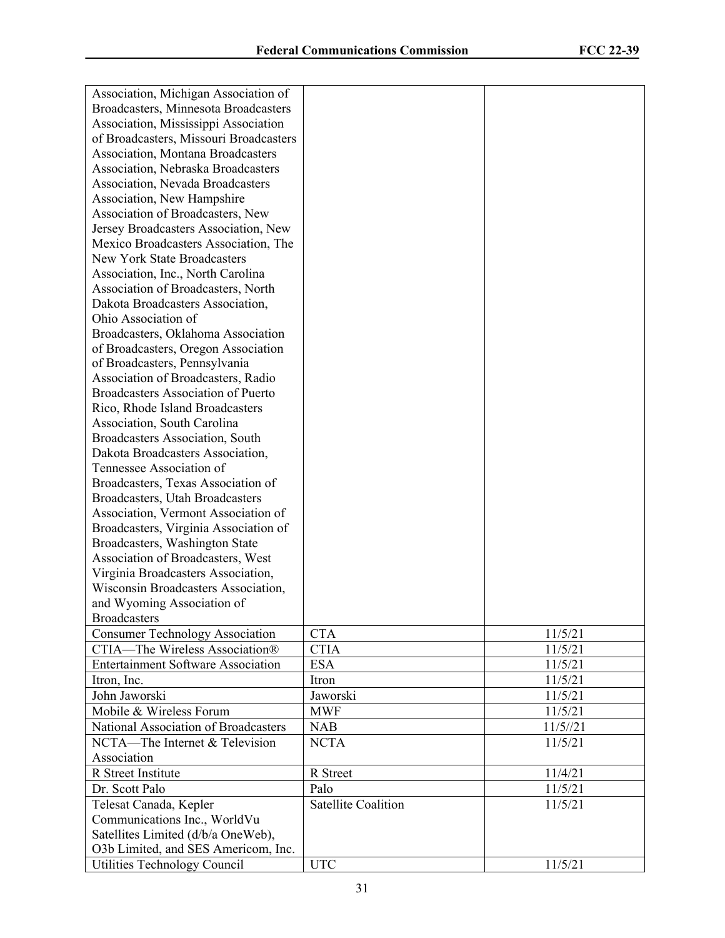| Association, Michigan Association of      |                            |         |
|-------------------------------------------|----------------------------|---------|
| Broadcasters, Minnesota Broadcasters      |                            |         |
| Association, Mississippi Association      |                            |         |
| of Broadcasters, Missouri Broadcasters    |                            |         |
| Association, Montana Broadcasters         |                            |         |
| Association, Nebraska Broadcasters        |                            |         |
| Association, Nevada Broadcasters          |                            |         |
|                                           |                            |         |
| Association, New Hampshire                |                            |         |
| Association of Broadcasters, New          |                            |         |
| Jersey Broadcasters Association, New      |                            |         |
| Mexico Broadcasters Association, The      |                            |         |
| New York State Broadcasters               |                            |         |
| Association, Inc., North Carolina         |                            |         |
| Association of Broadcasters, North        |                            |         |
| Dakota Broadcasters Association,          |                            |         |
| Ohio Association of                       |                            |         |
| Broadcasters, Oklahoma Association        |                            |         |
| of Broadcasters, Oregon Association       |                            |         |
| of Broadcasters, Pennsylvania             |                            |         |
| Association of Broadcasters, Radio        |                            |         |
| <b>Broadcasters Association of Puerto</b> |                            |         |
| Rico, Rhode Island Broadcasters           |                            |         |
| Association, South Carolina               |                            |         |
| Broadcasters Association, South           |                            |         |
| Dakota Broadcasters Association,          |                            |         |
| Tennessee Association of                  |                            |         |
| Broadcasters, Texas Association of        |                            |         |
| Broadcasters, Utah Broadcasters           |                            |         |
| Association, Vermont Association of       |                            |         |
| Broadcasters, Virginia Association of     |                            |         |
| Broadcasters, Washington State            |                            |         |
| Association of Broadcasters, West         |                            |         |
| Virginia Broadcasters Association,        |                            |         |
| Wisconsin Broadcasters Association,       |                            |         |
| and Wyoming Association of                |                            |         |
| <b>Broadcasters</b>                       |                            |         |
| <b>Consumer Technology Association</b>    | <b>CTA</b>                 | 11/5/21 |
| CTIA-The Wireless Association®            | <b>CTIA</b>                | 11/5/21 |
| <b>Entertainment Software Association</b> | <b>ESA</b>                 | 11/5/21 |
| Itron, Inc.                               | Itron                      | 11/5/21 |
| John Jaworski                             | Jaworski                   | 11/5/21 |
| Mobile & Wireless Forum                   | <b>MWF</b>                 | 11/5/21 |
| National Association of Broadcasters      | <b>NAB</b>                 | 11/5/21 |
| NCTA—The Internet & Television            | <b>NCTA</b>                | 11/5/21 |
| Association                               |                            |         |
| R Street Institute                        | R Street                   | 11/4/21 |
| Dr. Scott Palo                            | Palo                       | 11/5/21 |
| Telesat Canada, Kepler                    | <b>Satellite Coalition</b> | 11/5/21 |
| Communications Inc., WorldVu              |                            |         |
| Satellites Limited (d/b/a OneWeb),        |                            |         |
| O3b Limited, and SES Americom, Inc.       |                            |         |
| Utilities Technology Council              | <b>UTC</b>                 | 11/5/21 |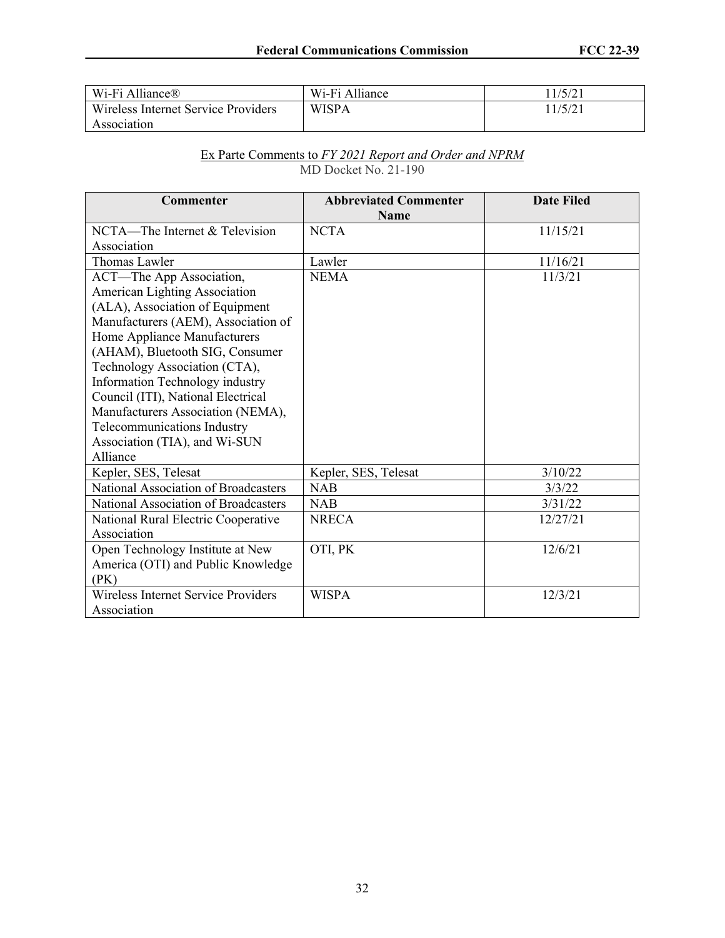| Wi-Fi Alliance®                     | Wi-Fi Alliance | 11/5/21 |
|-------------------------------------|----------------|---------|
| Wireless Internet Service Providers | <b>WISPA</b>   | 11/5/21 |
| Association                         |                |         |

#### Ex Parte Comments to *FY 2021 Report and Order and NPRM* MD Docket No. 21-190

| <b>Commenter</b>                           | <b>Abbreviated Commenter</b><br><b>Name</b> | <b>Date Filed</b> |
|--------------------------------------------|---------------------------------------------|-------------------|
| NCTA—The Internet & Television             | <b>NCTA</b>                                 | 11/15/21          |
| Association                                |                                             |                   |
|                                            |                                             |                   |
| Thomas Lawler                              | Lawler                                      | 11/16/21          |
| ACT-The App Association,                   | <b>NEMA</b>                                 | 11/3/21           |
| American Lighting Association              |                                             |                   |
| (ALA), Association of Equipment            |                                             |                   |
| Manufacturers (AEM), Association of        |                                             |                   |
| Home Appliance Manufacturers               |                                             |                   |
| (AHAM), Bluetooth SIG, Consumer            |                                             |                   |
| Technology Association (CTA),              |                                             |                   |
| Information Technology industry            |                                             |                   |
| Council (ITI), National Electrical         |                                             |                   |
| Manufacturers Association (NEMA),          |                                             |                   |
| Telecommunications Industry                |                                             |                   |
| Association (TIA), and Wi-SUN              |                                             |                   |
| Alliance                                   |                                             |                   |
| Kepler, SES, Telesat                       | Kepler, SES, Telesat                        | 3/10/22           |
| National Association of Broadcasters       | <b>NAB</b>                                  | 3/3/22            |
| National Association of Broadcasters       | <b>NAB</b>                                  | 3/31/22           |
| National Rural Electric Cooperative        | <b>NRECA</b>                                | 12/27/21          |
| Association                                |                                             |                   |
| Open Technology Institute at New           | OTI, PK                                     | 12/6/21           |
| America (OTI) and Public Knowledge         |                                             |                   |
| (PK)                                       |                                             |                   |
| <b>Wireless Internet Service Providers</b> | <b>WISPA</b>                                | 12/3/21           |
| Association                                |                                             |                   |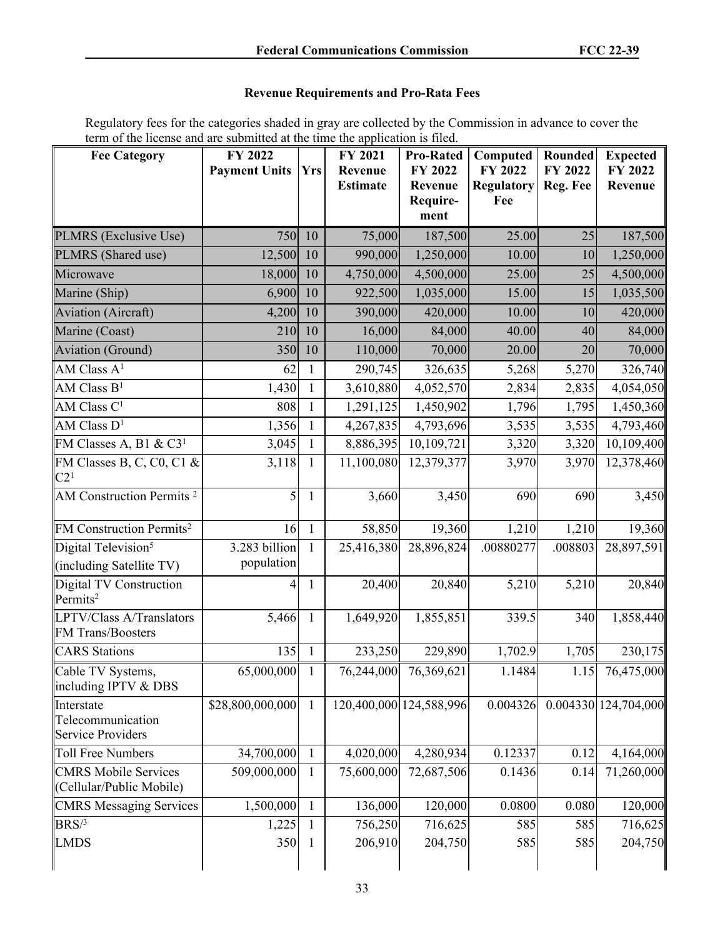# **Revenue Requirements and Pro-Rata Fees**

Regulatory fees for the categories shaded in gray are collected by the Commission in advance to cover the term of the license and are submitted at the time the application is filed.

| <b>Fee Category</b>                                         | FY 2022<br><b>Payment Units</b> | <b>Yrs</b>   | FY 2021<br>Revenue<br><b>Estimate</b> | <b>Pro-Rated</b><br>FY 2022<br>Revenue<br>Require-<br>ment | Computed<br>FY 2022<br><b>Regulatory</b><br>Fee | Rounded<br>FY 2022<br>Reg. Fee | <b>Expected</b><br>FY 2022<br>Revenue |
|-------------------------------------------------------------|---------------------------------|--------------|---------------------------------------|------------------------------------------------------------|-------------------------------------------------|--------------------------------|---------------------------------------|
| PLMRS (Exclusive Use)                                       | 750                             | 10           | 75,000                                | 187,500                                                    | 25.00                                           | 25                             | 187,500                               |
| PLMRS (Shared use)                                          | 12,500                          | 10           | 990,000                               | 1,250,000                                                  | 10.00                                           | 10                             | 1,250,000                             |
| Microwave                                                   | 18,000                          | 10           | 4,750,000                             | 4,500,000                                                  | 25.00                                           | 25                             | 4,500,000                             |
| Marine (Ship)                                               | 6,900                           | 10           | 922,500                               | 1,035,000                                                  | 15.00                                           | 15                             | 1,035,500                             |
| Aviation (Aircraft)                                         | 4,200                           | 10           | 390,000                               | 420,000                                                    | 10.00                                           | 10                             | 420,000                               |
| Marine (Coast)                                              | 210                             | 10           | 16,000                                | 84,000                                                     | 40.00                                           | 40                             | 84,000                                |
| Aviation (Ground)                                           | 350                             | 10           | 110,000                               | 70,000                                                     | 20.00                                           | 20                             | 70,000                                |
| AM Class $A1$                                               | 62                              | 1            | 290,745                               | 326,635                                                    | 5,268                                           | 5,270                          | 326,740                               |
| AM Class $B1$                                               | 1,430                           | $\mathbf{1}$ | 3,610,880                             | 4,052,570                                                  | 2,834                                           | 2,835                          | 4,054,050                             |
| AM Class C <sup>1</sup>                                     | 808                             | 1            | 1,291,125                             | 1,450,902                                                  | 1,796                                           | 1,795                          | 1,450,360                             |
| AM Class $D^1$                                              | 1,356                           | 1            | 4,267,835                             | 4,793,696                                                  | 3,535                                           | 3,535                          | 4,793,460                             |
| FM Classes A, B1 & C3 <sup>1</sup>                          | 3,045                           | 1            | 8,886,395                             | 10,109,721                                                 | 3,320                                           | 3,320                          | 10,109,400                            |
| FM Classes B, C, C0, C1 &<br>C2 <sup>1</sup>                | 3,118                           | 1            | 11,100,080                            | 12,379,377                                                 | 3,970                                           | 3,970                          | 12,378,460                            |
| AM Construction Permits <sup>2</sup>                        | 5                               | 1            | 3,660                                 | 3,450                                                      | 690                                             | 690                            | 3,450                                 |
| FM Construction Permits <sup>2</sup>                        | 16                              | $\mathbf{1}$ | 58,850                                | 19,360                                                     | 1,210                                           | 1,210                          | 19,360                                |
| Digital Television <sup>5</sup>                             | 3.283 billion                   | 1            | 25,416,380                            | 28,896,824                                                 | .00880277                                       | .008803                        | 28,897,591                            |
| (including Satellite TV)                                    | population                      |              |                                       |                                                            |                                                 |                                |                                       |
| Digital TV Construction<br>Permits <sup>2</sup>             | 4                               | $\mathbf{1}$ | 20,400                                | 20,840                                                     | 5,210                                           | 5,210                          | 20,840                                |
| LPTV/Class A/Translators<br>FM Trans/Boosters               | 5,466                           | $\mathbf{1}$ | 1,649,920                             | 1,855,851                                                  | 339.5                                           | 340                            | 1,858,440                             |
| <b>CARS</b> Stations                                        | 135                             | $\mathbf{1}$ | 233,250                               | 229,890                                                    | 1,702.9                                         | 1,705                          | 230,175                               |
| Cable TV Systems,<br>including IPTV & DBS                   | 65,000,000                      | 1            | 76,244,000                            | 76,369,621                                                 | 1.1484                                          | 1.15                           | 76,475,000                            |
| Interstate<br>Telecommunication<br><b>Service Providers</b> | \$28,800,000,000                | 1            |                                       | 120,400,000 124,588,996                                    | 0.004326                                        |                                | 0.004330 124,704,000                  |
| <b>Toll Free Numbers</b>                                    | 34,700,000                      | 1            | 4,020,000                             | 4,280,934                                                  | 0.12337                                         | 0.12                           | 4,164,000                             |
| <b>CMRS Mobile Services</b><br>(Cellular/Public Mobile)     | 509,000,000                     | 1            | 75,600,000                            | 72,687,506                                                 | 0.1436                                          | 0.14                           | 71,260,000                            |
| <b>CMRS Messaging Services</b>                              | 1,500,000                       | 1            | 136,000                               | 120,000                                                    | 0.0800                                          | 0.080                          | 120,000                               |
| BRS/3                                                       | 1,225                           | 1            | 756,250                               | 716,625                                                    | 585                                             | 585                            | 716,625                               |
| <b>LMDS</b>                                                 | 350                             | 1            | 206,910                               | 204,750                                                    | 585                                             | 585                            | 204,750                               |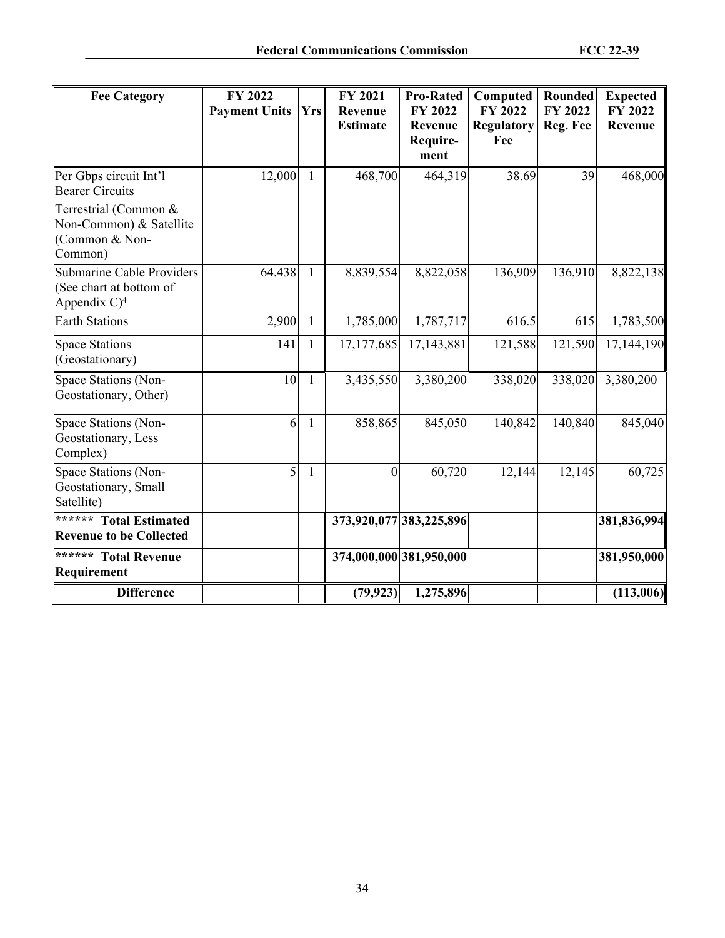| <b>Fee Category</b>                                                                                                               | FY 2022<br><b>Payment Units</b> | <b>Yrs</b>   | FY 2021<br>Revenue<br><b>Estimate</b> | <b>Pro-Rated</b><br>FY 2022<br>Revenue<br>Require-<br>ment | Computed<br>FY 2022<br><b>Regulatory</b><br>Fee | <b>Rounded</b><br>FY 2022<br>Reg. Fee | <b>Expected</b><br>FY 2022<br>Revenue |
|-----------------------------------------------------------------------------------------------------------------------------------|---------------------------------|--------------|---------------------------------------|------------------------------------------------------------|-------------------------------------------------|---------------------------------------|---------------------------------------|
| Per Gbps circuit Int'l<br><b>Bearer Circuits</b><br>Terrestrial (Common &<br>Non-Common) & Satellite<br>(Common & Non-<br>Common) | 12,000                          | 1            | 468,700                               | 464,319                                                    | 38.69                                           | 39                                    | 468,000                               |
| Submarine Cable Providers<br>(See chart at bottom of<br>Appendix $C$ <sup>4</sup>                                                 | 64.438                          | $\mathbf{1}$ | 8,839,554                             | 8,822,058                                                  | 136,909                                         | 136,910                               | 8,822,138                             |
| <b>Earth Stations</b>                                                                                                             | 2,900                           | $\mathbf{1}$ | 1,785,000                             | 1,787,717                                                  | 616.5                                           | 615                                   | 1,783,500                             |
| Space Stations<br>(Geostationary)                                                                                                 | 141                             | $\mathbf{1}$ | 17,177,685                            | 17, 143, 881                                               | 121,588                                         | 121,590                               | 17,144,190                            |
| Space Stations (Non-<br>Geostationary, Other)                                                                                     | 10                              | $\mathbf{1}$ | 3,435,550                             | 3,380,200                                                  | 338,020                                         | 338,020                               | 3,380,200                             |
| Space Stations (Non-<br>Geostationary, Less<br>Complex)                                                                           | 6                               | $\mathbf{1}$ | 858,865                               | 845,050                                                    | 140,842                                         | 140,840                               | 845,040                               |
| Space Stations (Non-<br>Geostationary, Small<br>Satellite)                                                                        | 5                               | 1            | $\boldsymbol{0}$                      | 60,720                                                     | 12,144                                          | 12,145                                | 60,725                                |
| ****** Total Estimated<br><b>Revenue to be Collected</b>                                                                          |                                 |              |                                       | 373,920,077 383,225,896                                    |                                                 |                                       | 381,836,994                           |
| ****** Total Revenue<br>Requirement                                                                                               |                                 |              |                                       | 374,000,000 381,950,000                                    |                                                 |                                       | 381,950,000                           |
| <b>Difference</b>                                                                                                                 |                                 |              | (79, 923)                             | 1,275,896                                                  |                                                 |                                       | (113,006)                             |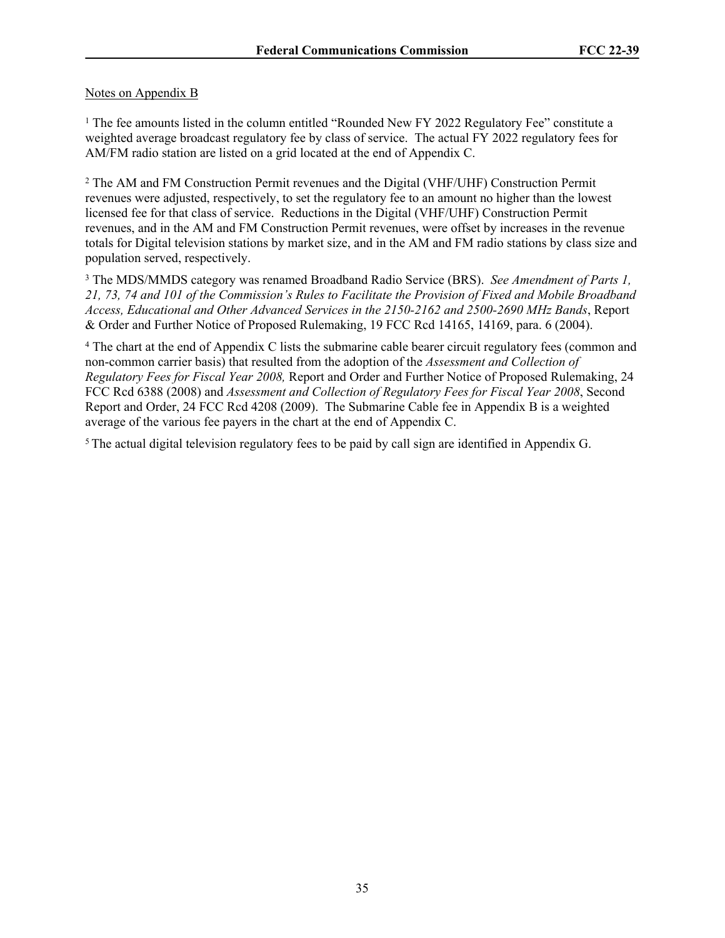# Notes on Appendix B

<sup>1</sup> The fee amounts listed in the column entitled "Rounded New FY 2022 Regulatory Fee" constitute a weighted average broadcast regulatory fee by class of service. The actual FY 2022 regulatory fees for AM/FM radio station are listed on a grid located at the end of Appendix C.

2 The AM and FM Construction Permit revenues and the Digital (VHF/UHF) Construction Permit revenues were adjusted, respectively, to set the regulatory fee to an amount no higher than the lowest licensed fee for that class of service. Reductions in the Digital (VHF/UHF) Construction Permit revenues, and in the AM and FM Construction Permit revenues, were offset by increases in the revenue totals for Digital television stations by market size, and in the AM and FM radio stations by class size and population served, respectively.

3 The MDS/MMDS category was renamed Broadband Radio Service (BRS). *See Amendment of Parts 1, 21, 73, 74 and 101 of the Commission's Rules to Facilitate the Provision of Fixed and Mobile Broadband Access, Educational and Other Advanced Services in the 2150-2162 and 2500-2690 MHz Bands*, Report & Order and Further Notice of Proposed Rulemaking, 19 FCC Rcd 14165, 14169, para. 6 (2004).

<sup>4</sup> The chart at the end of Appendix C lists the submarine cable bearer circuit regulatory fees (common and non-common carrier basis) that resulted from the adoption of the *Assessment and Collection of Regulatory Fees for Fiscal Year 2008,* Report and Order and Further Notice of Proposed Rulemaking, 24 FCC Rcd 6388 (2008) and *Assessment and Collection of Regulatory Fees for Fiscal Year 2008*, Second Report and Order, 24 FCC Rcd 4208 (2009). The Submarine Cable fee in Appendix B is a weighted average of the various fee payers in the chart at the end of Appendix C.

<sup>5</sup>The actual digital television regulatory fees to be paid by call sign are identified in Appendix G.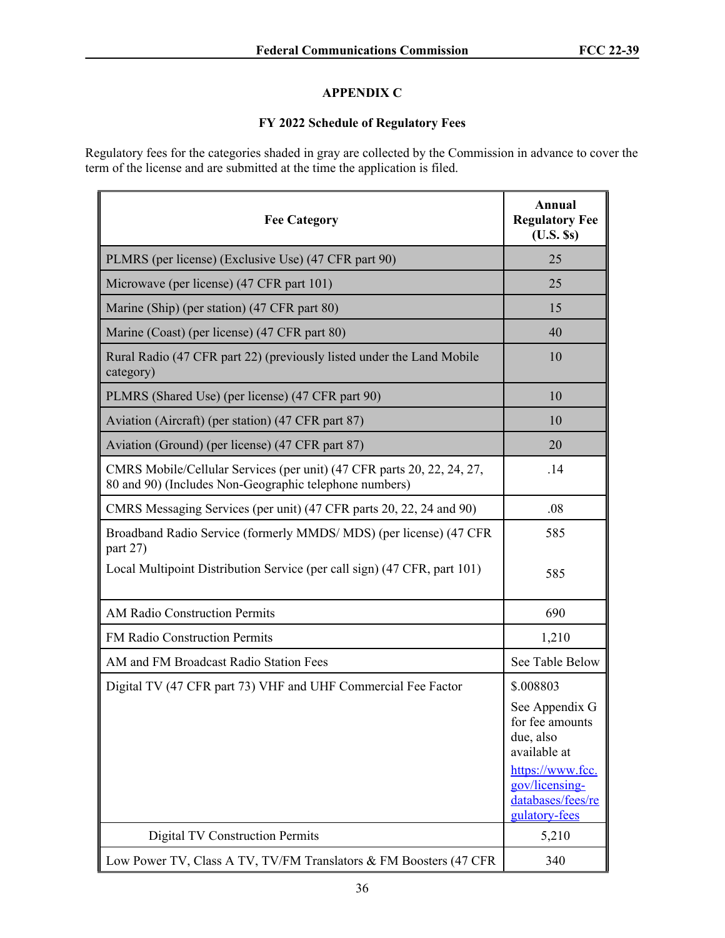# **APPENDIX C**

# **FY 2022 Schedule of Regulatory Fees**

Regulatory fees for the categories shaded in gray are collected by the Commission in advance to cover the term of the license and are submitted at the time the application is filed.

| <b>Fee Category</b>                                                                                                              | Annual<br><b>Regulatory Fee</b><br>$(U.S.$ Ss)                           |
|----------------------------------------------------------------------------------------------------------------------------------|--------------------------------------------------------------------------|
| PLMRS (per license) (Exclusive Use) (47 CFR part 90)                                                                             | 25                                                                       |
| Microwave (per license) (47 CFR part 101)                                                                                        | 25                                                                       |
| Marine (Ship) (per station) (47 CFR part 80)                                                                                     | 15                                                                       |
| Marine (Coast) (per license) (47 CFR part 80)                                                                                    | 40                                                                       |
| Rural Radio (47 CFR part 22) (previously listed under the Land Mobile<br>category)                                               | 10                                                                       |
| PLMRS (Shared Use) (per license) (47 CFR part 90)                                                                                | 10                                                                       |
| Aviation (Aircraft) (per station) (47 CFR part 87)                                                                               | 10                                                                       |
| Aviation (Ground) (per license) (47 CFR part 87)                                                                                 | 20                                                                       |
| CMRS Mobile/Cellular Services (per unit) (47 CFR parts 20, 22, 24, 27,<br>80 and 90) (Includes Non-Geographic telephone numbers) | .14                                                                      |
| CMRS Messaging Services (per unit) (47 CFR parts 20, 22, 24 and 90)                                                              | .08                                                                      |
| Broadband Radio Service (formerly MMDS/MDS) (per license) (47 CFR<br>part 27)                                                    | 585                                                                      |
| Local Multipoint Distribution Service (per call sign) (47 CFR, part 101)                                                         | 585                                                                      |
| <b>AM Radio Construction Permits</b>                                                                                             | 690                                                                      |
| FM Radio Construction Permits                                                                                                    | 1,210                                                                    |
| AM and FM Broadcast Radio Station Fees                                                                                           | See Table Below                                                          |
| Digital TV (47 CFR part 73) VHF and UHF Commercial Fee Factor                                                                    | \$.008803                                                                |
|                                                                                                                                  | See Appendix G<br>for fee amounts<br>due, also<br>available at           |
|                                                                                                                                  | https://www.fcc.<br>gov/licensing-<br>databases/fees/re<br>gulatory-fees |
| <b>Digital TV Construction Permits</b>                                                                                           | 5,210                                                                    |
| Low Power TV, Class A TV, TV/FM Translators & FM Boosters (47 CFR                                                                | 340                                                                      |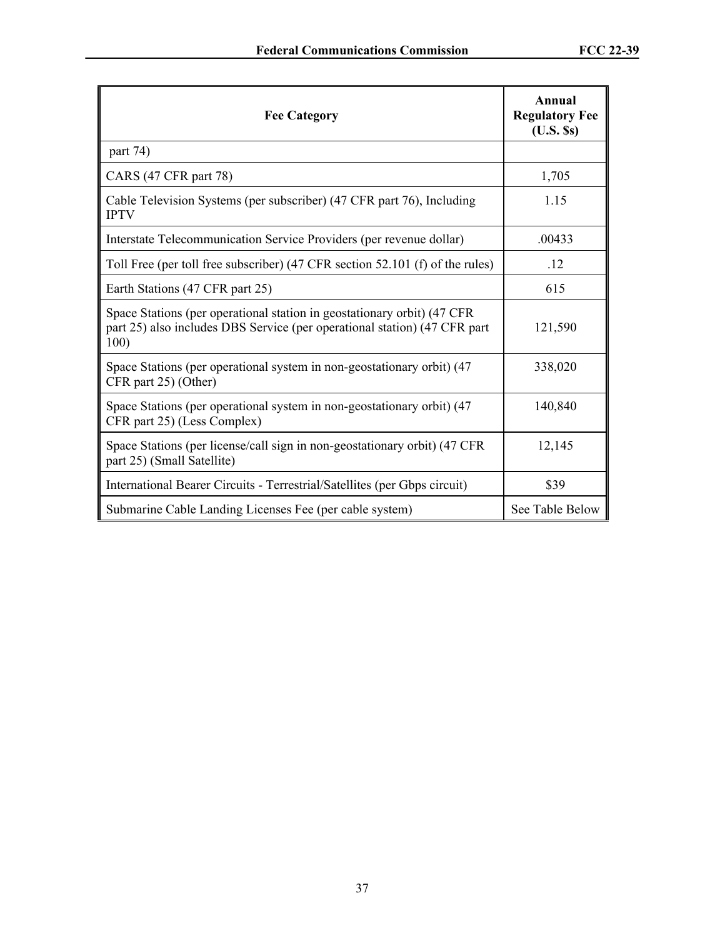| <b>Fee Category</b>                                                                                                                                           | Annual<br><b>Regulatory Fee</b><br>$(U.S.$ Ss) |
|---------------------------------------------------------------------------------------------------------------------------------------------------------------|------------------------------------------------|
| part 74)                                                                                                                                                      |                                                |
| CARS (47 CFR part 78)                                                                                                                                         | 1,705                                          |
| Cable Television Systems (per subscriber) (47 CFR part 76), Including<br><b>IPTV</b>                                                                          | 1.15                                           |
| Interstate Telecommunication Service Providers (per revenue dollar)                                                                                           | .00433                                         |
| Toll Free (per toll free subscriber) (47 CFR section 52.101 (f) of the rules)                                                                                 | .12                                            |
| Earth Stations (47 CFR part 25)                                                                                                                               | 615                                            |
| Space Stations (per operational station in geostationary orbit) (47 CFR)<br>part 25) also includes DBS Service (per operational station) (47 CFR part<br>100) | 121,590                                        |
| Space Stations (per operational system in non-geostationary orbit) (47<br>CFR part 25) (Other)                                                                | 338,020                                        |
| Space Stations (per operational system in non-geostationary orbit) (47<br>CFR part 25) (Less Complex)                                                         | 140,840                                        |
| Space Stations (per license/call sign in non-geostationary orbit) (47 CFR)<br>part 25) (Small Satellite)                                                      | 12,145                                         |
| International Bearer Circuits - Terrestrial/Satellites (per Gbps circuit)                                                                                     | \$39                                           |
| Submarine Cable Landing Licenses Fee (per cable system)                                                                                                       | See Table Below                                |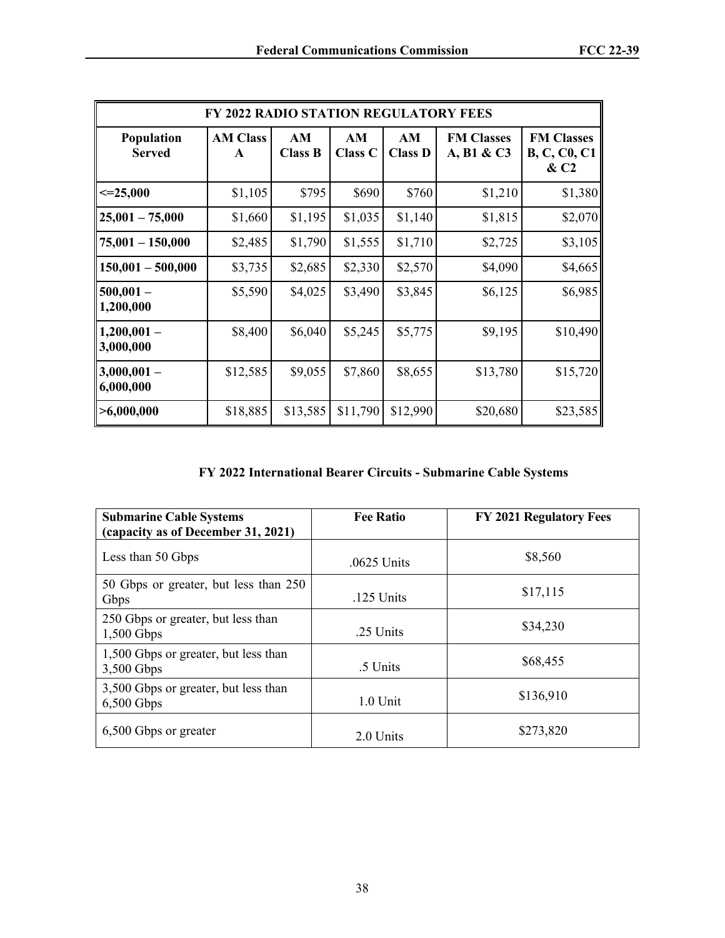|                             | <b>FY 2022 RADIO STATION REGULATORY FEES</b> |                      |                      |                      |                                 |                                                 |
|-----------------------------|----------------------------------------------|----------------------|----------------------|----------------------|---------------------------------|-------------------------------------------------|
| Population<br><b>Served</b> | <b>AM Class</b><br>$\mathbf{A}$              | AM<br><b>Class B</b> | AM<br><b>Class C</b> | AM<br><b>Class D</b> | <b>FM Classes</b><br>A, B1 & C3 | <b>FM Classes</b><br><b>B, C, C0, C1</b><br>&C2 |
| $\leq$ =25,000              | \$1,105                                      | \$795                | \$690                | \$760                | \$1,210                         | \$1,380                                         |
| $25,001 - 75,000$           | \$1,660                                      | \$1,195              | \$1,035              | \$1,140              | \$1,815                         | \$2,070                                         |
| $ 75,001 - 150,000$         | \$2,485                                      | \$1,790              | \$1,555              | \$1,710              | \$2,725                         | \$3,105                                         |
| $150,001 - 500,000$         | \$3,735                                      | \$2,685              | \$2,330              | \$2,570              | \$4,090                         | \$4,665                                         |
| $500,001 -$<br>1,200,000    | \$5,590                                      | \$4,025              | \$3,490              | \$3,845              | \$6,125                         | \$6,985                                         |
| $1,200,001-$<br>3,000,000   | \$8,400                                      | \$6,040              | \$5,245              | \$5,775              | \$9,195                         | \$10,490                                        |
| $ 3,000,001 -$<br>6,000,000 | \$12,585                                     | \$9,055              | \$7,860              | \$8,655              | \$13,780                        | \$15,720                                        |
| >6,000,000                  | \$18,885                                     | \$13,585             | \$11,790             | \$12,990             | \$20,680                        | \$23,585                                        |

# **FY 2022 International Bearer Circuits - Submarine Cable Systems**

| <b>Submarine Cable Systems</b><br>(capacity as of December 31, 2021) | <b>Fee Ratio</b> | <b>FY 2021 Regulatory Fees</b> |
|----------------------------------------------------------------------|------------------|--------------------------------|
| Less than 50 Gbps                                                    | .0625 Units      | \$8,560                        |
| 50 Gbps or greater, but less than 250<br>Gbps                        | $.125$ Units     | \$17,115                       |
| 250 Gbps or greater, but less than<br>$1,500$ Gbps                   | .25 Units        | \$34,230                       |
| 1,500 Gbps or greater, but less than<br>3,500 Gbps                   | .5 Units         | \$68,455                       |
| 3,500 Gbps or greater, but less than<br>$6,500$ Gbps                 | $1.0$ Unit       | \$136,910                      |
| 6,500 Gbps or greater                                                | 2.0 Units        | \$273,820                      |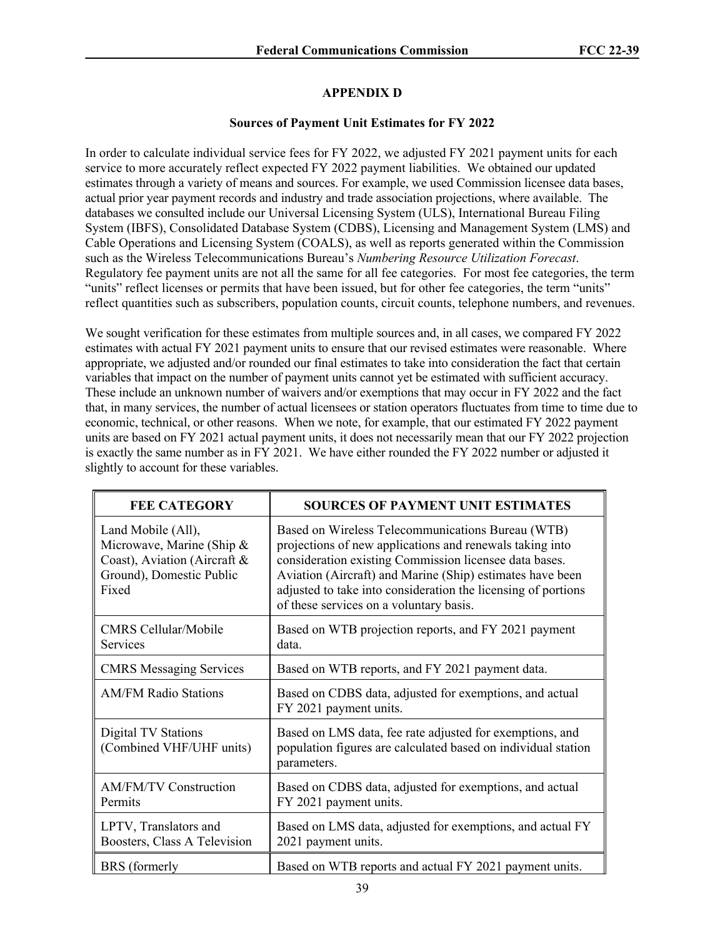### **APPENDIX D**

#### **Sources of Payment Unit Estimates for FY 2022**

In order to calculate individual service fees for FY 2022, we adjusted FY 2021 payment units for each service to more accurately reflect expected FY 2022 payment liabilities. We obtained our updated estimates through a variety of means and sources. For example, we used Commission licensee data bases, actual prior year payment records and industry and trade association projections, where available. The databases we consulted include our Universal Licensing System (ULS), International Bureau Filing System (IBFS), Consolidated Database System (CDBS), Licensing and Management System (LMS) and Cable Operations and Licensing System (COALS), as well as reports generated within the Commission such as the Wireless Telecommunications Bureau's *Numbering Resource Utilization Forecast*. Regulatory fee payment units are not all the same for all fee categories. For most fee categories, the term "units" reflect licenses or permits that have been issued, but for other fee categories, the term "units" reflect quantities such as subscribers, population counts, circuit counts, telephone numbers, and revenues.

We sought verification for these estimates from multiple sources and, in all cases, we compared FY 2022 estimates with actual FY 2021 payment units to ensure that our revised estimates were reasonable. Where appropriate, we adjusted and/or rounded our final estimates to take into consideration the fact that certain variables that impact on the number of payment units cannot yet be estimated with sufficient accuracy. These include an unknown number of waivers and/or exemptions that may occur in FY 2022 and the fact that, in many services, the number of actual licensees or station operators fluctuates from time to time due to economic, technical, or other reasons. When we note, for example, that our estimated FY 2022 payment units are based on FY 2021 actual payment units, it does not necessarily mean that our FY 2022 projection is exactly the same number as in FY 2021. We have either rounded the FY 2022 number or adjusted it slightly to account for these variables.

| <b>FEE CATEGORY</b>                                                                                                  | <b>SOURCES OF PAYMENT UNIT ESTIMATES</b>                                                                                                                                                                                                                                                                                                         |
|----------------------------------------------------------------------------------------------------------------------|--------------------------------------------------------------------------------------------------------------------------------------------------------------------------------------------------------------------------------------------------------------------------------------------------------------------------------------------------|
| Land Mobile (All),<br>Microwave, Marine (Ship &<br>Coast), Aviation (Aircraft &<br>Ground), Domestic Public<br>Fixed | Based on Wireless Telecommunications Bureau (WTB)<br>projections of new applications and renewals taking into<br>consideration existing Commission licensee data bases.<br>Aviation (Aircraft) and Marine (Ship) estimates have been<br>adjusted to take into consideration the licensing of portions<br>of these services on a voluntary basis. |
| <b>CMRS Cellular/Mobile</b><br><b>Services</b>                                                                       | Based on WTB projection reports, and FY 2021 payment<br>data.                                                                                                                                                                                                                                                                                    |
| <b>CMRS Messaging Services</b>                                                                                       | Based on WTB reports, and FY 2021 payment data.                                                                                                                                                                                                                                                                                                  |
| <b>AM/FM Radio Stations</b>                                                                                          | Based on CDBS data, adjusted for exemptions, and actual<br>FY 2021 payment units.                                                                                                                                                                                                                                                                |
| <b>Digital TV Stations</b><br>(Combined VHF/UHF units)                                                               | Based on LMS data, fee rate adjusted for exemptions, and<br>population figures are calculated based on individual station<br>parameters.                                                                                                                                                                                                         |
| <b>AM/FM/TV Construction</b><br>Permits                                                                              | Based on CDBS data, adjusted for exemptions, and actual<br>FY 2021 payment units.                                                                                                                                                                                                                                                                |
| LPTV, Translators and<br>Boosters, Class A Television                                                                | Based on LMS data, adjusted for exemptions, and actual FY<br>2021 payment units.                                                                                                                                                                                                                                                                 |
| <b>BRS</b> (formerly                                                                                                 | Based on WTB reports and actual FY 2021 payment units.                                                                                                                                                                                                                                                                                           |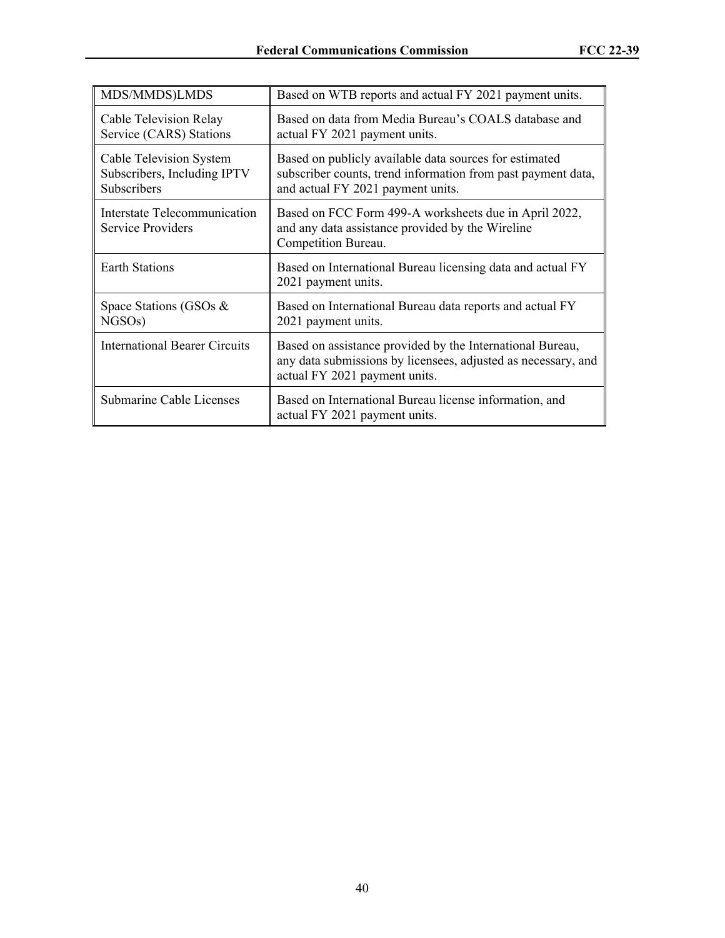| MDS/MMDS)LMDS                                                         | Based on WTB reports and actual FY 2021 payment units.                                                                                                      |
|-----------------------------------------------------------------------|-------------------------------------------------------------------------------------------------------------------------------------------------------------|
| Cable Television Relay<br>Service (CARS) Stations                     | Based on data from Media Bureau's COALS database and<br>actual FY 2021 payment units.                                                                       |
| Cable Television System<br>Subscribers, Including IPTV<br>Subscribers | Based on publicly available data sources for estimated<br>subscriber counts, trend information from past payment data,<br>and actual FY 2021 payment units. |
| Interstate Telecommunication<br>Service Providers                     | Based on FCC Form 499-A worksheets due in April 2022,<br>and any data assistance provided by the Wireline<br>Competition Bureau.                            |
| <b>Earth Stations</b>                                                 | Based on International Bureau licensing data and actual FY<br>2021 payment units.                                                                           |
| Space Stations (GSOs $\&$<br>NGSO <sub>s</sub> )                      | Based on International Bureau data reports and actual FY<br>2021 payment units.                                                                             |
| <b>International Bearer Circuits</b>                                  | Based on assistance provided by the International Bureau,<br>any data submissions by licensees, adjusted as necessary, and<br>actual FY 2021 payment units. |
| Submarine Cable Licenses                                              | Based on International Bureau license information, and<br>actual FY 2021 payment units.                                                                     |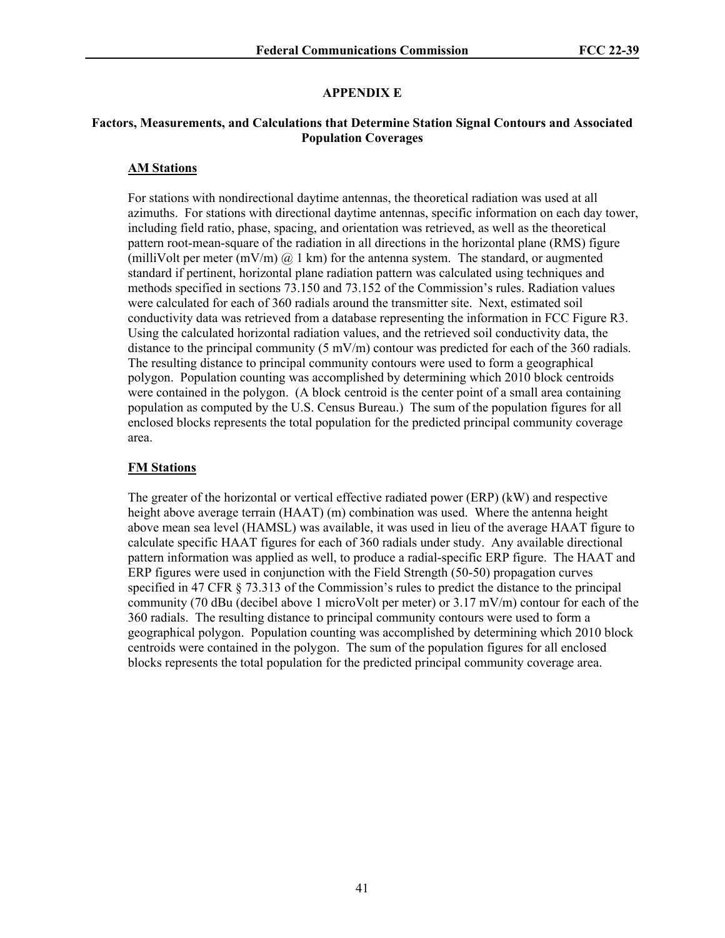#### **APPENDIX E**

#### **Factors, Measurements, and Calculations that Determine Station Signal Contours and Associated Population Coverages**

#### **AM Stations**

For stations with nondirectional daytime antennas, the theoretical radiation was used at all azimuths. For stations with directional daytime antennas, specific information on each day tower, including field ratio, phase, spacing, and orientation was retrieved, as well as the theoretical pattern root-mean-square of the radiation in all directions in the horizontal plane (RMS) figure (milliVolt per meter (mV/m)  $\omega$  1 km) for the antenna system. The standard, or augmented standard if pertinent, horizontal plane radiation pattern was calculated using techniques and methods specified in sections 73.150 and 73.152 of the Commission's rules. Radiation values were calculated for each of 360 radials around the transmitter site. Next, estimated soil conductivity data was retrieved from a database representing the information in FCC Figure R3. Using the calculated horizontal radiation values, and the retrieved soil conductivity data, the distance to the principal community  $(5 \text{ mV/m})$  contour was predicted for each of the 360 radials. The resulting distance to principal community contours were used to form a geographical polygon. Population counting was accomplished by determining which 2010 block centroids were contained in the polygon. (A block centroid is the center point of a small area containing population as computed by the U.S. Census Bureau.) The sum of the population figures for all enclosed blocks represents the total population for the predicted principal community coverage area.

#### **FM Stations**

The greater of the horizontal or vertical effective radiated power (ERP) (kW) and respective height above average terrain (HAAT) (m) combination was used. Where the antenna height above mean sea level (HAMSL) was available, it was used in lieu of the average HAAT figure to calculate specific HAAT figures for each of 360 radials under study. Any available directional pattern information was applied as well, to produce a radial-specific ERP figure. The HAAT and ERP figures were used in conjunction with the Field Strength (50-50) propagation curves specified in 47 CFR § 73.313 of the Commission's rules to predict the distance to the principal community (70 dBu (decibel above 1 microVolt per meter) or 3.17 mV/m) contour for each of the 360 radials. The resulting distance to principal community contours were used to form a geographical polygon. Population counting was accomplished by determining which 2010 block centroids were contained in the polygon. The sum of the population figures for all enclosed blocks represents the total population for the predicted principal community coverage area.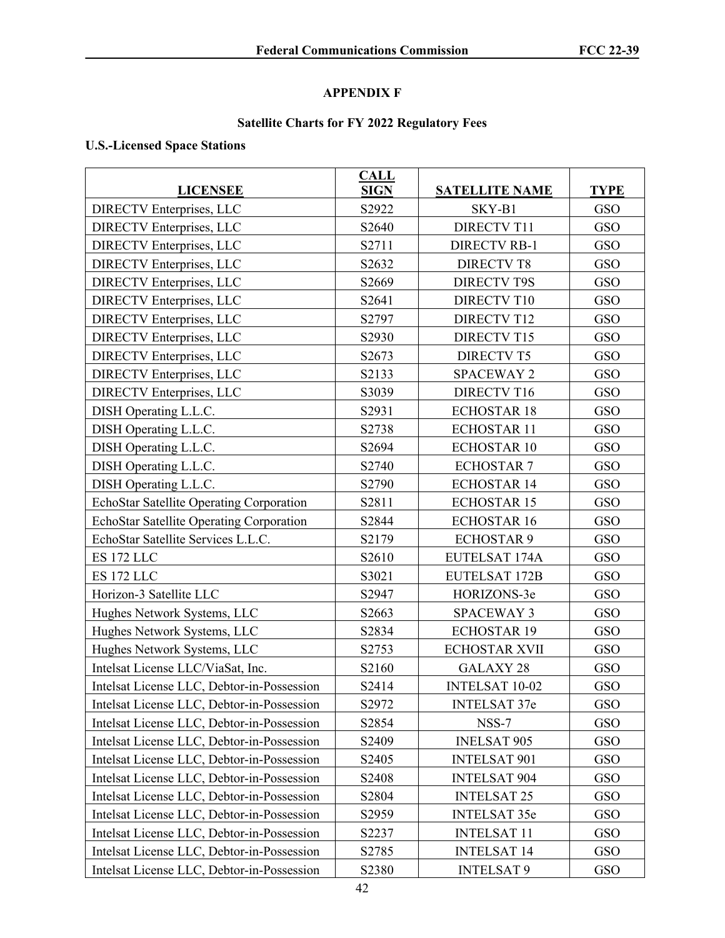## **APPENDIX F**

## **Satellite Charts for FY 2022 Regulatory Fees**

### **U.S.-Licensed Space Stations**

| <b>LICENSEE</b>                            | <b>CALL</b><br><b>SIGN</b> | <b>SATELLITE NAME</b> | <b>TYPE</b> |
|--------------------------------------------|----------------------------|-----------------------|-------------|
| <b>DIRECTV Enterprises, LLC</b>            | S2922                      | SKY-B1                | GSO         |
| <b>DIRECTV</b> Enterprises, LLC            | S2640                      | <b>DIRECTV T11</b>    | GSO         |
| <b>DIRECTV Enterprises, LLC</b>            | S2711                      | <b>DIRECTV RB-1</b>   | GSO         |
| <b>DIRECTV Enterprises, LLC</b>            | S2632                      | <b>DIRECTV T8</b>     | GSO         |
| <b>DIRECTV Enterprises, LLC</b>            | S2669                      | <b>DIRECTV T9S</b>    | GSO         |
| <b>DIRECTV Enterprises, LLC</b>            | S2641                      | <b>DIRECTV T10</b>    | GSO         |
| <b>DIRECTV</b> Enterprises, LLC            | S2797                      | <b>DIRECTV T12</b>    | GSO         |
| <b>DIRECTV Enterprises, LLC</b>            | S2930                      | <b>DIRECTV T15</b>    | GSO         |
| <b>DIRECTV Enterprises, LLC</b>            | S2673                      | <b>DIRECTV T5</b>     | GSO         |
| <b>DIRECTV Enterprises, LLC</b>            | S2133                      | <b>SPACEWAY 2</b>     | GSO         |
| <b>DIRECTV Enterprises, LLC</b>            | S3039                      | <b>DIRECTV T16</b>    | GSO         |
| DISH Operating L.L.C.                      | S2931                      | <b>ECHOSTAR 18</b>    | <b>GSO</b>  |
| DISH Operating L.L.C.                      | S2738                      | <b>ECHOSTAR 11</b>    | GSO         |
| DISH Operating L.L.C.                      | S2694                      | <b>ECHOSTAR 10</b>    | GSO         |
| DISH Operating L.L.C.                      | S2740                      | <b>ECHOSTAR 7</b>     | GSO         |
| DISH Operating L.L.C.                      | S2790                      | <b>ECHOSTAR 14</b>    | GSO         |
| EchoStar Satellite Operating Corporation   | S2811                      | <b>ECHOSTAR 15</b>    | GSO         |
| EchoStar Satellite Operating Corporation   | S2844                      | <b>ECHOSTAR 16</b>    | GSO         |
| EchoStar Satellite Services L.L.C.         | S2179                      | <b>ECHOSTAR 9</b>     | GSO         |
| <b>ES 172 LLC</b>                          | S2610                      | EUTELSAT 174A         | GSO         |
| ES 172 LLC                                 | S3021                      | EUTELSAT 172B         | GSO         |
| Horizon-3 Satellite LLC                    | S2947                      | HORIZONS-3e           | GSO         |
| Hughes Network Systems, LLC                | S2663                      | <b>SPACEWAY 3</b>     | GSO         |
| Hughes Network Systems, LLC                | S2834                      | <b>ECHOSTAR 19</b>    | GSO         |
| Hughes Network Systems, LLC                | S2753                      | <b>ECHOSTAR XVII</b>  | GSO         |
| Intelsat License LLC/ViaSat, Inc.          | S2160                      | <b>GALAXY 28</b>      | GSO         |
| Intelsat License LLC, Debtor-in-Possession | S2414                      | INTELSAT 10-02        | GSO         |
| Intelsat License LLC, Debtor-in-Possession | S2972                      | <b>INTELSAT 37e</b>   | <b>GSO</b>  |
| Intelsat License LLC, Debtor-in-Possession | S2854                      | NSS-7                 | GSO         |
| Intelsat License LLC, Debtor-in-Possession | S2409                      | <b>INELSAT 905</b>    | GSO         |
| Intelsat License LLC, Debtor-in-Possession | S2405                      | <b>INTELSAT 901</b>   | GSO         |
| Intelsat License LLC, Debtor-in-Possession | S2408                      | <b>INTELSAT 904</b>   | GSO         |
| Intelsat License LLC, Debtor-in-Possession | S2804                      | <b>INTELSAT 25</b>    | GSO         |
| Intelsat License LLC, Debtor-in-Possession | S2959                      | <b>INTELSAT 35e</b>   | GSO         |
| Intelsat License LLC, Debtor-in-Possession | S2237                      | <b>INTELSAT 11</b>    | GSO         |
| Intelsat License LLC, Debtor-in-Possession | S2785                      | <b>INTELSAT 14</b>    | GSO         |
| Intelsat License LLC, Debtor-in-Possession | S2380                      | <b>INTELSAT 9</b>     | GSO         |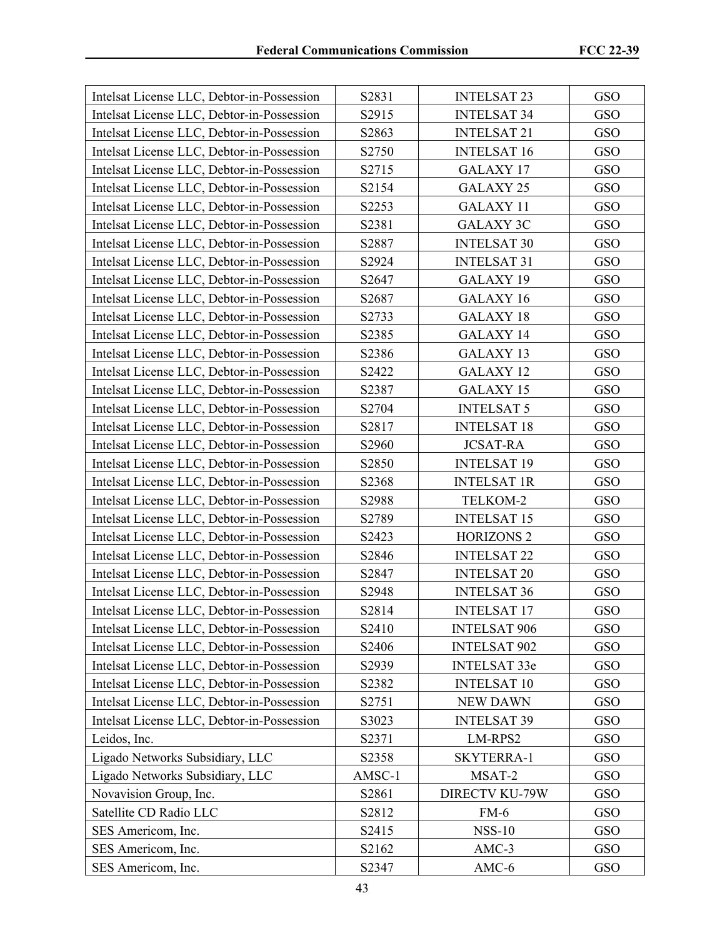| Intelsat License LLC, Debtor-in-Possession | S2831  | <b>INTELSAT 23</b>    | GSO        |
|--------------------------------------------|--------|-----------------------|------------|
| Intelsat License LLC, Debtor-in-Possession | S2915  | <b>INTELSAT 34</b>    | GSO        |
| Intelsat License LLC, Debtor-in-Possession | S2863  | <b>INTELSAT 21</b>    | GSO        |
| Intelsat License LLC, Debtor-in-Possession | S2750  | <b>INTELSAT 16</b>    | GSO        |
| Intelsat License LLC, Debtor-in-Possession | S2715  | <b>GALAXY 17</b>      | GSO        |
| Intelsat License LLC, Debtor-in-Possession | S2154  | GALAXY 25             | GSO        |
| Intelsat License LLC, Debtor-in-Possession | S2253  | <b>GALAXY 11</b>      | GSO        |
| Intelsat License LLC, Debtor-in-Possession | S2381  | <b>GALAXY 3C</b>      | GSO        |
| Intelsat License LLC, Debtor-in-Possession | S2887  | <b>INTELSAT 30</b>    | GSO        |
| Intelsat License LLC, Debtor-in-Possession | S2924  | <b>INTELSAT 31</b>    | GSO        |
| Intelsat License LLC, Debtor-in-Possession | S2647  | GALAXY 19             | GSO        |
| Intelsat License LLC, Debtor-in-Possession | S2687  | GALAXY 16             | GSO        |
| Intelsat License LLC, Debtor-in-Possession | S2733  | <b>GALAXY 18</b>      | GSO        |
| Intelsat License LLC, Debtor-in-Possession | S2385  | <b>GALAXY 14</b>      | GSO        |
| Intelsat License LLC, Debtor-in-Possession | S2386  | <b>GALAXY 13</b>      | GSO        |
| Intelsat License LLC, Debtor-in-Possession | S2422  | <b>GALAXY 12</b>      | GSO        |
| Intelsat License LLC, Debtor-in-Possession | S2387  | <b>GALAXY 15</b>      | GSO        |
| Intelsat License LLC, Debtor-in-Possession | S2704  | <b>INTELSAT 5</b>     | GSO        |
| Intelsat License LLC, Debtor-in-Possession | S2817  | <b>INTELSAT 18</b>    | GSO        |
| Intelsat License LLC, Debtor-in-Possession | S2960  | <b>JCSAT-RA</b>       | GSO        |
| Intelsat License LLC, Debtor-in-Possession | S2850  | <b>INTELSAT 19</b>    | GSO        |
| Intelsat License LLC, Debtor-in-Possession | S2368  | <b>INTELSAT 1R</b>    | GSO        |
| Intelsat License LLC, Debtor-in-Possession | S2988  | TELKOM-2              | GSO        |
| Intelsat License LLC, Debtor-in-Possession | S2789  | <b>INTELSAT 15</b>    | <b>GSO</b> |
| Intelsat License LLC, Debtor-in-Possession | S2423  | <b>HORIZONS 2</b>     | GSO        |
| Intelsat License LLC, Debtor-in-Possession | S2846  | <b>INTELSAT 22</b>    | GSO        |
| Intelsat License LLC, Debtor-in-Possession | S2847  | <b>INTELSAT 20</b>    | GSO        |
| Intelsat License LLC, Debtor-in-Possession | S2948  | <b>INTELSAT 36</b>    | GSO        |
| Intelsat License LLC, Debtor-in-Possession | S2814  | <b>INTELSAT 17</b>    | <b>GSO</b> |
| Intelsat License LLC, Debtor-in-Possession | S2410  | <b>INTELSAT 906</b>   | GSO        |
| Intelsat License LLC, Debtor-in-Possession | S2406  | <b>INTELSAT 902</b>   | GSO        |
| Intelsat License LLC, Debtor-in-Possession | S2939  | <b>INTELSAT 33e</b>   | GSO        |
| Intelsat License LLC, Debtor-in-Possession | S2382  | <b>INTELSAT 10</b>    | GSO        |
| Intelsat License LLC, Debtor-in-Possession | S2751  | <b>NEW DAWN</b>       | GSO        |
| Intelsat License LLC, Debtor-in-Possession | S3023  | <b>INTELSAT 39</b>    | GSO        |
| Leidos, Inc.                               | S2371  | LM-RPS2               | GSO        |
| Ligado Networks Subsidiary, LLC            | S2358  | SKYTERRA-1            | GSO        |
| Ligado Networks Subsidiary, LLC            | AMSC-1 | MSAT-2                | GSO        |
| Novavision Group, Inc.                     | S2861  | <b>DIRECTV KU-79W</b> | GSO        |
| Satellite CD Radio LLC                     | S2812  | $FM-6$                | GSO        |
| SES Americom, Inc.                         | S2415  | <b>NSS-10</b>         | <b>GSO</b> |
| SES Americom, Inc.                         | S2162  | AMC-3                 | GSO        |
| SES Americom, Inc.                         | S2347  | $AMC-6$               | GSO        |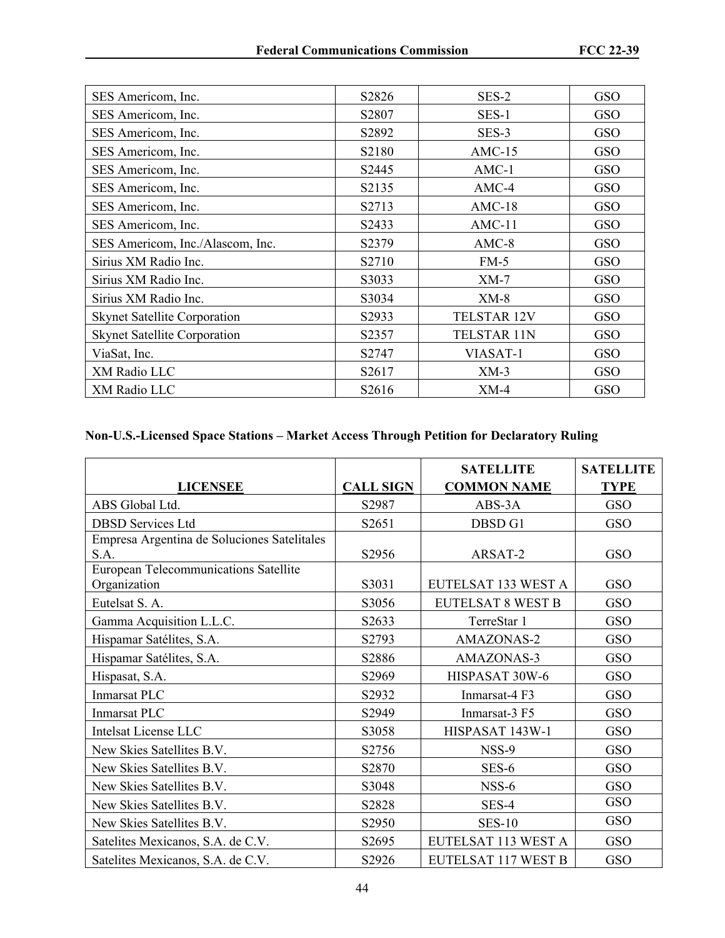| SES Americom, Inc.                  | S2826 | SES-2              | GSO        |
|-------------------------------------|-------|--------------------|------------|
| SES Americom, Inc.                  | S2807 | SES-1              | GSO        |
| SES Americom, Inc.                  | S2892 | SES-3              | <b>GSO</b> |
| SES Americom, Inc.                  | S2180 | $AMC-15$           | GSO        |
| SES Americom, Inc.                  | S2445 | $AMC-1$            | <b>GSO</b> |
| SES Americom, Inc.                  | S2135 | $AMC-4$            | <b>GSO</b> |
| SES Americom, Inc.                  | S2713 | $AMC-18$           | <b>GSO</b> |
| SES Americom, Inc.                  | S2433 | $AMC-11$           | <b>GSO</b> |
| SES Americom, Inc./Alascom, Inc.    | S2379 | $AMC-8$            | GSO        |
| Sirius XM Radio Inc.                | S2710 | $FM-5$             | <b>GSO</b> |
| Sirius XM Radio Inc.                | S3033 | $XM-7$             | <b>GSO</b> |
| Sirius XM Radio Inc.                | S3034 | $XM-8$             | <b>GSO</b> |
| <b>Skynet Satellite Corporation</b> | S2933 | <b>TELSTAR 12V</b> | <b>GSO</b> |
| <b>Skynet Satellite Corporation</b> | S2357 | <b>TELSTAR 11N</b> | GSO        |
| ViaSat, Inc.                        | S2747 | VIASAT-1           | GSO        |
| XM Radio LLC                        | S2617 | $XM-3$             | GSO        |
| XM Radio LLC                        | S2616 | $XM-4$             | <b>GSO</b> |

## **Non-U.S.-Licensed Space Stations – Market Access Through Petition for Declaratory Ruling**

|                                                     |                  | <b>SATELLITE</b>         | <b>SATELLITE</b> |
|-----------------------------------------------------|------------------|--------------------------|------------------|
| <b>LICENSEE</b>                                     | <b>CALL SIGN</b> | <b>COMMON NAME</b>       | <b>TYPE</b>      |
| ABS Global Ltd.                                     | S2987            | ABS-3A                   | GSO              |
| <b>DBSD Services Ltd</b>                            | S2651            | DBSD G1                  | GSO              |
| Empresa Argentina de Soluciones Satelitales<br>S.A. | S2956            | ARSAT-2                  | GSO              |
| European Telecommunications Satellite               |                  |                          |                  |
| Organization                                        | S3031            | EUTELSAT 133 WEST A      | GSO              |
| Eutelsat S. A.                                      | S3056            | <b>EUTELSAT 8 WEST B</b> | GSO              |
| Gamma Acquisition L.L.C.                            | S2633            | TerreStar 1              | GSO              |
| Hispamar Satélites, S.A.                            | S2793            | <b>AMAZONAS-2</b>        | GSO              |
| Hispamar Satélites, S.A.                            | S2886            | AMAZONAS-3               | GSO              |
| Hispasat, S.A.                                      | S2969            | HISPASAT 30W-6           | GSO              |
| Inmarsat PLC                                        | S2932            | Inmarsat-4 F3            | GSO              |
| Inmarsat PLC                                        | S2949            | Inmarsat-3 F5            | GSO              |
| <b>Intelsat License LLC</b>                         | S3058            | HISPASAT 143W-1          | GSO              |
| New Skies Satellites B.V.                           | S2756            | NSS-9                    | GSO              |
| New Skies Satellites B.V.                           | S2870            | SES-6                    | GSO              |
| New Skies Satellites B.V.                           | S3048            | NSS-6                    | GSO              |
| New Skies Satellites B.V.                           | S2828            | SES-4                    | GSO              |
| New Skies Satellites B.V.                           | S2950            | <b>SES-10</b>            | GSO              |
| Satelites Mexicanos, S.A. de C.V.                   | S2695            | EUTELSAT 113 WEST A      | GSO              |
| Satelites Mexicanos, S.A. de C.V.                   | S2926            | EUTELSAT 117 WEST B      | GSO              |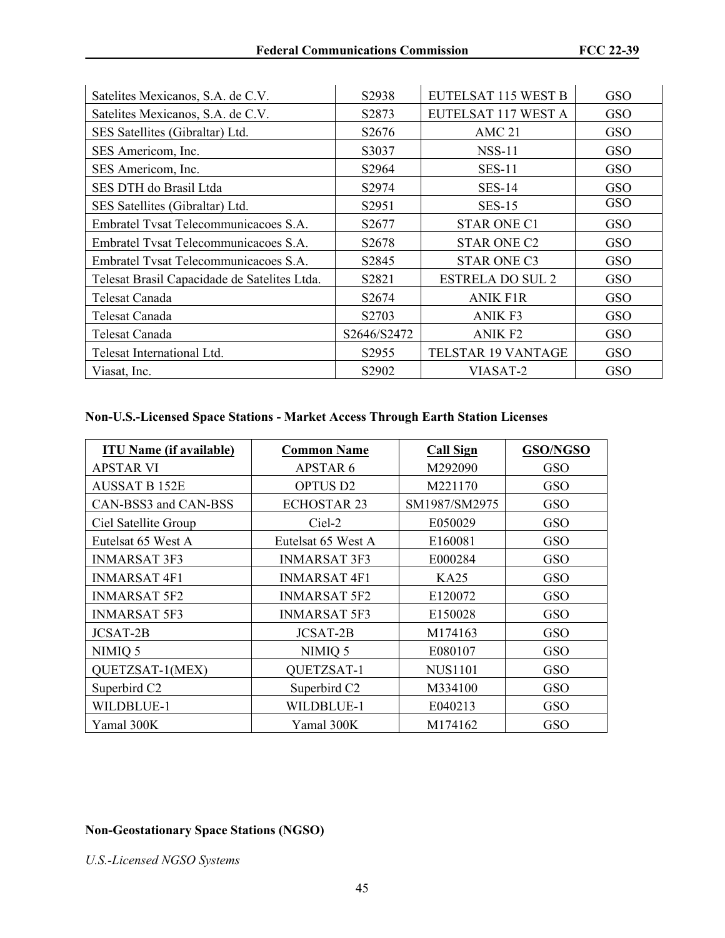| Satelites Mexicanos, S.A. de C.V.            | S2938              | EUTELSAT 115 WEST B     | GSO |
|----------------------------------------------|--------------------|-------------------------|-----|
| Satelites Mexicanos, S.A. de C.V.            | S <sub>2</sub> 873 | EUTELSAT 117 WEST A     | GSO |
| SES Satellites (Gibraltar) Ltd.              | S <sub>2676</sub>  | AMC <sub>21</sub>       | GSO |
| SES Americom, Inc.                           | S3037              | $NSS-11$                | GSO |
| SES Americom, Inc.                           | S2964              | <b>SES-11</b>           | GSO |
| SES DTH do Brasil Ltda                       | S2974              | <b>SES-14</b>           | GSO |
| SES Satellites (Gibraltar) Ltd.              | S2951              | <b>SES-15</b>           | GSO |
| Embratel Tysat Telecommunicacoes S.A.        | S2677              | <b>STAR ONE C1</b>      | GSO |
| Embratel Tysat Telecommunicacoes S.A.        | S <sub>2678</sub>  | <b>STAR ONE C2</b>      | GSO |
| Embratel Tysat Telecommunicacoes S.A.        | S2845              | <b>STAR ONE C3</b>      | GSO |
| Telesat Brasil Capacidade de Satelites Ltda. | S2821              | <b>ESTRELA DO SUL 2</b> | GSO |
| Telesat Canada                               | S <sub>2674</sub>  | <b>ANIK F1R</b>         | GSO |
| Telesat Canada                               | S2703              | <b>ANIK F3</b>          | GSO |
| Telesat Canada                               | S2646/S2472        | <b>ANIK F2</b>          | GSO |
| Telesat International Ltd.                   | S2955              | TELSTAR 19 VANTAGE      | GSO |
| Viasat, Inc.                                 | S2902              | VIASAT-2                | GSO |

### **Non-U.S.-Licensed Space Stations - Market Access Through Earth Station Licenses**

| <b>ITU Name (if available)</b> | <b>Common Name</b>       | <b>Call Sign</b> | GSO/NGSO |
|--------------------------------|--------------------------|------------------|----------|
| <b>APSTAR VI</b>               | <b>APSTAR6</b>           | M292090          | GSO      |
| <b>AUSSAT B 152E</b>           | <b>OPTUS D2</b>          | M221170          | GSO      |
| CAN-BSS3 and CAN-BSS           | <b>ECHOSTAR 23</b>       | SM1987/SM2975    | GSO      |
| Ciel Satellite Group           | Ciel-2                   | E050029          | GSO      |
| Eutelsat 65 West A             | Eutelsat 65 West A       | E160081          | GSO      |
| <b>INMARSAT 3F3</b>            | <b>INMARSAT 3F3</b>      | E000284          | GSO      |
| <b>INMARSAT 4F1</b>            | <b>INMARSAT 4F1</b>      | KA25             | GSO      |
| <b>INMARSAT 5F2</b>            | <b>INMARSAT 5F2</b>      | E120072          | GSO      |
| <b>INMARSAT 5F3</b>            | <b>INMARSAT 5F3</b>      | E150028          | GSO      |
| JCSAT-2B                       | JCSAT-2B                 | M174163          | GSO      |
| NIMIQ 5                        | NIMIQ 5                  | E080107          | GSO      |
| QUETZSAT-1(MEX)                | QUETZSAT-1               | NUS1101          | GSO      |
| Superbird C <sub>2</sub>       | Superbird C <sub>2</sub> | M334100          | GSO      |
| WILDBLUE-1                     | WILDBLUE-1               | E040213          | GSO      |
| Yamal 300K                     | Yamal 300K               | M174162          | GSO      |

### **Non-Geostationary Space Stations (NGSO)**

*U.S.-Licensed NGSO Systems*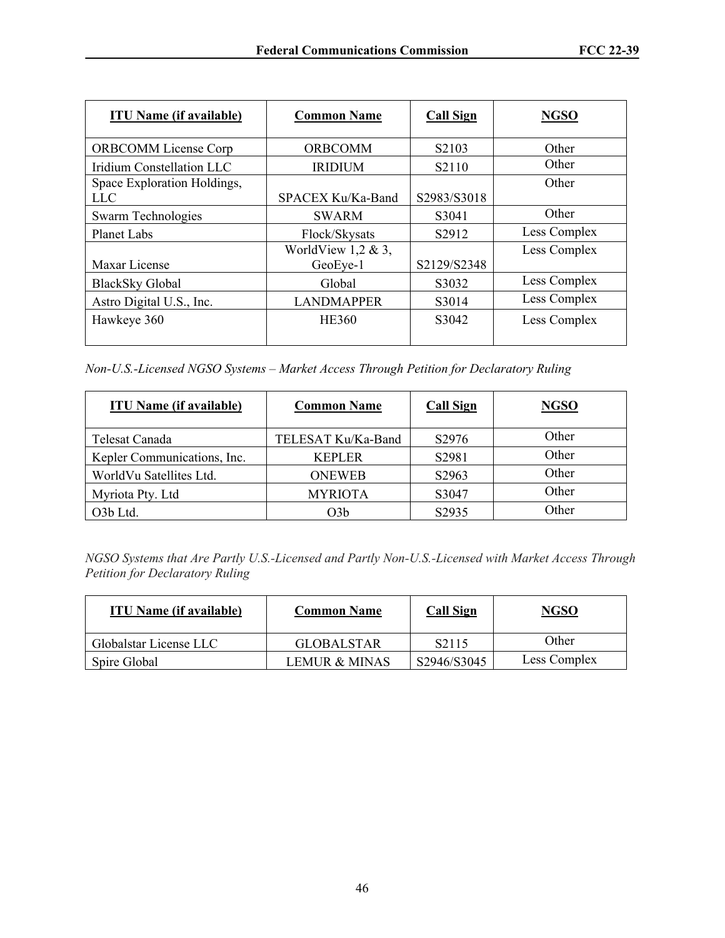| <b>ITU Name (if available)</b> | <b>Common Name</b> | <b>Call Sign</b>               | <b>NGSO</b>  |
|--------------------------------|--------------------|--------------------------------|--------------|
| <b>ORBCOMM License Corp</b>    | <b>ORBCOMM</b>     | S <sub>2</sub> 10 <sub>3</sub> | Other        |
| Iridium Constellation LLC      | <b>IRIDIUM</b>     | S2110                          | Other        |
| Space Exploration Holdings,    |                    |                                | Other        |
| <b>LLC</b>                     | SPACEX Ku/Ka-Band  | S2983/S3018                    |              |
| Swarm Technologies             | <b>SWARM</b>       | S3041                          | Other        |
| <b>Planet Labs</b>             | Flock/Skysats      | S2912                          | Less Complex |
|                                | WorldView 1,2 & 3, |                                | Less Complex |
| Maxar License                  | GeoEye-1           | S2129/S2348                    |              |
| <b>BlackSky Global</b>         | Global             | S3032                          | Less Complex |
| Astro Digital U.S., Inc.       | <b>LANDMAPPER</b>  | S3014                          | Less Complex |
| Hawkeye 360                    | <b>HE360</b>       | S3042                          | Less Complex |
|                                |                    |                                |              |

*Non-U.S.-Licensed NGSO Systems – Market Access Through Petition for Declaratory Ruling*

| <b>ITU Name (if available)</b> | <b>Common Name</b> | <b>Call Sign</b>  | <b>NGSO</b> |
|--------------------------------|--------------------|-------------------|-------------|
| Telesat Canada                 | TELESAT Ku/Ka-Band | S <sub>2976</sub> | Other       |
| Kepler Communications, Inc.    | <b>KEPLER</b>      | S2981             | Other       |
| WorldVu Satellites Ltd.        | <b>ONEWEB</b>      | S <sub>2963</sub> | Other       |
| Myriota Pty. Ltd               | <b>MYRIOTA</b>     | S3047             | Other       |
| O3b Ltd.                       | O3b                | S2935             | Other       |

*NGSO Systems that Are Partly U.S.-Licensed and Partly Non-U.S.-Licensed with Market Access Through Petition for Declaratory Ruling*

| <b>ITU Name (if available)</b> | <b>Common Name</b>       | <b>Call Sign</b>   | <b>NGSO</b>  |
|--------------------------------|--------------------------|--------------------|--------------|
| Globalstar License LLC         | <b>GLOBALSTAR</b>        | S <sub>2</sub> 115 | Other        |
| Spire Global                   | <b>LEMUR &amp; MINAS</b> | S2946/S3045        | Less Complex |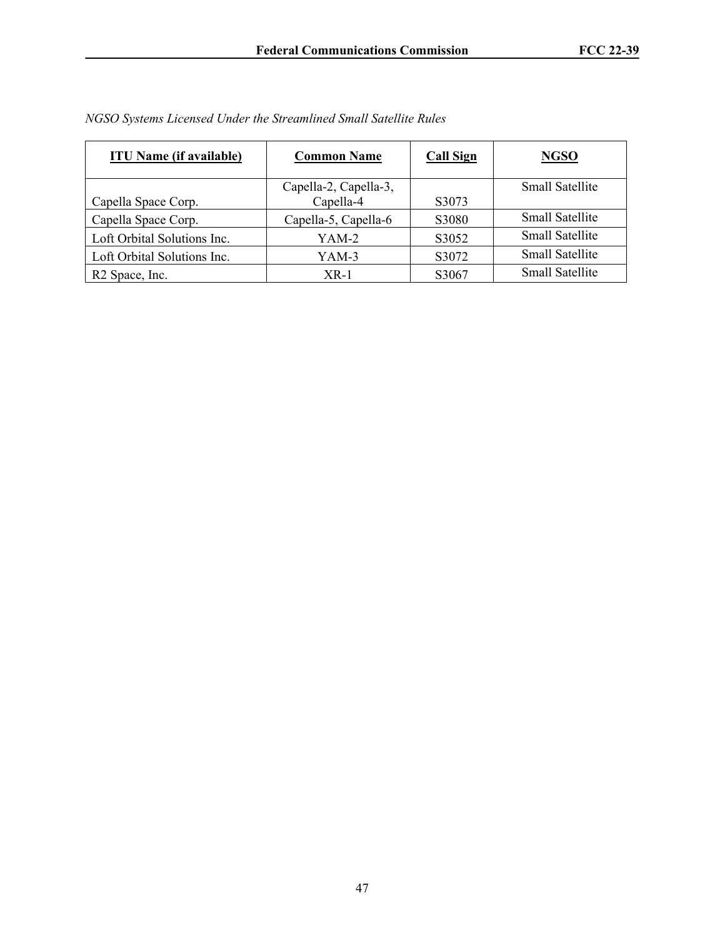| <b>ITU Name (if available)</b> | <b>Common Name</b>    | <b>Call Sign</b> | <b>NGSO</b>            |
|--------------------------------|-----------------------|------------------|------------------------|
|                                | Capella-2, Capella-3, |                  | <b>Small Satellite</b> |
| Capella Space Corp.            | Capella-4             | S3073            |                        |
| Capella Space Corp.            | Capella-5, Capella-6  | S3080            | <b>Small Satellite</b> |
| Loft Orbital Solutions Inc.    | YAM-2                 | S3052            | <b>Small Satellite</b> |
| Loft Orbital Solutions Inc.    | YAM-3                 | S3072            | <b>Small Satellite</b> |
| R <sub>2</sub> Space, Inc.     | $XR-1$                | S3067            | <b>Small Satellite</b> |

*NGSO Systems Licensed Under the Streamlined Small Satellite Rules*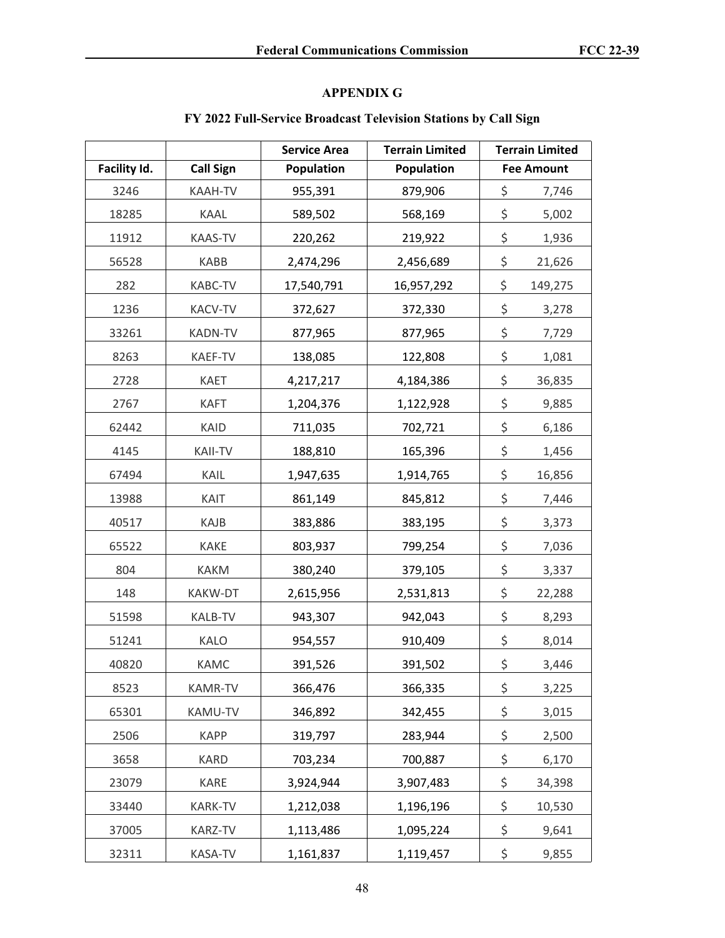# **APPENDIX G**

# **FY 2022 Full-Service Broadcast Television Stations by Call Sign**

|              |                  | <b>Service Area</b> | <b>Terrain Limited</b> | <b>Terrain Limited</b> |                   |
|--------------|------------------|---------------------|------------------------|------------------------|-------------------|
| Facility Id. | <b>Call Sign</b> | <b>Population</b>   | Population             |                        | <b>Fee Amount</b> |
| 3246         | KAAH-TV          | 955,391             | 879,906                | \$                     | 7,746             |
| 18285        | KAAL             | 589,502             | 568,169                | \$                     | 5,002             |
| 11912        | <b>KAAS-TV</b>   | 220,262             | 219,922                | \$                     | 1,936             |
| 56528        | <b>KABB</b>      | 2,474,296           | 2,456,689              | \$                     | 21,626            |
| 282          | KABC-TV          | 17,540,791          | 16,957,292             | \$                     | 149,275           |
| 1236         | <b>KACV-TV</b>   | 372,627             | 372,330                | \$                     | 3,278             |
| 33261        | <b>KADN-TV</b>   | 877,965             | 877,965                | \$                     | 7,729             |
| 8263         | KAEF-TV          | 138,085             | 122,808                | \$                     | 1,081             |
| 2728         | <b>KAET</b>      | 4,217,217           | 4,184,386              | \$                     | 36,835            |
| 2767         | <b>KAFT</b>      | 1,204,376           | 1,122,928              | \$                     | 9,885             |
| 62442        | KAID             | 711,035             | 702,721                | \$                     | 6,186             |
| 4145         | <b>KAII-TV</b>   | 188,810             | 165,396                | \$                     | 1,456             |
| 67494        | KAIL             | 1,947,635           | 1,914,765              | \$                     | 16,856            |
| 13988        | KAIT             | 861,149             | 845,812                | \$                     | 7,446             |
| 40517        | KAJB             | 383,886             | 383,195                | \$                     | 3,373             |
| 65522        | <b>KAKE</b>      | 803,937             | 799,254                | \$                     | 7,036             |
| 804          | <b>KAKM</b>      | 380,240             | 379,105                | \$                     | 3,337             |
| 148          | KAKW-DT          | 2,615,956           | 2,531,813              | \$                     | 22,288            |
| 51598        | <b>KALB-TV</b>   | 943,307             | 942,043                | \$                     | 8,293             |
| 51241        | KALO             | 954,557             | 910,409                | \$                     | 8,014             |
| 40820        | <b>KAMC</b>      | 391,526             | 391,502                | \$                     | 3,446             |
| 8523         | <b>KAMR-TV</b>   | 366,476             | 366,335                | \$                     | 3,225             |
| 65301        | KAMU-TV          | 346,892             | 342,455                | \$                     | 3,015             |
| 2506         | <b>KAPP</b>      | 319,797             | 283,944                | \$                     | 2,500             |
| 3658         | <b>KARD</b>      | 703,234             | 700,887                | \$                     | 6,170             |
| 23079        | KARE             | 3,924,944           | 3,907,483              | \$                     | 34,398            |
| 33440        | <b>KARK-TV</b>   | 1,212,038           | 1,196,196              | \$                     | 10,530            |
| 37005        | KARZ-TV          | 1,113,486           | 1,095,224              | \$                     | 9,641             |
| 32311        | KASA-TV          | 1,161,837           | 1,119,457              | \$                     | 9,855             |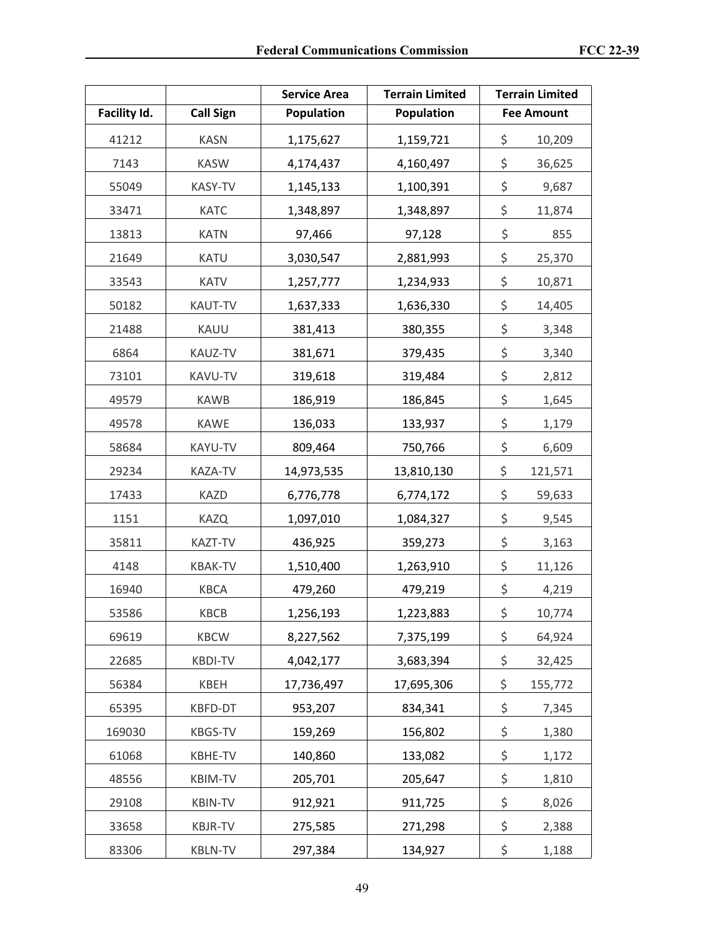|              |                  | <b>Service Area</b> | <b>Terrain Limited</b> | <b>Terrain Limited</b> |
|--------------|------------------|---------------------|------------------------|------------------------|
| Facility Id. | <b>Call Sign</b> | <b>Population</b>   | <b>Population</b>      | <b>Fee Amount</b>      |
| 41212        | <b>KASN</b>      | 1,175,627           | 1,159,721              | \$<br>10,209           |
| 7143         | <b>KASW</b>      | 4,174,437           | 4,160,497              | \$<br>36,625           |
| 55049        | KASY-TV          | 1,145,133           | 1,100,391              | \$<br>9,687            |
| 33471        | <b>KATC</b>      | 1,348,897           | 1,348,897              | \$<br>11,874           |
| 13813        | <b>KATN</b>      | 97,466              | 97,128                 | \$<br>855              |
| 21649        | <b>KATU</b>      | 3,030,547           | 2,881,993              | \$<br>25,370           |
| 33543        | <b>KATV</b>      | 1,257,777           | 1,234,933              | \$<br>10,871           |
| 50182        | KAUT-TV          | 1,637,333           | 1,636,330              | \$<br>14,405           |
| 21488        | KAUU             | 381,413             | 380,355                | \$<br>3,348            |
| 6864         | KAUZ-TV          | 381,671             | 379,435                | \$<br>3,340            |
| 73101        | KAVU-TV          | 319,618             | 319,484                | \$<br>2,812            |
| 49579        | <b>KAWB</b>      | 186,919             | 186,845                | \$<br>1,645            |
| 49578        | <b>KAWE</b>      | 136,033             | 133,937                | \$<br>1,179            |
| 58684        | KAYU-TV          | 809,464             | 750,766                | \$<br>6,609            |
| 29234        | KAZA-TV          | 14,973,535          | 13,810,130             | \$<br>121,571          |
| 17433        | <b>KAZD</b>      | 6,776,778           | 6,774,172              | \$<br>59,633           |
| 1151         | <b>KAZQ</b>      | 1,097,010           | 1,084,327              | \$<br>9,545            |
| 35811        | KAZT-TV          | 436,925             | 359,273                | \$<br>3,163            |
| 4148         | <b>KBAK-TV</b>   | 1,510,400           | 1,263,910              | \$<br>11,126           |
| 16940        | <b>KBCA</b>      | 479,260             | 479,219                | \$<br>4,219            |
| 53586        | KBCB             | 1,256,193           | 1,223,883              | \$<br>10,774           |
| 69619        | <b>KBCW</b>      | 8,227,562           | 7,375,199              | \$<br>64,924           |
| 22685        | <b>KBDI-TV</b>   | 4,042,177           | 3,683,394              | \$<br>32,425           |
| 56384        | KBEH             | 17,736,497          | 17,695,306             | \$<br>155,772          |
| 65395        | KBFD-DT          | 953,207             | 834,341                | \$<br>7,345            |
| 169030       | KBGS-TV          | 159,269             | 156,802                | \$<br>1,380            |
| 61068        | KBHE-TV          | 140,860             | 133,082                | \$<br>1,172            |
| 48556        | KBIM-TV          | 205,701             | 205,647                | \$<br>1,810            |
| 29108        | KBIN-TV          | 912,921             | 911,725                | \$<br>8,026            |
| 33658        | KBJR-TV          | 275,585             | 271,298                | \$<br>2,388            |
| 83306        | <b>KBLN-TV</b>   | 297,384             | 134,927                | \$<br>1,188            |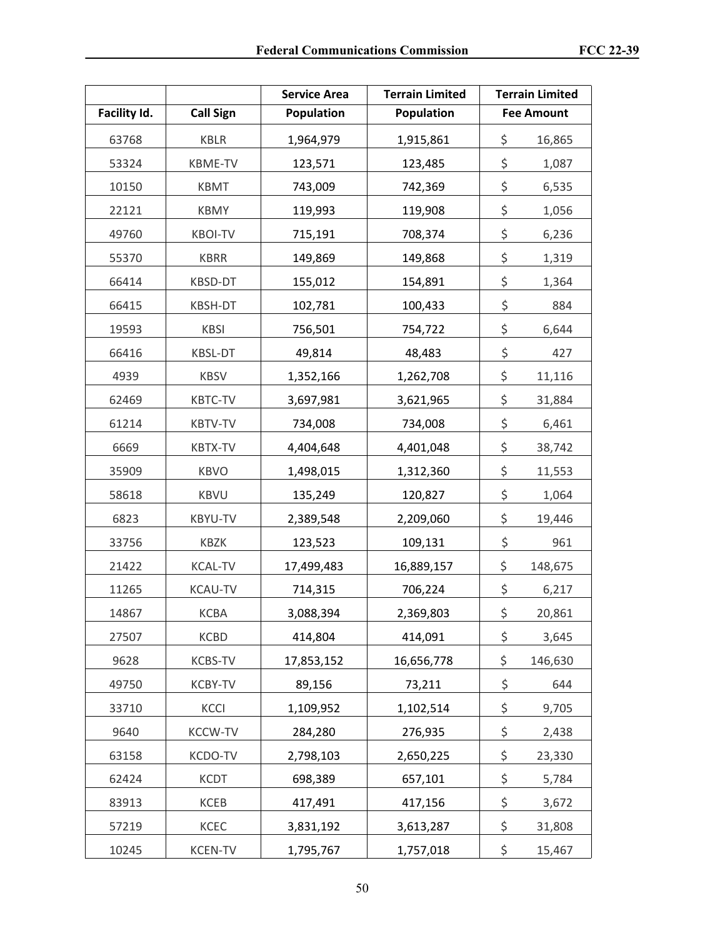|              |                  | <b>Service Area</b> | <b>Terrain Limited</b> | <b>Terrain Limited</b> |
|--------------|------------------|---------------------|------------------------|------------------------|
| Facility Id. | <b>Call Sign</b> | <b>Population</b>   | <b>Population</b>      | <b>Fee Amount</b>      |
| 63768        | <b>KBLR</b>      | 1,964,979           | 1,915,861              | \$<br>16,865           |
| 53324        | <b>KBME-TV</b>   | 123,571             | 123,485                | \$<br>1,087            |
| 10150        | <b>KBMT</b>      | 743,009             | 742,369                | \$<br>6,535            |
| 22121        | <b>KBMY</b>      | 119,993             | 119,908                | \$<br>1,056            |
| 49760        | <b>KBOI-TV</b>   | 715,191             | 708,374                | \$<br>6,236            |
| 55370        | <b>KBRR</b>      | 149,869             | 149,868                | \$<br>1,319            |
| 66414        | KBSD-DT          | 155,012             | 154,891                | \$<br>1,364            |
| 66415        | KBSH-DT          | 102,781             | 100,433                | \$<br>884              |
| 19593        | <b>KBSI</b>      | 756,501             | 754,722                | \$<br>6,644            |
| 66416        | <b>KBSL-DT</b>   | 49,814              | 48,483                 | \$<br>427              |
| 4939         | <b>KBSV</b>      | 1,352,166           | 1,262,708              | \$<br>11,116           |
| 62469        | <b>KBTC-TV</b>   | 3,697,981           | 3,621,965              | \$<br>31,884           |
| 61214        | <b>KBTV-TV</b>   | 734,008             | 734,008                | \$<br>6,461            |
| 6669         | <b>KBTX-TV</b>   | 4,404,648           | 4,401,048              | \$<br>38,742           |
| 35909        | <b>KBVO</b>      | 1,498,015           | 1,312,360              | \$<br>11,553           |
| 58618        | <b>KBVU</b>      | 135,249             | 120,827                | \$<br>1,064            |
| 6823         | KBYU-TV          | 2,389,548           | 2,209,060              | \$<br>19,446           |
| 33756        | <b>KBZK</b>      | 123,523             | 109,131                | \$<br>961              |
| 21422        | <b>KCAL-TV</b>   | 17,499,483          | 16,889,157             | \$<br>148,675          |
| 11265        | <b>KCAU-TV</b>   | 714,315             | 706,224                | \$<br>6,217            |
| 14867        | KCBA             | 3,088,394           | 2,369,803              | \$<br>20,861           |
| 27507        | <b>KCBD</b>      | 414,804             | 414,091                | \$<br>3,645            |
| 9628         | KCBS-TV          | 17,853,152          | 16,656,778             | \$<br>146,630          |
| 49750        | <b>KCBY-TV</b>   | 89,156              | 73,211                 | \$<br>644              |
| 33710        | <b>KCCI</b>      | 1,109,952           | 1,102,514              | \$<br>9,705            |
| 9640         | <b>KCCW-TV</b>   | 284,280             | 276,935                | \$<br>2,438            |
| 63158        | KCDO-TV          | 2,798,103           | 2,650,225              | \$<br>23,330           |
| 62424        | <b>KCDT</b>      | 698,389             | 657,101                | \$<br>5,784            |
| 83913        | KCEB             | 417,491             | 417,156                | \$<br>3,672            |
| 57219        | KCEC             | 3,831,192           | 3,613,287              | \$<br>31,808           |
| 10245        | <b>KCEN-TV</b>   | 1,795,767           | 1,757,018              | \$<br>15,467           |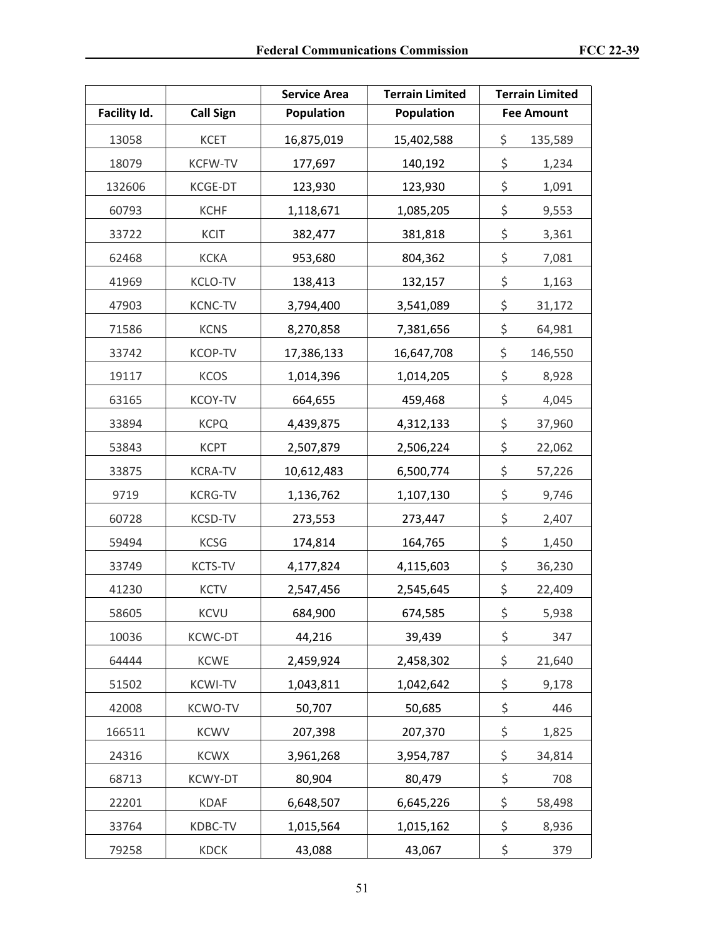|              |                  | <b>Service Area</b> | <b>Terrain Limited</b> | <b>Terrain Limited</b> |
|--------------|------------------|---------------------|------------------------|------------------------|
| Facility Id. | <b>Call Sign</b> | Population          | Population             | <b>Fee Amount</b>      |
| 13058        | <b>KCET</b>      | 16,875,019          | 15,402,588             | \$<br>135,589          |
| 18079        | <b>KCFW-TV</b>   | 177,697             | 140,192                | \$<br>1,234            |
| 132606       | KCGE-DT          | 123,930             | 123,930                | \$<br>1,091            |
| 60793        | <b>KCHF</b>      | 1,118,671           | 1,085,205              | \$<br>9,553            |
| 33722        | <b>KCIT</b>      | 382,477             | 381,818                | \$<br>3,361            |
| 62468        | <b>KCKA</b>      | 953,680             | 804,362                | \$<br>7,081            |
| 41969        | <b>KCLO-TV</b>   | 138,413             | 132,157                | \$<br>1,163            |
| 47903        | <b>KCNC-TV</b>   | 3,794,400           | 3,541,089              | \$<br>31,172           |
| 71586        | <b>KCNS</b>      | 8,270,858           | 7,381,656              | \$<br>64,981           |
| 33742        | <b>KCOP-TV</b>   | 17,386,133          | 16,647,708             | \$<br>146,550          |
| 19117        | <b>KCOS</b>      | 1,014,396           | 1,014,205              | \$<br>8,928            |
| 63165        | <b>KCOY-TV</b>   | 664,655             | 459,468                | \$<br>4,045            |
| 33894        | <b>KCPQ</b>      | 4,439,875           | 4,312,133              | \$<br>37,960           |
| 53843        | <b>KCPT</b>      | 2,507,879           | 2,506,224              | \$<br>22,062           |
| 33875        | <b>KCRA-TV</b>   | 10,612,483          | 6,500,774              | \$<br>57,226           |
| 9719         | <b>KCRG-TV</b>   | 1,136,762           | 1,107,130              | \$<br>9,746            |
| 60728        | KCSD-TV          | 273,553             | 273,447                | \$<br>2,407            |
| 59494        | <b>KCSG</b>      | 174,814             | 164,765                | \$<br>1,450            |
| 33749        | <b>KCTS-TV</b>   | 4,177,824           | 4,115,603              | \$<br>36,230           |
| 41230        | <b>KCTV</b>      | 2,547,456           | 2,545,645              | \$<br>22,409           |
| 58605        | <b>KCVU</b>      | 684,900             | 674,585                | \$<br>5,938            |
| 10036        | <b>KCWC-DT</b>   | 44,216              | 39,439                 | \$<br>347              |
| 64444        | <b>KCWE</b>      | 2,459,924           | 2,458,302              | \$<br>21,640           |
| 51502        | <b>KCWI-TV</b>   | 1,043,811           | 1,042,642              | \$<br>9,178            |
| 42008        | <b>KCWO-TV</b>   | 50,707              | 50,685                 | \$<br>446              |
| 166511       | <b>KCWV</b>      | 207,398             | 207,370                | \$<br>1,825            |
| 24316        | <b>KCWX</b>      | 3,961,268           | 3,954,787              | \$<br>34,814           |
| 68713        | <b>KCWY-DT</b>   | 80,904              | 80,479                 | \$<br>708              |
| 22201        | <b>KDAF</b>      | 6,648,507           | 6,645,226              | \$<br>58,498           |
| 33764        | KDBC-TV          | 1,015,564           | 1,015,162              | \$<br>8,936            |
| 79258        | KDCK             | 43,088              | 43,067                 | \$<br>379              |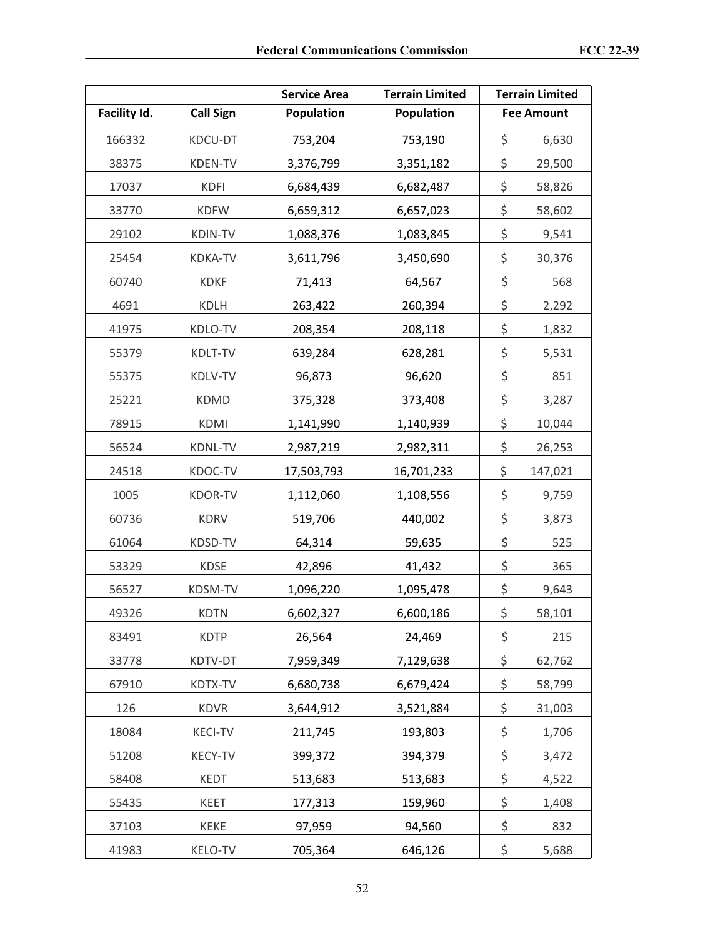|              |                  | <b>Service Area</b> | <b>Terrain Limited</b> | <b>Terrain Limited</b> |
|--------------|------------------|---------------------|------------------------|------------------------|
| Facility Id. | <b>Call Sign</b> | Population          | <b>Population</b>      | <b>Fee Amount</b>      |
| 166332       | KDCU-DT          | 753,204             | 753,190                | \$<br>6,630            |
| 38375        | <b>KDEN-TV</b>   | 3,376,799           | 3,351,182              | \$<br>29,500           |
| 17037        | <b>KDFI</b>      | 6,684,439           | 6,682,487              | \$<br>58,826           |
| 33770        | <b>KDFW</b>      | 6,659,312           | 6,657,023              | \$<br>58,602           |
| 29102        | <b>KDIN-TV</b>   | 1,088,376           | 1,083,845              | \$<br>9,541            |
| 25454        | <b>KDKA-TV</b>   | 3,611,796           | 3,450,690              | \$<br>30,376           |
| 60740        | <b>KDKF</b>      | 71,413              | 64,567                 | \$<br>568              |
| 4691         | KDLH             | 263,422             | 260,394                | \$<br>2,292            |
| 41975        | KDLO-TV          | 208,354             | 208,118                | \$<br>1,832            |
| 55379        | KDLT-TV          | 639,284             | 628,281                | \$<br>5,531            |
| 55375        | KDLV-TV          | 96,873              | 96,620                 | \$<br>851              |
| 25221        | <b>KDMD</b>      | 375,328             | 373,408                | \$<br>3,287            |
| 78915        | <b>KDMI</b>      | 1,141,990           | 1,140,939              | \$<br>10,044           |
| 56524        | KDNL-TV          | 2,987,219           | 2,982,311              | \$<br>26,253           |
| 24518        | KDOC-TV          | 17,503,793          | 16,701,233             | \$<br>147,021          |
| 1005         | <b>KDOR-TV</b>   | 1,112,060           | 1,108,556              | \$<br>9,759            |
| 60736        | <b>KDRV</b>      | 519,706             | 440,002                | \$<br>3,873            |
| 61064        | KDSD-TV          | 64,314              | 59,635                 | \$<br>525              |
| 53329        | <b>KDSE</b>      | 42,896              | 41,432                 | \$<br>365              |
| 56527        | KDSM-TV          | 1,096,220           | 1,095,478              | \$<br>9,643            |
| 49326        | <b>KDTN</b>      | 6,602,327           | 6,600,186              | \$<br>58,101           |
| 83491        | <b>KDTP</b>      | 26,564              | 24,469                 | \$<br>215              |
| 33778        | KDTV-DT          | 7,959,349           | 7,129,638              | \$<br>62,762           |
| 67910        | KDTX-TV          | 6,680,738           | 6,679,424              | \$<br>58,799           |
| 126          | <b>KDVR</b>      | 3,644,912           | 3,521,884              | \$<br>31,003           |
| 18084        | <b>KECI-TV</b>   | 211,745             | 193,803                | \$<br>1,706            |
| 51208        | <b>KECY-TV</b>   | 399,372             | 394,379                | \$<br>3,472            |
| 58408        | <b>KEDT</b>      | 513,683             | 513,683                | \$<br>4,522            |
| 55435        | KEET             | 177,313             | 159,960                | \$<br>1,408            |
| 37103        | KEKE             | 97,959              | 94,560                 | \$<br>832              |
| 41983        | KELO-TV          | 705,364             | 646,126                | \$<br>5,688            |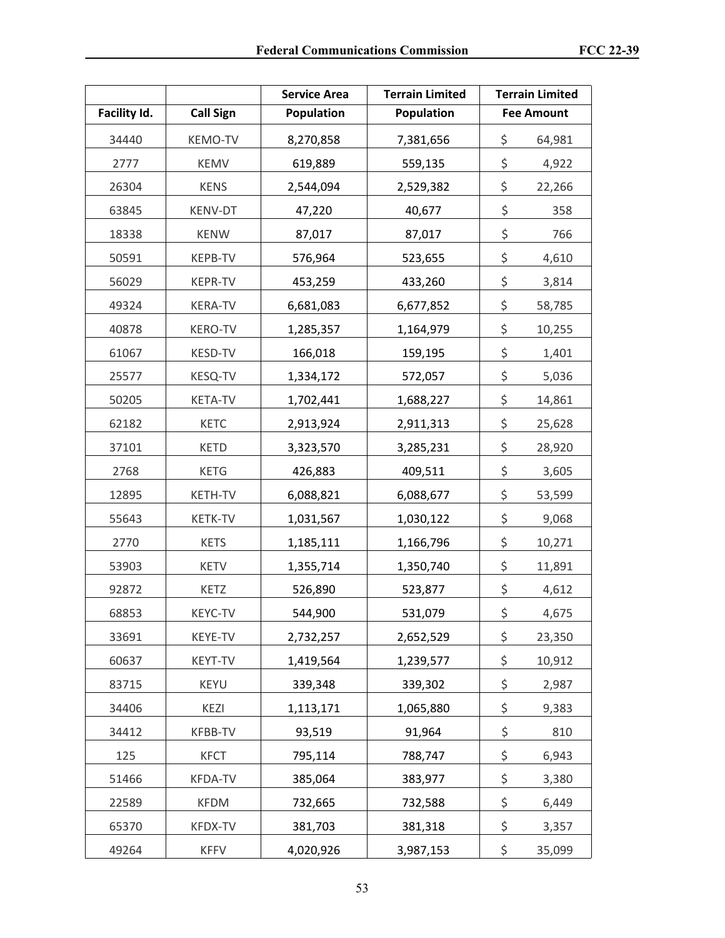|              |                  | <b>Service Area</b> | <b>Terrain Limited</b> | <b>Terrain Limited</b> |
|--------------|------------------|---------------------|------------------------|------------------------|
| Facility Id. | <b>Call Sign</b> | Population          | <b>Population</b>      | <b>Fee Amount</b>      |
| 34440        | <b>KEMO-TV</b>   | 8,270,858           | 7,381,656              | \$<br>64,981           |
| 2777         | KEMV             | 619,889             | 559,135                | \$<br>4,922            |
| 26304        | <b>KENS</b>      | 2,544,094           | 2,529,382              | \$<br>22,266           |
| 63845        | KENV-DT          | 47,220              | 40,677                 | \$<br>358              |
| 18338        | <b>KENW</b>      | 87,017              | 87,017                 | \$<br>766              |
| 50591        | KEPB-TV          | 576,964             | 523,655                | \$<br>4,610            |
| 56029        | <b>KEPR-TV</b>   | 453,259             | 433,260                | \$<br>3,814            |
| 49324        | <b>KERA-TV</b>   | 6,681,083           | 6,677,852              | \$<br>58,785           |
| 40878        | <b>KERO-TV</b>   | 1,285,357           | 1,164,979              | \$<br>10,255           |
| 61067        | KESD-TV          | 166,018             | 159,195                | \$<br>1,401            |
| 25577        | KESQ-TV          | 1,334,172           | 572,057                | \$<br>5,036            |
| 50205        | <b>KETA-TV</b>   | 1,702,441           | 1,688,227              | \$<br>14,861           |
| 62182        | <b>KETC</b>      | 2,913,924           | 2,911,313              | \$<br>25,628           |
| 37101        | <b>KETD</b>      | 3,323,570           | 3,285,231              | \$<br>28,920           |
| 2768         | <b>KETG</b>      | 426,883             | 409,511                | \$<br>3,605            |
| 12895        | KETH-TV          | 6,088,821           | 6,088,677              | \$<br>53,599           |
| 55643        | <b>KETK-TV</b>   | 1,031,567           | 1,030,122              | \$<br>9,068            |
| 2770         | <b>KETS</b>      | 1,185,111           | 1,166,796              | \$<br>10,271           |
| 53903        | <b>KETV</b>      | 1,355,714           | 1,350,740              | \$<br>11,891           |
| 92872        | KETZ             | 526,890             | 523,877                | \$<br>4,612            |
| 68853        | KEYC-TV          | 544,900             | 531,079                | \$<br>4,675            |
| 33691        | KEYE-TV          | 2,732,257           | 2,652,529              | \$<br>23,350           |
| 60637        | KEYT-TV          | 1,419,564           | 1,239,577              | \$<br>10,912           |
| 83715        | KEYU             | 339,348             | 339,302                | \$<br>2,987            |
| 34406        | KEZI             | 1,113,171           | 1,065,880              | \$<br>9,383            |
| 34412        | KFBB-TV          | 93,519              | 91,964                 | \$<br>810              |
| 125          | <b>KFCT</b>      | 795,114             | 788,747                | \$<br>6,943            |
| 51466        | <b>KFDA-TV</b>   | 385,064             | 383,977                | \$<br>3,380            |
| 22589        | <b>KFDM</b>      | 732,665             | 732,588                | \$<br>6,449            |
| 65370        | <b>KFDX-TV</b>   | 381,703             | 381,318                | \$<br>3,357            |
| 49264        | <b>KFFV</b>      | 4,020,926           | 3,987,153              | \$<br>35,099           |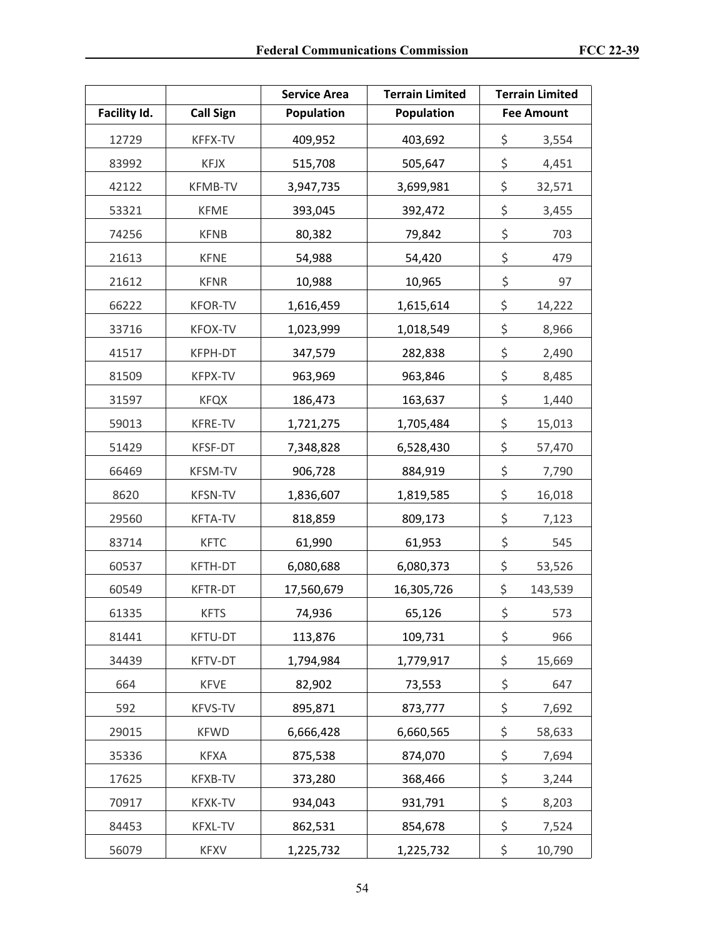|              |                  | <b>Service Area</b> | <b>Terrain Limited</b> | <b>Terrain Limited</b> |
|--------------|------------------|---------------------|------------------------|------------------------|
| Facility Id. | <b>Call Sign</b> | Population          | <b>Population</b>      | <b>Fee Amount</b>      |
| 12729        | KFFX-TV          | 409,952             | 403,692                | \$<br>3,554            |
| 83992        | <b>KFJX</b>      | 515,708             | 505,647                | \$<br>4,451            |
| 42122        | <b>KFMB-TV</b>   | 3,947,735           | 3,699,981              | \$<br>32,571           |
| 53321        | <b>KFME</b>      | 393,045             | 392,472                | \$<br>3,455            |
| 74256        | <b>KFNB</b>      | 80,382              | 79,842                 | \$<br>703              |
| 21613        | <b>KFNE</b>      | 54,988              | 54,420                 | \$<br>479              |
| 21612        | <b>KFNR</b>      | 10,988              | 10,965                 | \$<br>97               |
| 66222        | <b>KFOR-TV</b>   | 1,616,459           | 1,615,614              | \$<br>14,222           |
| 33716        | <b>KFOX-TV</b>   | 1,023,999           | 1,018,549              | \$<br>8,966            |
| 41517        | KFPH-DT          | 347,579             | 282,838                | \$<br>2,490            |
| 81509        | KFPX-TV          | 963,969             | 963,846                | \$<br>8,485            |
| 31597        | <b>KFQX</b>      | 186,473             | 163,637                | \$<br>1,440            |
| 59013        | KFRE-TV          | 1,721,275           | 1,705,484              | \$<br>15,013           |
| 51429        | KFSF-DT          | 7,348,828           | 6,528,430              | \$<br>57,470           |
| 66469        | <b>KFSM-TV</b>   | 906,728             | 884,919                | \$<br>7,790            |
| 8620         | <b>KFSN-TV</b>   | 1,836,607           | 1,819,585              | \$<br>16,018           |
| 29560        | <b>KFTA-TV</b>   | 818,859             | 809,173                | \$<br>7,123            |
| 83714        | <b>KFTC</b>      | 61,990              | 61,953                 | \$<br>545              |
| 60537        | KFTH-DT          | 6,080,688           | 6,080,373              | \$<br>53,526           |
| 60549        | <b>KFTR-DT</b>   | 17,560,679          | 16,305,726             | \$<br>143,539          |
| 61335        | <b>KFTS</b>      | 74,936              | 65,126                 | \$<br>573              |
| 81441        | KFTU-DT          | 113,876             | 109,731                | \$<br>966              |
| 34439        | KFTV-DT          | 1,794,984           | 1,779,917              | \$<br>15,669           |
| 664          | <b>KFVE</b>      | 82,902              | 73,553                 | \$<br>647              |
| 592          | <b>KFVS-TV</b>   | 895,871             | 873,777                | \$<br>7,692            |
| 29015        | <b>KFWD</b>      | 6,666,428           | 6,660,565              | \$<br>58,633           |
| 35336        | <b>KFXA</b>      | 875,538             | 874,070                | \$<br>7,694            |
| 17625        | KFXB-TV          | 373,280             | 368,466                | \$<br>3,244            |
| 70917        | KFXK-TV          | 934,043             | 931,791                | \$<br>8,203            |
| 84453        | KFXL-TV          | 862,531             | 854,678                | \$<br>7,524            |
| 56079        | <b>KFXV</b>      | 1,225,732           | 1,225,732              | \$<br>10,790           |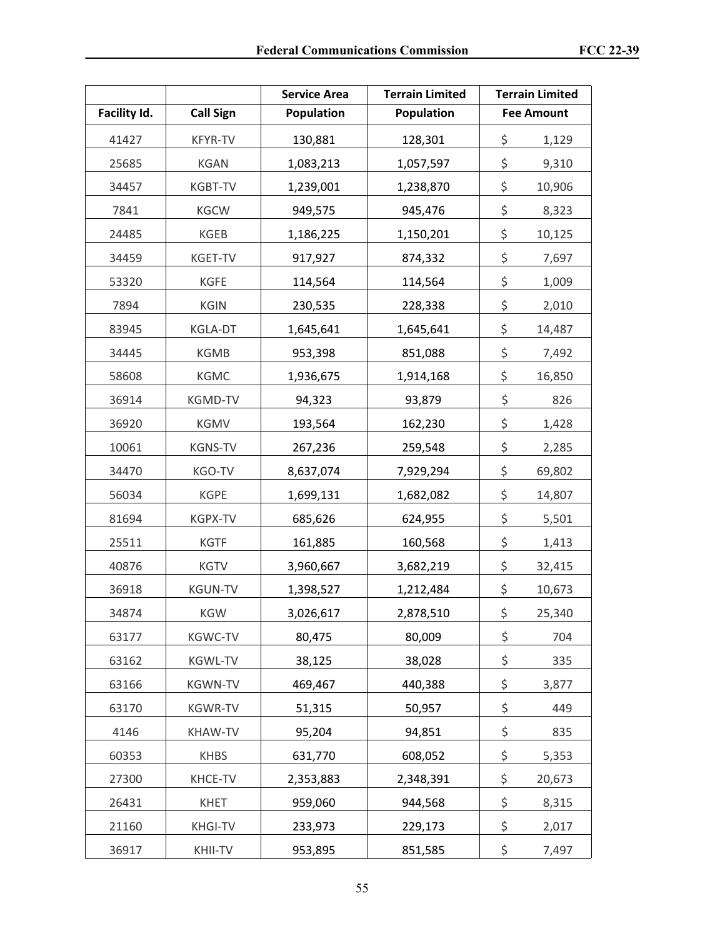|              |                  | <b>Service Area</b> | <b>Terrain Limited</b> | <b>Terrain Limited</b> |
|--------------|------------------|---------------------|------------------------|------------------------|
| Facility Id. | <b>Call Sign</b> | Population          | <b>Population</b>      | <b>Fee Amount</b>      |
| 41427        | <b>KFYR-TV</b>   | 130,881             | 128,301                | \$<br>1,129            |
| 25685        | <b>KGAN</b>      | 1,083,213           | 1,057,597              | \$<br>9,310            |
| 34457        | KGBT-TV          | 1,239,001           | 1,238,870              | \$<br>10,906           |
| 7841         | <b>KGCW</b>      | 949,575             | 945,476                | \$<br>8,323            |
| 24485        | KGEB             | 1,186,225           | 1,150,201              | \$<br>10,125           |
| 34459        | KGET-TV          | 917,927             | 874,332                | \$<br>7,697            |
| 53320        | <b>KGFE</b>      | 114,564             | 114,564                | \$<br>1,009            |
| 7894         | <b>KGIN</b>      | 230,535             | 228,338                | \$<br>2,010            |
| 83945        | KGLA-DT          | 1,645,641           | 1,645,641              | \$<br>14,487           |
| 34445        | <b>KGMB</b>      | 953,398             | 851,088                | \$<br>7,492            |
| 58608        | KGMC             | 1,936,675           | 1,914,168              | \$<br>16,850           |
| 36914        | KGMD-TV          | 94,323              | 93,879                 | \$<br>826              |
| 36920        | <b>KGMV</b>      | 193,564             | 162,230                | \$<br>1,428            |
| 10061        | <b>KGNS-TV</b>   | 267,236             | 259,548                | \$<br>2,285            |
| 34470        | KGO-TV           | 8,637,074           | 7,929,294              | \$<br>69,802           |
| 56034        | <b>KGPE</b>      | 1,699,131           | 1,682,082              | \$<br>14,807           |
| 81694        | KGPX-TV          | 685,626             | 624,955                | \$<br>5,501            |
| 25511        | <b>KGTF</b>      | 161,885             | 160,568                | \$<br>1,413            |
| 40876        | <b>KGTV</b>      | 3,960,667           | 3,682,219              | \$<br>32,415           |
| 36918        | <b>KGUN-TV</b>   | 1,398,527           | 1,212,484              | \$<br>10,673           |
| 34874        | KGW              | 3,026,617           | 2,878,510              | \$<br>25,340           |
| 63177        | <b>KGWC-TV</b>   | 80,475              | 80,009                 | \$<br>704              |
| 63162        | KGWL-TV          | 38,125              | 38,028                 | \$<br>335              |
| 63166        | <b>KGWN-TV</b>   | 469,467             | 440,388                | \$<br>3,877            |
| 63170        | <b>KGWR-TV</b>   | 51,315              | 50,957                 | \$<br>449              |
| 4146         | KHAW-TV          | 95,204              | 94,851                 | \$<br>835              |
| 60353        | <b>KHBS</b>      | 631,770             | 608,052                | \$<br>5,353            |
| 27300        | KHCE-TV          | 2,353,883           | 2,348,391              | \$<br>20,673           |
| 26431        | <b>KHET</b>      | 959,060             | 944,568                | \$<br>8,315            |
| 21160        | <b>KHGI-TV</b>   | 233,973             | 229,173                | \$<br>2,017            |
| 36917        | KHII-TV          | 953,895             | 851,585                | \$<br>7,497            |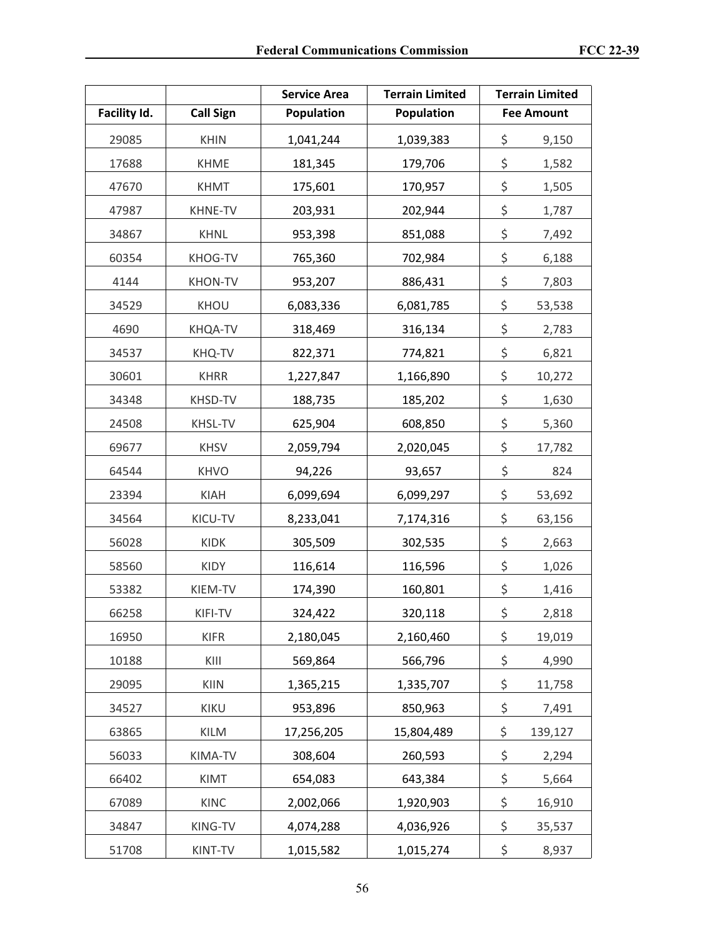|              |                  | <b>Service Area</b> | <b>Terrain Limited</b> | <b>Terrain Limited</b> |
|--------------|------------------|---------------------|------------------------|------------------------|
| Facility Id. | <b>Call Sign</b> | Population          | <b>Population</b>      | <b>Fee Amount</b>      |
| 29085        | <b>KHIN</b>      | 1,041,244           | 1,039,383              | \$<br>9,150            |
| 17688        | <b>KHME</b>      | 181,345             | 179,706                | \$<br>1,582            |
| 47670        | <b>KHMT</b>      | 175,601             | 170,957                | \$<br>1,505            |
| 47987        | KHNE-TV          | 203,931             | 202,944                | \$<br>1,787            |
| 34867        | <b>KHNL</b>      | 953,398             | 851,088                | \$<br>7,492            |
| 60354        | KHOG-TV          | 765,360             | 702,984                | \$<br>6,188            |
| 4144         | <b>KHON-TV</b>   | 953,207             | 886,431                | \$<br>7,803            |
| 34529        | KHOU             | 6,083,336           | 6,081,785              | \$<br>53,538           |
| 4690         | KHQA-TV          | 318,469             | 316,134                | \$<br>2,783            |
| 34537        | KHQ-TV           | 822,371             | 774,821                | \$<br>6,821            |
| 30601        | <b>KHRR</b>      | 1,227,847           | 1,166,890              | \$<br>10,272           |
| 34348        | KHSD-TV          | 188,735             | 185,202                | \$<br>1,630            |
| 24508        | <b>KHSL-TV</b>   | 625,904             | 608,850                | \$<br>5,360            |
| 69677        | <b>KHSV</b>      | 2,059,794           | 2,020,045              | \$<br>17,782           |
| 64544        | <b>KHVO</b>      | 94,226              | 93,657                 | \$<br>824              |
| 23394        | KIAH             | 6,099,694           | 6,099,297              | \$<br>53,692           |
| 34564        | KICU-TV          | 8,233,041           | 7,174,316              | \$<br>63,156           |
| 56028        | KIDK             | 305,509             | 302,535                | \$<br>2,663            |
| 58560        | <b>KIDY</b>      | 116,614             | 116,596                | \$<br>1,026            |
| 53382        | KIEM-TV          | 174,390             | 160,801                | \$<br>1,416            |
| 66258        | KIFI-TV          | 324,422             | 320,118                | \$<br>2,818            |
| 16950        | <b>KIFR</b>      | 2,180,045           | 2,160,460              | \$<br>19,019           |
| 10188        | KIII             | 569,864             | 566,796                | \$<br>4,990            |
| 29095        | KIIN             | 1,365,215           | 1,335,707              | \$<br>11,758           |
| 34527        | KIKU             | 953,896             | 850,963                | \$<br>7,491            |
| 63865        | KILM             | 17,256,205          | 15,804,489             | \$<br>139,127          |
| 56033        | KIMA-TV          | 308,604             | 260,593                | \$<br>2,294            |
| 66402        | KIMT             | 654,083             | 643,384                | \$<br>5,664            |
| 67089        | <b>KINC</b>      | 2,002,066           | 1,920,903              | \$<br>16,910           |
| 34847        | KING-TV          | 4,074,288           | 4,036,926              | \$<br>35,537           |
| 51708        | KINT-TV          | 1,015,582           | 1,015,274              | \$<br>8,937            |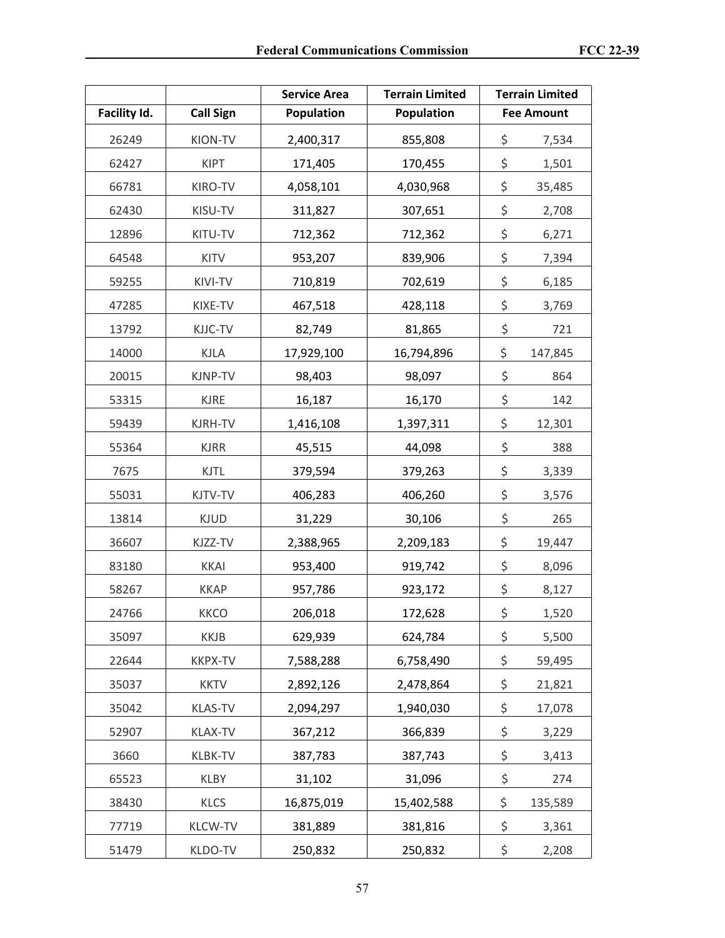|              |                  | <b>Service Area</b> | <b>Terrain Limited</b> | <b>Terrain Limited</b> |
|--------------|------------------|---------------------|------------------------|------------------------|
| Facility Id. | <b>Call Sign</b> | Population          | <b>Population</b>      | <b>Fee Amount</b>      |
| 26249        | KION-TV          | 2,400,317           | 855,808                | \$<br>7,534            |
| 62427        | <b>KIPT</b>      | 171,405             | 170,455                | \$<br>1,501            |
| 66781        | KIRO-TV          | 4,058,101           | 4,030,968              | \$<br>35,485           |
| 62430        | KISU-TV          | 311,827             | 307,651                | \$<br>2,708            |
| 12896        | KITU-TV          | 712,362             | 712,362                | \$<br>6,271            |
| 64548        | <b>KITV</b>      | 953,207             | 839,906                | \$<br>7,394            |
| 59255        | KIVI-TV          | 710,819             | 702,619                | \$<br>6,185            |
| 47285        | KIXE-TV          | 467,518             | 428,118                | \$<br>3,769            |
| 13792        | KJJC-TV          | 82,749              | 81,865                 | \$<br>721              |
| 14000        | <b>KJLA</b>      | 17,929,100          | 16,794,896             | \$<br>147,845          |
| 20015        | KJNP-TV          | 98,403              | 98,097                 | \$<br>864              |
| 53315        | <b>KJRE</b>      | 16,187              | 16,170                 | \$<br>142              |
| 59439        | KJRH-TV          | 1,416,108           | 1,397,311              | \$<br>12,301           |
| 55364        | <b>KJRR</b>      | 45,515              | 44,098                 | \$<br>388              |
| 7675         | <b>KJTL</b>      | 379,594             | 379,263                | \$<br>3,339            |
| 55031        | KJTV-TV          | 406,283             | 406,260                | \$<br>3,576            |
| 13814        | <b>KJUD</b>      | 31,229              | 30,106                 | \$<br>265              |
| 36607        | KJZZ-TV          | 2,388,965           | 2,209,183              | \$<br>19,447           |
| 83180        | <b>KKAI</b>      | 953,400             | 919,742                | \$<br>8,096            |
| 58267        | <b>KKAP</b>      | 957,786             | 923,172                | \$<br>8,127            |
| 24766        | <b>KKCO</b>      | 206,018             | 172,628                | \$<br>1,520            |
| 35097        | <b>KKJB</b>      | 629,939             | 624,784                | \$<br>5,500            |
| 22644        | <b>KKPX-TV</b>   | 7,588,288           | 6,758,490              | \$<br>59,495           |
| 35037        | <b>KKTV</b>      | 2,892,126           | 2,478,864              | \$<br>21,821           |
| 35042        | <b>KLAS-TV</b>   | 2,094,297           | 1,940,030              | \$<br>17,078           |
| 52907        | KLAX-TV          | 367,212             | 366,839                | \$<br>3,229            |
| 3660         | KLBK-TV          | 387,783             | 387,743                | \$<br>3,413            |
| 65523        | <b>KLBY</b>      | 31,102              | 31,096                 | \$<br>274              |
| 38430        | <b>KLCS</b>      | 16,875,019          | 15,402,588             | \$<br>135,589          |
| 77719        | KLCW-TV          | 381,889             | 381,816                | \$<br>3,361            |
| 51479        | KLDO-TV          | 250,832             | 250,832                | \$<br>2,208            |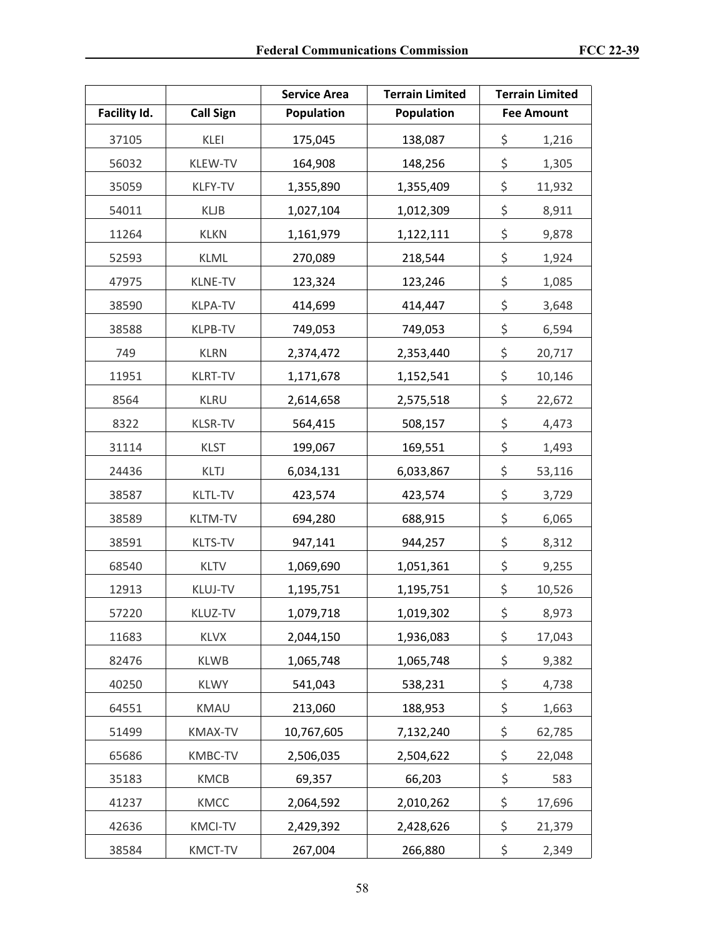|              |                  | <b>Service Area</b> | <b>Terrain Limited</b> | <b>Terrain Limited</b> |
|--------------|------------------|---------------------|------------------------|------------------------|
| Facility Id. | <b>Call Sign</b> | Population          | <b>Population</b>      | <b>Fee Amount</b>      |
| 37105        | KLEI             | 175,045             | 138,087                | \$<br>1,216            |
| 56032        | KLEW-TV          | 164,908             | 148,256                | \$<br>1,305            |
| 35059        | KLFY-TV          | 1,355,890           | 1,355,409              | \$<br>11,932           |
| 54011        | <b>KLJB</b>      | 1,027,104           | 1,012,309              | \$<br>8,911            |
| 11264        | <b>KLKN</b>      | 1,161,979           | 1,122,111              | \$<br>9,878            |
| 52593        | <b>KLML</b>      | 270,089             | 218,544                | \$<br>1,924            |
| 47975        | <b>KLNE-TV</b>   | 123,324             | 123,246                | \$<br>1,085            |
| 38590        | <b>KLPA-TV</b>   | 414,699             | 414,447                | \$<br>3,648            |
| 38588        | <b>KLPB-TV</b>   | 749,053             | 749,053                | \$<br>6,594            |
| 749          | <b>KLRN</b>      | 2,374,472           | 2,353,440              | \$<br>20,717           |
| 11951        | <b>KLRT-TV</b>   | 1,171,678           | 1,152,541              | \$<br>10,146           |
| 8564         | <b>KLRU</b>      | 2,614,658           | 2,575,518              | \$<br>22,672           |
| 8322         | <b>KLSR-TV</b>   | 564,415             | 508,157                | \$<br>4,473            |
| 31114        | <b>KLST</b>      | 199,067             | 169,551                | \$<br>1,493            |
| 24436        | KLTJ             | 6,034,131           | 6,033,867              | \$<br>53,116           |
| 38587        | <b>KLTL-TV</b>   | 423,574             | 423,574                | \$<br>3,729            |
| 38589        | <b>KLTM-TV</b>   | 694,280             | 688,915                | \$<br>6,065            |
| 38591        | <b>KLTS-TV</b>   | 947,141             | 944,257                | \$<br>8,312            |
| 68540        | <b>KLTV</b>      | 1,069,690           | 1,051,361              | \$<br>9,255            |
| 12913        | <b>KLUJ-TV</b>   | 1,195,751           | 1,195,751              | \$<br>10,526           |
| 57220        | KLUZ-TV          | 1,079,718           | 1,019,302              | \$<br>8,973            |
| 11683        | <b>KLVX</b>      | 2,044,150           | 1,936,083              | \$<br>17,043           |
| 82476        | <b>KLWB</b>      | 1,065,748           | 1,065,748              | \$<br>9,382            |
| 40250        | <b>KLWY</b>      | 541,043             | 538,231                | \$<br>4,738            |
| 64551        | KMAU             | 213,060             | 188,953                | \$<br>1,663            |
| 51499        | KMAX-TV          | 10,767,605          | 7,132,240              | \$<br>62,785           |
| 65686        | KMBC-TV          | 2,506,035           | 2,504,622              | \$<br>22,048           |
| 35183        | KMCB             | 69,357              | 66,203                 | \$<br>583              |
| 41237        | KMCC             | 2,064,592           | 2,010,262              | \$<br>17,696           |
| 42636        | <b>KMCI-TV</b>   | 2,429,392           | 2,428,626              | \$<br>21,379           |
| 38584        | KMCT-TV          | 267,004             | 266,880                | \$<br>2,349            |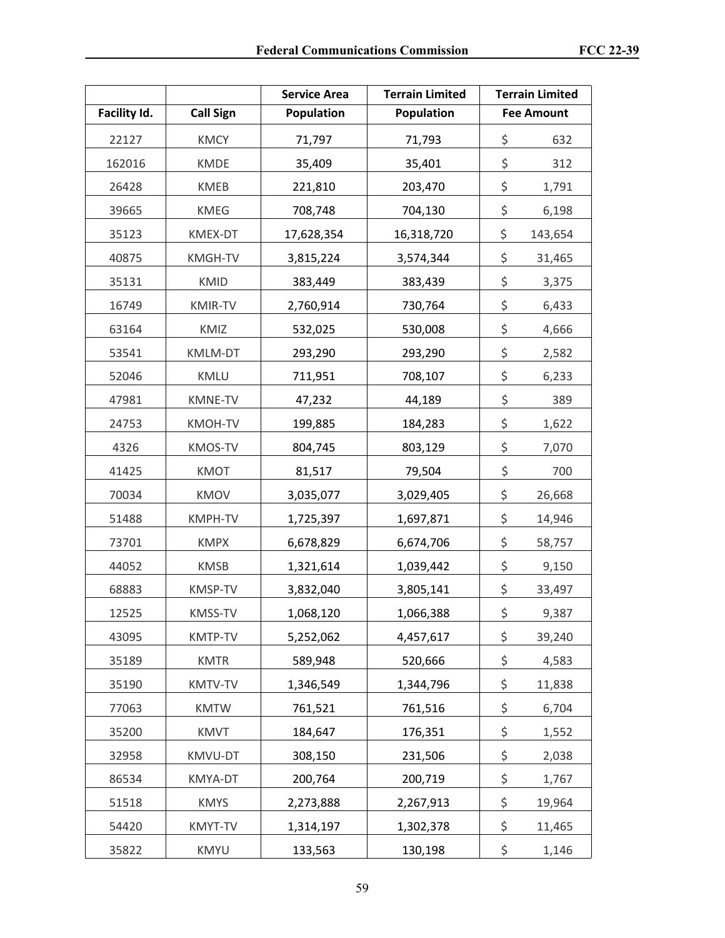|              |                  | <b>Service Area</b> | <b>Terrain Limited</b> | <b>Terrain Limited</b> |
|--------------|------------------|---------------------|------------------------|------------------------|
| Facility Id. | <b>Call Sign</b> | Population          | Population             | <b>Fee Amount</b>      |
| 22127        | <b>KMCY</b>      | 71,797              | 71,793                 | \$<br>632              |
| 162016       | <b>KMDE</b>      | 35,409              | 35,401                 | \$<br>312              |
| 26428        | <b>KMEB</b>      | 221,810             | 203,470                | \$<br>1,791            |
| 39665        | <b>KMEG</b>      | 708,748             | 704,130                | \$<br>6,198            |
| 35123        | KMEX-DT          | 17,628,354          | 16,318,720             | \$<br>143,654          |
| 40875        | KMGH-TV          | 3,815,224           | 3,574,344              | \$<br>31,465           |
| 35131        | <b>KMID</b>      | 383,449             | 383,439                | \$<br>3,375            |
| 16749        | KMIR-TV          | 2,760,914           | 730,764                | \$<br>6,433            |
| 63164        | KMIZ             | 532,025             | 530,008                | \$<br>4,666            |
| 53541        | <b>KMLM-DT</b>   | 293,290             | 293,290                | \$<br>2,582            |
| 52046        | KMLU             | 711,951             | 708,107                | \$<br>6,233            |
| 47981        | KMNE-TV          | 47,232              | 44,189                 | \$<br>389              |
| 24753        | KMOH-TV          | 199,885             | 184,283                | \$<br>1,622            |
| 4326         | KMOS-TV          | 804,745             | 803,129                | \$<br>7,070            |
| 41425        | <b>KMOT</b>      | 81,517              | 79,504                 | \$<br>700              |
| 70034        | <b>KMOV</b>      | 3,035,077           | 3,029,405              | \$<br>26,668           |
| 51488        | KMPH-TV          | 1,725,397           | 1,697,871              | \$<br>14,946           |
| 73701        | <b>KMPX</b>      | 6,678,829           | 6,674,706              | \$<br>58,757           |
| 44052        | <b>KMSB</b>      | 1,321,614           | 1,039,442              | \$<br>9,150            |
| 68883        | KMSP-TV          | 3,832,040           | 3,805,141              | \$<br>33,497           |
| 12525        | KMSS-TV          | 1,068,120           | 1,066,388              | \$<br>9,387            |
| 43095        | KMTP-TV          | 5,252,062           | 4,457,617              | \$<br>39,240           |
| 35189        | <b>KMTR</b>      | 589,948             | 520,666                | \$<br>4,583            |
| 35190        | KMTV-TV          | 1,346,549           | 1,344,796              | \$<br>11,838           |
| 77063        | <b>KMTW</b>      | 761,521             | 761,516                | \$<br>6,704            |
| 35200        | <b>KMVT</b>      | 184,647             | 176,351                | \$<br>1,552            |
| 32958        | KMVU-DT          | 308,150             | 231,506                | \$<br>2,038            |
| 86534        | KMYA-DT          | 200,764             | 200,719                | \$<br>1,767            |
| 51518        | <b>KMYS</b>      | 2,273,888           | 2,267,913              | \$<br>19,964           |
| 54420        | KMYT-TV          | 1,314,197           | 1,302,378              | \$<br>11,465           |
| 35822        | <b>KMYU</b>      | 133,563             | 130,198                | \$<br>1,146            |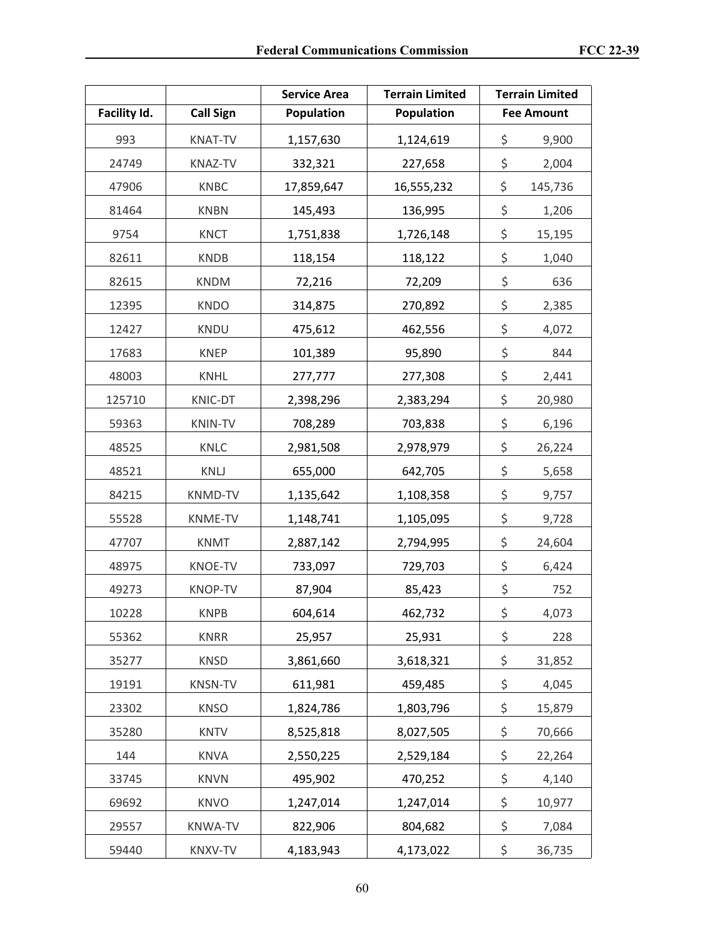|              |                  | <b>Service Area</b> | <b>Terrain Limited</b> | <b>Terrain Limited</b> |
|--------------|------------------|---------------------|------------------------|------------------------|
| Facility Id. | <b>Call Sign</b> | Population          | <b>Population</b>      | <b>Fee Amount</b>      |
| 993          | <b>KNAT-TV</b>   | 1,157,630           | 1,124,619              | \$<br>9,900            |
| 24749        | <b>KNAZ-TV</b>   | 332,321             | 227,658                | \$<br>2,004            |
| 47906        | <b>KNBC</b>      | 17,859,647          | 16,555,232             | \$<br>145,736          |
| 81464        | <b>KNBN</b>      | 145,493             | 136,995                | \$<br>1,206            |
| 9754         | <b>KNCT</b>      | 1,751,838           | 1,726,148              | \$<br>15,195           |
| 82611        | <b>KNDB</b>      | 118,154             | 118,122                | \$<br>1,040            |
| 82615        | <b>KNDM</b>      | 72,216              | 72,209                 | \$<br>636              |
| 12395        | <b>KNDO</b>      | 314,875             | 270,892                | \$<br>2,385            |
| 12427        | <b>KNDU</b>      | 475,612             | 462,556                | \$<br>4,072            |
| 17683        | <b>KNEP</b>      | 101,389             | 95,890                 | \$<br>844              |
| 48003        | <b>KNHL</b>      | 277,777             | 277,308                | \$<br>2,441            |
| 125710       | KNIC-DT          | 2,398,296           | 2,383,294              | \$<br>20,980           |
| 59363        | <b>KNIN-TV</b>   | 708,289             | 703,838                | \$<br>6,196            |
| 48525        | KNLC             | 2,981,508           | 2,978,979              | \$<br>26,224           |
| 48521        | KNLJ             | 655,000             | 642,705                | \$<br>5,658            |
| 84215        | <b>KNMD-TV</b>   | 1,135,642           | 1,108,358              | \$<br>9,757            |
| 55528        | KNME-TV          | 1,148,741           | 1,105,095              | \$<br>9,728            |
| 47707        | <b>KNMT</b>      | 2,887,142           | 2,794,995              | \$<br>24,604           |
| 48975        | <b>KNOE-TV</b>   | 733,097             | 729,703                | \$<br>6,424            |
| 49273        | <b>KNOP-TV</b>   | 87,904              | 85,423                 | \$<br>752              |
| 10228        | <b>KNPB</b>      | 604,614             | 462,732                | \$<br>4,073            |
| 55362        | <b>KNRR</b>      | 25,957              | 25,931                 | \$<br>228              |
| 35277        | <b>KNSD</b>      | 3,861,660           | 3,618,321              | \$<br>31,852           |
| 19191        | <b>KNSN-TV</b>   | 611,981             | 459,485                | \$<br>4,045            |
| 23302        | <b>KNSO</b>      | 1,824,786           | 1,803,796              | \$<br>15,879           |
| 35280        | <b>KNTV</b>      | 8,525,818           | 8,027,505              | \$<br>70,666           |
| 144          | <b>KNVA</b>      | 2,550,225           | 2,529,184              | \$<br>22,264           |
| 33745        | <b>KNVN</b>      | 495,902             | 470,252                | \$<br>4,140            |
| 69692        | <b>KNVO</b>      | 1,247,014           | 1,247,014              | \$<br>10,977           |
| 29557        | <b>KNWA-TV</b>   | 822,906             | 804,682                | \$<br>7,084            |
| 59440        | KNXV-TV          | 4,183,943           | 4,173,022              | \$<br>36,735           |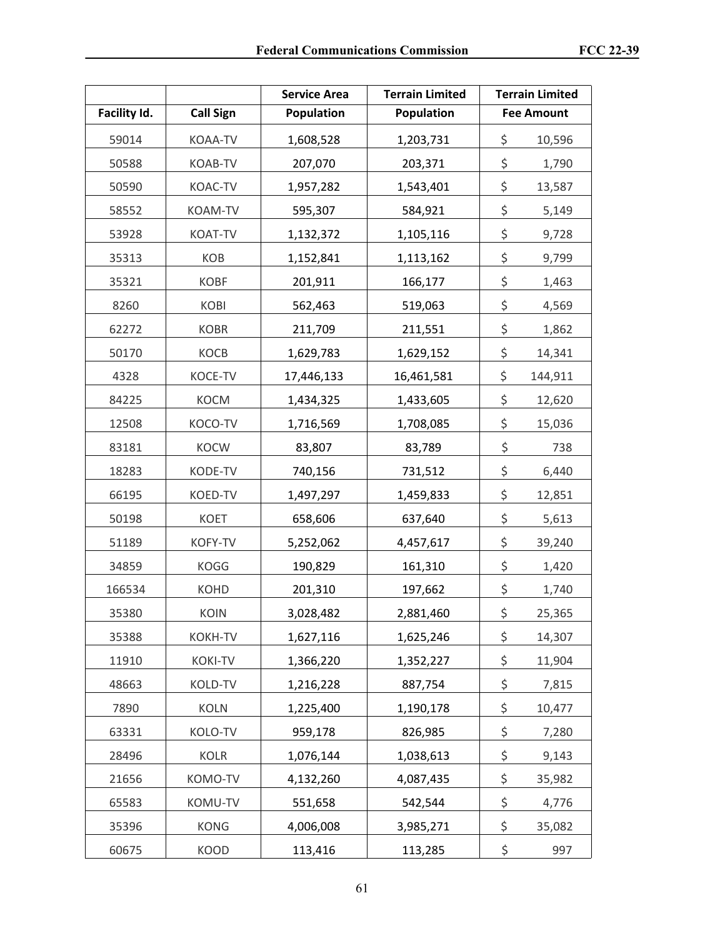|              |                  | <b>Service Area</b> | <b>Terrain Limited</b> | <b>Terrain Limited</b> |
|--------------|------------------|---------------------|------------------------|------------------------|
| Facility Id. | <b>Call Sign</b> | Population          | <b>Population</b>      | <b>Fee Amount</b>      |
| 59014        | KOAA-TV          | 1,608,528           | 1,203,731              | \$<br>10,596           |
| 50588        | KOAB-TV          | 207,070             | 203,371                | \$<br>1,790            |
| 50590        | KOAC-TV          | 1,957,282           | 1,543,401              | \$<br>13,587           |
| 58552        | KOAM-TV          | 595,307             | 584,921                | \$<br>5,149            |
| 53928        | KOAT-TV          | 1,132,372           | 1,105,116              | \$<br>9,728            |
| 35313        | KOB              | 1,152,841           | 1,113,162              | \$<br>9,799            |
| 35321        | <b>KOBF</b>      | 201,911             | 166,177                | \$<br>1,463            |
| 8260         | <b>KOBI</b>      | 562,463             | 519,063                | \$<br>4,569            |
| 62272        | <b>KOBR</b>      | 211,709             | 211,551                | \$<br>1,862            |
| 50170        | KOCB             | 1,629,783           | 1,629,152              | \$<br>14,341           |
| 4328         | KOCE-TV          | 17,446,133          | 16,461,581             | \$<br>144,911          |
| 84225        | <b>KOCM</b>      | 1,434,325           | 1,433,605              | \$<br>12,620           |
| 12508        | KOCO-TV          | 1,716,569           | 1,708,085              | \$<br>15,036           |
| 83181        | KOCW             | 83,807              | 83,789                 | \$<br>738              |
| 18283        | KODE-TV          | 740,156             | 731,512                | \$<br>6,440            |
| 66195        | KOED-TV          | 1,497,297           | 1,459,833              | \$<br>12,851           |
| 50198        | <b>KOET</b>      | 658,606             | 637,640                | \$<br>5,613            |
| 51189        | KOFY-TV          | 5,252,062           | 4,457,617              | \$<br>39,240           |
| 34859        | <b>KOGG</b>      | 190,829             | 161,310                | \$<br>1,420            |
| 166534       | <b>KOHD</b>      | 201,310             | 197,662                | \$<br>1,740            |
| 35380        | KOIN             | 3,028,482           | 2,881,460              | \$<br>25,365           |
| 35388        | <b>KOKH-TV</b>   | 1,627,116           | 1,625,246              | \$<br>14,307           |
| 11910        | <b>KOKI-TV</b>   | 1,366,220           | 1,352,227              | \$<br>11,904           |
| 48663        | KOLD-TV          | 1,216,228           | 887,754                | \$<br>7,815            |
| 7890         | <b>KOLN</b>      | 1,225,400           | 1,190,178              | \$<br>10,477           |
| 63331        | KOLO-TV          | 959,178             | 826,985                | \$<br>7,280            |
| 28496        | <b>KOLR</b>      | 1,076,144           | 1,038,613              | \$<br>9,143            |
| 21656        | KOMO-TV          | 4,132,260           | 4,087,435              | \$<br>35,982           |
| 65583        | KOMU-TV          | 551,658             | 542,544                | \$<br>4,776            |
| 35396        | <b>KONG</b>      | 4,006,008           | 3,985,271              | \$<br>35,082           |
| 60675        | <b>KOOD</b>      | 113,416             | 113,285                | \$<br>997              |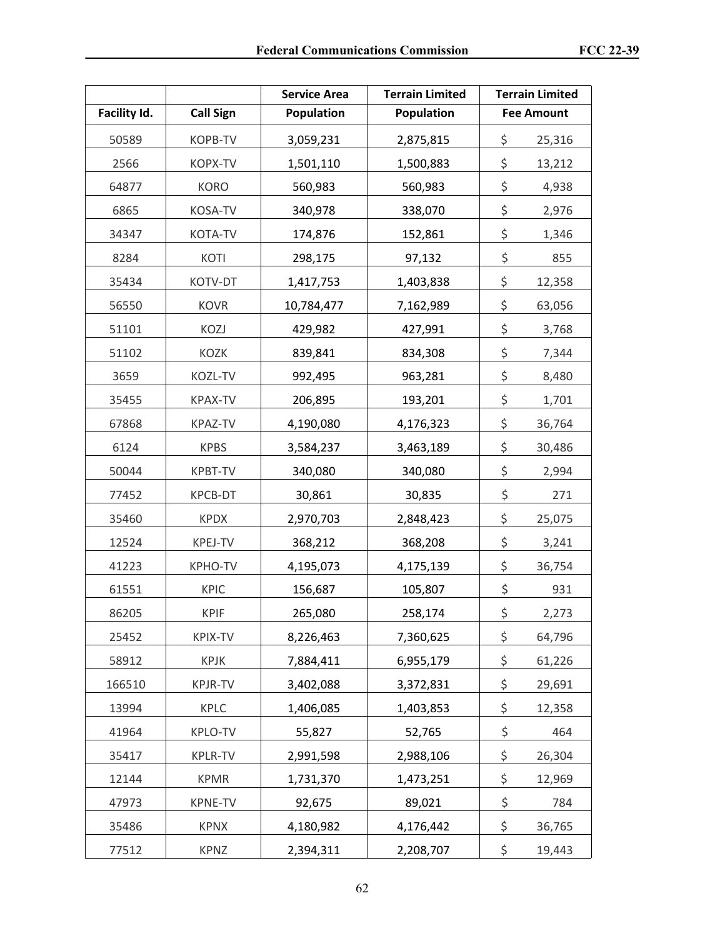|              |                  | <b>Service Area</b> | <b>Terrain Limited</b> | <b>Terrain Limited</b> |
|--------------|------------------|---------------------|------------------------|------------------------|
| Facility Id. | <b>Call Sign</b> | Population          | <b>Population</b>      | <b>Fee Amount</b>      |
| 50589        | KOPB-TV          | 3,059,231           | 2,875,815              | \$<br>25,316           |
| 2566         | KOPX-TV          | 1,501,110           | 1,500,883              | \$<br>13,212           |
| 64877        | <b>KORO</b>      | 560,983             | 560,983                | \$<br>4,938            |
| 6865         | KOSA-TV          | 340,978             | 338,070                | \$<br>2,976            |
| 34347        | KOTA-TV          | 174,876             | 152,861                | \$<br>1,346            |
| 8284         | KOTI             | 298,175             | 97,132                 | \$<br>855              |
| 35434        | KOTV-DT          | 1,417,753           | 1,403,838              | \$<br>12,358           |
| 56550        | <b>KOVR</b>      | 10,784,477          | 7,162,989              | \$<br>63,056           |
| 51101        | KOZJ             | 429,982             | 427,991                | \$<br>3,768            |
| 51102        | <b>KOZK</b>      | 839,841             | 834,308                | \$<br>7,344            |
| 3659         | KOZL-TV          | 992,495             | 963,281                | \$<br>8,480            |
| 35455        | <b>KPAX-TV</b>   | 206,895             | 193,201                | \$<br>1,701            |
| 67868        | <b>KPAZ-TV</b>   | 4,190,080           | 4,176,323              | \$<br>36,764           |
| 6124         | <b>KPBS</b>      | 3,584,237           | 3,463,189              | \$<br>30,486           |
| 50044        | KPBT-TV          | 340,080             | 340,080                | \$<br>2,994            |
| 77452        | KPCB-DT          | 30,861              | 30,835                 | \$<br>271              |
| 35460        | <b>KPDX</b>      | 2,970,703           | 2,848,423              | \$<br>25,075           |
| 12524        | KPEJ-TV          | 368,212             | 368,208                | \$<br>3,241            |
| 41223        | <b>KPHO-TV</b>   | 4,195,073           | 4,175,139              | \$<br>36,754           |
| 61551        | <b>KPIC</b>      | 156,687             | 105,807                | \$<br>931              |
| 86205        | <b>KPIF</b>      | 265,080             | 258,174                | \$<br>2,273            |
| 25452        | <b>KPIX-TV</b>   | 8,226,463           | 7,360,625              | \$<br>64,796           |
| 58912        | <b>KPJK</b>      | 7,884,411           | 6,955,179              | \$<br>61,226           |
| 166510       | KPJR-TV          | 3,402,088           | 3,372,831              | \$<br>29,691           |
| 13994        | <b>KPLC</b>      | 1,406,085           | 1,403,853              | \$<br>12,358           |
| 41964        | KPLO-TV          | 55,827              | 52,765                 | \$<br>464              |
| 35417        | KPLR-TV          | 2,991,598           | 2,988,106              | \$<br>26,304           |
| 12144        | <b>KPMR</b>      | 1,731,370           | 1,473,251              | \$<br>12,969           |
| 47973        | KPNE-TV          | 92,675              | 89,021                 | \$<br>784              |
| 35486        | <b>KPNX</b>      | 4,180,982           | 4,176,442              | \$<br>36,765           |
| 77512        | <b>KPNZ</b>      | 2,394,311           | 2,208,707              | \$<br>19,443           |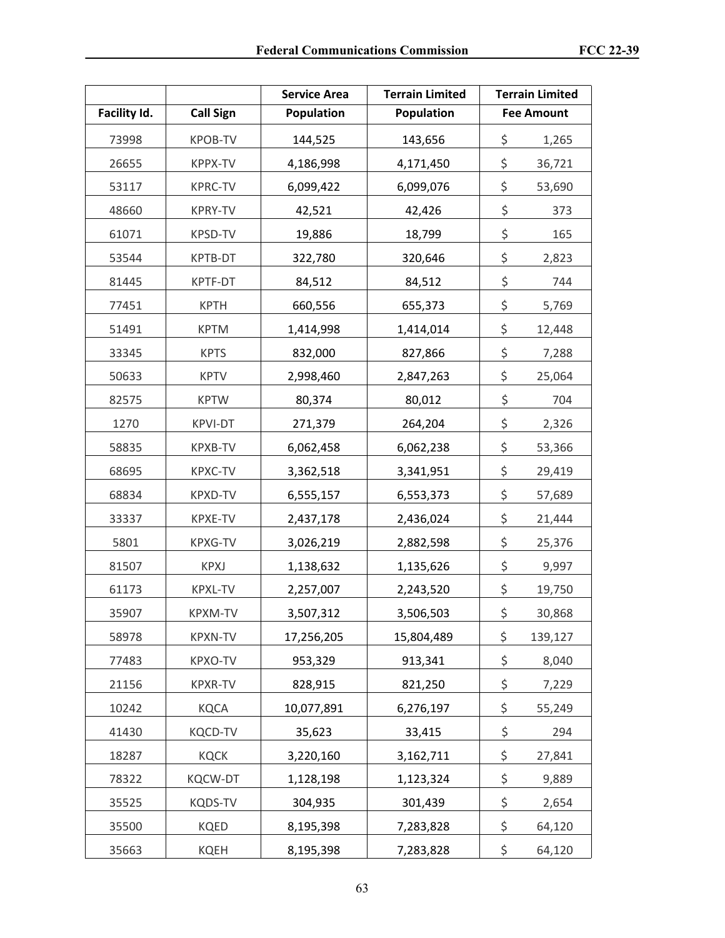|              |                  | <b>Service Area</b> | <b>Terrain Limited</b> | <b>Terrain Limited</b> |
|--------------|------------------|---------------------|------------------------|------------------------|
| Facility Id. | <b>Call Sign</b> | Population          | Population             | <b>Fee Amount</b>      |
| 73998        | <b>KPOB-TV</b>   | 144,525             | 143,656                | \$<br>1,265            |
| 26655        | KPPX-TV          | 4,186,998           | 4,171,450              | \$<br>36,721           |
| 53117        | <b>KPRC-TV</b>   | 6,099,422           | 6,099,076              | \$<br>53,690           |
| 48660        | <b>KPRY-TV</b>   | 42,521              | 42,426                 | \$<br>373              |
| 61071        | KPSD-TV          | 19,886              | 18,799                 | \$<br>165              |
| 53544        | KPTB-DT          | 322,780             | 320,646                | \$<br>2,823            |
| 81445        | KPTF-DT          | 84,512              | 84,512                 | \$<br>744              |
| 77451        | <b>KPTH</b>      | 660,556             | 655,373                | \$<br>5,769            |
| 51491        | <b>KPTM</b>      | 1,414,998           | 1,414,014              | \$<br>12,448           |
| 33345        | <b>KPTS</b>      | 832,000             | 827,866                | \$<br>7,288            |
| 50633        | <b>KPTV</b>      | 2,998,460           | 2,847,263              | \$<br>25,064           |
| 82575        | <b>KPTW</b>      | 80,374              | 80,012                 | \$<br>704              |
| 1270         | <b>KPVI-DT</b>   | 271,379             | 264,204                | \$<br>2,326            |
| 58835        | KPXB-TV          | 6,062,458           | 6,062,238              | \$<br>53,366           |
| 68695        | <b>KPXC-TV</b>   | 3,362,518           | 3,341,951              | \$<br>29,419           |
| 68834        | KPXD-TV          | 6,555,157           | 6,553,373              | \$<br>57,689           |
| 33337        | KPXE-TV          | 2,437,178           | 2,436,024              | \$<br>21,444           |
| 5801         | <b>KPXG-TV</b>   | 3,026,219           | 2,882,598              | \$<br>25,376           |
| 81507        | <b>KPXJ</b>      | 1,138,632           | 1,135,626              | \$<br>9,997            |
| 61173        | <b>KPXL-TV</b>   | 2,257,007           | 2,243,520              | \$<br>19,750           |
| 35907        | KPXM-TV          | 3,507,312           | 3,506,503              | \$<br>30,868           |
| 58978        | <b>KPXN-TV</b>   | 17,256,205          | 15,804,489             | \$<br>139,127          |
| 77483        | KPXO-TV          | 953,329             | 913,341                | \$<br>8,040            |
| 21156        | KPXR-TV          | 828,915             | 821,250                | \$<br>7,229            |
| 10242        | <b>KQCA</b>      | 10,077,891          | 6,276,197              | \$<br>55,249           |
| 41430        | <b>KQCD-TV</b>   | 35,623              | 33,415                 | \$<br>294              |
| 18287        | <b>KQCK</b>      | 3,220,160           | 3,162,711              | \$<br>27,841           |
| 78322        | <b>KQCW-DT</b>   | 1,128,198           | 1,123,324              | \$<br>9,889            |
| 35525        | <b>KQDS-TV</b>   | 304,935             | 301,439                | \$<br>2,654            |
| 35500        | KQED             | 8,195,398           | 7,283,828              | \$<br>64,120           |
| 35663        | <b>KQEH</b>      | 8,195,398           | 7,283,828              | \$<br>64,120           |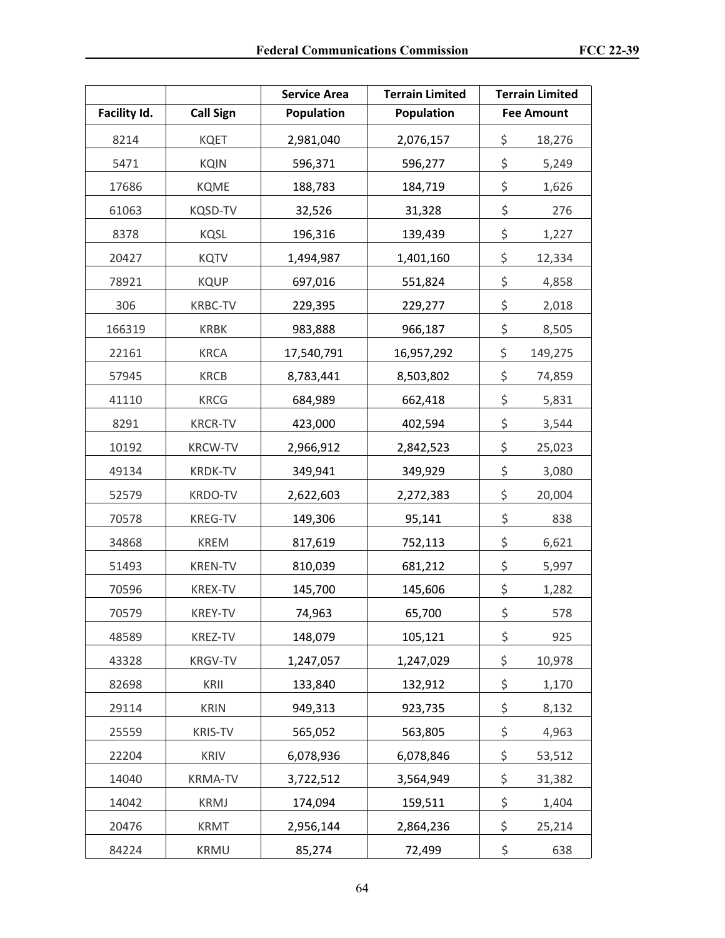|              |                  | <b>Service Area</b> | <b>Terrain Limited</b> | <b>Terrain Limited</b> |
|--------------|------------------|---------------------|------------------------|------------------------|
| Facility Id. | <b>Call Sign</b> | Population          | <b>Population</b>      | <b>Fee Amount</b>      |
| 8214         | <b>KQET</b>      | 2,981,040           | 2,076,157              | \$<br>18,276           |
| 5471         | <b>KQIN</b>      | 596,371             | 596,277                | \$<br>5,249            |
| 17686        | <b>KQME</b>      | 188,783             | 184,719                | \$<br>1,626            |
| 61063        | KQSD-TV          | 32,526              | 31,328                 | \$<br>276              |
| 8378         | KQSL             | 196,316             | 139,439                | \$<br>1,227            |
| 20427        | <b>KQTV</b>      | 1,494,987           | 1,401,160              | \$<br>12,334           |
| 78921        | <b>KQUP</b>      | 697,016             | 551,824                | \$<br>4,858            |
| 306          | <b>KRBC-TV</b>   | 229,395             | 229,277                | \$<br>2,018            |
| 166319       | <b>KRBK</b>      | 983,888             | 966,187                | \$<br>8,505            |
| 22161        | <b>KRCA</b>      | 17,540,791          | 16,957,292             | \$<br>149,275          |
| 57945        | <b>KRCB</b>      | 8,783,441           | 8,503,802              | \$<br>74,859           |
| 41110        | <b>KRCG</b>      | 684,989             | 662,418                | \$<br>5,831            |
| 8291         | <b>KRCR-TV</b>   | 423,000             | 402,594                | \$<br>3,544            |
| 10192        | <b>KRCW-TV</b>   | 2,966,912           | 2,842,523              | \$<br>25,023           |
| 49134        | <b>KRDK-TV</b>   | 349,941             | 349,929                | \$<br>3,080            |
| 52579        | <b>KRDO-TV</b>   | 2,622,603           | 2,272,383              | \$<br>20,004           |
| 70578        | <b>KREG-TV</b>   | 149,306             | 95,141                 | \$<br>838              |
| 34868        | <b>KREM</b>      | 817,619             | 752,113                | \$<br>6,621            |
| 51493        | <b>KREN-TV</b>   | 810,039             | 681,212                | \$<br>5,997            |
| 70596        | <b>KREX-TV</b>   | 145,700             | 145,606                | \$<br>1,282            |
| 70579        | KREY-TV          | 74,963              | 65,700                 | \$<br>578              |
| 48589        | KREZ-TV          | 148,079             | 105,121                | \$<br>925              |
| 43328        | <b>KRGV-TV</b>   | 1,247,057           | 1,247,029              | \$<br>10,978           |
| 82698        | KRII             | 133,840             | 132,912                | \$<br>1,170            |
| 29114        | <b>KRIN</b>      | 949,313             | 923,735                | \$<br>8,132            |
| 25559        | <b>KRIS-TV</b>   | 565,052             | 563,805                | \$<br>4,963            |
| 22204        | <b>KRIV</b>      | 6,078,936           | 6,078,846              | \$<br>53,512           |
| 14040        | <b>KRMA-TV</b>   | 3,722,512           | 3,564,949              | \$<br>31,382           |
| 14042        | <b>KRMJ</b>      | 174,094             | 159,511                | \$<br>1,404            |
| 20476        | <b>KRMT</b>      | 2,956,144           | 2,864,236              | \$<br>25,214           |
| 84224        | <b>KRMU</b>      | 85,274              | 72,499                 | \$<br>638              |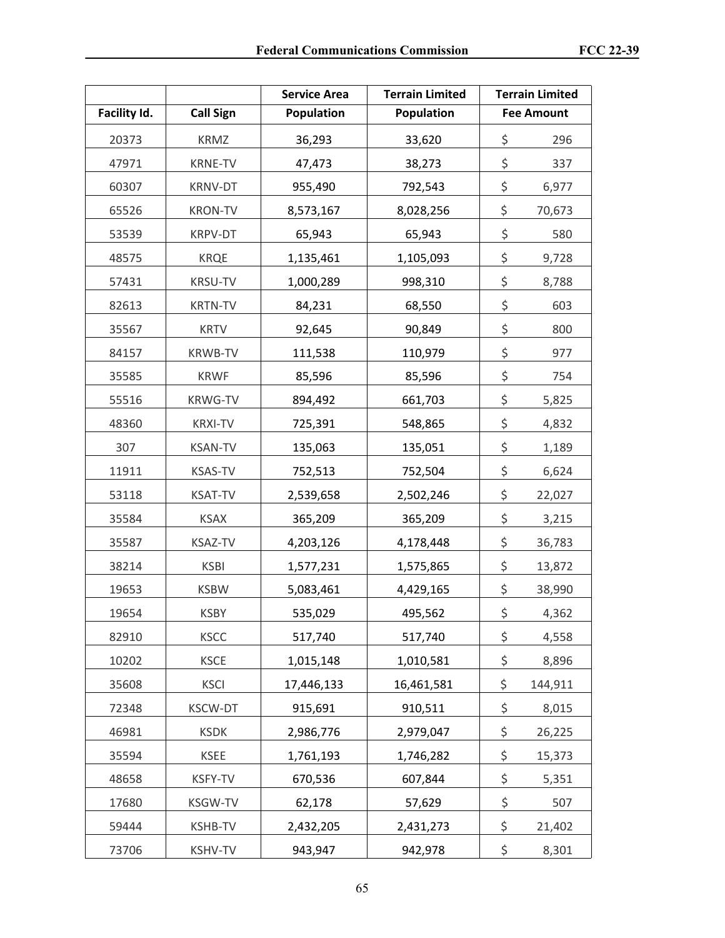|              |                  | <b>Service Area</b> | <b>Terrain Limited</b> | <b>Terrain Limited</b> |
|--------------|------------------|---------------------|------------------------|------------------------|
| Facility Id. | <b>Call Sign</b> | Population          | <b>Population</b>      | <b>Fee Amount</b>      |
| 20373        | <b>KRMZ</b>      | 36,293              | 33,620                 | \$<br>296              |
| 47971        | <b>KRNE-TV</b>   | 47,473              | 38,273                 | \$<br>337              |
| 60307        | <b>KRNV-DT</b>   | 955,490             | 792,543                | \$<br>6,977            |
| 65526        | <b>KRON-TV</b>   | 8,573,167           | 8,028,256              | \$<br>70,673           |
| 53539        | KRPV-DT          | 65,943              | 65,943                 | \$<br>580              |
| 48575        | <b>KRQE</b>      | 1,135,461           | 1,105,093              | \$<br>9,728            |
| 57431        | <b>KRSU-TV</b>   | 1,000,289           | 998,310                | \$<br>8,788            |
| 82613        | <b>KRTN-TV</b>   | 84,231              | 68,550                 | \$<br>603              |
| 35567        | <b>KRTV</b>      | 92,645              | 90,849                 | \$<br>800              |
| 84157        | <b>KRWB-TV</b>   | 111,538             | 110,979                | \$<br>977              |
| 35585        | <b>KRWF</b>      | 85,596              | 85,596                 | \$<br>754              |
| 55516        | <b>KRWG-TV</b>   | 894,492             | 661,703                | \$<br>5,825            |
| 48360        | <b>KRXI-TV</b>   | 725,391             | 548,865                | \$<br>4,832            |
| 307          | <b>KSAN-TV</b>   | 135,063             | 135,051                | \$<br>1,189            |
| 11911        | <b>KSAS-TV</b>   | 752,513             | 752,504                | \$<br>6,624            |
| 53118        | <b>KSAT-TV</b>   | 2,539,658           | 2,502,246              | \$<br>22,027           |
| 35584        | <b>KSAX</b>      | 365,209             | 365,209                | \$<br>3,215            |
| 35587        | <b>KSAZ-TV</b>   | 4,203,126           | 4,178,448              | \$<br>36,783           |
| 38214        | <b>KSBI</b>      | 1,577,231           | 1,575,865              | \$<br>13,872           |
| 19653        | <b>KSBW</b>      | 5,083,461           | 4,429,165              | \$<br>38,990           |
| 19654        | KSBY             | 535,029             | 495,562                | \$<br>4,362            |
| 82910        | <b>KSCC</b>      | 517,740             | 517,740                | \$<br>4,558            |
| 10202        | <b>KSCE</b>      | 1,015,148           | 1,010,581              | \$<br>8,896            |
| 35608        | <b>KSCI</b>      | 17,446,133          | 16,461,581             | \$<br>144,911          |
| 72348        | <b>KSCW-DT</b>   | 915,691             | 910,511                | \$<br>8,015            |
| 46981        | <b>KSDK</b>      | 2,986,776           | 2,979,047              | \$<br>26,225           |
| 35594        | <b>KSEE</b>      | 1,761,193           | 1,746,282              | \$<br>15,373           |
| 48658        | KSFY-TV          | 670,536             | 607,844                | \$<br>5,351            |
| 17680        | <b>KSGW-TV</b>   | 62,178              | 57,629                 | \$<br>507              |
| 59444        | <b>KSHB-TV</b>   | 2,432,205           | 2,431,273              | \$<br>21,402           |
| 73706        | <b>KSHV-TV</b>   | 943,947             | 942,978                | \$<br>8,301            |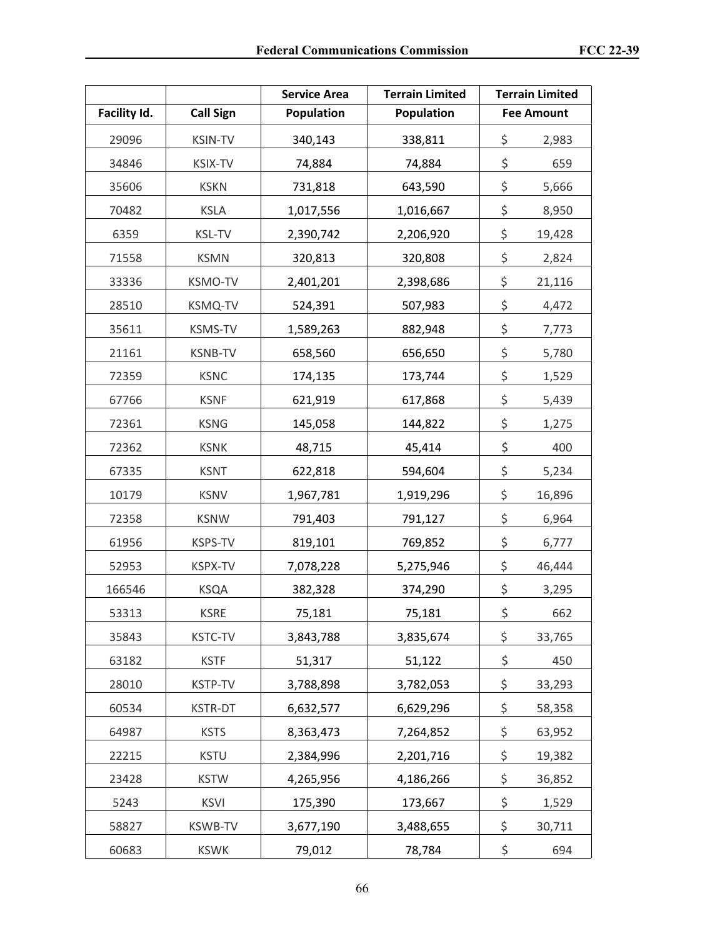|              |                  | <b>Service Area</b> | <b>Terrain Limited</b> | <b>Terrain Limited</b> |
|--------------|------------------|---------------------|------------------------|------------------------|
| Facility Id. | <b>Call Sign</b> | <b>Population</b>   | <b>Population</b>      | <b>Fee Amount</b>      |
| 29096        | <b>KSIN-TV</b>   | 340,143             | 338,811                | \$<br>2,983            |
| 34846        | <b>KSIX-TV</b>   | 74,884              | 74,884                 | \$<br>659              |
| 35606        | <b>KSKN</b>      | 731,818             | 643,590                | \$<br>5,666            |
| 70482        | <b>KSLA</b>      | 1,017,556           | 1,016,667              | \$<br>8,950            |
| 6359         | <b>KSL-TV</b>    | 2,390,742           | 2,206,920              | \$<br>19,428           |
| 71558        | <b>KSMN</b>      | 320,813             | 320,808                | \$<br>2,824            |
| 33336        | <b>KSMO-TV</b>   | 2,401,201           | 2,398,686              | \$<br>21,116           |
| 28510        | <b>KSMQ-TV</b>   | 524,391             | 507,983                | \$<br>4,472            |
| 35611        | <b>KSMS-TV</b>   | 1,589,263           | 882,948                | \$<br>7,773            |
| 21161        | <b>KSNB-TV</b>   | 658,560             | 656,650                | \$<br>5,780            |
| 72359        | <b>KSNC</b>      | 174,135             | 173,744                | \$<br>1,529            |
| 67766        | <b>KSNF</b>      | 621,919             | 617,868                | \$<br>5,439            |
| 72361        | <b>KSNG</b>      | 145,058             | 144,822                | \$<br>1,275            |
| 72362        | <b>KSNK</b>      | 48,715              | 45,414                 | \$<br>400              |
| 67335        | <b>KSNT</b>      | 622,818             | 594,604                | \$<br>5,234            |
| 10179        | <b>KSNV</b>      | 1,967,781           | 1,919,296              | \$<br>16,896           |
| 72358        | <b>KSNW</b>      | 791,403             | 791,127                | \$<br>6,964            |
| 61956        | KSPS-TV          | 819,101             | 769,852                | \$<br>6,777            |
| 52953        | <b>KSPX-TV</b>   | 7,078,228           | 5,275,946              | \$<br>46,444           |
| 166546       | <b>KSQA</b>      | 382,328             | 374,290                | \$<br>3,295            |
| 53313        | <b>KSRE</b>      | 75,181              | 75,181                 | \$<br>662              |
| 35843        | <b>KSTC-TV</b>   | 3,843,788           | 3,835,674              | \$<br>33,765           |
| 63182        | <b>KSTF</b>      | 51,317              | 51,122                 | \$<br>450              |
| 28010        | <b>KSTP-TV</b>   | 3,788,898           | 3,782,053              | \$<br>33,293           |
| 60534        | KSTR-DT          | 6,632,577           | 6,629,296              | \$<br>58,358           |
| 64987        | <b>KSTS</b>      | 8,363,473           | 7,264,852              | \$<br>63,952           |
| 22215        | <b>KSTU</b>      | 2,384,996           | 2,201,716              | \$<br>19,382           |
| 23428        | <b>KSTW</b>      | 4,265,956           | 4,186,266              | \$<br>36,852           |
| 5243         | <b>KSVI</b>      | 175,390             | 173,667                | \$<br>1,529            |
| 58827        | <b>KSWB-TV</b>   | 3,677,190           | 3,488,655              | \$<br>30,711           |
| 60683        | <b>KSWK</b>      | 79,012              | 78,784                 | \$<br>694              |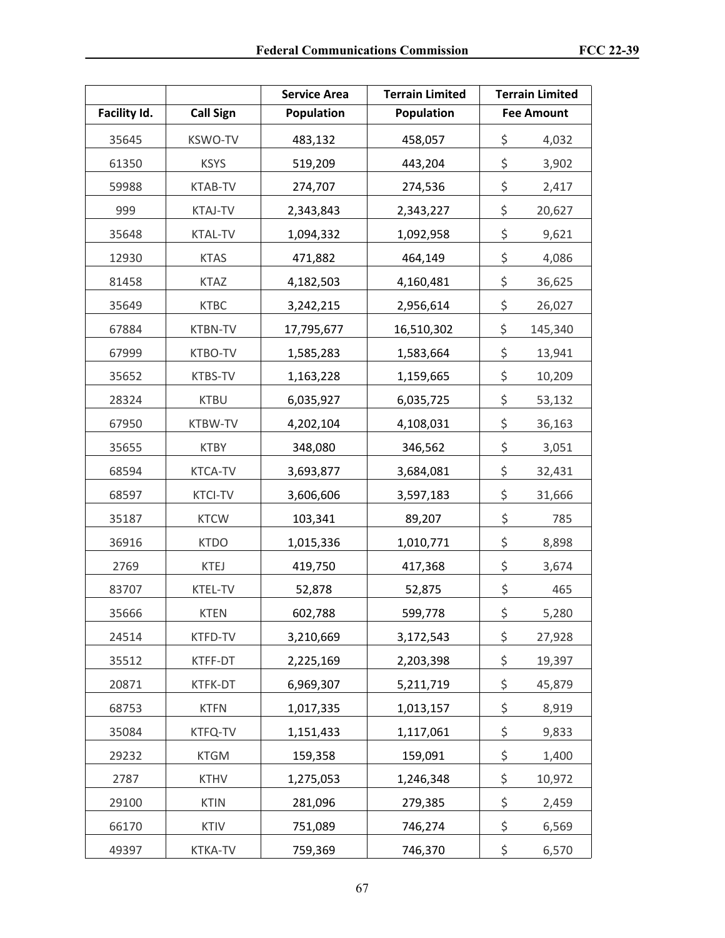|              |                  | <b>Service Area</b> | <b>Terrain Limited</b> | <b>Terrain Limited</b> |
|--------------|------------------|---------------------|------------------------|------------------------|
| Facility Id. | <b>Call Sign</b> | Population          | <b>Population</b>      | <b>Fee Amount</b>      |
| 35645        | <b>KSWO-TV</b>   | 483,132             | 458,057                | \$<br>4,032            |
| 61350        | <b>KSYS</b>      | 519,209             | 443,204                | \$<br>3,902            |
| 59988        | KTAB-TV          | 274,707             | 274,536                | \$<br>2,417            |
| 999          | <b>KTAJ-TV</b>   | 2,343,843           | 2,343,227              | \$<br>20,627           |
| 35648        | <b>KTAL-TV</b>   | 1,094,332           | 1,092,958              | \$<br>9,621            |
| 12930        | <b>KTAS</b>      | 471,882             | 464,149                | \$<br>4,086            |
| 81458        | <b>KTAZ</b>      | 4,182,503           | 4,160,481              | \$<br>36,625           |
| 35649        | <b>KTBC</b>      | 3,242,215           | 2,956,614              | \$<br>26,027           |
| 67884        | <b>KTBN-TV</b>   | 17,795,677          | 16,510,302             | \$<br>145,340          |
| 67999        | KTBO-TV          | 1,585,283           | 1,583,664              | \$<br>13,941           |
| 35652        | KTBS-TV          | 1,163,228           | 1,159,665              | \$<br>10,209           |
| 28324        | <b>KTBU</b>      | 6,035,927           | 6,035,725              | \$<br>53,132           |
| 67950        | KTBW-TV          | 4,202,104           | 4,108,031              | \$<br>36,163           |
| 35655        | <b>KTBY</b>      | 348,080             | 346,562                | \$<br>3,051            |
| 68594        | <b>KTCA-TV</b>   | 3,693,877           | 3,684,081              | \$<br>32,431           |
| 68597        | <b>KTCI-TV</b>   | 3,606,606           | 3,597,183              | \$<br>31,666           |
| 35187        | <b>KTCW</b>      | 103,341             | 89,207                 | \$<br>785              |
| 36916        | <b>KTDO</b>      | 1,015,336           | 1,010,771              | \$<br>8,898            |
| 2769         | <b>KTEJ</b>      | 419,750             | 417,368                | \$<br>3,674            |
| 83707        | KTEL-TV          | 52,878              | 52,875                 | \$<br>465              |
| 35666        | <b>KTEN</b>      | 602,788             | 599,778                | \$<br>5,280            |
| 24514        | KTFD-TV          | 3,210,669           | 3,172,543              | \$<br>27,928           |
| 35512        | KTFF-DT          | 2,225,169           | 2,203,398              | \$<br>19,397           |
| 20871        | KTFK-DT          | 6,969,307           | 5,211,719              | \$<br>45,879           |
| 68753        | <b>KTFN</b>      | 1,017,335           | 1,013,157              | \$<br>8,919            |
| 35084        | KTFQ-TV          | 1,151,433           | 1,117,061              | \$<br>9,833            |
| 29232        | <b>KTGM</b>      | 159,358             | 159,091                | \$<br>1,400            |
| 2787         | <b>KTHV</b>      | 1,275,053           | 1,246,348              | \$<br>10,972           |
| 29100        | <b>KTIN</b>      | 281,096             | 279,385                | \$<br>2,459            |
| 66170        | KTIV             | 751,089             | 746,274                | \$<br>6,569            |
| 49397        | <b>KTKA-TV</b>   | 759,369             | 746,370                | \$<br>6,570            |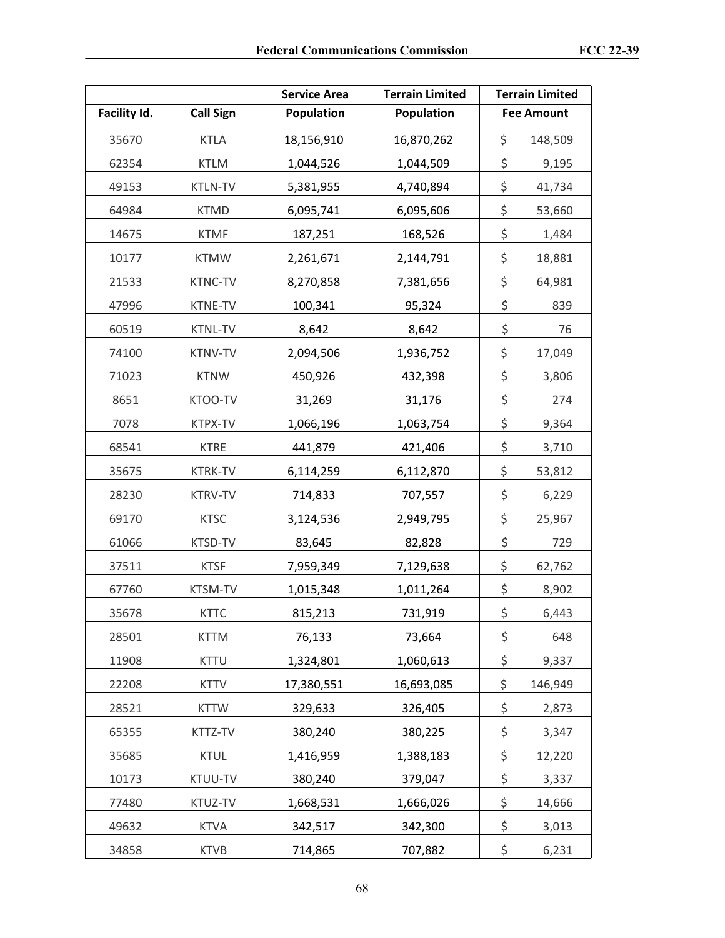|              |                  | <b>Service Area</b> | <b>Terrain Limited</b> | <b>Terrain Limited</b> |
|--------------|------------------|---------------------|------------------------|------------------------|
| Facility Id. | <b>Call Sign</b> | <b>Population</b>   | <b>Population</b>      | <b>Fee Amount</b>      |
| 35670        | <b>KTLA</b>      | 18,156,910          | 16,870,262             | \$<br>148,509          |
| 62354        | <b>KTLM</b>      | 1,044,526           | 1,044,509              | \$<br>9,195            |
| 49153        | <b>KTLN-TV</b>   | 5,381,955           | 4,740,894              | \$<br>41,734           |
| 64984        | <b>KTMD</b>      | 6,095,741           | 6,095,606              | \$<br>53,660           |
| 14675        | <b>KTMF</b>      | 187,251             | 168,526                | \$<br>1,484            |
| 10177        | <b>KTMW</b>      | 2,261,671           | 2,144,791              | \$<br>18,881           |
| 21533        | KTNC-TV          | 8,270,858           | 7,381,656              | \$<br>64,981           |
| 47996        | KTNE-TV          | 100,341             | 95,324                 | \$<br>839              |
| 60519        | <b>KTNL-TV</b>   | 8,642               | 8,642                  | \$<br>76               |
| 74100        | <b>KTNV-TV</b>   | 2,094,506           | 1,936,752              | \$<br>17,049           |
| 71023        | <b>KTNW</b>      | 450,926             | 432,398                | \$<br>3,806            |
| 8651         | KTOO-TV          | 31,269              | 31,176                 | \$<br>274              |
| 7078         | KTPX-TV          | 1,066,196           | 1,063,754              | \$<br>9,364            |
| 68541        | <b>KTRE</b>      | 441,879             | 421,406                | \$<br>3,710            |
| 35675        | <b>KTRK-TV</b>   | 6,114,259           | 6,112,870              | \$<br>53,812           |
| 28230        | KTRV-TV          | 714,833             | 707,557                | \$<br>6,229            |
| 69170        | <b>KTSC</b>      | 3,124,536           | 2,949,795              | \$<br>25,967           |
| 61066        | KTSD-TV          | 83,645              | 82,828                 | \$<br>729              |
| 37511        | <b>KTSF</b>      | 7,959,349           | 7,129,638              | \$<br>62,762           |
| 67760        | KTSM-TV          | 1,015,348           | 1,011,264              | \$<br>8,902            |
| 35678        | <b>KTTC</b>      | 815,213             | 731,919                | \$<br>6,443            |
| 28501        | <b>KTTM</b>      | 76,133              | 73,664                 | \$<br>648              |
| 11908        | <b>KTTU</b>      | 1,324,801           | 1,060,613              | \$<br>9,337            |
| 22208        | <b>KTTV</b>      | 17,380,551          | 16,693,085             | \$<br>146,949          |
| 28521        | <b>KTTW</b>      | 329,633             | 326,405                | \$<br>2,873            |
| 65355        | KTTZ-TV          | 380,240             | 380,225                | \$<br>3,347            |
| 35685        | <b>KTUL</b>      | 1,416,959           | 1,388,183              | \$<br>12,220           |
| 10173        | KTUU-TV          | 380,240             | 379,047                | \$<br>3,337            |
| 77480        | KTUZ-TV          | 1,668,531           | 1,666,026              | \$<br>14,666           |
| 49632        | <b>KTVA</b>      | 342,517             | 342,300                | \$<br>3,013            |
| 34858        | <b>KTVB</b>      | 714,865             | 707,882                | \$<br>6,231            |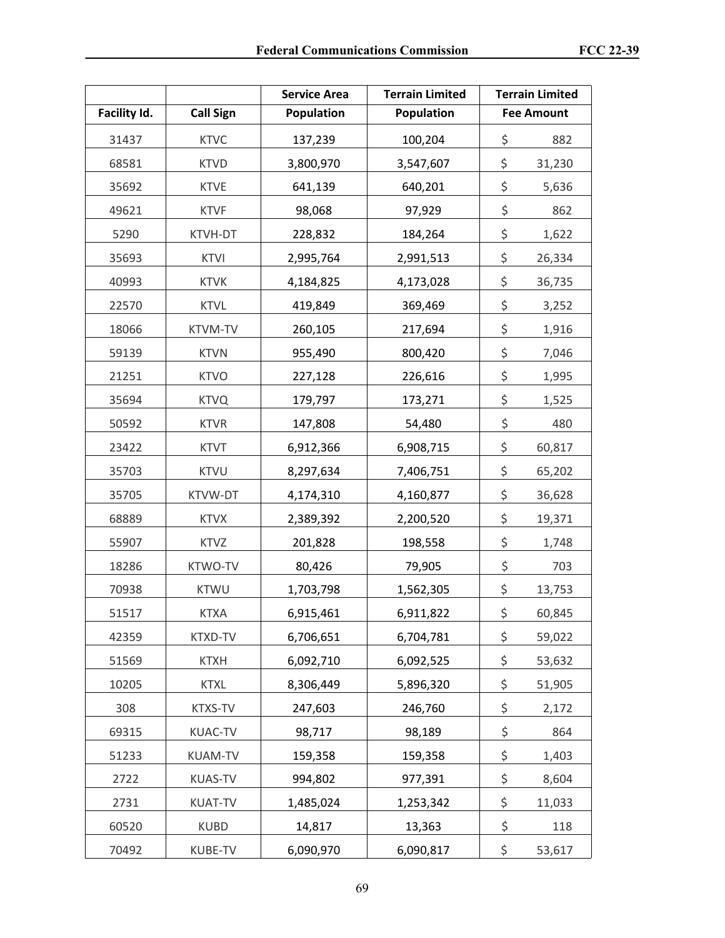|              |                  | <b>Service Area</b> | <b>Terrain Limited</b> | <b>Terrain Limited</b> |        |
|--------------|------------------|---------------------|------------------------|------------------------|--------|
| Facility Id. | <b>Call Sign</b> | <b>Population</b>   | <b>Population</b>      | <b>Fee Amount</b>      |        |
| 31437        | <b>KTVC</b>      | 137,239             | 100,204                | \$                     | 882    |
| 68581        | <b>KTVD</b>      | 3,800,970           | 3,547,607              | \$                     | 31,230 |
| 35692        | <b>KTVE</b>      | 641,139             | 640,201                | \$                     | 5,636  |
| 49621        | <b>KTVF</b>      | 98,068              | 97,929                 | \$                     | 862    |
| 5290         | KTVH-DT          | 228,832             | 184,264                | \$                     | 1,622  |
| 35693        | <b>KTVI</b>      | 2,995,764           | 2,991,513              | \$                     | 26,334 |
| 40993        | <b>KTVK</b>      | 4,184,825           | 4,173,028              | \$                     | 36,735 |
| 22570        | <b>KTVL</b>      | 419,849             | 369,469                | \$                     | 3,252  |
| 18066        | <b>KTVM-TV</b>   | 260,105             | 217,694                | \$                     | 1,916  |
| 59139        | <b>KTVN</b>      | 955,490             | 800,420                | \$                     | 7,046  |
| 21251        | <b>KTVO</b>      | 227,128             | 226,616                | \$                     | 1,995  |
| 35694        | <b>KTVQ</b>      | 179,797             | 173,271                | \$                     | 1,525  |
| 50592        | <b>KTVR</b>      | 147,808             | 54,480                 | \$                     | 480    |
| 23422        | <b>KTVT</b>      | 6,912,366           | 6,908,715              | \$                     | 60,817 |
| 35703        | <b>KTVU</b>      | 8,297,634           | 7,406,751              | \$                     | 65,202 |
| 35705        | KTVW-DT          | 4,174,310           | 4,160,877              | \$                     | 36,628 |
| 68889        | <b>KTVX</b>      | 2,389,392           | 2,200,520              | \$                     | 19,371 |
| 55907        | <b>KTVZ</b>      | 201,828             | 198,558                | \$                     | 1,748  |
| 18286        | KTWO-TV          | 80,426              | 79,905                 | \$                     | 703    |
| 70938        | <b>KTWU</b>      | 1,703,798           | 1,562,305              | \$                     | 13,753 |
| 51517        | <b>KTXA</b>      | 6,915,461           | 6,911,822              | \$                     | 60,845 |
| 42359        | KTXD-TV          | 6,706,651           | 6,704,781              | \$                     | 59,022 |
| 51569        | <b>KTXH</b>      | 6,092,710           | 6,092,525              | \$                     | 53,632 |
| 10205        | <b>KTXL</b>      | 8,306,449           | 5,896,320              | \$                     | 51,905 |
| 308          | KTXS-TV          | 247,603             | 246,760                | \$                     | 2,172  |
| 69315        | KUAC-TV          | 98,717              | 98,189                 | \$                     | 864    |
| 51233        | <b>KUAM-TV</b>   | 159,358             | 159,358                | \$                     | 1,403  |
| 2722         | <b>KUAS-TV</b>   | 994,802             | 977,391                | \$                     | 8,604  |
| 2731         | <b>KUAT-TV</b>   | 1,485,024           | 1,253,342              | \$                     | 11,033 |
| 60520        | <b>KUBD</b>      | 14,817              | 13,363                 | \$                     | 118    |
| 70492        | KUBE-TV          | 6,090,970           | 6,090,817              | \$                     | 53,617 |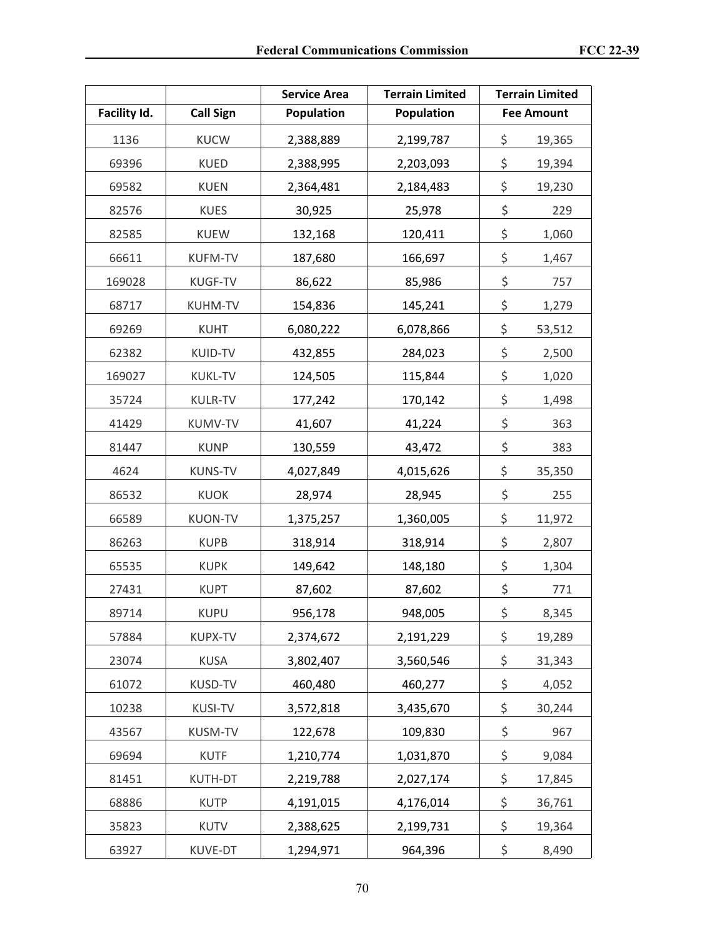|              |                  | <b>Service Area</b> | <b>Terrain Limited</b> | <b>Terrain Limited</b> |        |
|--------------|------------------|---------------------|------------------------|------------------------|--------|
| Facility Id. | <b>Call Sign</b> | Population          | Population             | <b>Fee Amount</b>      |        |
| 1136         | <b>KUCW</b>      | 2,388,889           | 2,199,787              | \$                     | 19,365 |
| 69396        | <b>KUED</b>      | 2,388,995           | 2,203,093              | \$                     | 19,394 |
| 69582        | <b>KUEN</b>      | 2,364,481           | 2,184,483              | \$                     | 19,230 |
| 82576        | <b>KUES</b>      | 30,925              | 25,978                 | \$                     | 229    |
| 82585        | <b>KUEW</b>      | 132,168             | 120,411                | \$                     | 1,060  |
| 66611        | <b>KUFM-TV</b>   | 187,680             | 166,697                | \$                     | 1,467  |
| 169028       | KUGF-TV          | 86,622              | 85,986                 | \$                     | 757    |
| 68717        | <b>KUHM-TV</b>   | 154,836             | 145,241                | \$                     | 1,279  |
| 69269        | <b>KUHT</b>      | 6,080,222           | 6,078,866              | \$                     | 53,512 |
| 62382        | KUID-TV          | 432,855             | 284,023                | \$                     | 2,500  |
| 169027       | <b>KUKL-TV</b>   | 124,505             | 115,844                | \$                     | 1,020  |
| 35724        | <b>KULR-TV</b>   | 177,242             | 170,142                | \$                     | 1,498  |
| 41429        | KUMV-TV          | 41,607              | 41,224                 | \$                     | 363    |
| 81447        | <b>KUNP</b>      | 130,559             | 43,472                 | \$                     | 383    |
| 4624         | <b>KUNS-TV</b>   | 4,027,849           | 4,015,626              | \$                     | 35,350 |
| 86532        | <b>KUOK</b>      | 28,974              | 28,945                 | \$                     | 255    |
| 66589        | <b>KUON-TV</b>   | 1,375,257           | 1,360,005              | \$                     | 11,972 |
| 86263        | <b>KUPB</b>      | 318,914             | 318,914                | \$                     | 2,807  |
| 65535        | <b>KUPK</b>      | 149,642             | 148,180                | \$                     | 1,304  |
| 27431        | <b>KUPT</b>      | 87,602              | 87,602                 | \$                     | 771    |
| 89714        | <b>KUPU</b>      | 956,178             | 948,005                | \$                     | 8,345  |
| 57884        | <b>KUPX-TV</b>   | 2,374,672           | 2,191,229              | \$                     | 19,289 |
| 23074        | <b>KUSA</b>      | 3,802,407           | 3,560,546              | \$                     | 31,343 |
| 61072        | KUSD-TV          | 460,480             | 460,277                | \$                     | 4,052  |
| 10238        | <b>KUSI-TV</b>   | 3,572,818           | 3,435,670              | \$                     | 30,244 |
| 43567        | <b>KUSM-TV</b>   | 122,678             | 109,830                | \$                     | 967    |
| 69694        | <b>KUTF</b>      | 1,210,774           | 1,031,870              | \$                     | 9,084  |
| 81451        | KUTH-DT          | 2,219,788           | 2,027,174              | \$                     | 17,845 |
| 68886        | <b>KUTP</b>      | 4,191,015           | 4,176,014              | \$                     | 36,761 |
| 35823        | <b>KUTV</b>      | 2,388,625           | 2,199,731              | \$                     | 19,364 |
| 63927        | KUVE-DT          | 1,294,971           | 964,396                | \$                     | 8,490  |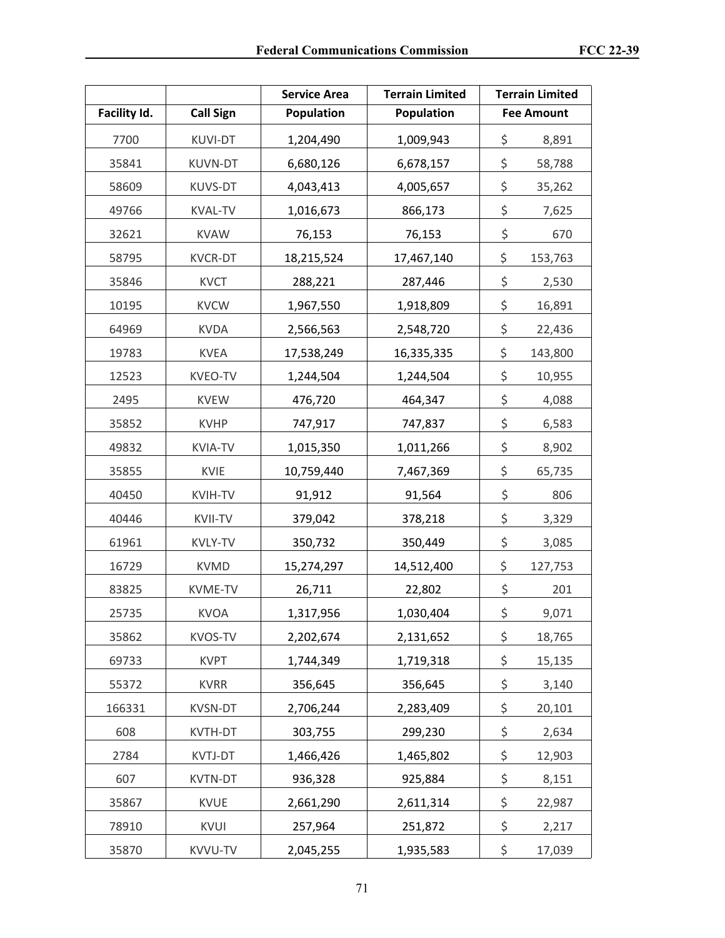|              |                  | <b>Service Area</b> | <b>Terrain Limited</b> | <b>Terrain Limited</b> |         |
|--------------|------------------|---------------------|------------------------|------------------------|---------|
| Facility Id. | <b>Call Sign</b> | <b>Population</b>   | <b>Population</b>      | <b>Fee Amount</b>      |         |
| 7700         | <b>KUVI-DT</b>   | 1,204,490           | 1,009,943              | \$                     | 8,891   |
| 35841        | <b>KUVN-DT</b>   | 6,680,126           | 6,678,157              | \$                     | 58,788  |
| 58609        | <b>KUVS-DT</b>   | 4,043,413           | 4,005,657              | \$                     | 35,262  |
| 49766        | <b>KVAL-TV</b>   | 1,016,673           | 866,173                | \$                     | 7,625   |
| 32621        | <b>KVAW</b>      | 76,153              | 76,153                 | \$                     | 670     |
| 58795        | <b>KVCR-DT</b>   | 18,215,524          | 17,467,140             | \$                     | 153,763 |
| 35846        | <b>KVCT</b>      | 288,221             | 287,446                | \$                     | 2,530   |
| 10195        | <b>KVCW</b>      | 1,967,550           | 1,918,809              | \$                     | 16,891  |
| 64969        | <b>KVDA</b>      | 2,566,563           | 2,548,720              | \$                     | 22,436  |
| 19783        | <b>KVEA</b>      | 17,538,249          | 16,335,335             | \$                     | 143,800 |
| 12523        | KVEO-TV          | 1,244,504           | 1,244,504              | \$                     | 10,955  |
| 2495         | <b>KVEW</b>      | 476,720             | 464,347                | \$                     | 4,088   |
| 35852        | <b>KVHP</b>      | 747,917             | 747,837                | \$                     | 6,583   |
| 49832        | <b>KVIA-TV</b>   | 1,015,350           | 1,011,266              | \$                     | 8,902   |
| 35855        | <b>KVIE</b>      | 10,759,440          | 7,467,369              | \$                     | 65,735  |
| 40450        | <b>KVIH-TV</b>   | 91,912              | 91,564                 | \$                     | 806     |
| 40446        | <b>KVII-TV</b>   | 379,042             | 378,218                | \$                     | 3,329   |
| 61961        | <b>KVLY-TV</b>   | 350,732             | 350,449                | \$                     | 3,085   |
| 16729        | <b>KVMD</b>      | 15,274,297          | 14,512,400             | \$                     | 127,753 |
| 83825        | KVME-TV          | 26,711              | 22,802                 | \$                     | 201     |
| 25735        | <b>KVOA</b>      | 1,317,956           | 1,030,404              | \$                     | 9,071   |
| 35862        | KVOS-TV          | 2,202,674           | 2,131,652              | \$                     | 18,765  |
| 69733        | <b>KVPT</b>      | 1,744,349           | 1,719,318              | \$                     | 15,135  |
| 55372        | <b>KVRR</b>      | 356,645             | 356,645                | \$                     | 3,140   |
| 166331       | <b>KVSN-DT</b>   | 2,706,244           | 2,283,409              | \$                     | 20,101  |
| 608          | KVTH-DT          | 303,755             | 299,230                | \$                     | 2,634   |
| 2784         | KVTJ-DT          | 1,466,426           | 1,465,802              | \$                     | 12,903  |
| 607          | <b>KVTN-DT</b>   | 936,328             | 925,884                | \$                     | 8,151   |
| 35867        | <b>KVUE</b>      | 2,661,290           | 2,611,314              | \$                     | 22,987  |
| 78910        | KVUI             | 257,964             | 251,872                | \$                     | 2,217   |
| 35870        | KVVU-TV          | 2,045,255           | 1,935,583              | \$                     | 17,039  |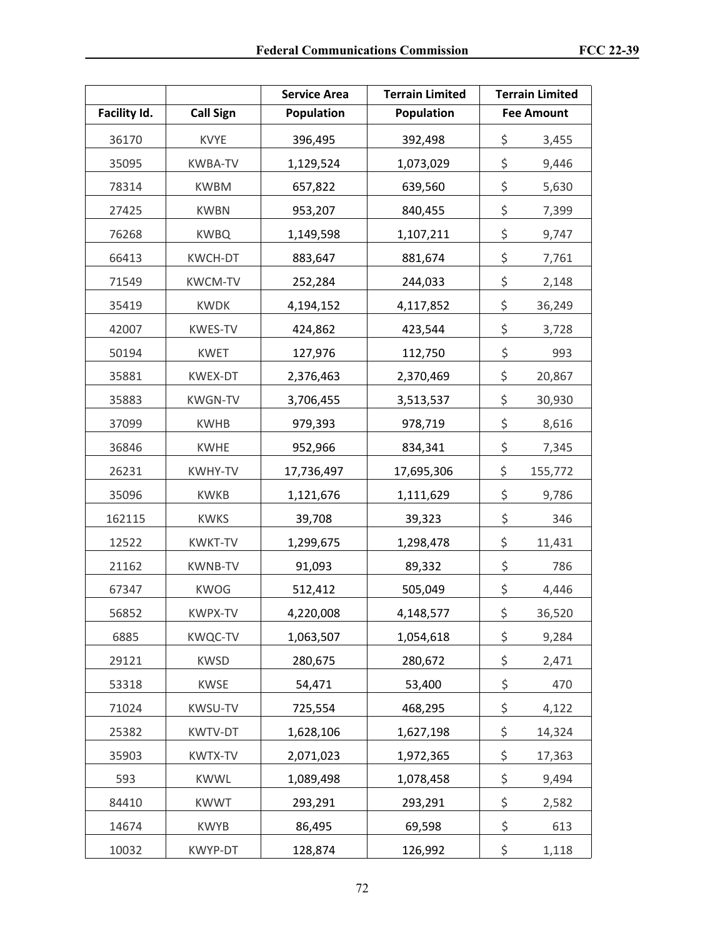|              |                  | <b>Service Area</b> | <b>Terrain Limited</b> | <b>Terrain Limited</b> |         |
|--------------|------------------|---------------------|------------------------|------------------------|---------|
| Facility Id. | <b>Call Sign</b> | Population          | <b>Population</b>      | <b>Fee Amount</b>      |         |
| 36170        | <b>KVYE</b>      | 396,495             | 392,498                | \$                     | 3,455   |
| 35095        | <b>KWBA-TV</b>   | 1,129,524           | 1,073,029              | \$                     | 9,446   |
| 78314        | <b>KWBM</b>      | 657,822             | 639,560                | \$                     | 5,630   |
| 27425        | <b>KWBN</b>      | 953,207             | 840,455                | \$                     | 7,399   |
| 76268        | <b>KWBQ</b>      | 1,149,598           | 1,107,211              | \$                     | 9,747   |
| 66413        | <b>KWCH-DT</b>   | 883,647             | 881,674                | \$                     | 7,761   |
| 71549        | <b>KWCM-TV</b>   | 252,284             | 244,033                | \$                     | 2,148   |
| 35419        | <b>KWDK</b>      | 4,194,152           | 4,117,852              | \$                     | 36,249  |
| 42007        | <b>KWES-TV</b>   | 424,862             | 423,544                | \$                     | 3,728   |
| 50194        | <b>KWET</b>      | 127,976             | 112,750                | \$                     | 993     |
| 35881        | KWEX-DT          | 2,376,463           | 2,370,469              | \$                     | 20,867  |
| 35883        | <b>KWGN-TV</b>   | 3,706,455           | 3,513,537              | \$                     | 30,930  |
| 37099        | <b>KWHB</b>      | 979,393             | 978,719                | \$                     | 8,616   |
| 36846        | <b>KWHE</b>      | 952,966             | 834,341                | \$                     | 7,345   |
| 26231        | KWHY-TV          | 17,736,497          | 17,695,306             | \$                     | 155,772 |
| 35096        | <b>KWKB</b>      | 1,121,676           | 1,111,629              | \$                     | 9,786   |
| 162115       | <b>KWKS</b>      | 39,708              | 39,323                 | \$                     | 346     |
| 12522        | <b>KWKT-TV</b>   | 1,299,675           | 1,298,478              | \$                     | 11,431  |
| 21162        | <b>KWNB-TV</b>   | 91,093              | 89,332                 | \$                     | 786     |
| 67347        | <b>KWOG</b>      | 512,412             | 505,049                | \$                     | 4,446   |
| 56852        | KWPX-TV          | 4,220,008           | 4,148,577              | \$                     | 36,520  |
| 6885         | <b>KWQC-TV</b>   | 1,063,507           | 1,054,618              | \$                     | 9,284   |
| 29121        | <b>KWSD</b>      | 280,675             | 280,672                | \$                     | 2,471   |
| 53318        | KWSE             | 54,471              | 53,400                 | \$                     | 470     |
| 71024        | KWSU-TV          | 725,554             | 468,295                | \$                     | 4,122   |
| 25382        | KWTV-DT          | 1,628,106           | 1,627,198              | \$                     | 14,324  |
| 35903        | KWTX-TV          | 2,071,023           | 1,972,365              | \$                     | 17,363  |
| 593          | <b>KWWL</b>      | 1,089,498           | 1,078,458              | \$                     | 9,494   |
| 84410        | <b>KWWT</b>      | 293,291             | 293,291                | \$                     | 2,582   |
| 14674        | <b>KWYB</b>      | 86,495              | 69,598                 | \$                     | 613     |
| 10032        | KWYP-DT          | 128,874             | 126,992                | \$                     | 1,118   |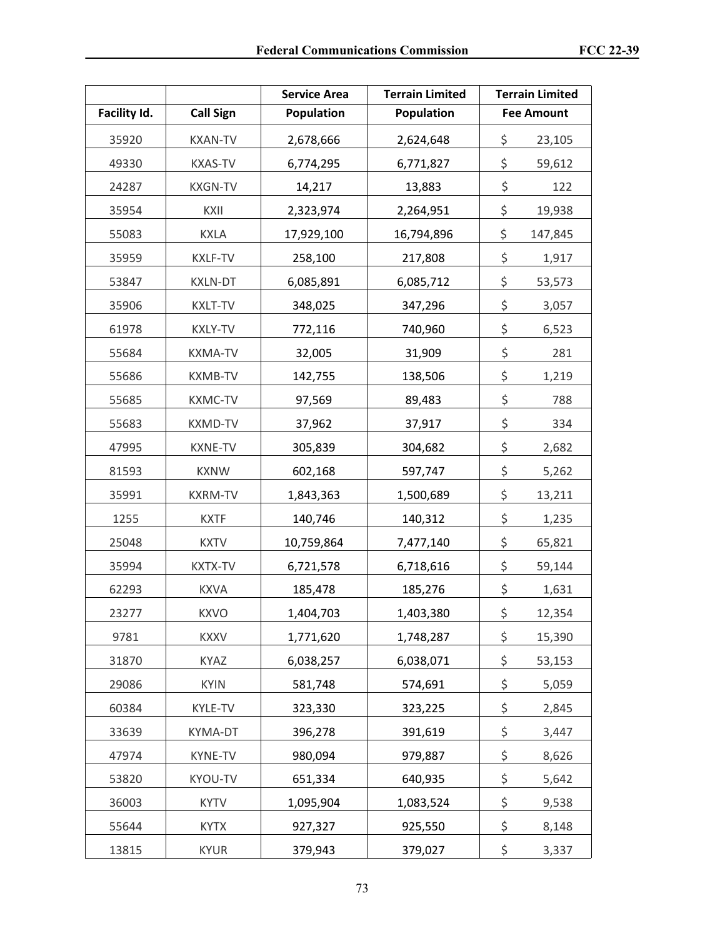|              |                  | <b>Service Area</b> | <b>Terrain Limited</b> | <b>Terrain Limited</b> |
|--------------|------------------|---------------------|------------------------|------------------------|
| Facility Id. | <b>Call Sign</b> | Population          | Population             | <b>Fee Amount</b>      |
| 35920        | <b>KXAN-TV</b>   | 2,678,666           | 2,624,648              | \$<br>23,105           |
| 49330        | <b>KXAS-TV</b>   | 6,774,295           | 6,771,827              | \$<br>59,612           |
| 24287        | <b>KXGN-TV</b>   | 14,217              | 13,883                 | \$<br>122              |
| 35954        | KXII             | 2,323,974           | 2,264,951              | \$<br>19,938           |
| 55083        | <b>KXLA</b>      | 17,929,100          | 16,794,896             | \$<br>147,845          |
| 35959        | <b>KXLF-TV</b>   | 258,100             | 217,808                | \$<br>1,917            |
| 53847        | <b>KXLN-DT</b>   | 6,085,891           | 6,085,712              | \$<br>53,573           |
| 35906        | <b>KXLT-TV</b>   | 348,025             | 347,296                | \$<br>3,057            |
| 61978        | <b>KXLY-TV</b>   | 772,116             | 740,960                | \$<br>6,523            |
| 55684        | <b>KXMA-TV</b>   | 32,005              | 31,909                 | \$<br>281              |
| 55686        | <b>KXMB-TV</b>   | 142,755             | 138,506                | \$<br>1,219            |
| 55685        | <b>KXMC-TV</b>   | 97,569              | 89,483                 | \$<br>788              |
| 55683        | <b>KXMD-TV</b>   | 37,962              | 37,917                 | \$<br>334              |
| 47995        | <b>KXNE-TV</b>   | 305,839             | 304,682                | \$<br>2,682            |
| 81593        | <b>KXNW</b>      | 602,168             | 597,747                | \$<br>5,262            |
| 35991        | <b>KXRM-TV</b>   | 1,843,363           | 1,500,689              | \$<br>13,211           |
| 1255         | <b>KXTF</b>      | 140,746             | 140,312                | \$<br>1,235            |
| 25048        | <b>KXTV</b>      | 10,759,864          | 7,477,140              | \$<br>65,821           |
| 35994        | <b>KXTX-TV</b>   | 6,721,578           | 6,718,616              | \$<br>59,144           |
| 62293        | <b>KXVA</b>      | 185,478             | 185,276                | \$<br>1,631            |
| 23277        | <b>KXVO</b>      | 1,404,703           | 1,403,380              | \$<br>12,354           |
| 9781         | <b>KXXV</b>      | 1,771,620           | 1,748,287              | \$<br>15,390           |
| 31870        | KYAZ             | 6,038,257           | 6,038,071              | \$<br>53,153           |
| 29086        | <b>KYIN</b>      | 581,748             | 574,691                | \$<br>5,059            |
| 60384        | KYLE-TV          | 323,330             | 323,225                | \$<br>2,845            |
| 33639        | KYMA-DT          | 396,278             | 391,619                | \$<br>3,447            |
| 47974        | KYNE-TV          | 980,094             | 979,887                | \$<br>8,626            |
| 53820        | KYOU-TV          | 651,334             | 640,935                | \$<br>5,642            |
| 36003        | <b>KYTV</b>      | 1,095,904           | 1,083,524              | \$<br>9,538            |
| 55644        | <b>KYTX</b>      | 927,327             | 925,550                | \$<br>8,148            |
| 13815        | <b>KYUR</b>      | 379,943             | 379,027                | \$<br>3,337            |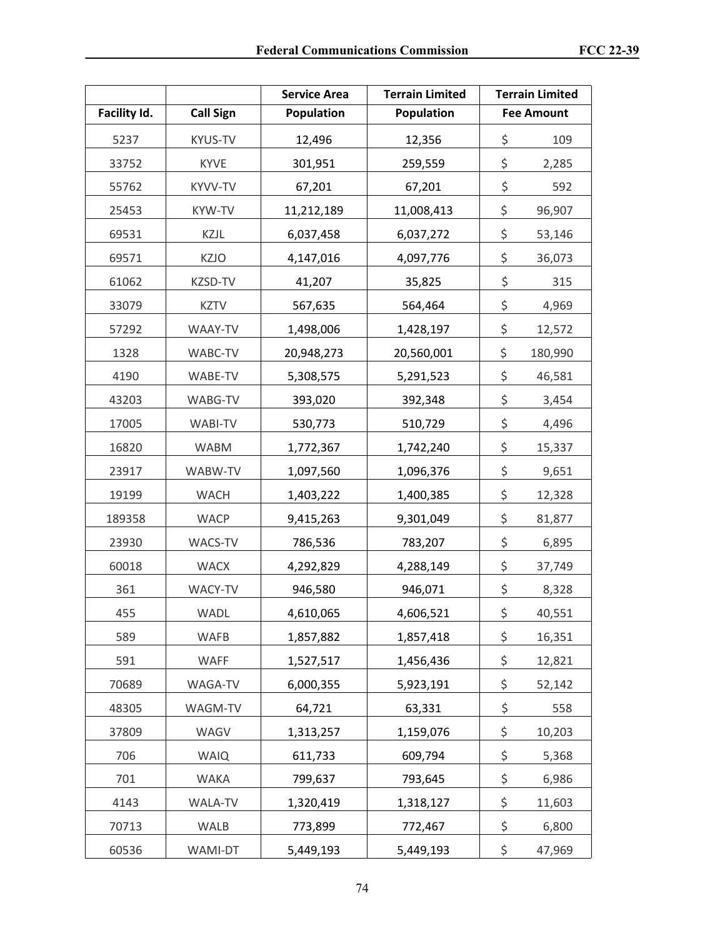|              |                  | <b>Service Area</b> | <b>Terrain Limited</b> | <b>Terrain Limited</b> |
|--------------|------------------|---------------------|------------------------|------------------------|
| Facility Id. | <b>Call Sign</b> | Population          | <b>Population</b>      | <b>Fee Amount</b>      |
| 5237         | <b>KYUS-TV</b>   | 12,496              | 12,356                 | \$<br>109              |
| 33752        | <b>KYVE</b>      | 301,951             | 259,559                | \$<br>2,285            |
| 55762        | KYVV-TV          | 67,201              | 67,201                 | \$<br>592              |
| 25453        | KYW-TV           | 11,212,189          | 11,008,413             | \$<br>96,907           |
| 69531        | KZJL             | 6,037,458           | 6,037,272              | \$<br>53,146           |
| 69571        | <b>KZJO</b>      | 4,147,016           | 4,097,776              | \$<br>36,073           |
| 61062        | KZSD-TV          | 41,207              | 35,825                 | \$<br>315              |
| 33079        | <b>KZTV</b>      | 567,635             | 564,464                | \$<br>4,969            |
| 57292        | WAAY-TV          | 1,498,006           | 1,428,197              | \$<br>12,572           |
| 1328         | WABC-TV          | 20,948,273          | 20,560,001             | \$<br>180,990          |
| 4190         | WABE-TV          | 5,308,575           | 5,291,523              | \$<br>46,581           |
| 43203        | WABG-TV          | 393,020             | 392,348                | \$<br>3,454            |
| 17005        | <b>WABI-TV</b>   | 530,773             | 510,729                | \$<br>4,496            |
| 16820        | <b>WABM</b>      | 1,772,367           | 1,742,240              | \$<br>15,337           |
| 23917        | WABW-TV          | 1,097,560           | 1,096,376              | \$<br>9,651            |
| 19199        | <b>WACH</b>      | 1,403,222           | 1,400,385              | \$<br>12,328           |
| 189358       | <b>WACP</b>      | 9,415,263           | 9,301,049              | \$<br>81,877           |
| 23930        | WACS-TV          | 786,536             | 783,207                | \$<br>6,895            |
| 60018        | <b>WACX</b>      | 4,292,829           | 4,288,149              | \$<br>37,749           |
| 361          | WACY-TV          | 946,580             | 946,071                | \$<br>8,328            |
| 455          | WADL             | 4,610,065           | 4,606,521              | \$<br>40,551           |
| 589          | <b>WAFB</b>      | 1,857,882           | 1,857,418              | \$<br>16,351           |
| 591          | <b>WAFF</b>      | 1,527,517           | 1,456,436              | \$<br>12,821           |
| 70689        | WAGA-TV          | 6,000,355           | 5,923,191              | \$<br>52,142           |
| 48305        | WAGM-TV          | 64,721              | 63,331                 | \$<br>558              |
| 37809        | WAGV             | 1,313,257           | 1,159,076              | \$<br>10,203           |
| 706          | <b>WAIQ</b>      | 611,733             | 609,794                | \$<br>5,368            |
| 701          | <b>WAKA</b>      | 799,637             | 793,645                | \$<br>6,986            |
| 4143         | WALA-TV          | 1,320,419           | 1,318,127              | \$<br>11,603           |
| 70713        | WALB             | 773,899             | 772,467                | \$<br>6,800            |
| 60536        | WAMI-DT          | 5,449,193           | 5,449,193              | \$<br>47,969           |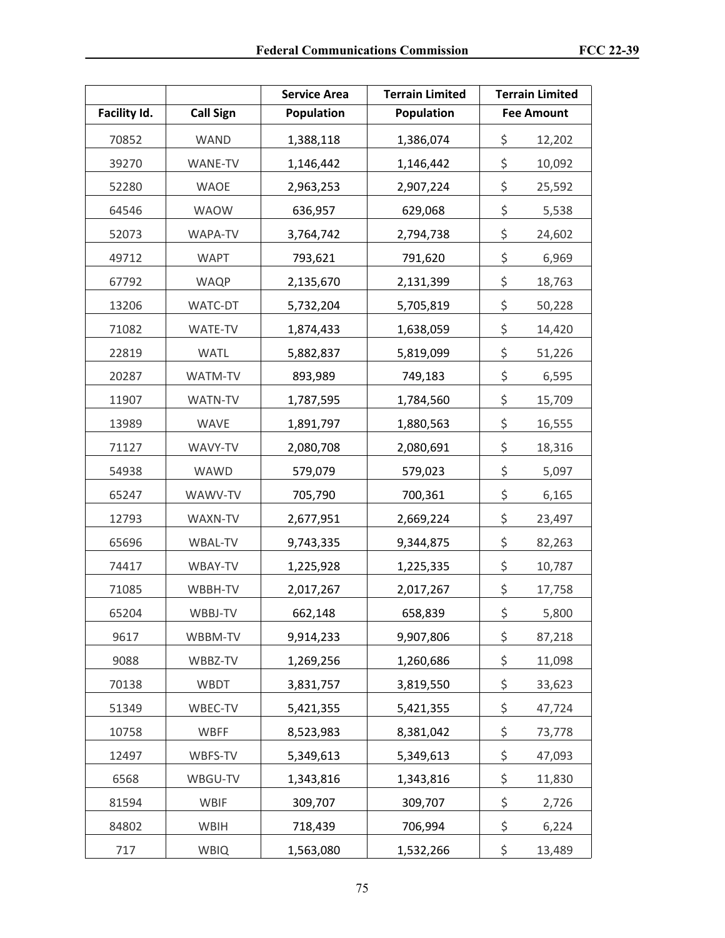|              |                  | <b>Service Area</b> | <b>Terrain Limited</b> | <b>Terrain Limited</b> |
|--------------|------------------|---------------------|------------------------|------------------------|
| Facility Id. | <b>Call Sign</b> | Population          | Population             | <b>Fee Amount</b>      |
| 70852        | <b>WAND</b>      | 1,388,118           | 1,386,074              | \$<br>12,202           |
| 39270        | WANE-TV          | 1,146,442           | 1,146,442              | \$<br>10,092           |
| 52280        | <b>WAOE</b>      | 2,963,253           | 2,907,224              | \$<br>25,592           |
| 64546        | <b>WAOW</b>      | 636,957             | 629,068                | \$<br>5,538            |
| 52073        | WAPA-TV          | 3,764,742           | 2,794,738              | \$<br>24,602           |
| 49712        | <b>WAPT</b>      | 793,621             | 791,620                | \$<br>6,969            |
| 67792        | <b>WAQP</b>      | 2,135,670           | 2,131,399              | \$<br>18,763           |
| 13206        | WATC-DT          | 5,732,204           | 5,705,819              | \$<br>50,228           |
| 71082        | WATE-TV          | 1,874,433           | 1,638,059              | \$<br>14,420           |
| 22819        | <b>WATL</b>      | 5,882,837           | 5,819,099              | \$<br>51,226           |
| 20287        | WATM-TV          | 893,989             | 749,183                | \$<br>6,595            |
| 11907        | WATN-TV          | 1,787,595           | 1,784,560              | \$<br>15,709           |
| 13989        | <b>WAVE</b>      | 1,891,797           | 1,880,563              | \$<br>16,555           |
| 71127        | WAVY-TV          | 2,080,708           | 2,080,691              | \$<br>18,316           |
| 54938        | WAWD             | 579,079             | 579,023                | \$<br>5,097            |
| 65247        | WAWV-TV          | 705,790             | 700,361                | \$<br>6,165            |
| 12793        | WAXN-TV          | 2,677,951           | 2,669,224              | \$<br>23,497           |
| 65696        | WBAL-TV          | 9,743,335           | 9,344,875              | \$<br>82,263           |
| 74417        | WBAY-TV          | 1,225,928           | 1,225,335              | \$<br>10,787           |
| 71085        | WBBH-TV          | 2,017,267           | 2,017,267              | \$<br>17,758           |
| 65204        | WBBJ-TV          | 662,148             | 658,839                | \$<br>5,800            |
| 9617         | WBBM-TV          | 9,914,233           | 9,907,806              | \$<br>87,218           |
| 9088         | WBBZ-TV          | 1,269,256           | 1,260,686              | \$<br>11,098           |
| 70138        | <b>WBDT</b>      | 3,831,757           | 3,819,550              | \$<br>33,623           |
| 51349        | WBEC-TV          | 5,421,355           | 5,421,355              | \$<br>47,724           |
| 10758        | <b>WBFF</b>      | 8,523,983           | 8,381,042              | \$<br>73,778           |
| 12497        | WBFS-TV          | 5,349,613           | 5,349,613              | \$<br>47,093           |
| 6568         | WBGU-TV          | 1,343,816           | 1,343,816              | \$<br>11,830           |
| 81594        | WBIF             | 309,707             | 309,707                | \$<br>2,726            |
| 84802        | WBIH             | 718,439             | 706,994                | \$<br>6,224            |
| 717          | <b>WBIQ</b>      | 1,563,080           | 1,532,266              | \$<br>13,489           |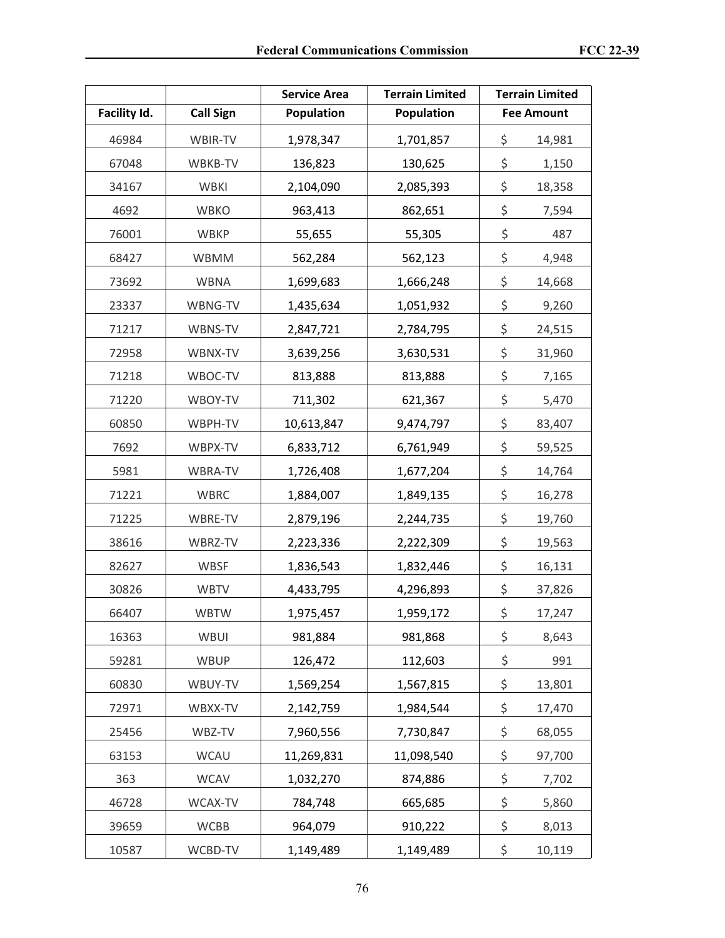|              |                  | <b>Service Area</b> | <b>Terrain Limited</b> | <b>Terrain Limited</b> |
|--------------|------------------|---------------------|------------------------|------------------------|
| Facility Id. | <b>Call Sign</b> | Population          | <b>Population</b>      | <b>Fee Amount</b>      |
| 46984        | WBIR-TV          | 1,978,347           | 1,701,857              | \$<br>14,981           |
| 67048        | WBKB-TV          | 136,823             | 130,625                | \$<br>1,150            |
| 34167        | <b>WBKI</b>      | 2,104,090           | 2,085,393              | \$<br>18,358           |
| 4692         | <b>WBKO</b>      | 963,413             | 862,651                | \$<br>7,594            |
| 76001        | <b>WBKP</b>      | 55,655              | 55,305                 | \$<br>487              |
| 68427        | WBMM             | 562,284             | 562,123                | \$<br>4,948            |
| 73692        | <b>WBNA</b>      | 1,699,683           | 1,666,248              | \$<br>14,668           |
| 23337        | WBNG-TV          | 1,435,634           | 1,051,932              | \$<br>9,260            |
| 71217        | WBNS-TV          | 2,847,721           | 2,784,795              | \$<br>24,515           |
| 72958        | WBNX-TV          | 3,639,256           | 3,630,531              | \$<br>31,960           |
| 71218        | WBOC-TV          | 813,888             | 813,888                | \$<br>7,165            |
| 71220        | WBOY-TV          | 711,302             | 621,367                | \$<br>5,470            |
| 60850        | WBPH-TV          | 10,613,847          | 9,474,797              | \$<br>83,407           |
| 7692         | WBPX-TV          | 6,833,712           | 6,761,949              | \$<br>59,525           |
| 5981         | WBRA-TV          | 1,726,408           | 1,677,204              | \$<br>14,764           |
| 71221        | <b>WBRC</b>      | 1,884,007           | 1,849,135              | \$<br>16,278           |
| 71225        | WBRE-TV          | 2,879,196           | 2,244,735              | \$<br>19,760           |
| 38616        | WBRZ-TV          | 2,223,336           | 2,222,309              | \$<br>19,563           |
| 82627        | <b>WBSF</b>      | 1,836,543           | 1,832,446              | \$<br>16,131           |
| 30826        | <b>WBTV</b>      | 4,433,795           | 4,296,893              | \$<br>37,826           |
| 66407        | <b>WBTW</b>      | 1,975,457           | 1,959,172              | \$<br>17,247           |
| 16363        | WBUI             | 981,884             | 981,868                | \$<br>8,643            |
| 59281        | <b>WBUP</b>      | 126,472             | 112,603                | \$<br>991              |
| 60830        | WBUY-TV          | 1,569,254           | 1,567,815              | \$<br>13,801           |
| 72971        | WBXX-TV          | 2,142,759           | 1,984,544              | \$<br>17,470           |
| 25456        | WBZ-TV           | 7,960,556           | 7,730,847              | \$<br>68,055           |
| 63153        | <b>WCAU</b>      | 11,269,831          | 11,098,540             | \$<br>97,700           |
| 363          | <b>WCAV</b>      | 1,032,270           | 874,886                | \$<br>7,702            |
| 46728        | WCAX-TV          | 784,748             | 665,685                | \$<br>5,860            |
| 39659        | <b>WCBB</b>      | 964,079             | 910,222                | \$<br>8,013            |
| 10587        | WCBD-TV          | 1,149,489           | 1,149,489              | \$<br>10,119           |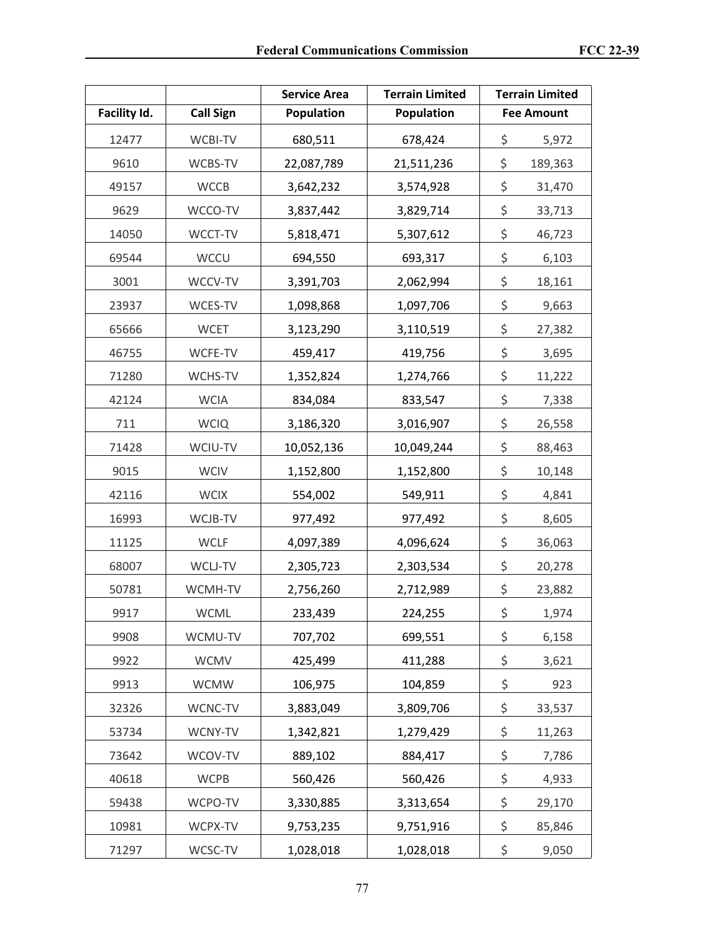|              |                  | <b>Service Area</b> | <b>Terrain Limited</b> | <b>Terrain Limited</b> |
|--------------|------------------|---------------------|------------------------|------------------------|
| Facility Id. | <b>Call Sign</b> | Population          | <b>Population</b>      | <b>Fee Amount</b>      |
| 12477        | WCBI-TV          | 680,511             | 678,424                | \$<br>5,972            |
| 9610         | WCBS-TV          | 22,087,789          | 21,511,236             | \$<br>189,363          |
| 49157        | <b>WCCB</b>      | 3,642,232           | 3,574,928              | \$<br>31,470           |
| 9629         | WCCO-TV          | 3,837,442           | 3,829,714              | \$<br>33,713           |
| 14050        | WCCT-TV          | 5,818,471           | 5,307,612              | \$<br>46,723           |
| 69544        | <b>WCCU</b>      | 694,550             | 693,317                | \$<br>6,103            |
| 3001         | WCCV-TV          | 3,391,703           | 2,062,994              | \$<br>18,161           |
| 23937        | WCES-TV          | 1,098,868           | 1,097,706              | \$<br>9,663            |
| 65666        | <b>WCET</b>      | 3,123,290           | 3,110,519              | \$<br>27,382           |
| 46755        | WCFE-TV          | 459,417             | 419,756                | \$<br>3,695            |
| 71280        | WCHS-TV          | 1,352,824           | 1,274,766              | \$<br>11,222           |
| 42124        | <b>WCIA</b>      | 834,084             | 833,547                | \$<br>7,338            |
| 711          | <b>WCIQ</b>      | 3,186,320           | 3,016,907              | \$<br>26,558           |
| 71428        | WCIU-TV          | 10,052,136          | 10,049,244             | \$<br>88,463           |
| 9015         | <b>WCIV</b>      | 1,152,800           | 1,152,800              | \$<br>10,148           |
| 42116        | <b>WCIX</b>      | 554,002             | 549,911                | \$<br>4,841            |
| 16993        | WCJB-TV          | 977,492             | 977,492                | \$<br>8,605            |
| 11125        | <b>WCLF</b>      | 4,097,389           | 4,096,624              | \$<br>36,063           |
| 68007        | WCLJ-TV          | 2,305,723           | 2,303,534              | \$<br>20,278           |
| 50781        | WCMH-TV          | 2,756,260           | 2,712,989              | \$<br>23,882           |
| 9917         | WCML             | 233,439             | 224,255                | \$<br>1,974            |
| 9908         | WCMU-TV          | 707,702             | 699,551                | \$<br>6,158            |
| 9922         | <b>WCMV</b>      | 425,499             | 411,288                | \$<br>3,621            |
| 9913         | <b>WCMW</b>      | 106,975             | 104,859                | \$<br>923              |
| 32326        | WCNC-TV          | 3,883,049           | 3,809,706              | \$<br>33,537           |
| 53734        | WCNY-TV          | 1,342,821           | 1,279,429              | \$<br>11,263           |
| 73642        | WCOV-TV          | 889,102             | 884,417                | \$<br>7,786            |
| 40618        | <b>WCPB</b>      | 560,426             | 560,426                | \$<br>4,933            |
| 59438        | WCPO-TV          | 3,330,885           | 3,313,654              | \$<br>29,170           |
| 10981        | WCPX-TV          | 9,753,235           | 9,751,916              | \$<br>85,846           |
| 71297        | WCSC-TV          | 1,028,018           | 1,028,018              | \$<br>9,050            |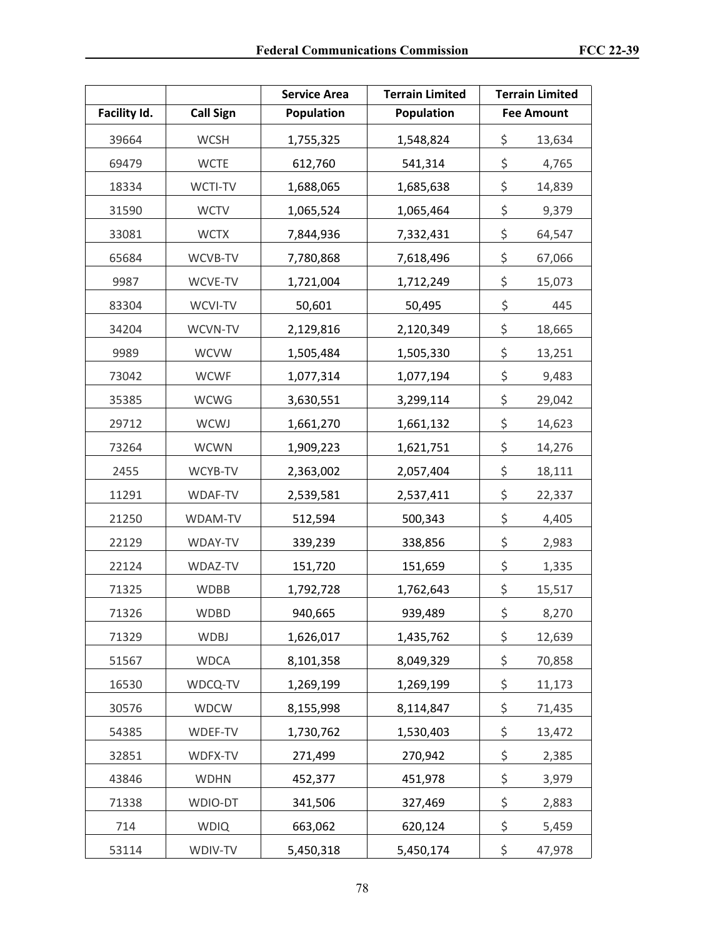|              |                  | <b>Service Area</b> | <b>Terrain Limited</b> | <b>Terrain Limited</b> |
|--------------|------------------|---------------------|------------------------|------------------------|
| Facility Id. | <b>Call Sign</b> | Population          | Population             | <b>Fee Amount</b>      |
| 39664        | <b>WCSH</b>      | 1,755,325           | 1,548,824              | \$<br>13,634           |
| 69479        | <b>WCTE</b>      | 612,760             | 541,314                | \$<br>4,765            |
| 18334        | WCTI-TV          | 1,688,065           | 1,685,638              | \$<br>14,839           |
| 31590        | <b>WCTV</b>      | 1,065,524           | 1,065,464              | \$<br>9,379            |
| 33081        | <b>WCTX</b>      | 7,844,936           | 7,332,431              | \$<br>64,547           |
| 65684        | WCVB-TV          | 7,780,868           | 7,618,496              | \$<br>67,066           |
| 9987         | WCVE-TV          | 1,721,004           | 1,712,249              | \$<br>15,073           |
| 83304        | WCVI-TV          | 50,601              | 50,495                 | \$<br>445              |
| 34204        | WCVN-TV          | 2,129,816           | 2,120,349              | \$<br>18,665           |
| 9989         | <b>WCVW</b>      | 1,505,484           | 1,505,330              | \$<br>13,251           |
| 73042        | <b>WCWF</b>      | 1,077,314           | 1,077,194              | \$<br>9,483            |
| 35385        | <b>WCWG</b>      | 3,630,551           | 3,299,114              | \$<br>29,042           |
| 29712        | WCWJ             | 1,661,270           | 1,661,132              | \$<br>14,623           |
| 73264        | <b>WCWN</b>      | 1,909,223           | 1,621,751              | \$<br>14,276           |
| 2455         | WCYB-TV          | 2,363,002           | 2,057,404              | \$<br>18,111           |
| 11291        | WDAF-TV          | 2,539,581           | 2,537,411              | \$<br>22,337           |
| 21250        | WDAM-TV          | 512,594             | 500,343                | \$<br>4,405            |
| 22129        | WDAY-TV          | 339,239             | 338,856                | \$<br>2,983            |
| 22124        | WDAZ-TV          | 151,720             | 151,659                | \$<br>1,335            |
| 71325        | <b>WDBB</b>      | 1,792,728           | 1,762,643              | \$<br>15,517           |
| 71326        | <b>WDBD</b>      | 940,665             | 939,489                | \$<br>8,270            |
| 71329        | <b>WDBJ</b>      | 1,626,017           | 1,435,762              | \$<br>12,639           |
| 51567        | <b>WDCA</b>      | 8,101,358           | 8,049,329              | \$<br>70,858           |
| 16530        | WDCQ-TV          | 1,269,199           | 1,269,199              | \$<br>11,173           |
| 30576        | <b>WDCW</b>      | 8,155,998           | 8,114,847              | \$<br>71,435           |
| 54385        | WDEF-TV          | 1,730,762           | 1,530,403              | \$<br>13,472           |
| 32851        | WDFX-TV          | 271,499             | 270,942                | \$<br>2,385            |
| 43846        | <b>WDHN</b>      | 452,377             | 451,978                | \$<br>3,979            |
| 71338        | WDIO-DT          | 341,506             | 327,469                | \$<br>2,883            |
| 714          | <b>WDIQ</b>      | 663,062             | 620,124                | \$<br>5,459            |
| 53114        | WDIV-TV          | 5,450,318           | 5,450,174              | \$<br>47,978           |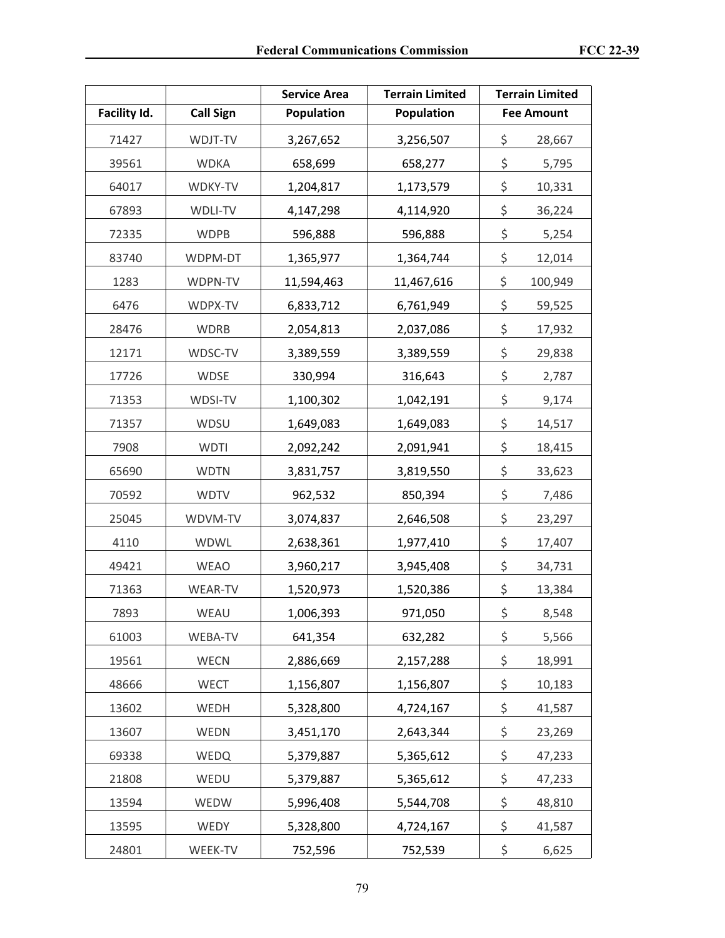|              |                  | <b>Service Area</b> | <b>Terrain Limited</b> | <b>Terrain Limited</b> |
|--------------|------------------|---------------------|------------------------|------------------------|
| Facility Id. | <b>Call Sign</b> | Population          | Population             | <b>Fee Amount</b>      |
| 71427        | WDJT-TV          | 3,267,652           | 3,256,507              | \$<br>28,667           |
| 39561        | <b>WDKA</b>      | 658,699             | 658,277                | \$<br>5,795            |
| 64017        | WDKY-TV          | 1,204,817           | 1,173,579              | \$<br>10,331           |
| 67893        | WDLI-TV          | 4,147,298           | 4,114,920              | \$<br>36,224           |
| 72335        | <b>WDPB</b>      | 596,888             | 596,888                | \$<br>5,254            |
| 83740        | WDPM-DT          | 1,365,977           | 1,364,744              | \$<br>12,014           |
| 1283         | WDPN-TV          | 11,594,463          | 11,467,616             | \$<br>100,949          |
| 6476         | WDPX-TV          | 6,833,712           | 6,761,949              | \$<br>59,525           |
| 28476        | <b>WDRB</b>      | 2,054,813           | 2,037,086              | \$<br>17,932           |
| 12171        | WDSC-TV          | 3,389,559           | 3,389,559              | \$<br>29,838           |
| 17726        | <b>WDSE</b>      | 330,994             | 316,643                | \$<br>2,787            |
| 71353        | WDSI-TV          | 1,100,302           | 1,042,191              | \$<br>9,174            |
| 71357        | WDSU             | 1,649,083           | 1,649,083              | \$<br>14,517           |
| 7908         | <b>WDTI</b>      | 2,092,242           | 2,091,941              | \$<br>18,415           |
| 65690        | <b>WDTN</b>      | 3,831,757           | 3,819,550              | \$<br>33,623           |
| 70592        | <b>WDTV</b>      | 962,532             | 850,394                | \$<br>7,486            |
| 25045        | WDVM-TV          | 3,074,837           | 2,646,508              | \$<br>23,297           |
| 4110         | <b>WDWL</b>      | 2,638,361           | 1,977,410              | \$<br>17,407           |
| 49421        | <b>WEAO</b>      | 3,960,217           | 3,945,408              | \$<br>34,731           |
| 71363        | <b>WEAR-TV</b>   | 1,520,973           | 1,520,386              | \$<br>13,384           |
| 7893         | WEAU             | 1,006,393           | 971,050                | \$<br>8,548            |
| 61003        | WEBA-TV          | 641,354             | 632,282                | \$<br>5,566            |
| 19561        | <b>WECN</b>      | 2,886,669           | 2,157,288              | \$<br>18,991           |
| 48666        | WECT             | 1,156,807           | 1,156,807              | \$<br>10,183           |
| 13602        | WEDH             | 5,328,800           | 4,724,167              | \$<br>41,587           |
| 13607        | WEDN             | 3,451,170           | 2,643,344              | \$<br>23,269           |
| 69338        | WEDQ             | 5,379,887           | 5,365,612              | \$<br>47,233           |
| 21808        | WEDU             | 5,379,887           | 5,365,612              | \$<br>47,233           |
| 13594        | WEDW             | 5,996,408           | 5,544,708              | \$<br>48,810           |
| 13595        | WEDY             | 5,328,800           | 4,724,167              | \$<br>41,587           |
| 24801        | WEEK-TV          | 752,596             | 752,539                | \$<br>6,625            |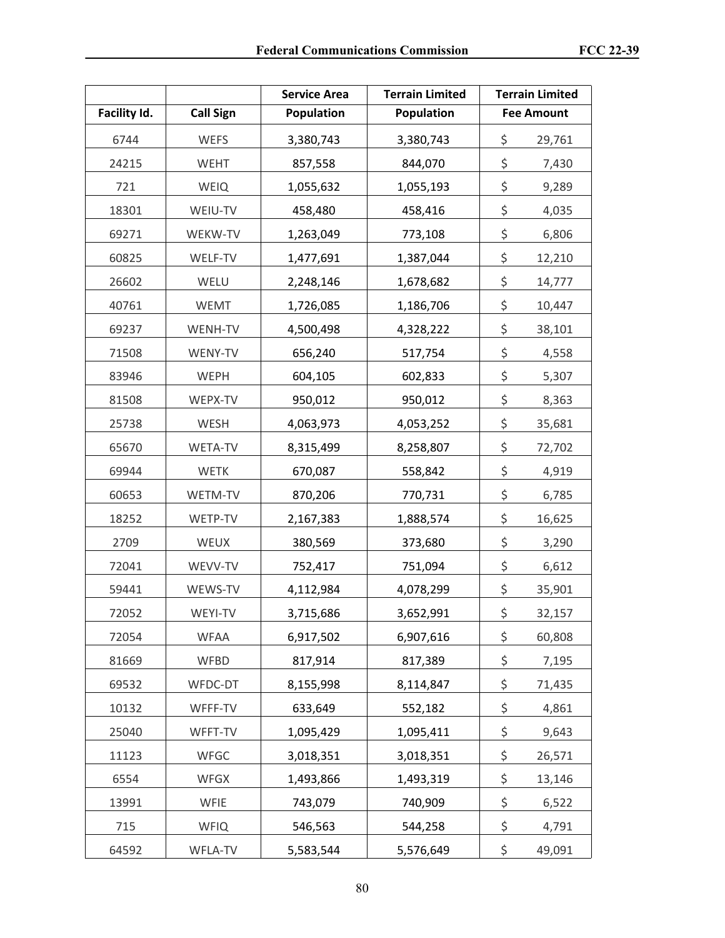|              |                  | <b>Service Area</b> | <b>Terrain Limited</b> | <b>Terrain Limited</b> |
|--------------|------------------|---------------------|------------------------|------------------------|
| Facility Id. | <b>Call Sign</b> | Population          | Population             | <b>Fee Amount</b>      |
| 6744         | <b>WEFS</b>      | 3,380,743           | 3,380,743              | \$<br>29,761           |
| 24215        | <b>WEHT</b>      | 857,558             | 844,070                | \$<br>7,430            |
| 721          | <b>WEIQ</b>      | 1,055,632           | 1,055,193              | \$<br>9,289            |
| 18301        | WEIU-TV          | 458,480             | 458,416                | \$<br>4,035            |
| 69271        | WEKW-TV          | 1,263,049           | 773,108                | \$<br>6,806            |
| 60825        | WELF-TV          | 1,477,691           | 1,387,044              | \$<br>12,210           |
| 26602        | WELU             | 2,248,146           | 1,678,682              | \$<br>14,777           |
| 40761        | <b>WEMT</b>      | 1,726,085           | 1,186,706              | \$<br>10,447           |
| 69237        | WENH-TV          | 4,500,498           | 4,328,222              | \$<br>38,101           |
| 71508        | WENY-TV          | 656,240             | 517,754                | \$<br>4,558            |
| 83946        | <b>WEPH</b>      | 604,105             | 602,833                | \$<br>5,307            |
| 81508        | WEPX-TV          | 950,012             | 950,012                | \$<br>8,363            |
| 25738        | WESH             | 4,063,973           | 4,053,252              | \$<br>35,681           |
| 65670        | WETA-TV          | 8,315,499           | 8,258,807              | \$<br>72,702           |
| 69944        | <b>WETK</b>      | 670,087             | 558,842                | \$<br>4,919            |
| 60653        | WETM-TV          | 870,206             | 770,731                | \$<br>6,785            |
| 18252        | WETP-TV          | 2,167,383           | 1,888,574              | \$<br>16,625           |
| 2709         | WEUX             | 380,569             | 373,680                | \$<br>3,290            |
| 72041        | WEVV-TV          | 752,417             | 751,094                | \$<br>6,612            |
| 59441        | WEWS-TV          | 4,112,984           | 4,078,299              | \$<br>35,901           |
| 72052        | WEYI-TV          | 3,715,686           | 3,652,991              | \$<br>32,157           |
| 72054        | <b>WFAA</b>      | 6,917,502           | 6,907,616              | \$<br>60,808           |
| 81669        | <b>WFBD</b>      | 817,914             | 817,389                | \$<br>7,195            |
| 69532        | WFDC-DT          | 8,155,998           | 8,114,847              | \$<br>71,435           |
| 10132        | WFFF-TV          | 633,649             | 552,182                | \$<br>4,861            |
| 25040        | WFFT-TV          | 1,095,429           | 1,095,411              | \$<br>9,643            |
| 11123        | WFGC             | 3,018,351           | 3,018,351              | \$<br>26,571           |
| 6554         | WFGX             | 1,493,866           | 1,493,319              | \$<br>13,146           |
| 13991        | WFIE             | 743,079             | 740,909                | \$<br>6,522            |
| 715          | <b>WFIQ</b>      | 546,563             | 544,258                | \$<br>4,791            |
| 64592        | WFLA-TV          | 5,583,544           | 5,576,649              | \$<br>49,091           |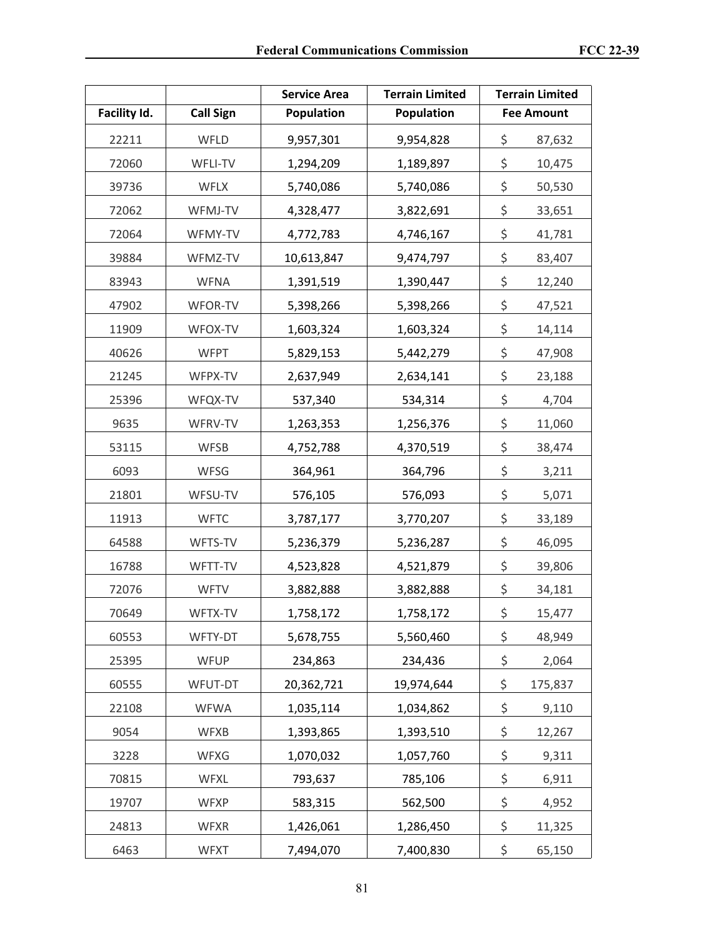|              |                  | <b>Service Area</b> | <b>Terrain Limited</b> | <b>Terrain Limited</b> |
|--------------|------------------|---------------------|------------------------|------------------------|
| Facility Id. | <b>Call Sign</b> | Population          | Population             | <b>Fee Amount</b>      |
| 22211        | WFLD             | 9,957,301           | 9,954,828              | \$<br>87,632           |
| 72060        | WFLI-TV          | 1,294,209           | 1,189,897              | \$<br>10,475           |
| 39736        | <b>WFLX</b>      | 5,740,086           | 5,740,086              | \$<br>50,530           |
| 72062        | WFMJ-TV          | 4,328,477           | 3,822,691              | \$<br>33,651           |
| 72064        | WFMY-TV          | 4,772,783           | 4,746,167              | \$<br>41,781           |
| 39884        | WFMZ-TV          | 10,613,847          | 9,474,797              | \$<br>83,407           |
| 83943        | <b>WFNA</b>      | 1,391,519           | 1,390,447              | \$<br>12,240           |
| 47902        | WFOR-TV          | 5,398,266           | 5,398,266              | \$<br>47,521           |
| 11909        | WFOX-TV          | 1,603,324           | 1,603,324              | \$<br>14,114           |
| 40626        | <b>WFPT</b>      | 5,829,153           | 5,442,279              | \$<br>47,908           |
| 21245        | WFPX-TV          | 2,637,949           | 2,634,141              | \$<br>23,188           |
| 25396        | WFQX-TV          | 537,340             | 534,314                | \$<br>4,704            |
| 9635         | WFRV-TV          | 1,263,353           | 1,256,376              | \$<br>11,060           |
| 53115        | <b>WFSB</b>      | 4,752,788           | 4,370,519              | \$<br>38,474           |
| 6093         | <b>WFSG</b>      | 364,961             | 364,796                | \$<br>3,211            |
| 21801        | WFSU-TV          | 576,105             | 576,093                | \$<br>5,071            |
| 11913        | <b>WFTC</b>      | 3,787,177           | 3,770,207              | \$<br>33,189           |
| 64588        | WFTS-TV          | 5,236,379           | 5,236,287              | \$<br>46,095           |
| 16788        | WFTT-TV          | 4,523,828           | 4,521,879              | \$<br>39,806           |
| 72076        | <b>WFTV</b>      | 3,882,888           | 3,882,888              | \$<br>34,181           |
| 70649        | WFTX-TV          | 1,758,172           | 1,758,172              | \$<br>15,477           |
| 60553        | WFTY-DT          | 5,678,755           | 5,560,460              | \$<br>48,949           |
| 25395        | <b>WFUP</b>      | 234,863             | 234,436                | \$<br>2,064            |
| 60555        | WFUT-DT          | 20,362,721          | 19,974,644             | \$<br>175,837          |
| 22108        | <b>WFWA</b>      | 1,035,114           | 1,034,862              | \$<br>9,110            |
| 9054         | <b>WFXB</b>      | 1,393,865           | 1,393,510              | \$<br>12,267           |
| 3228         | <b>WFXG</b>      | 1,070,032           | 1,057,760              | \$<br>9,311            |
| 70815        | <b>WFXL</b>      | 793,637             | 785,106                | \$<br>6,911            |
| 19707        | <b>WFXP</b>      | 583,315             | 562,500                | \$<br>4,952            |
| 24813        | <b>WFXR</b>      | 1,426,061           | 1,286,450              | \$<br>11,325           |
| 6463         | <b>WFXT</b>      | 7,494,070           | 7,400,830              | \$<br>65,150           |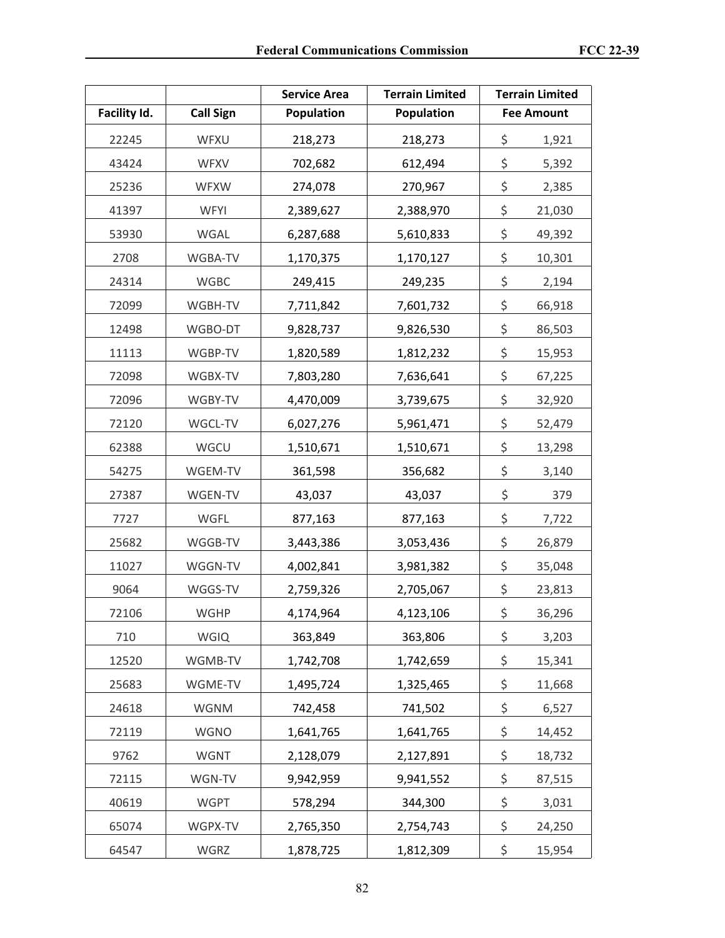|              |                  | <b>Service Area</b> | <b>Terrain Limited</b> | <b>Terrain Limited</b> |
|--------------|------------------|---------------------|------------------------|------------------------|
| Facility Id. | <b>Call Sign</b> | Population          | <b>Population</b>      | <b>Fee Amount</b>      |
| 22245        | WFXU             | 218,273             | 218,273                | \$<br>1,921            |
| 43424        | <b>WFXV</b>      | 702,682             | 612,494                | \$<br>5,392            |
| 25236        | <b>WFXW</b>      | 274,078             | 270,967                | \$<br>2,385            |
| 41397        | <b>WFYI</b>      | 2,389,627           | 2,388,970              | \$<br>21,030           |
| 53930        | WGAL             | 6,287,688           | 5,610,833              | \$<br>49,392           |
| 2708         | WGBA-TV          | 1,170,375           | 1,170,127              | \$<br>10,301           |
| 24314        | <b>WGBC</b>      | 249,415             | 249,235                | \$<br>2,194            |
| 72099        | WGBH-TV          | 7,711,842           | 7,601,732              | \$<br>66,918           |
| 12498        | WGBO-DT          | 9,828,737           | 9,826,530              | \$<br>86,503           |
| 11113        | WGBP-TV          | 1,820,589           | 1,812,232              | \$<br>15,953           |
| 72098        | WGBX-TV          | 7,803,280           | 7,636,641              | \$<br>67,225           |
| 72096        | WGBY-TV          | 4,470,009           | 3,739,675              | \$<br>32,920           |
| 72120        | WGCL-TV          | 6,027,276           | 5,961,471              | \$<br>52,479           |
| 62388        | WGCU             | 1,510,671           | 1,510,671              | \$<br>13,298           |
| 54275        | WGEM-TV          | 361,598             | 356,682                | \$<br>3,140            |
| 27387        | WGEN-TV          | 43,037              | 43,037                 | \$<br>379              |
| 7727         | WGFL             | 877,163             | 877,163                | \$<br>7,722            |
| 25682        | WGGB-TV          | 3,443,386           | 3,053,436              | \$<br>26,879           |
| 11027        | WGGN-TV          | 4,002,841           | 3,981,382              | \$<br>35,048           |
| 9064         | WGGS-TV          | 2,759,326           | 2,705,067              | \$<br>23,813           |
| 72106        | WGHP             | 4,174,964           | 4,123,106              | \$<br>36,296           |
| 710          | <b>WGIQ</b>      | 363,849             | 363,806                | \$<br>3,203            |
| 12520        | WGMB-TV          | 1,742,708           | 1,742,659              | \$<br>15,341           |
| 25683        | WGME-TV          | 1,495,724           | 1,325,465              | \$<br>11,668           |
| 24618        | <b>WGNM</b>      | 742,458             | 741,502                | \$<br>6,527            |
| 72119        | <b>WGNO</b>      | 1,641,765           | 1,641,765              | \$<br>14,452           |
| 9762         | <b>WGNT</b>      | 2,128,079           | 2,127,891              | \$<br>18,732           |
| 72115        | WGN-TV           | 9,942,959           | 9,941,552              | \$<br>87,515           |
| 40619        | <b>WGPT</b>      | 578,294             | 344,300                | \$<br>3,031            |
| 65074        | WGPX-TV          | 2,765,350           | 2,754,743              | \$<br>24,250           |
| 64547        | WGRZ             | 1,878,725           | 1,812,309              | \$<br>15,954           |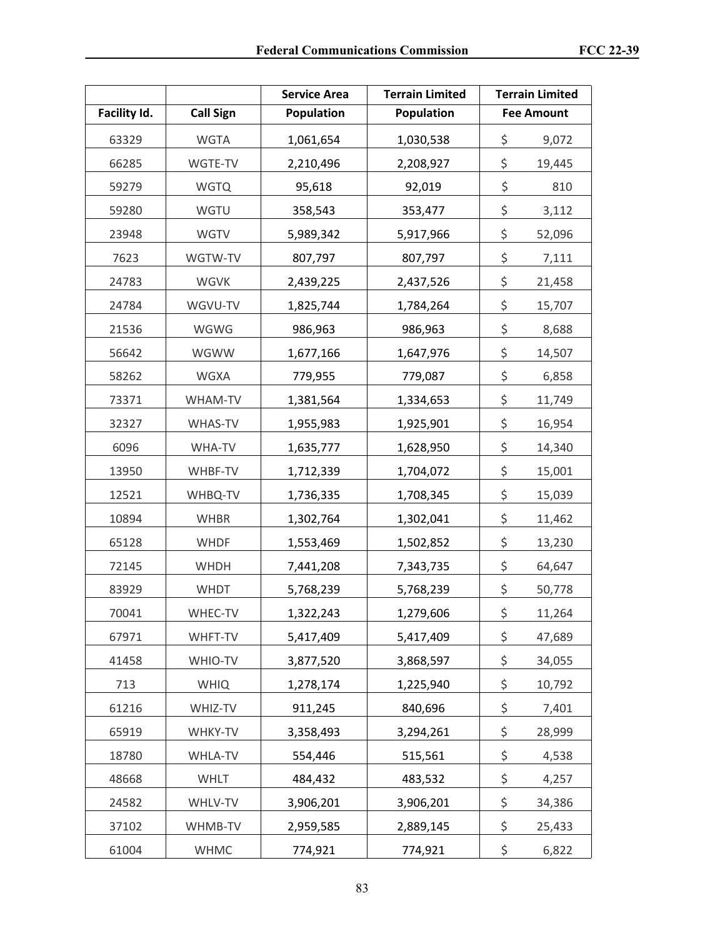|              |                  | <b>Service Area</b> | <b>Terrain Limited</b> | <b>Terrain Limited</b> |
|--------------|------------------|---------------------|------------------------|------------------------|
| Facility Id. | <b>Call Sign</b> | Population          | Population             | <b>Fee Amount</b>      |
| 63329        | <b>WGTA</b>      | 1,061,654           | 1,030,538              | \$<br>9,072            |
| 66285        | WGTE-TV          | 2,210,496           | 2,208,927              | \$<br>19,445           |
| 59279        | <b>WGTQ</b>      | 95,618              | 92,019                 | \$<br>810              |
| 59280        | WGTU             | 358,543             | 353,477                | \$<br>3,112            |
| 23948        | <b>WGTV</b>      | 5,989,342           | 5,917,966              | \$<br>52,096           |
| 7623         | WGTW-TV          | 807,797             | 807,797                | \$<br>7,111            |
| 24783        | WGVK             | 2,439,225           | 2,437,526              | \$<br>21,458           |
| 24784        | WGVU-TV          | 1,825,744           | 1,784,264              | \$<br>15,707           |
| 21536        | WGWG             | 986,963             | 986,963                | \$<br>8,688            |
| 56642        | WGWW             | 1,677,166           | 1,647,976              | \$<br>14,507           |
| 58262        | WGXA             | 779,955             | 779,087                | \$<br>6,858            |
| 73371        | WHAM-TV          | 1,381,564           | 1,334,653              | \$<br>11,749           |
| 32327        | WHAS-TV          | 1,955,983           | 1,925,901              | \$<br>16,954           |
| 6096         | WHA-TV           | 1,635,777           | 1,628,950              | \$<br>14,340           |
| 13950        | WHBF-TV          | 1,712,339           | 1,704,072              | \$<br>15,001           |
| 12521        | WHBQ-TV          | 1,736,335           | 1,708,345              | \$<br>15,039           |
| 10894        | <b>WHBR</b>      | 1,302,764           | 1,302,041              | \$<br>11,462           |
| 65128        | <b>WHDF</b>      | 1,553,469           | 1,502,852              | \$<br>13,230           |
| 72145        | <b>WHDH</b>      | 7,441,208           | 7,343,735              | \$<br>64,647           |
| 83929        | WHDT             | 5,768,239           | 5,768,239              | \$<br>50,778           |
| 70041        | WHEC-TV          | 1,322,243           | 1,279,606              | \$<br>11,264           |
| 67971        | WHFT-TV          | 5,417,409           | 5,417,409              | \$<br>47,689           |
| 41458        | WHIO-TV          | 3,877,520           | 3,868,597              | \$<br>34,055           |
| 713          | <b>WHIQ</b>      | 1,278,174           | 1,225,940              | \$<br>10,792           |
| 61216        | WHIZ-TV          | 911,245             | 840,696                | \$<br>7,401            |
| 65919        | WHKY-TV          | 3,358,493           | 3,294,261              | \$<br>28,999           |
| 18780        | WHLA-TV          | 554,446             | 515,561                | \$<br>4,538            |
| 48668        | <b>WHLT</b>      | 484,432             | 483,532                | \$<br>4,257            |
| 24582        | WHLV-TV          | 3,906,201           | 3,906,201              | \$<br>34,386           |
| 37102        | WHMB-TV          | 2,959,585           | 2,889,145              | \$<br>25,433           |
| 61004        | <b>WHMC</b>      | 774,921             | 774,921                | \$<br>6,822            |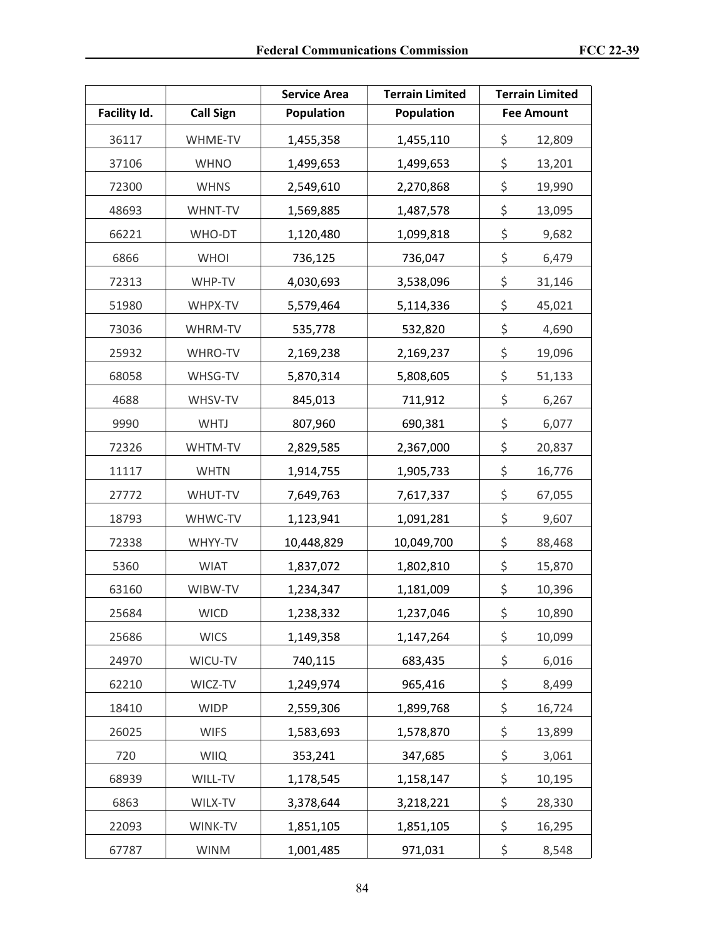|              |                  | <b>Service Area</b> | <b>Terrain Limited</b> | <b>Terrain Limited</b> |
|--------------|------------------|---------------------|------------------------|------------------------|
| Facility Id. | <b>Call Sign</b> | Population          | Population             | <b>Fee Amount</b>      |
| 36117        | WHME-TV          | 1,455,358           | 1,455,110              | \$<br>12,809           |
| 37106        | <b>WHNO</b>      | 1,499,653           | 1,499,653              | \$<br>13,201           |
| 72300        | <b>WHNS</b>      | 2,549,610           | 2,270,868              | \$<br>19,990           |
| 48693        | WHNT-TV          | 1,569,885           | 1,487,578              | \$<br>13,095           |
| 66221        | WHO-DT           | 1,120,480           | 1,099,818              | \$<br>9,682            |
| 6866         | <b>WHOI</b>      | 736,125             | 736,047                | \$<br>6,479            |
| 72313        | WHP-TV           | 4,030,693           | 3,538,096              | \$<br>31,146           |
| 51980        | WHPX-TV          | 5,579,464           | 5,114,336              | \$<br>45,021           |
| 73036        | WHRM-TV          | 535,778             | 532,820                | \$<br>4,690            |
| 25932        | <b>WHRO-TV</b>   | 2,169,238           | 2,169,237              | \$<br>19,096           |
| 68058        | WHSG-TV          | 5,870,314           | 5,808,605              | \$<br>51,133           |
| 4688         | WHSV-TV          | 845,013             | 711,912                | \$<br>6,267            |
| 9990         | <b>WHTJ</b>      | 807,960             | 690,381                | \$<br>6,077            |
| 72326        | WHTM-TV          | 2,829,585           | 2,367,000              | \$<br>20,837           |
| 11117        | <b>WHTN</b>      | 1,914,755           | 1,905,733              | \$<br>16,776           |
| 27772        | WHUT-TV          | 7,649,763           | 7,617,337              | \$<br>67,055           |
| 18793        | WHWC-TV          | 1,123,941           | 1,091,281              | \$<br>9,607            |
| 72338        | WHYY-TV          | 10,448,829          | 10,049,700             | \$<br>88,468           |
| 5360         | <b>WIAT</b>      | 1,837,072           | 1,802,810              | \$<br>15,870           |
| 63160        | WIBW-TV          | 1,234,347           | 1,181,009              | \$<br>10,396           |
| 25684        | <b>WICD</b>      | 1,238,332           | 1,237,046              | \$<br>10,890           |
| 25686        | <b>WICS</b>      | 1,149,358           | 1,147,264              | \$<br>10,099           |
| 24970        | WICU-TV          | 740,115             | 683,435                | \$<br>6,016            |
| 62210        | WICZ-TV          | 1,249,974           | 965,416                | \$<br>8,499            |
| 18410        | <b>WIDP</b>      | 2,559,306           | 1,899,768              | \$<br>16,724           |
| 26025        | <b>WIFS</b>      | 1,583,693           | 1,578,870              | \$<br>13,899           |
| 720          | <b>WIIQ</b>      | 353,241             | 347,685                | \$<br>3,061            |
| 68939        | WILL-TV          | 1,178,545           | 1,158,147              | \$<br>10,195           |
| 6863         | WILX-TV          | 3,378,644           | 3,218,221              | \$<br>28,330           |
| 22093        | WINK-TV          | 1,851,105           | 1,851,105              | \$<br>16,295           |
| 67787        | <b>WINM</b>      | 1,001,485           | 971,031                | \$<br>8,548            |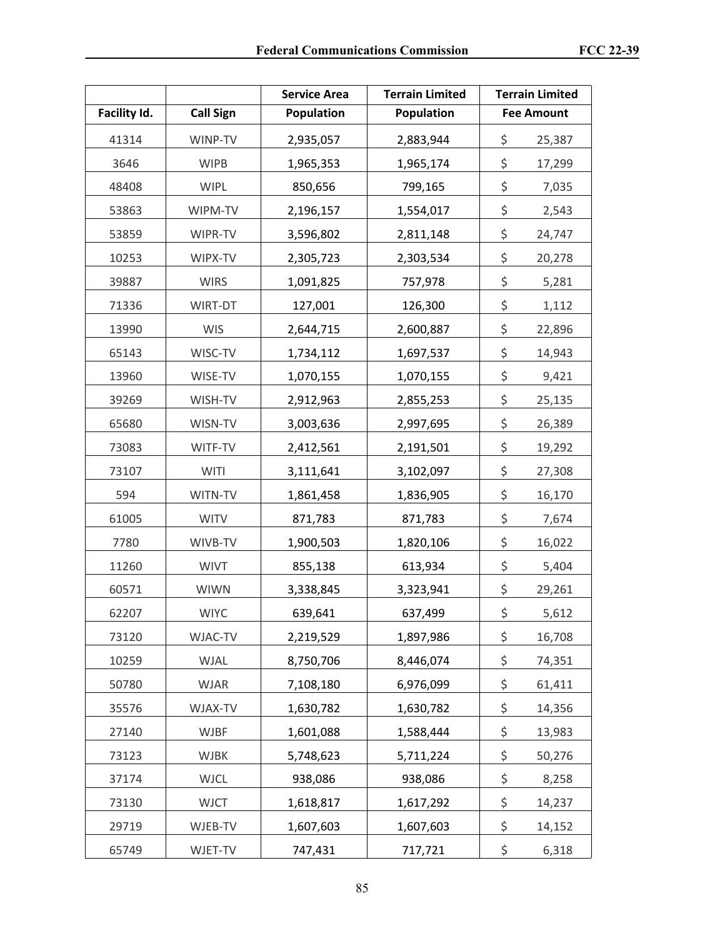|              |                  | <b>Service Area</b> | <b>Terrain Limited</b> |               | <b>Terrain Limited</b> |
|--------------|------------------|---------------------|------------------------|---------------|------------------------|
| Facility Id. | <b>Call Sign</b> | Population          | Population             |               | <b>Fee Amount</b>      |
| 41314        | WINP-TV          | 2,935,057           | 2,883,944              | \$            | 25,387                 |
| 3646         | <b>WIPB</b>      | 1,965,353           | 1,965,174              | \$            | 17,299                 |
| 48408        | <b>WIPL</b>      | 850,656             | 799,165                | \$            | 7,035                  |
| 53863        | WIPM-TV          | 2,196,157           | 1,554,017              | \$            | 2,543                  |
| 53859        | WIPR-TV          | 3,596,802           | 2,811,148              | \$            | 24,747                 |
| 10253        | WIPX-TV          | 2,305,723           | 2,303,534              | \$            | 20,278                 |
| 39887        | <b>WIRS</b>      | 1,091,825           | 757,978                | \$            | 5,281                  |
| 71336        | WIRT-DT          | 127,001             | 126,300                | \$            | 1,112                  |
| 13990        | <b>WIS</b>       | 2,644,715           | 2,600,887              | \$            | 22,896                 |
| 65143        | WISC-TV          | 1,734,112           | 1,697,537              | \$            | 14,943                 |
| 13960        | WISE-TV          | 1,070,155           | 1,070,155              | \$            | 9,421                  |
| 39269        | WISH-TV          | 2,912,963           | 2,855,253              | \$            | 25,135                 |
| 65680        | WISN-TV          | 3,003,636           | 2,997,695              | \$            | 26,389                 |
| 73083        | WITF-TV          | 2,412,561           | 2,191,501              | \$            | 19,292                 |
| 73107        | <b>WITI</b>      | 3,111,641           | 3,102,097              | \$            | 27,308                 |
| 594          | WITN-TV          | 1,861,458           | 1,836,905              | \$            | 16,170                 |
| 61005        | <b>WITV</b>      | 871,783             | 871,783                | \$            | 7,674                  |
| 7780         | WIVB-TV          | 1,900,503           | 1,820,106              | \$            | 16,022                 |
| 11260        | <b>WIVT</b>      | 855,138             | 613,934                | \$            | 5,404                  |
| 60571        | <b>WIWN</b>      | 3,338,845           | 3,323,941              | \$            | 29,261                 |
| 62207        | <b>WIYC</b>      | 639,641             | 637,499                | $\frac{1}{2}$ | 5,612                  |
| 73120        | WJAC-TV          | 2,219,529           | 1,897,986              | \$            | 16,708                 |
| 10259        | WJAL             | 8,750,706           | 8,446,074              | \$            | 74,351                 |
| 50780        | <b>WJAR</b>      | 7,108,180           | 6,976,099              | \$            | 61,411                 |
| 35576        | WJAX-TV          | 1,630,782           | 1,630,782              | \$            | 14,356                 |
| 27140        | <b>WJBF</b>      | 1,601,088           | 1,588,444              | \$            | 13,983                 |
| 73123        | <b>WJBK</b>      | 5,748,623           | 5,711,224              | \$            | 50,276                 |
| 37174        | <b>WJCL</b>      | 938,086             | 938,086                | \$            | 8,258                  |
| 73130        | <b>WJCT</b>      | 1,618,817           | 1,617,292              | \$            | 14,237                 |
| 29719        | WJEB-TV          | 1,607,603           | 1,607,603              | \$            | 14,152                 |
| 65749        | WJET-TV          | 747,431             | 717,721                | \$            | 6,318                  |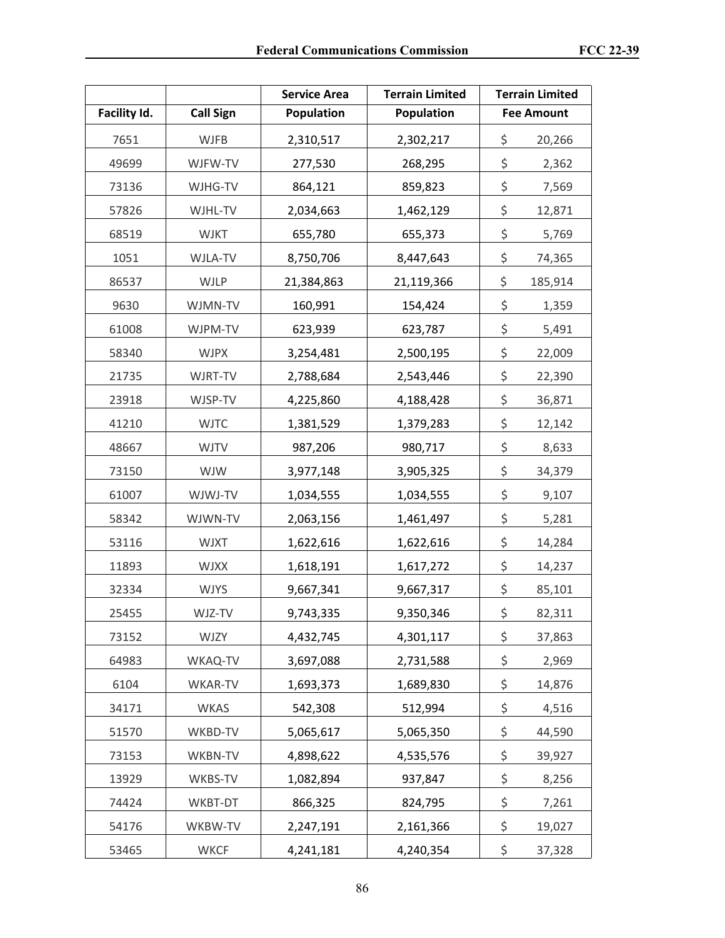|              |                  | <b>Service Area</b> | <b>Terrain Limited</b> | <b>Terrain Limited</b> |
|--------------|------------------|---------------------|------------------------|------------------------|
| Facility Id. | <b>Call Sign</b> | Population          | Population             | <b>Fee Amount</b>      |
| 7651         | <b>WJFB</b>      | 2,310,517           | 2,302,217              | \$<br>20,266           |
| 49699        | WJFW-TV          | 277,530             | 268,295                | \$<br>2,362            |
| 73136        | WJHG-TV          | 864,121             | 859,823                | \$<br>7,569            |
| 57826        | WJHL-TV          | 2,034,663           | 1,462,129              | \$<br>12,871           |
| 68519        | <b>WJKT</b>      | 655,780             | 655,373                | \$<br>5,769            |
| 1051         | WJLA-TV          | 8,750,706           | 8,447,643              | \$<br>74,365           |
| 86537        | <b>WJLP</b>      | 21,384,863          | 21,119,366             | \$<br>185,914          |
| 9630         | WJMN-TV          | 160,991             | 154,424                | \$<br>1,359            |
| 61008        | WJPM-TV          | 623,939             | 623,787                | \$<br>5,491            |
| 58340        | <b>WJPX</b>      | 3,254,481           | 2,500,195              | \$<br>22,009           |
| 21735        | WJRT-TV          | 2,788,684           | 2,543,446              | \$<br>22,390           |
| 23918        | WJSP-TV          | 4,225,860           | 4,188,428              | \$<br>36,871           |
| 41210        | <b>WJTC</b>      | 1,381,529           | 1,379,283              | \$<br>12,142           |
| 48667        | <b>WJTV</b>      | 987,206             | 980,717                | \$<br>8,633            |
| 73150        | <b>WJW</b>       | 3,977,148           | 3,905,325              | \$<br>34,379           |
| 61007        | WJWJ-TV          | 1,034,555           | 1,034,555              | \$<br>9,107            |
| 58342        | WJWN-TV          | 2,063,156           | 1,461,497              | \$<br>5,281            |
| 53116        | <b>WJXT</b>      | 1,622,616           | 1,622,616              | \$<br>14,284           |
| 11893        | <b>WJXX</b>      | 1,618,191           | 1,617,272              | \$<br>14,237           |
| 32334        | <b>WJYS</b>      | 9,667,341           | 9,667,317              | \$<br>85,101           |
| 25455        | WJZ-TV           | 9,743,335           | 9,350,346              | \$<br>82,311           |
| 73152        | <b>WJZY</b>      | 4,432,745           | 4,301,117              | \$<br>37,863           |
| 64983        | WKAQ-TV          | 3,697,088           | 2,731,588              | \$<br>2,969            |
| 6104         | WKAR-TV          | 1,693,373           | 1,689,830              | \$<br>14,876           |
| 34171        | <b>WKAS</b>      | 542,308             | 512,994                | \$<br>4,516            |
| 51570        | WKBD-TV          | 5,065,617           | 5,065,350              | \$<br>44,590           |
| 73153        | WKBN-TV          | 4,898,622           | 4,535,576              | \$<br>39,927           |
| 13929        | WKBS-TV          | 1,082,894           | 937,847                | \$<br>8,256            |
| 74424        | WKBT-DT          | 866,325             | 824,795                | \$<br>7,261            |
| 54176        | WKBW-TV          | 2,247,191           | 2,161,366              | \$<br>19,027           |
| 53465        | <b>WKCF</b>      | 4,241,181           | 4,240,354              | \$<br>37,328           |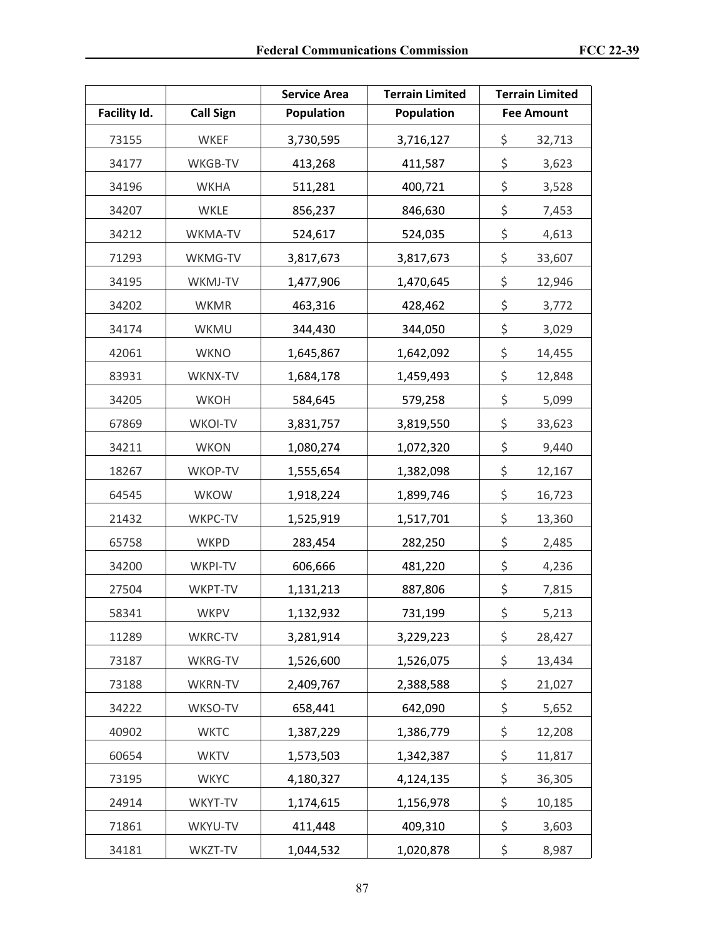|              |                  | <b>Service Area</b> | <b>Terrain Limited</b> | <b>Terrain Limited</b> |
|--------------|------------------|---------------------|------------------------|------------------------|
| Facility Id. | <b>Call Sign</b> | Population          | Population             | <b>Fee Amount</b>      |
| 73155        | <b>WKEF</b>      | 3,730,595           | 3,716,127              | \$<br>32,713           |
| 34177        | WKGB-TV          | 413,268             | 411,587                | \$<br>3,623            |
| 34196        | <b>WKHA</b>      | 511,281             | 400,721                | \$<br>3,528            |
| 34207        | WKLE             | 856,237             | 846,630                | \$<br>7,453            |
| 34212        | WKMA-TV          | 524,617             | 524,035                | \$<br>4,613            |
| 71293        | WKMG-TV          | 3,817,673           | 3,817,673              | \$<br>33,607           |
| 34195        | WKMJ-TV          | 1,477,906           | 1,470,645              | \$<br>12,946           |
| 34202        | <b>WKMR</b>      | 463,316             | 428,462                | \$<br>3,772            |
| 34174        | WKMU             | 344,430             | 344,050                | \$<br>3,029            |
| 42061        | <b>WKNO</b>      | 1,645,867           | 1,642,092              | \$<br>14,455           |
| 83931        | WKNX-TV          | 1,684,178           | 1,459,493              | \$<br>12,848           |
| 34205        | <b>WKOH</b>      | 584,645             | 579,258                | \$<br>5,099            |
| 67869        | WKOI-TV          | 3,831,757           | 3,819,550              | \$<br>33,623           |
| 34211        | <b>WKON</b>      | 1,080,274           | 1,072,320              | \$<br>9,440            |
| 18267        | WKOP-TV          | 1,555,654           | 1,382,098              | \$<br>12,167           |
| 64545        | <b>WKOW</b>      | 1,918,224           | 1,899,746              | \$<br>16,723           |
| 21432        | WKPC-TV          | 1,525,919           | 1,517,701              | \$<br>13,360           |
| 65758        | <b>WKPD</b>      | 283,454             | 282,250                | \$<br>2,485            |
| 34200        | WKPI-TV          | 606,666             | 481,220                | \$<br>4,236            |
| 27504        | WKPT-TV          | 1,131,213           | 887,806                | \$<br>7,815            |
| 58341        | WKPV             | 1,132,932           | 731,199                | \$<br>5,213            |
| 11289        | WKRC-TV          | 3,281,914           | 3,229,223              | \$<br>28,427           |
| 73187        | WKRG-TV          | 1,526,600           | 1,526,075              | \$<br>13,434           |
| 73188        | WKRN-TV          | 2,409,767           | 2,388,588              | \$<br>21,027           |
| 34222        | WKSO-TV          | 658,441             | 642,090                | \$<br>5,652            |
| 40902        | <b>WKTC</b>      | 1,387,229           | 1,386,779              | \$<br>12,208           |
| 60654        | <b>WKTV</b>      | 1,573,503           | 1,342,387              | \$<br>11,817           |
| 73195        | <b>WKYC</b>      | 4,180,327           | 4,124,135              | \$<br>36,305           |
| 24914        | WKYT-TV          | 1,174,615           | 1,156,978              | \$<br>10,185           |
| 71861        | WKYU-TV          | 411,448             | 409,310                | \$<br>3,603            |
| 34181        | WKZT-TV          | 1,044,532           | 1,020,878              | \$<br>8,987            |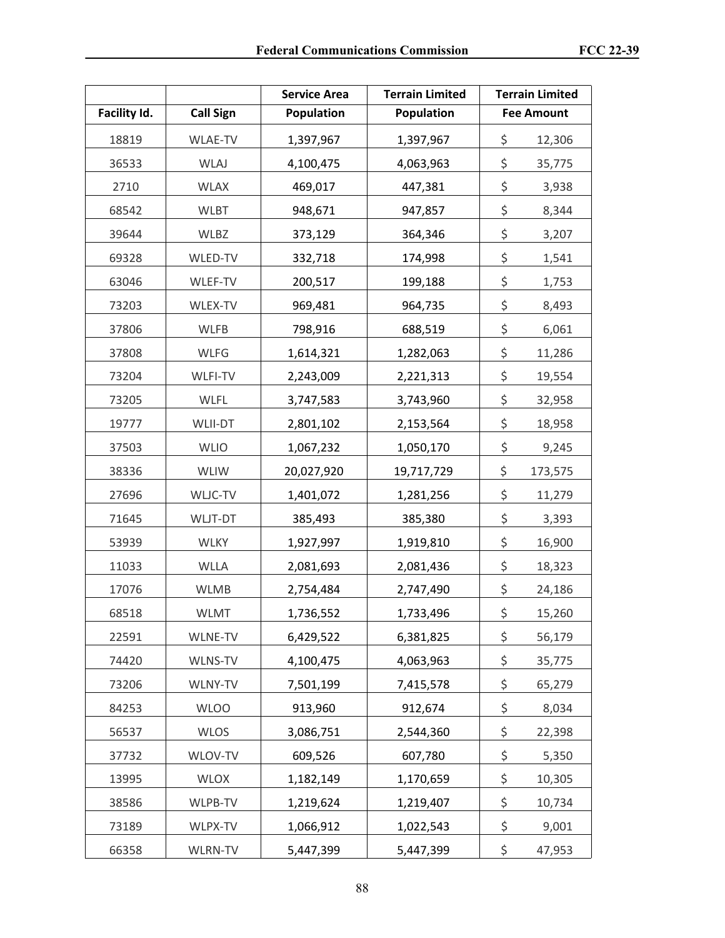|              |                  | <b>Service Area</b> | <b>Terrain Limited</b> | <b>Terrain Limited</b> |
|--------------|------------------|---------------------|------------------------|------------------------|
| Facility Id. | <b>Call Sign</b> | Population          | Population             | <b>Fee Amount</b>      |
| 18819        | WLAE-TV          | 1,397,967           | 1,397,967              | \$<br>12,306           |
| 36533        | <b>WLAJ</b>      | 4,100,475           | 4,063,963              | \$<br>35,775           |
| 2710         | <b>WLAX</b>      | 469,017             | 447,381                | \$<br>3,938            |
| 68542        | <b>WLBT</b>      | 948,671             | 947,857                | \$<br>8,344            |
| 39644        | WLBZ             | 373,129             | 364,346                | \$<br>3,207            |
| 69328        | WLED-TV          | 332,718             | 174,998                | \$<br>1,541            |
| 63046        | WLEF-TV          | 200,517             | 199,188                | \$<br>1,753            |
| 73203        | WLEX-TV          | 969,481             | 964,735                | \$<br>8,493            |
| 37806        | <b>WLFB</b>      | 798,916             | 688,519                | \$<br>6,061            |
| 37808        | <b>WLFG</b>      | 1,614,321           | 1,282,063              | \$<br>11,286           |
| 73204        | WLFI-TV          | 2,243,009           | 2,221,313              | \$<br>19,554           |
| 73205        | WLFL             | 3,747,583           | 3,743,960              | \$<br>32,958           |
| 19777        | <b>WLII-DT</b>   | 2,801,102           | 2,153,564              | \$<br>18,958           |
| 37503        | <b>WLIO</b>      | 1,067,232           | 1,050,170              | \$<br>9,245            |
| 38336        | <b>WLIW</b>      | 20,027,920          | 19,717,729             | \$<br>173,575          |
| 27696        | WLJC-TV          | 1,401,072           | 1,281,256              | \$<br>11,279           |
| 71645        | WLJT-DT          | 385,493             | 385,380                | \$<br>3,393            |
| 53939        | <b>WLKY</b>      | 1,927,997           | 1,919,810              | \$<br>16,900           |
| 11033        | <b>WLLA</b>      | 2,081,693           | 2,081,436              | \$<br>18,323           |
| 17076        | <b>WLMB</b>      | 2,754,484           | 2,747,490              | \$<br>24,186           |
| 68518        | <b>WLMT</b>      | 1,736,552           | 1,733,496              | \$<br>15,260           |
| 22591        | WLNE-TV          | 6,429,522           | 6,381,825              | \$<br>56,179           |
| 74420        | WLNS-TV          | 4,100,475           | 4,063,963              | \$<br>35,775           |
| 73206        | WLNY-TV          | 7,501,199           | 7,415,578              | \$<br>65,279           |
| 84253        | <b>WLOO</b>      | 913,960             | 912,674                | \$<br>8,034            |
| 56537        | <b>WLOS</b>      | 3,086,751           | 2,544,360              | \$<br>22,398           |
| 37732        | WLOV-TV          | 609,526             | 607,780                | \$<br>5,350            |
| 13995        | <b>WLOX</b>      | 1,182,149           | 1,170,659              | \$<br>10,305           |
| 38586        | WLPB-TV          | 1,219,624           | 1,219,407              | \$<br>10,734           |
| 73189        | WLPX-TV          | 1,066,912           | 1,022,543              | \$<br>9,001            |
| 66358        | <b>WLRN-TV</b>   | 5,447,399           | 5,447,399              | \$<br>47,953           |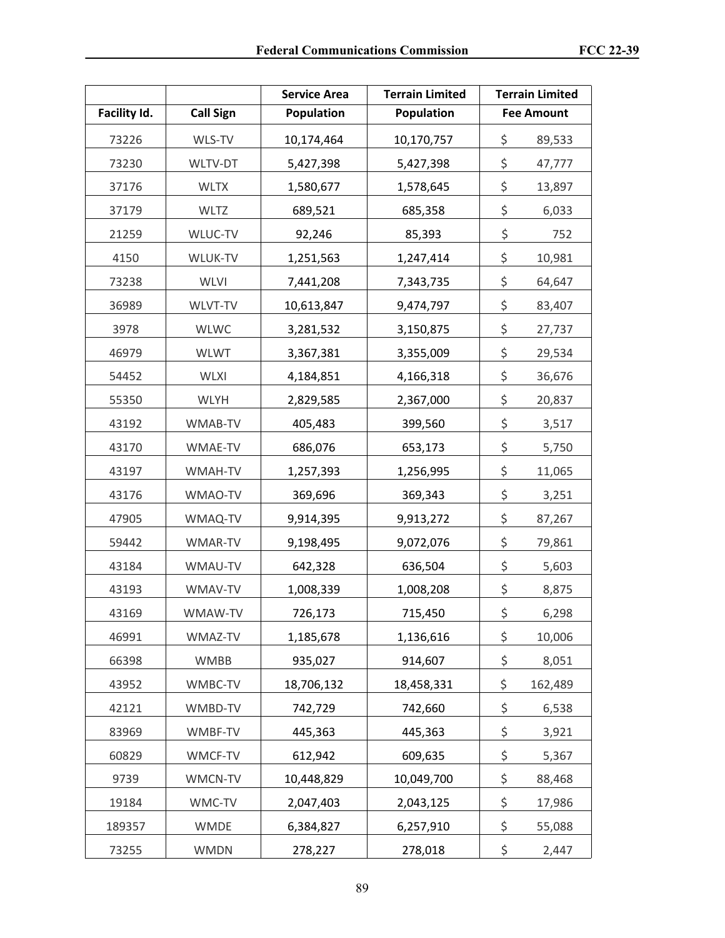|              |                  | <b>Service Area</b> | <b>Terrain Limited</b> | <b>Terrain Limited</b> |
|--------------|------------------|---------------------|------------------------|------------------------|
| Facility Id. | <b>Call Sign</b> | Population          | Population             | <b>Fee Amount</b>      |
| 73226        | WLS-TV           | 10,174,464          | 10,170,757             | \$<br>89,533           |
| 73230        | WLTV-DT          | 5,427,398           | 5,427,398              | \$<br>47,777           |
| 37176        | <b>WLTX</b>      | 1,580,677           | 1,578,645              | \$<br>13,897           |
| 37179        | <b>WLTZ</b>      | 689,521             | 685,358                | \$<br>6,033            |
| 21259        | WLUC-TV          | 92,246              | 85,393                 | \$<br>752              |
| 4150         | WLUK-TV          | 1,251,563           | 1,247,414              | \$<br>10,981           |
| 73238        | <b>WLVI</b>      | 7,441,208           | 7,343,735              | \$<br>64,647           |
| 36989        | WLVT-TV          | 10,613,847          | 9,474,797              | \$<br>83,407           |
| 3978         | <b>WLWC</b>      | 3,281,532           | 3,150,875              | \$<br>27,737           |
| 46979        | <b>WLWT</b>      | 3,367,381           | 3,355,009              | \$<br>29,534           |
| 54452        | <b>WLXI</b>      | 4,184,851           | 4,166,318              | \$<br>36,676           |
| 55350        | <b>WLYH</b>      | 2,829,585           | 2,367,000              | \$<br>20,837           |
| 43192        | WMAB-TV          | 405,483             | 399,560                | \$<br>3,517            |
| 43170        | WMAE-TV          | 686,076             | 653,173                | \$<br>5,750            |
| 43197        | WMAH-TV          | 1,257,393           | 1,256,995              | \$<br>11,065           |
| 43176        | WMAO-TV          | 369,696             | 369,343                | \$<br>3,251            |
| 47905        | WMAQ-TV          | 9,914,395           | 9,913,272              | \$<br>87,267           |
| 59442        | WMAR-TV          | 9,198,495           | 9,072,076              | \$<br>79,861           |
| 43184        | WMAU-TV          | 642,328             | 636,504                | \$<br>5,603            |
| 43193        | WMAV-TV          | 1,008,339           | 1,008,208              | \$<br>8,875            |
| 43169        | WMAW-TV          | 726,173             | 715,450                | \$<br>6,298            |
| 46991        | WMAZ-TV          | 1,185,678           | 1,136,616              | \$<br>10,006           |
| 66398        | WMBB             | 935,027             | 914,607                | \$<br>8,051            |
| 43952        | WMBC-TV          | 18,706,132          | 18,458,331             | \$<br>162,489          |
| 42121        | WMBD-TV          | 742,729             | 742,660                | \$<br>6,538            |
| 83969        | WMBF-TV          | 445,363             | 445,363                | \$<br>3,921            |
| 60829        | WMCF-TV          | 612,942             | 609,635                | \$<br>5,367            |
| 9739         | WMCN-TV          | 10,448,829          | 10,049,700             | \$<br>88,468           |
| 19184        | WMC-TV           | 2,047,403           | 2,043,125              | \$<br>17,986           |
| 189357       | <b>WMDE</b>      | 6,384,827           | 6,257,910              | \$<br>55,088           |
| 73255        | <b>WMDN</b>      | 278,227             | 278,018                | \$<br>2,447            |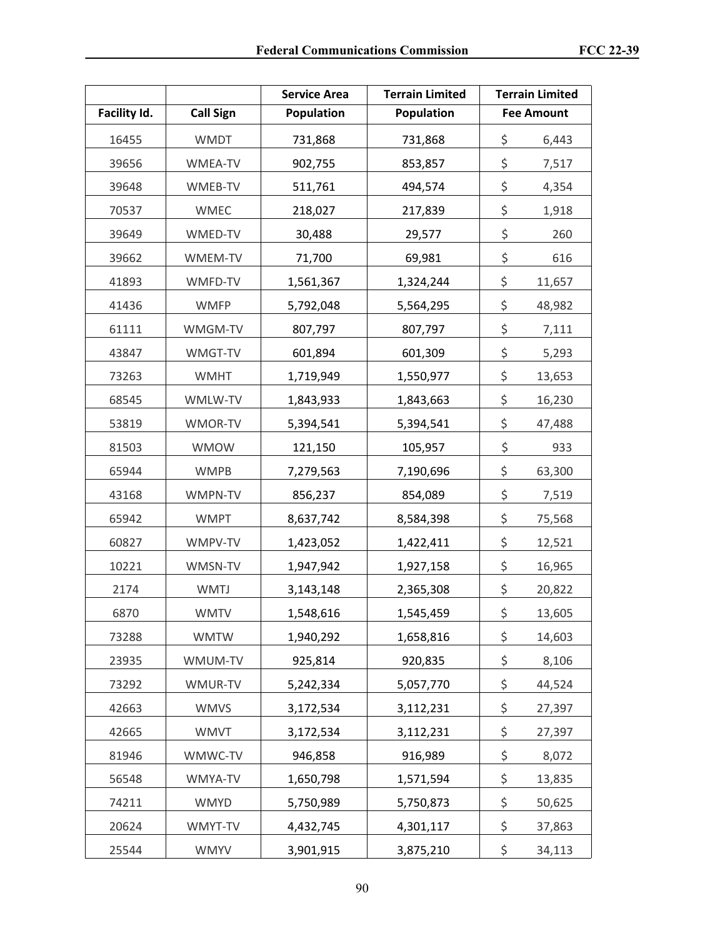|              |                  | <b>Service Area</b> | <b>Terrain Limited</b> | <b>Terrain Limited</b> |
|--------------|------------------|---------------------|------------------------|------------------------|
| Facility Id. | <b>Call Sign</b> | <b>Population</b>   | <b>Population</b>      | <b>Fee Amount</b>      |
| 16455        | <b>WMDT</b>      | 731,868             | 731,868                | \$<br>6,443            |
| 39656        | WMEA-TV          | 902,755             | 853,857                | \$<br>7,517            |
| 39648        | WMEB-TV          | 511,761             | 494,574                | \$<br>4,354            |
| 70537        | <b>WMEC</b>      | 218,027             | 217,839                | \$<br>1,918            |
| 39649        | WMED-TV          | 30,488              | 29,577                 | \$<br>260              |
| 39662        | WMEM-TV          | 71,700              | 69,981                 | \$<br>616              |
| 41893        | WMFD-TV          | 1,561,367           | 1,324,244              | \$<br>11,657           |
| 41436        | <b>WMFP</b>      | 5,792,048           | 5,564,295              | \$<br>48,982           |
| 61111        | WMGM-TV          | 807,797             | 807,797                | \$<br>7,111            |
| 43847        | WMGT-TV          | 601,894             | 601,309                | \$<br>5,293            |
| 73263        | <b>WMHT</b>      | 1,719,949           | 1,550,977              | \$<br>13,653           |
| 68545        | WMLW-TV          | 1,843,933           | 1,843,663              | \$<br>16,230           |
| 53819        | WMOR-TV          | 5,394,541           | 5,394,541              | \$<br>47,488           |
| 81503        | <b>WMOW</b>      | 121,150             | 105,957                | \$<br>933              |
| 65944        | <b>WMPB</b>      | 7,279,563           | 7,190,696              | \$<br>63,300           |
| 43168        | WMPN-TV          | 856,237             | 854,089                | \$<br>7,519            |
| 65942        | <b>WMPT</b>      | 8,637,742           | 8,584,398              | \$<br>75,568           |
| 60827        | WMPV-TV          | 1,423,052           | 1,422,411              | \$<br>12,521           |
| 10221        | WMSN-TV          | 1,947,942           | 1,927,158              | \$<br>16,965           |
| 2174         | <b>WMTJ</b>      | 3,143,148           | 2,365,308              | \$<br>20,822           |
| 6870         | <b>WMTV</b>      | 1,548,616           | 1,545,459              | \$<br>13,605           |
| 73288        | <b>WMTW</b>      | 1,940,292           | 1,658,816              | \$<br>14,603           |
| 23935        | WMUM-TV          | 925,814             | 920,835                | \$<br>8,106            |
| 73292        | WMUR-TV          | 5,242,334           | 5,057,770              | \$<br>44,524           |
| 42663        | <b>WMVS</b>      | 3,172,534           | 3,112,231              | \$<br>27,397           |
| 42665        | <b>WMVT</b>      | 3,172,534           | 3,112,231              | \$<br>27,397           |
| 81946        | WMWC-TV          | 946,858             | 916,989                | \$<br>8,072            |
| 56548        | WMYA-TV          | 1,650,798           | 1,571,594              | \$<br>13,835           |
| 74211        | <b>WMYD</b>      | 5,750,989           | 5,750,873              | \$<br>50,625           |
| 20624        | WMYT-TV          | 4,432,745           | 4,301,117              | \$<br>37,863           |
| 25544        | <b>WMYV</b>      | 3,901,915           | 3,875,210              | \$<br>34,113           |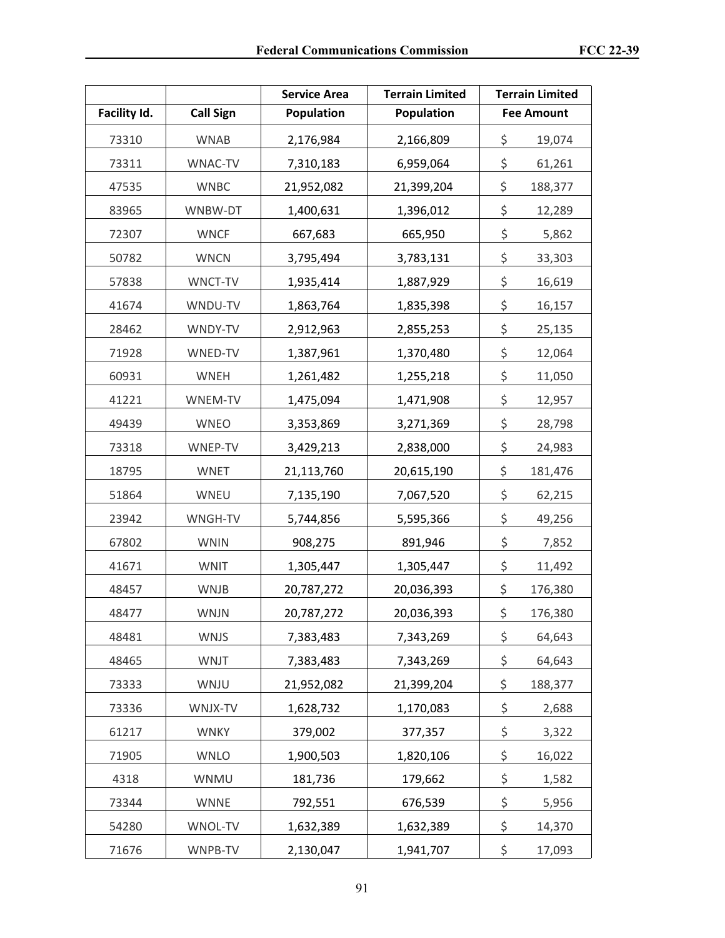|              |                  | <b>Service Area</b> | <b>Terrain Limited</b> | <b>Terrain Limited</b> |
|--------------|------------------|---------------------|------------------------|------------------------|
| Facility Id. | <b>Call Sign</b> | <b>Population</b>   | <b>Population</b>      | <b>Fee Amount</b>      |
| 73310        | <b>WNAB</b>      | 2,176,984           | 2,166,809              | \$<br>19,074           |
| 73311        | WNAC-TV          | 7,310,183           | 6,959,064              | \$<br>61,261           |
| 47535        | <b>WNBC</b>      | 21,952,082          | 21,399,204             | \$<br>188,377          |
| 83965        | WNBW-DT          | 1,400,631           | 1,396,012              | \$<br>12,289           |
| 72307        | <b>WNCF</b>      | 667,683             | 665,950                | \$<br>5,862            |
| 50782        | <b>WNCN</b>      | 3,795,494           | 3,783,131              | \$<br>33,303           |
| 57838        | WNCT-TV          | 1,935,414           | 1,887,929              | \$<br>16,619           |
| 41674        | WNDU-TV          | 1,863,764           | 1,835,398              | \$<br>16,157           |
| 28462        | WNDY-TV          | 2,912,963           | 2,855,253              | \$<br>25,135           |
| 71928        | WNED-TV          | 1,387,961           | 1,370,480              | \$<br>12,064           |
| 60931        | WNEH             | 1,261,482           | 1,255,218              | \$<br>11,050           |
| 41221        | WNEM-TV          | 1,475,094           | 1,471,908              | \$<br>12,957           |
| 49439        | <b>WNEO</b>      | 3,353,869           | 3,271,369              | \$<br>28,798           |
| 73318        | WNEP-TV          | 3,429,213           | 2,838,000              | \$<br>24,983           |
| 18795        | <b>WNET</b>      | 21,113,760          | 20,615,190             | \$<br>181,476          |
| 51864        | WNEU             | 7,135,190           | 7,067,520              | \$<br>62,215           |
| 23942        | WNGH-TV          | 5,744,856           | 5,595,366              | \$<br>49,256           |
| 67802        | <b>WNIN</b>      | 908,275             | 891,946                | \$<br>7,852            |
| 41671        | <b>WNIT</b>      | 1,305,447           | 1,305,447              | \$<br>11,492           |
| 48457        | <b>WNJB</b>      | 20,787,272          | 20,036,393             | \$<br>176,380          |
| 48477        | <b>WNJN</b>      | 20,787,272          | 20,036,393             | \$<br>176,380          |
| 48481        | <b>WNJS</b>      | 7,383,483           | 7,343,269              | \$<br>64,643           |
| 48465        | <b>WNJT</b>      | 7,383,483           | 7,343,269              | \$<br>64,643           |
| 73333        | WNJU             | 21,952,082          | 21,399,204             | \$<br>188,377          |
| 73336        | WNJX-TV          | 1,628,732           | 1,170,083              | \$<br>2,688            |
| 61217        | <b>WNKY</b>      | 379,002             | 377,357                | \$<br>3,322            |
| 71905        | WNLO             | 1,900,503           | 1,820,106              | \$<br>16,022           |
| 4318         | WNMU             | 181,736             | 179,662                | \$<br>1,582            |
| 73344        | <b>WNNE</b>      | 792,551             | 676,539                | \$<br>5,956            |
| 54280        | WNOL-TV          | 1,632,389           | 1,632,389              | \$<br>14,370           |
| 71676        | WNPB-TV          | 2,130,047           | 1,941,707              | \$<br>17,093           |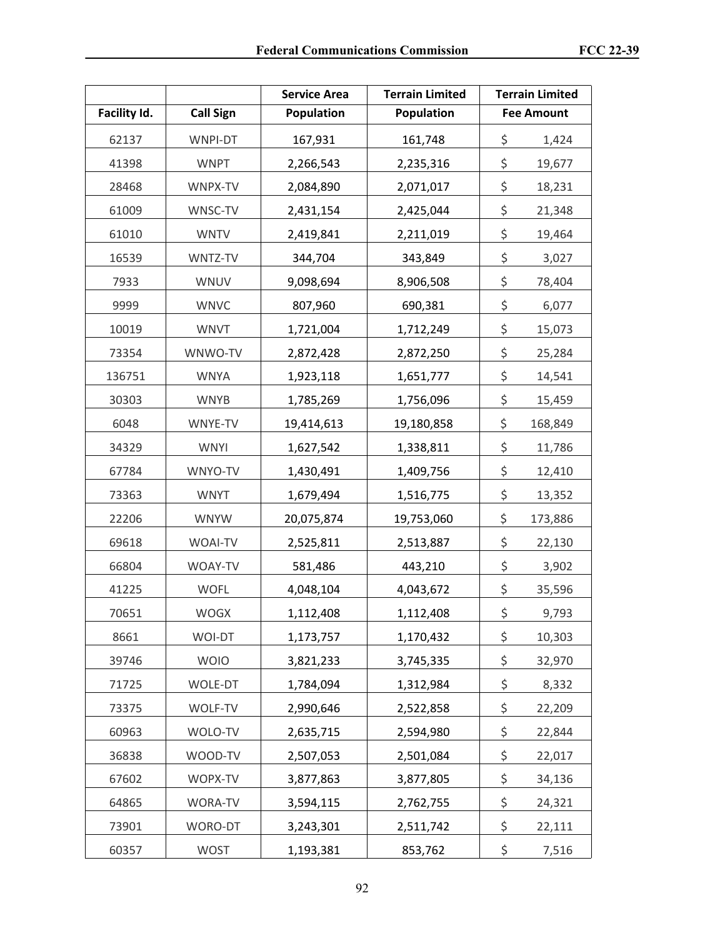|              |                  | <b>Service Area</b> | <b>Terrain Limited</b> | <b>Terrain Limited</b> |
|--------------|------------------|---------------------|------------------------|------------------------|
| Facility Id. | <b>Call Sign</b> | Population          | <b>Population</b>      | <b>Fee Amount</b>      |
| 62137        | WNPI-DT          | 167,931             | 161,748                | \$<br>1,424            |
| 41398        | <b>WNPT</b>      | 2,266,543           | 2,235,316              | \$<br>19,677           |
| 28468        | WNPX-TV          | 2,084,890           | 2,071,017              | \$<br>18,231           |
| 61009        | WNSC-TV          | 2,431,154           | 2,425,044              | \$<br>21,348           |
| 61010        | <b>WNTV</b>      | 2,419,841           | 2,211,019              | \$<br>19,464           |
| 16539        | WNTZ-TV          | 344,704             | 343,849                | \$<br>3,027            |
| 7933         | WNUV             | 9,098,694           | 8,906,508              | \$<br>78,404           |
| 9999         | <b>WNVC</b>      | 807,960             | 690,381                | \$<br>6,077            |
| 10019        | <b>WNVT</b>      | 1,721,004           | 1,712,249              | \$<br>15,073           |
| 73354        | WNWO-TV          | 2,872,428           | 2,872,250              | \$<br>25,284           |
| 136751       | <b>WNYA</b>      | 1,923,118           | 1,651,777              | \$<br>14,541           |
| 30303        | <b>WNYB</b>      | 1,785,269           | 1,756,096              | \$<br>15,459           |
| 6048         | WNYE-TV          | 19,414,613          | 19,180,858             | \$<br>168,849          |
| 34329        | <b>WNYI</b>      | 1,627,542           | 1,338,811              | \$<br>11,786           |
| 67784        | WNYO-TV          | 1,430,491           | 1,409,756              | \$<br>12,410           |
| 73363        | <b>WNYT</b>      | 1,679,494           | 1,516,775              | \$<br>13,352           |
| 22206        | <b>WNYW</b>      | 20,075,874          | 19,753,060             | \$<br>173,886          |
| 69618        | WOAI-TV          | 2,525,811           | 2,513,887              | \$<br>22,130           |
| 66804        | WOAY-TV          | 581,486             | 443,210                | \$<br>3,902            |
| 41225        | <b>WOFL</b>      | 4,048,104           | 4,043,672              | \$<br>35,596           |
| 70651        | <b>WOGX</b>      | 1,112,408           | 1,112,408              | \$<br>9,793            |
| 8661         | WOI-DT           | 1,173,757           | 1,170,432              | \$<br>10,303           |
| 39746        | <b>WOIO</b>      | 3,821,233           | 3,745,335              | \$<br>32,970           |
| 71725        | WOLE-DT          | 1,784,094           | 1,312,984              | \$<br>8,332            |
| 73375        | WOLF-TV          | 2,990,646           | 2,522,858              | \$<br>22,209           |
| 60963        | WOLO-TV          | 2,635,715           | 2,594,980              | \$<br>22,844           |
| 36838        | WOOD-TV          | 2,507,053           | 2,501,084              | \$<br>22,017           |
| 67602        | WOPX-TV          | 3,877,863           | 3,877,805              | \$<br>34,136           |
| 64865        | WORA-TV          | 3,594,115           | 2,762,755              | \$<br>24,321           |
| 73901        | WORO-DT          | 3,243,301           | 2,511,742              | \$<br>22,111           |
| 60357        | <b>WOST</b>      | 1,193,381           | 853,762                | \$<br>7,516            |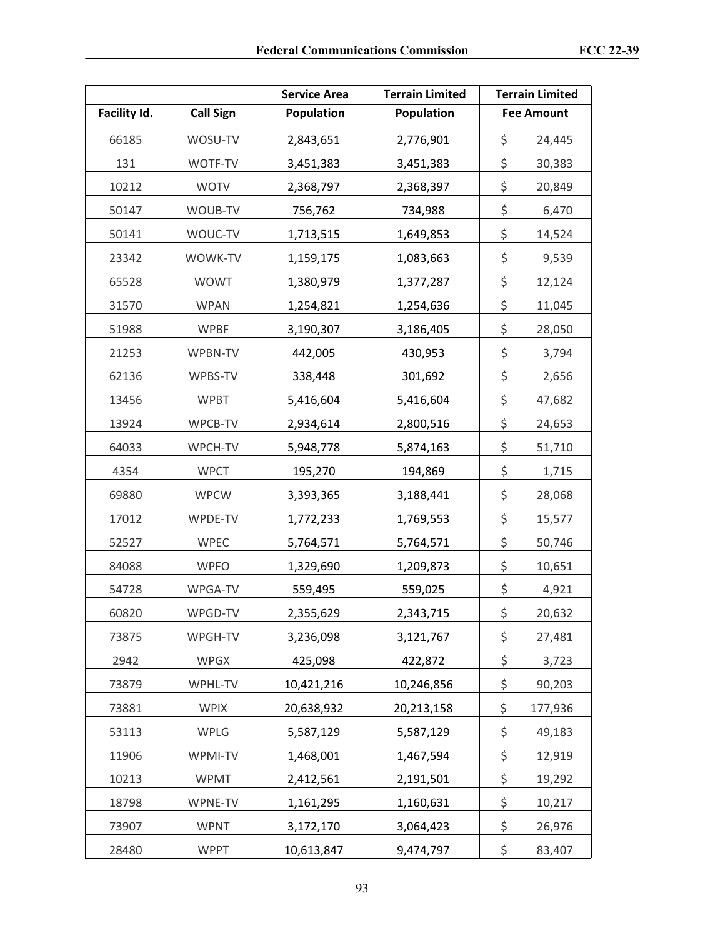|              |                  | <b>Service Area</b> | <b>Terrain Limited</b> | <b>Terrain Limited</b> |
|--------------|------------------|---------------------|------------------------|------------------------|
| Facility Id. | <b>Call Sign</b> | Population          | <b>Population</b>      | <b>Fee Amount</b>      |
| 66185        | WOSU-TV          | 2,843,651           | 2,776,901              | \$<br>24,445           |
| 131          | WOTF-TV          | 3,451,383           | 3,451,383              | \$<br>30,383           |
| 10212        | <b>WOTV</b>      | 2,368,797           | 2,368,397              | \$<br>20,849           |
| 50147        | WOUB-TV          | 756,762             | 734,988                | \$<br>6,470            |
| 50141        | WOUC-TV          | 1,713,515           | 1,649,853              | \$<br>14,524           |
| 23342        | WOWK-TV          | 1,159,175           | 1,083,663              | \$<br>9,539            |
| 65528        | <b>WOWT</b>      | 1,380,979           | 1,377,287              | \$<br>12,124           |
| 31570        | <b>WPAN</b>      | 1,254,821           | 1,254,636              | \$<br>11,045           |
| 51988        | <b>WPBF</b>      | 3,190,307           | 3,186,405              | \$<br>28,050           |
| 21253        | WPBN-TV          | 442,005             | 430,953                | \$<br>3,794            |
| 62136        | WPBS-TV          | 338,448             | 301,692                | \$<br>2,656            |
| 13456        | <b>WPBT</b>      | 5,416,604           | 5,416,604              | \$<br>47,682           |
| 13924        | WPCB-TV          | 2,934,614           | 2,800,516              | \$<br>24,653           |
| 64033        | WPCH-TV          | 5,948,778           | 5,874,163              | \$<br>51,710           |
| 4354         | <b>WPCT</b>      | 195,270             | 194,869                | \$<br>1,715            |
| 69880        | <b>WPCW</b>      | 3,393,365           | 3,188,441              | \$<br>28,068           |
| 17012        | WPDE-TV          | 1,772,233           | 1,769,553              | \$<br>15,577           |
| 52527        | <b>WPEC</b>      | 5,764,571           | 5,764,571              | \$<br>50,746           |
| 84088        | <b>WPFO</b>      | 1,329,690           | 1,209,873              | \$<br>10,651           |
| 54728        | WPGA-TV          | 559,495             | 559,025                | \$<br>4,921            |
| 60820        | WPGD-TV          | 2,355,629           | 2,343,715              | \$<br>20,632           |
| 73875        | WPGH-TV          | 3,236,098           | 3,121,767              | \$<br>27,481           |
| 2942         | <b>WPGX</b>      | 425,098             | 422,872                | \$<br>3,723            |
| 73879        | WPHL-TV          | 10,421,216          | 10,246,856             | \$<br>90,203           |
| 73881        | <b>WPIX</b>      | 20,638,932          | 20,213,158             | \$<br>177,936          |
| 53113        | WPLG             | 5,587,129           | 5,587,129              | \$<br>49,183           |
| 11906        | WPMI-TV          | 1,468,001           | 1,467,594              | \$<br>12,919           |
| 10213        | <b>WPMT</b>      | 2,412,561           | 2,191,501              | \$<br>19,292           |
| 18798        | WPNE-TV          | 1,161,295           | 1,160,631              | \$<br>10,217           |
| 73907        | <b>WPNT</b>      | 3,172,170           | 3,064,423              | \$<br>26,976           |
| 28480        | <b>WPPT</b>      | 10,613,847          | 9,474,797              | \$<br>83,407           |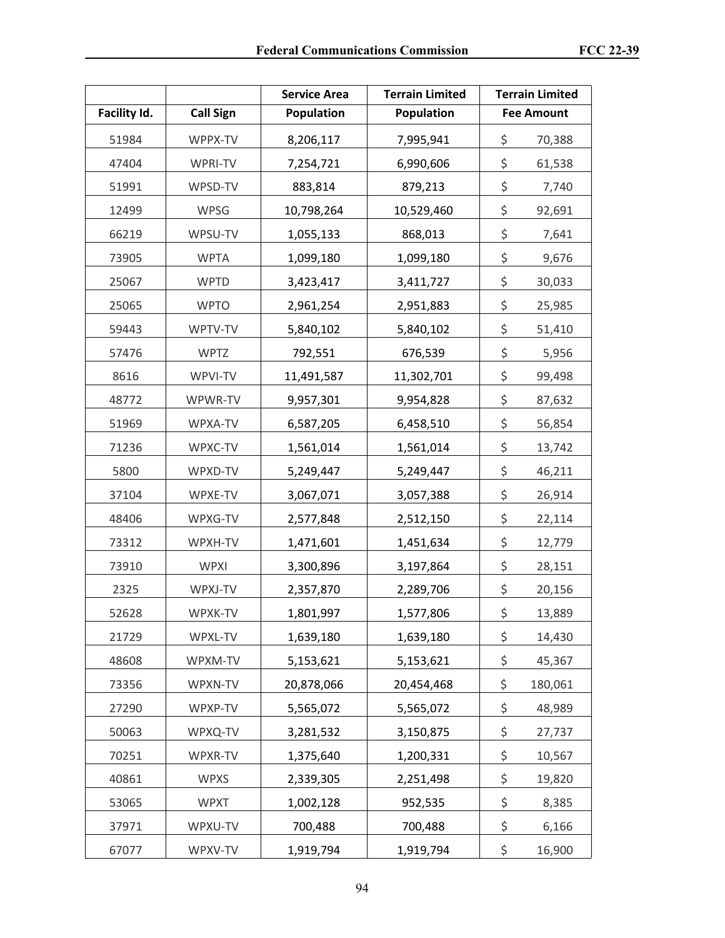|              |                  | <b>Service Area</b> | <b>Terrain Limited</b> | <b>Terrain Limited</b> |
|--------------|------------------|---------------------|------------------------|------------------------|
| Facility Id. | <b>Call Sign</b> | Population          | Population             | <b>Fee Amount</b>      |
| 51984        | WPPX-TV          | 8,206,117           | 7,995,941              | \$<br>70,388           |
| 47404        | WPRI-TV          | 7,254,721           | 6,990,606              | \$<br>61,538           |
| 51991        | WPSD-TV          | 883,814             | 879,213                | \$<br>7,740            |
| 12499        | <b>WPSG</b>      | 10,798,264          | 10,529,460             | \$<br>92,691           |
| 66219        | WPSU-TV          | 1,055,133           | 868,013                | \$<br>7,641            |
| 73905        | <b>WPTA</b>      | 1,099,180           | 1,099,180              | \$<br>9,676            |
| 25067        | <b>WPTD</b>      | 3,423,417           | 3,411,727              | \$<br>30,033           |
| 25065        | <b>WPTO</b>      | 2,961,254           | 2,951,883              | \$<br>25,985           |
| 59443        | WPTV-TV          | 5,840,102           | 5,840,102              | \$<br>51,410           |
| 57476        | <b>WPTZ</b>      | 792,551             | 676,539                | \$<br>5,956            |
| 8616         | WPVI-TV          | 11,491,587          | 11,302,701             | \$<br>99,498           |
| 48772        | WPWR-TV          | 9,957,301           | 9,954,828              | \$<br>87,632           |
| 51969        | WPXA-TV          | 6,587,205           | 6,458,510              | \$<br>56,854           |
| 71236        | WPXC-TV          | 1,561,014           | 1,561,014              | \$<br>13,742           |
| 5800         | WPXD-TV          | 5,249,447           | 5,249,447              | \$<br>46,211           |
| 37104        | WPXE-TV          | 3,067,071           | 3,057,388              | \$<br>26,914           |
| 48406        | WPXG-TV          | 2,577,848           | 2,512,150              | \$<br>22,114           |
| 73312        | WPXH-TV          | 1,471,601           | 1,451,634              | \$<br>12,779           |
| 73910        | <b>WPXI</b>      | 3,300,896           | 3,197,864              | \$<br>28,151           |
| 2325         | WPXJ-TV          | 2,357,870           | 2,289,706              | \$<br>20,156           |
| 52628        | WPXK-TV          | 1,801,997           | 1,577,806              | \$<br>13,889           |
| 21729        | WPXL-TV          | 1,639,180           | 1,639,180              | \$<br>14,430           |
| 48608        | WPXM-TV          | 5,153,621           | 5,153,621              | \$<br>45,367           |
| 73356        | WPXN-TV          | 20,878,066          | 20,454,468             | \$<br>180,061          |
| 27290        | WPXP-TV          | 5,565,072           | 5,565,072              | \$<br>48,989           |
| 50063        | WPXQ-TV          | 3,281,532           | 3,150,875              | \$<br>27,737           |
| 70251        | WPXR-TV          | 1,375,640           | 1,200,331              | \$<br>10,567           |
| 40861        | <b>WPXS</b>      | 2,339,305           | 2,251,498              | \$<br>19,820           |
| 53065        | <b>WPXT</b>      | 1,002,128           | 952,535                | \$<br>8,385            |
| 37971        | WPXU-TV          | 700,488             | 700,488                | \$<br>6,166            |
| 67077        | WPXV-TV          | 1,919,794           | 1,919,794              | \$<br>16,900           |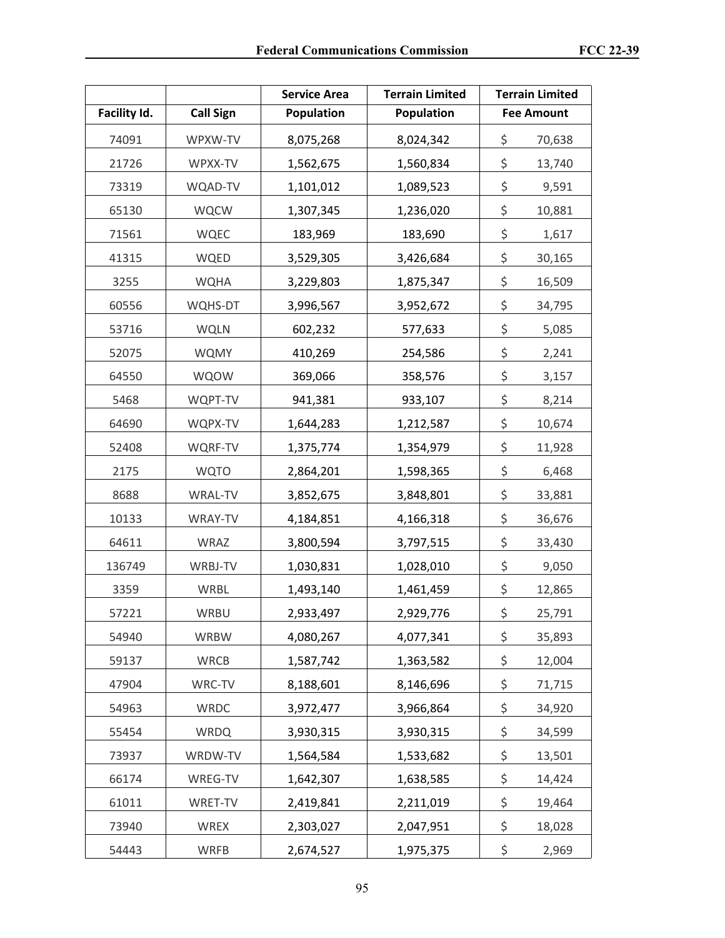|              |                  | <b>Service Area</b> | <b>Terrain Limited</b> | <b>Terrain Limited</b> |
|--------------|------------------|---------------------|------------------------|------------------------|
| Facility Id. | <b>Call Sign</b> | Population          | Population             | <b>Fee Amount</b>      |
| 74091        | WPXW-TV          | 8,075,268           | 8,024,342              | \$<br>70,638           |
| 21726        | WPXX-TV          | 1,562,675           | 1,560,834              | \$<br>13,740           |
| 73319        | WQAD-TV          | 1,101,012           | 1,089,523              | \$<br>9,591            |
| 65130        | <b>WQCW</b>      | 1,307,345           | 1,236,020              | \$<br>10,881           |
| 71561        | <b>WQEC</b>      | 183,969             | 183,690                | \$<br>1,617            |
| 41315        | WQED             | 3,529,305           | 3,426,684              | \$<br>30,165           |
| 3255         | <b>WQHA</b>      | 3,229,803           | 1,875,347              | \$<br>16,509           |
| 60556        | WQHS-DT          | 3,996,567           | 3,952,672              | \$<br>34,795           |
| 53716        | <b>WQLN</b>      | 602,232             | 577,633                | \$<br>5,085            |
| 52075        | <b>WQMY</b>      | 410,269             | 254,586                | \$<br>2,241            |
| 64550        | WQOW             | 369,066             | 358,576                | \$<br>3,157            |
| 5468         | WQPT-TV          | 941,381             | 933,107                | \$<br>8,214            |
| 64690        | WQPX-TV          | 1,644,283           | 1,212,587              | \$<br>10,674           |
| 52408        | WQRF-TV          | 1,375,774           | 1,354,979              | \$<br>11,928           |
| 2175         | <b>WQTO</b>      | 2,864,201           | 1,598,365              | \$<br>6,468            |
| 8688         | <b>WRAL-TV</b>   | 3,852,675           | 3,848,801              | \$<br>33,881           |
| 10133        | WRAY-TV          | 4,184,851           | 4,166,318              | \$<br>36,676           |
| 64611        | WRAZ             | 3,800,594           | 3,797,515              | \$<br>33,430           |
| 136749       | WRBJ-TV          | 1,030,831           | 1,028,010              | \$<br>9,050            |
| 3359         | WRBL             | 1,493,140           | 1,461,459              | \$<br>12,865           |
| 57221        | WRBU             | 2,933,497           | 2,929,776              | \$<br>25,791           |
| 54940        | <b>WRBW</b>      | 4,080,267           | 4,077,341              | \$<br>35,893           |
| 59137        | WRCB             | 1,587,742           | 1,363,582              | \$<br>12,004           |
| 47904        | WRC-TV           | 8,188,601           | 8,146,696              | \$<br>71,715           |
| 54963        | <b>WRDC</b>      | 3,972,477           | 3,966,864              | \$<br>34,920           |
| 55454        | <b>WRDQ</b>      | 3,930,315           | 3,930,315              | \$<br>34,599           |
| 73937        | WRDW-TV          | 1,564,584           | 1,533,682              | \$<br>13,501           |
| 66174        | WREG-TV          | 1,642,307           | 1,638,585              | \$<br>14,424           |
| 61011        | WRET-TV          | 2,419,841           | 2,211,019              | \$<br>19,464           |
| 73940        | WREX             | 2,303,027           | 2,047,951              | \$<br>18,028           |
| 54443        | <b>WRFB</b>      | 2,674,527           | 1,975,375              | \$<br>2,969            |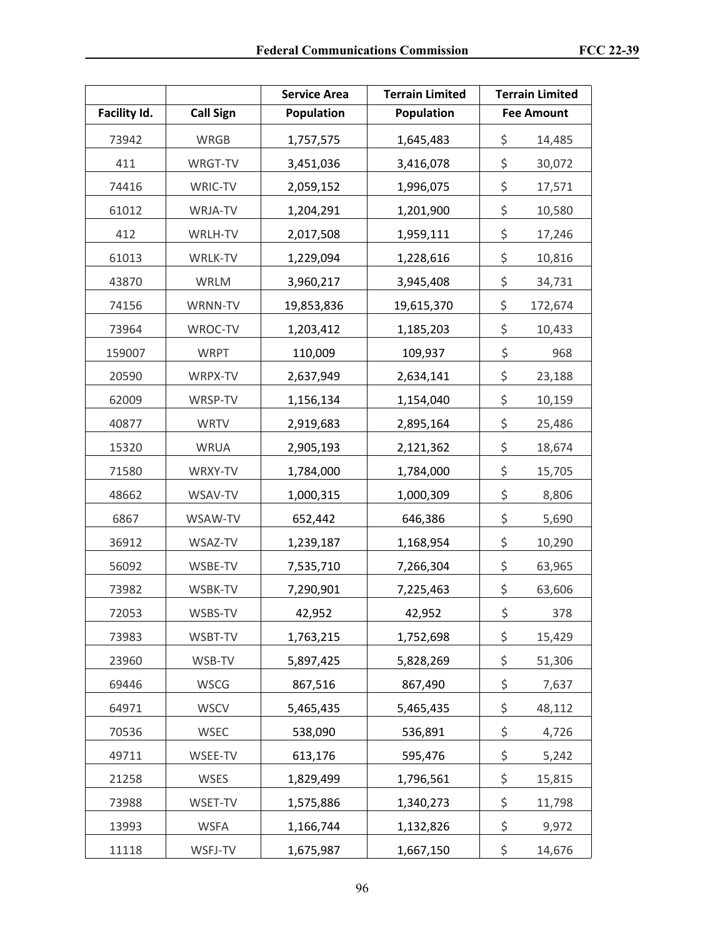|              |                  | <b>Service Area</b> | <b>Terrain Limited</b> | <b>Terrain Limited</b> |
|--------------|------------------|---------------------|------------------------|------------------------|
| Facility Id. | <b>Call Sign</b> | Population          | <b>Population</b>      | <b>Fee Amount</b>      |
| 73942        | <b>WRGB</b>      | 1,757,575           | 1,645,483              | \$<br>14,485           |
| 411          | WRGT-TV          | 3,451,036           | 3,416,078              | \$<br>30,072           |
| 74416        | WRIC-TV          | 2,059,152           | 1,996,075              | \$<br>17,571           |
| 61012        | WRJA-TV          | 1,204,291           | 1,201,900              | \$<br>10,580           |
| 412          | WRLH-TV          | 2,017,508           | 1,959,111              | \$<br>17,246           |
| 61013        | WRLK-TV          | 1,229,094           | 1,228,616              | \$<br>10,816           |
| 43870        | <b>WRLM</b>      | 3,960,217           | 3,945,408              | \$<br>34,731           |
| 74156        | WRNN-TV          | 19,853,836          | 19,615,370             | \$<br>172,674          |
| 73964        | WROC-TV          | 1,203,412           | 1,185,203              | \$<br>10,433           |
| 159007       | <b>WRPT</b>      | 110,009             | 109,937                | \$<br>968              |
| 20590        | WRPX-TV          | 2,637,949           | 2,634,141              | \$<br>23,188           |
| 62009        | WRSP-TV          | 1,156,134           | 1,154,040              | \$<br>10,159           |
| 40877        | <b>WRTV</b>      | 2,919,683           | 2,895,164              | \$<br>25,486           |
| 15320        | <b>WRUA</b>      | 2,905,193           | 2,121,362              | \$<br>18,674           |
| 71580        | WRXY-TV          | 1,784,000           | 1,784,000              | \$<br>15,705           |
| 48662        | WSAV-TV          | 1,000,315           | 1,000,309              | \$<br>8,806            |
| 6867         | WSAW-TV          | 652,442             | 646,386                | \$<br>5,690            |
| 36912        | WSAZ-TV          | 1,239,187           | 1,168,954              | \$<br>10,290           |
| 56092        | WSBE-TV          | 7,535,710           | 7,266,304              | \$<br>63,965           |
| 73982        | WSBK-TV          | 7,290,901           | 7,225,463              | \$<br>63,606           |
| 72053        | WSBS-TV          | 42,952              | 42,952                 | \$<br>378              |
| 73983        | WSBT-TV          | 1,763,215           | 1,752,698              | \$<br>15,429           |
| 23960        | WSB-TV           | 5,897,425           | 5,828,269              | \$<br>51,306           |
| 69446        | <b>WSCG</b>      | 867,516             | 867,490                | \$<br>7,637            |
| 64971        | <b>WSCV</b>      | 5,465,435           | 5,465,435              | \$<br>48,112           |
| 70536        | <b>WSEC</b>      | 538,090             | 536,891                | \$<br>4,726            |
| 49711        | WSEE-TV          | 613,176             | 595,476                | \$<br>5,242            |
| 21258        | <b>WSES</b>      | 1,829,499           | 1,796,561              | \$<br>15,815           |
| 73988        | WSET-TV          | 1,575,886           | 1,340,273              | \$<br>11,798           |
| 13993        | <b>WSFA</b>      | 1,166,744           | 1,132,826              | \$<br>9,972            |
| 11118        | WSFJ-TV          | 1,675,987           | 1,667,150              | \$<br>14,676           |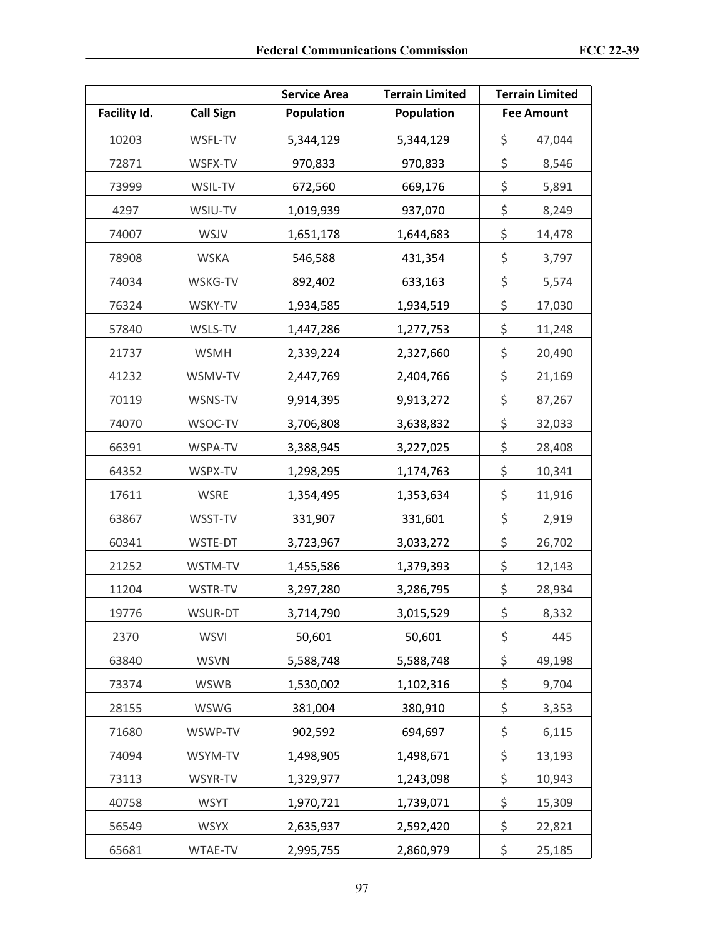|              |                  | <b>Terrain Limited</b><br><b>Service Area</b> |                 |    | <b>Terrain Limited</b> |
|--------------|------------------|-----------------------------------------------|-----------------|----|------------------------|
| Facility Id. | <b>Call Sign</b> | Population<br>Population                      |                 |    | <b>Fee Amount</b>      |
| 10203        | WSFL-TV          | 5,344,129                                     | 5,344,129       | \$ | 47,044                 |
| 72871        | WSFX-TV          | 970,833                                       | 970,833         |    | 8,546                  |
| 73999        | WSIL-TV          | 672,560                                       | 669,176         | \$ | 5,891                  |
| 4297         | WSIU-TV          | 1,019,939                                     | 937,070         | \$ | 8,249                  |
| 74007        | WSJV             | 1,651,178                                     | 1,644,683       | \$ | 14,478                 |
| 78908        | <b>WSKA</b>      | 546,588                                       | 431,354         | \$ | 3,797                  |
| 74034        | WSKG-TV          | 892,402                                       | 633,163         | \$ | 5,574                  |
| 76324        | WSKY-TV          | 1,934,585                                     | 1,934,519       | \$ | 17,030                 |
| 57840        | WSLS-TV          | 1,447,286                                     | 1,277,753       | \$ | 11,248                 |
| 21737        | <b>WSMH</b>      | 2,339,224                                     | 2,327,660       | \$ | 20,490                 |
| 41232        | WSMV-TV          | 2,447,769                                     | 2,404,766       | \$ | 21,169                 |
| 70119        | WSNS-TV          | 9,914,395                                     | 9,913,272       | \$ | 87,267                 |
| 74070        | WSOC-TV          | 3,706,808                                     | 3,638,832       | \$ | 32,033                 |
| 66391        | WSPA-TV          | 3,388,945                                     | 3,227,025       |    | 28,408                 |
| 64352        | WSPX-TV          | 1,298,295                                     | 1,174,763       |    | 10,341                 |
| 17611        | <b>WSRE</b>      | 1,354,495                                     | 1,353,634       |    | 11,916                 |
| 63867        | WSST-TV          | 331,907                                       | 331,601         |    | 2,919                  |
| 60341        | WSTE-DT          | 3,723,967                                     | 3,033,272       | \$ | 26,702                 |
| 21252        | WSTM-TV          | 1,455,586                                     | 1,379,393       | \$ | 12,143                 |
| 11204        | WSTR-TV          | 3,297,280                                     | 3,286,795       | \$ | 28,934                 |
| 19776        | WSUR-DT          | 3,714,790                                     | 3,015,529       | \$ | 8,332                  |
| 2370         | <b>WSVI</b>      | 50,601                                        | 50,601          | \$ | 445                    |
| 63840        | <b>WSVN</b>      | 5,588,748                                     | 5,588,748       | \$ | 49,198                 |
| 73374        | <b>WSWB</b>      | 1,530,002                                     | 1,102,316       | \$ | 9,704                  |
| 28155        | <b>WSWG</b>      | 381,004                                       | 380,910         | \$ | 3,353                  |
| 71680        | WSWP-TV          | 902,592                                       | 694,697         | \$ | 6,115                  |
| 74094        | WSYM-TV          | 1,498,905<br>1,498,671                        |                 | \$ | 13,193                 |
| 73113        | WSYR-TV          | 1,329,977                                     | 1,243,098       | \$ | 10,943                 |
| 40758        | <b>WSYT</b>      | 1,970,721                                     | 1,739,071       | \$ | 15,309                 |
| 56549        | <b>WSYX</b>      | 2,635,937                                     | 2,592,420       | \$ | 22,821                 |
| 65681        | WTAE-TV          | 2,995,755                                     | \$<br>2,860,979 |    | 25,185                 |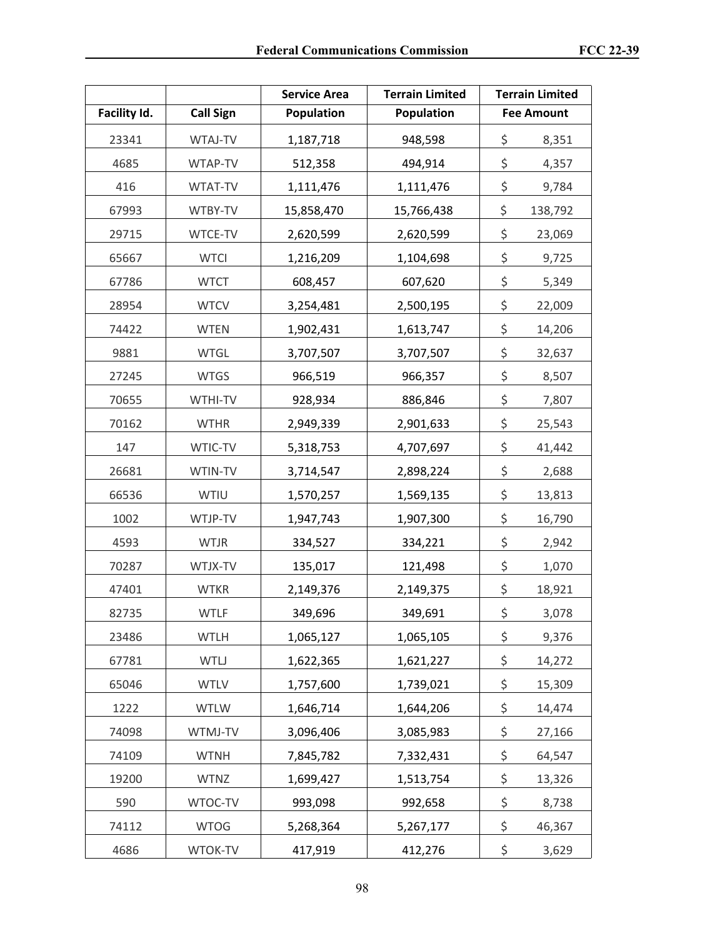|              |                  | <b>Terrain Limited</b><br><b>Service Area</b> |               |    | <b>Terrain Limited</b> |
|--------------|------------------|-----------------------------------------------|---------------|----|------------------------|
| Facility Id. | <b>Call Sign</b> | Population<br><b>Population</b>               |               |    | <b>Fee Amount</b>      |
| 23341        | WTAJ-TV          | 1,187,718                                     | 948,598       | \$ | 8,351                  |
| 4685         | WTAP-TV          | 512,358                                       | 494,914       | \$ | 4,357                  |
| 416          | WTAT-TV          | 1,111,476                                     | 1,111,476     | \$ | 9,784                  |
| 67993        | WTBY-TV          | 15,858,470                                    | 15,766,438    | \$ | 138,792                |
| 29715        | WTCE-TV          | 2,620,599                                     | 2,620,599     | \$ | 23,069                 |
| 65667        | <b>WTCI</b>      | 1,216,209                                     | 1,104,698     | \$ | 9,725                  |
| 67786        | <b>WTCT</b>      | 608,457                                       | 607,620       | \$ | 5,349                  |
| 28954        | <b>WTCV</b>      | 3,254,481                                     | 2,500,195     | \$ | 22,009                 |
| 74422        | <b>WTEN</b>      | 1,902,431                                     | 1,613,747     | \$ | 14,206                 |
| 9881         | <b>WTGL</b>      | 3,707,507                                     | 3,707,507     | \$ | 32,637                 |
| 27245        | <b>WTGS</b>      | 966,519                                       | 966,357       | \$ | 8,507                  |
| 70655        | WTHI-TV          | 928,934                                       | 886,846       | \$ | 7,807                  |
| 70162        | <b>WTHR</b>      | 2,949,339                                     | 2,901,633     | \$ | 25,543                 |
| 147          | WTIC-TV          | 5,318,753                                     | 4,707,697     | \$ | 41,442                 |
| 26681        | WTIN-TV          | 3,714,547                                     | 2,898,224     | \$ | 2,688                  |
| 66536        | WTIU             | 1,570,257                                     | 1,569,135     |    | 13,813                 |
| 1002         | WTJP-TV          | 1,947,743                                     | 1,907,300     |    | 16,790                 |
| 4593         | <b>WTJR</b>      | 334,527                                       | 334,221       | \$ | 2,942                  |
| 70287        | WTJX-TV          | 135,017                                       | 121,498       | \$ | 1,070                  |
| 47401        | <b>WTKR</b>      | 2,149,376                                     | 2,149,375     | \$ | 18,921                 |
| 82735        | <b>WTLF</b>      | 349,696                                       | 349,691       | \$ | 3,078                  |
| 23486        | <b>WTLH</b>      | 1,065,127                                     | 1,065,105     | \$ | 9,376                  |
| 67781        | WTLJ             | 1,622,365                                     | 1,621,227     | \$ | 14,272                 |
| 65046        | <b>WTLV</b>      | 1,757,600                                     | 1,739,021     | \$ | 15,309                 |
| 1222         | <b>WTLW</b>      | 1,646,714                                     | 1,644,206     | \$ | 14,474                 |
| 74098        | WTMJ-TV          | 3,096,406                                     | 3,085,983     | \$ | 27,166                 |
| 74109        | <b>WTNH</b>      | 7,845,782                                     | 7,332,431     |    | 64,547                 |
| 19200        | <b>WTNZ</b>      | 1,699,427                                     | 1,513,754     | \$ | 13,326                 |
| 590          | WTOC-TV          | 993,098                                       | \$<br>992,658 |    | 8,738                  |
| 74112        | <b>WTOG</b>      | 5,268,364                                     | 5,267,177     | \$ | 46,367                 |
| 4686         | WTOK-TV          | 417,919                                       | \$<br>412,276 |    | 3,629                  |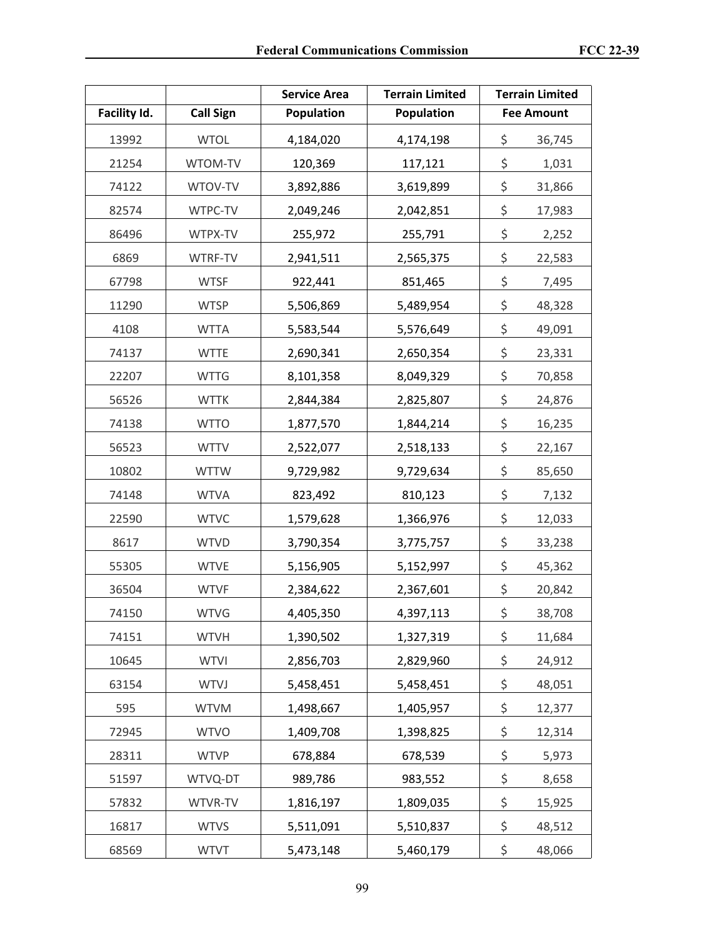|              |                  | <b>Terrain Limited</b><br><b>Service Area</b> |                 |    | <b>Terrain Limited</b> |
|--------------|------------------|-----------------------------------------------|-----------------|----|------------------------|
| Facility Id. | <b>Call Sign</b> | Population<br>Population                      |                 |    | <b>Fee Amount</b>      |
| 13992        | <b>WTOL</b>      | 4,184,020                                     | 4,174,198       | \$ | 36,745                 |
| 21254        | WTOM-TV          | 120,369                                       | 117,121         | \$ | 1,031                  |
| 74122        | WTOV-TV          | 3,892,886                                     | 3,619,899       | \$ | 31,866                 |
| 82574        | WTPC-TV          | 2,049,246                                     | 2,042,851       | \$ | 17,983                 |
| 86496        | WTPX-TV          | 255,972                                       | 255,791         | \$ | 2,252                  |
| 6869         | WTRF-TV          | 2,941,511                                     | 2,565,375       | \$ | 22,583                 |
| 67798        | <b>WTSF</b>      | 922,441                                       | 851,465         | \$ | 7,495                  |
| 11290        | <b>WTSP</b>      | 5,506,869                                     | 5,489,954       | \$ | 48,328                 |
| 4108         | <b>WTTA</b>      | 5,583,544                                     | 5,576,649       | \$ | 49,091                 |
| 74137        | <b>WTTE</b>      | 2,690,341                                     | 2,650,354       | \$ | 23,331                 |
| 22207        | <b>WTTG</b>      | 8,101,358                                     | 8,049,329       | \$ | 70,858                 |
| 56526        | <b>WTTK</b>      | 2,844,384                                     | 2,825,807       | \$ | 24,876                 |
| 74138        | <b>WTTO</b>      | 1,877,570                                     | 1,844,214       | \$ | 16,235                 |
| 56523        | <b>WTTV</b>      | 2,522,077                                     | 2,518,133       |    | 22,167                 |
| 10802        | <b>WTTW</b>      | 9,729,982                                     | 9,729,634       |    | 85,650                 |
| 74148        | <b>WTVA</b>      | 823,492                                       | 810,123         |    | 7,132                  |
| 22590        | <b>WTVC</b>      | 1,579,628                                     | 1,366,976       |    | 12,033                 |
| 8617         | <b>WTVD</b>      | 3,790,354                                     | 3,775,757       | \$ | 33,238                 |
| 55305        | <b>WTVE</b>      | 5,156,905                                     | 5,152,997       | \$ | 45,362                 |
| 36504        | <b>WTVF</b>      | 2,384,622                                     | 2,367,601       | \$ | 20,842                 |
| 74150        | <b>WTVG</b>      | 4,405,350                                     | 4,397,113       | \$ | 38,708                 |
| 74151        | <b>WTVH</b>      | 1,390,502                                     | 1,327,319       | \$ | 11,684                 |
| 10645        | <b>WTVI</b>      | 2,856,703                                     | 2,829,960       | \$ | 24,912                 |
| 63154        | <b>WTVJ</b>      | 5,458,451                                     | 5,458,451       | \$ | 48,051                 |
| 595          | <b>WTVM</b>      | 1,498,667                                     | 1,405,957       | \$ | 12,377                 |
| 72945        | <b>WTVO</b>      | 1,409,708                                     | 1,398,825       | \$ | 12,314                 |
| 28311        | <b>WTVP</b>      | 678,884                                       | 678,539         | \$ | 5,973                  |
| 51597        | WTVQ-DT          | 989,786                                       | 983,552         | \$ | 8,658                  |
| 57832        | WTVR-TV          | 1,816,197                                     | \$<br>1,809,035 |    | 15,925                 |
| 16817        | <b>WTVS</b>      | 5,511,091                                     | 5,510,837       | \$ | 48,512                 |
| 68569        | <b>WTVT</b>      | 5,473,148                                     | \$<br>5,460,179 |    | 48,066                 |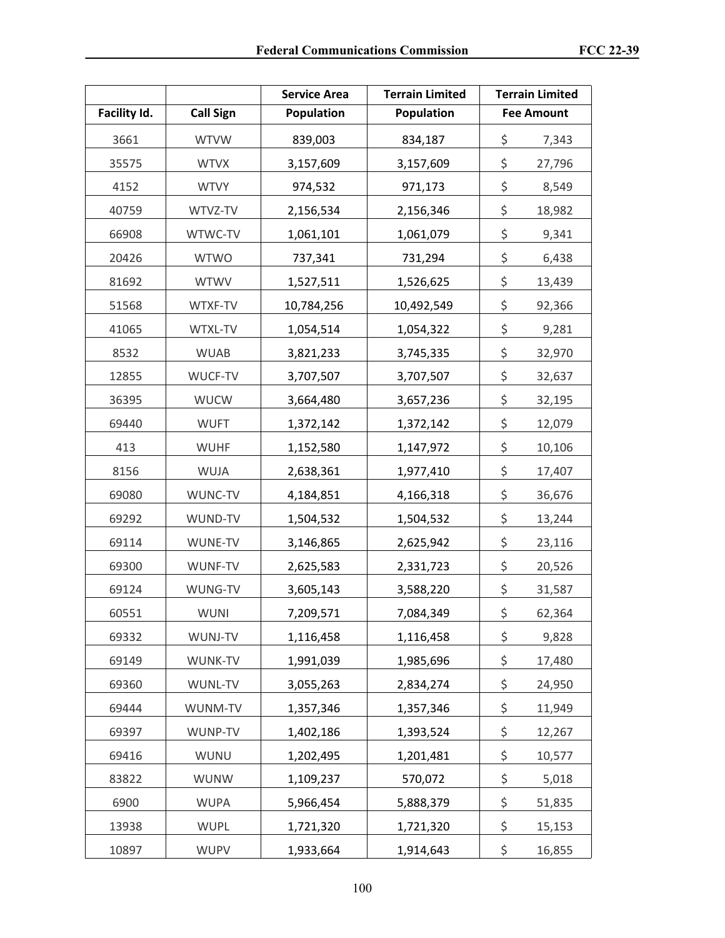|              |                  | <b>Terrain Limited</b><br><b>Service Area</b> |                 |    | <b>Terrain Limited</b> |
|--------------|------------------|-----------------------------------------------|-----------------|----|------------------------|
| Facility Id. | <b>Call Sign</b> | Population<br>Population                      |                 |    | <b>Fee Amount</b>      |
| 3661         | <b>WTVW</b>      | 839,003                                       | 834,187         | \$ | 7,343                  |
| 35575        | <b>WTVX</b>      | 3,157,609                                     | 3,157,609       | \$ | 27,796                 |
| 4152         | <b>WTVY</b>      | 974,532                                       | 971,173         | \$ | 8,549                  |
| 40759        | WTVZ-TV          | 2,156,534                                     | 2,156,346       | \$ | 18,982                 |
| 66908        | WTWC-TV          | 1,061,101                                     | 1,061,079       | \$ | 9,341                  |
| 20426        | <b>WTWO</b>      | 737,341                                       | 731,294         | \$ | 6,438                  |
| 81692        | <b>WTWV</b>      | 1,527,511                                     | 1,526,625       | \$ | 13,439                 |
| 51568        | WTXF-TV          | 10,784,256                                    | 10,492,549      | \$ | 92,366                 |
| 41065        | WTXL-TV          | 1,054,514                                     | 1,054,322       | \$ | 9,281                  |
| 8532         | <b>WUAB</b>      | 3,821,233                                     | 3,745,335       | \$ | 32,970                 |
| 12855        | WUCF-TV          | 3,707,507                                     | 3,707,507       | \$ | 32,637                 |
| 36395        | <b>WUCW</b>      | 3,664,480                                     | 3,657,236       | \$ | 32,195                 |
| 69440        | <b>WUFT</b>      | 1,372,142                                     | 1,372,142       | \$ | 12,079                 |
| 413          | <b>WUHF</b>      | 1,152,580                                     | 1,147,972       | \$ | 10,106                 |
| 8156         | WUJA             | 2,638,361                                     | 1,977,410       |    | 17,407                 |
| 69080        | WUNC-TV          | 4,184,851                                     | 4,166,318       |    | 36,676                 |
| 69292        | WUND-TV          | 1,504,532                                     | 1,504,532       |    | 13,244                 |
| 69114        | WUNE-TV          | 3,146,865                                     | 2,625,942       | \$ | 23,116                 |
| 69300        | WUNF-TV          | 2,625,583                                     | 2,331,723       | \$ | 20,526                 |
| 69124        | WUNG-TV          | 3,605,143                                     | 3,588,220       | \$ | 31,587                 |
| 60551        | WUNI             | 7,209,571                                     | 7,084,349       | \$ | 62,364                 |
| 69332        | WUNJ-TV          | 1,116,458                                     | 1,116,458       | \$ | 9,828                  |
| 69149        | WUNK-TV          | 1,991,039                                     | 1,985,696       | \$ | 17,480                 |
| 69360        | WUNL-TV          | 3,055,263                                     | 2,834,274       | \$ | 24,950                 |
| 69444        | WUNM-TV          | 1,357,346                                     | 1,357,346       | \$ | 11,949                 |
| 69397        | WUNP-TV          | 1,402,186                                     | 1,393,524       | \$ | 12,267                 |
| 69416        | WUNU             | 1,202,495                                     | 1,201,481       |    | 10,577                 |
| 83822        | <b>WUNW</b>      | 1,109,237                                     | 570,072         | \$ | 5,018                  |
| 6900         | <b>WUPA</b>      | 5,966,454                                     | \$<br>5,888,379 |    | 51,835                 |
| 13938        | <b>WUPL</b>      | 1,721,320                                     | 1,721,320       | \$ | 15,153                 |
| 10897        | <b>WUPV</b>      | 1,933,664                                     | \$<br>1,914,643 |    | 16,855                 |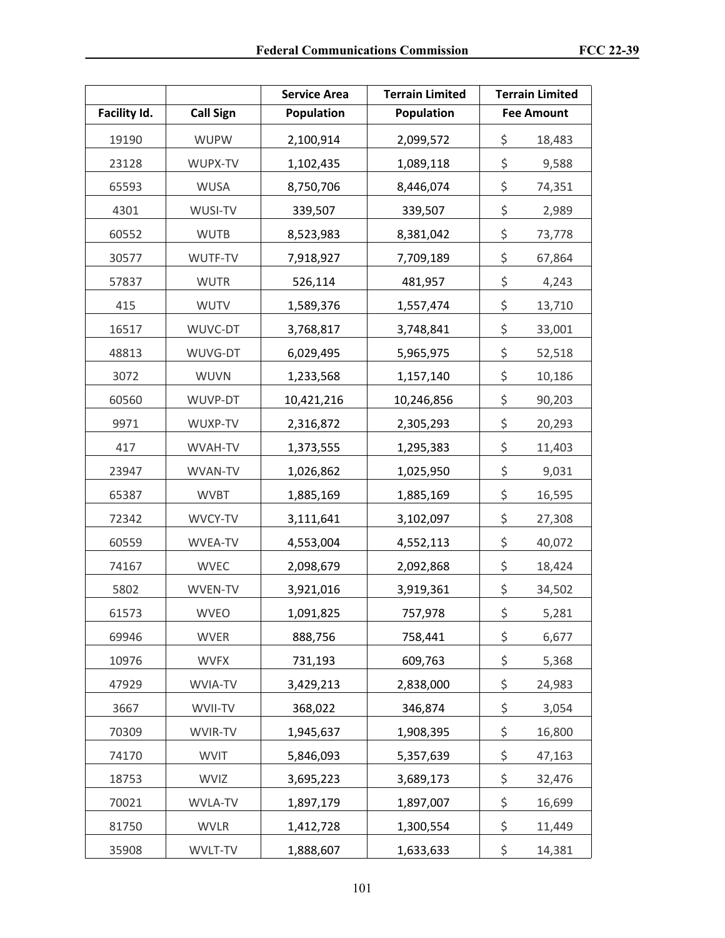|              |                  | <b>Terrain Limited</b><br><b>Service Area</b> |                 |    | <b>Terrain Limited</b> |
|--------------|------------------|-----------------------------------------------|-----------------|----|------------------------|
| Facility Id. | <b>Call Sign</b> | Population<br><b>Population</b>               |                 |    | <b>Fee Amount</b>      |
| 19190        | <b>WUPW</b>      | 2,100,914                                     | 2,099,572       | \$ | 18,483                 |
| 23128        | WUPX-TV          | 1,102,435                                     | 1,089,118       | \$ | 9,588                  |
| 65593        | <b>WUSA</b>      | 8,750,706                                     | 8,446,074       | \$ | 74,351                 |
| 4301         | WUSI-TV          | 339,507                                       | 339,507         | \$ | 2,989                  |
| 60552        | <b>WUTB</b>      | 8,523,983                                     | 8,381,042       | \$ | 73,778                 |
| 30577        | WUTF-TV          | 7,918,927                                     | 7,709,189       | \$ | 67,864                 |
| 57837        | <b>WUTR</b>      | 526,114                                       | 481,957         | \$ | 4,243                  |
| 415          | <b>WUTV</b>      | 1,589,376                                     | 1,557,474       | \$ | 13,710                 |
| 16517        | WUVC-DT          | 3,768,817                                     | 3,748,841       | \$ | 33,001                 |
| 48813        | WUVG-DT          | 6,029,495                                     | 5,965,975       | \$ | 52,518                 |
| 3072         | <b>WUVN</b>      | 1,233,568                                     | 1,157,140       | \$ | 10,186                 |
| 60560        | WUVP-DT          | 10,421,216                                    | 10,246,856      | \$ | 90,203                 |
| 9971         | WUXP-TV          | 2,316,872                                     | 2,305,293       | \$ | 20,293                 |
| 417          | WVAH-TV          | 1,373,555                                     | 1,295,383       | \$ | 11,403                 |
| 23947        | WVAN-TV          | 1,026,862                                     | 1,025,950       | \$ | 9,031                  |
| 65387        | <b>WVBT</b>      | 1,885,169                                     | 1,885,169       |    | 16,595                 |
| 72342        | WVCY-TV          | 3,111,641                                     | 3,102,097       |    | 27,308                 |
| 60559        | WVEA-TV          | 4,553,004                                     | 4,552,113       | \$ | 40,072                 |
| 74167        | <b>WVEC</b>      | 2,098,679                                     | 2,092,868       | \$ | 18,424                 |
| 5802         | WVEN-TV          | 3,921,016                                     | 3,919,361       | \$ | 34,502                 |
| 61573        | <b>WVEO</b>      | 1,091,825                                     | 757,978         | \$ | 5,281                  |
| 69946        | <b>WVER</b>      | 888,756                                       | 758,441         | \$ | 6,677                  |
| 10976        | <b>WVFX</b>      | 731,193                                       | 609,763         | \$ | 5,368                  |
| 47929        | WVIA-TV          | 3,429,213                                     | 2,838,000       | \$ | 24,983                 |
| 3667         | WVII-TV          | 368,022                                       | 346,874         | \$ | 3,054                  |
| 70309        | WVIR-TV          | 1,945,637                                     | 1,908,395       | \$ | 16,800                 |
| 74170        | <b>WVIT</b>      | 5,846,093<br>5,357,639                        |                 | \$ | 47,163                 |
| 18753        | <b>WVIZ</b>      | 3,695,223                                     | 3,689,173       | \$ | 32,476                 |
| 70021        | WVLA-TV          | 1,897,179                                     | 1,897,007       | \$ | 16,699                 |
| 81750        | <b>WVLR</b>      | 1,412,728                                     | 1,300,554       | \$ | 11,449                 |
| 35908        | WVLT-TV          | 1,888,607                                     | \$<br>1,633,633 |    | 14,381                 |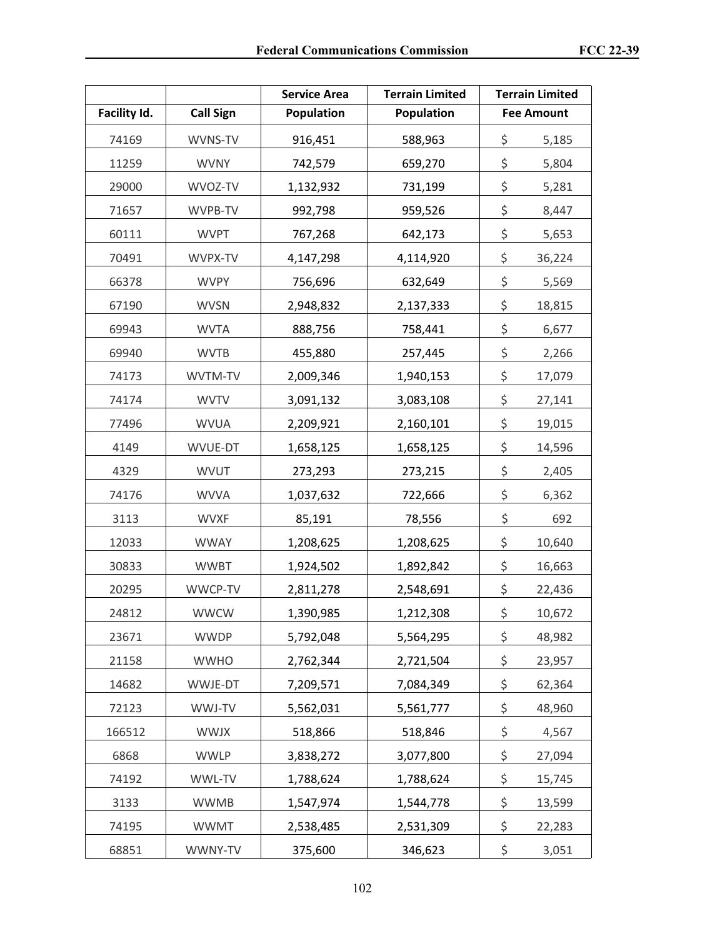|              |                  | <b>Terrain Limited</b><br><b>Service Area</b> |                       |    | <b>Terrain Limited</b> |
|--------------|------------------|-----------------------------------------------|-----------------------|----|------------------------|
| Facility Id. | <b>Call Sign</b> | Population<br><b>Population</b>               |                       |    | <b>Fee Amount</b>      |
| 74169        | WVNS-TV          | 916,451                                       | 588,963               | \$ | 5,185                  |
| 11259        | <b>WVNY</b>      | 742,579                                       | 659,270               | \$ | 5,804                  |
| 29000        | WVOZ-TV          | 1,132,932                                     | 731,199               | \$ | 5,281                  |
| 71657        | WVPB-TV          | 992,798                                       | 959,526               | \$ | 8,447                  |
| 60111        | <b>WVPT</b>      | 767,268                                       | 642,173               | \$ | 5,653                  |
| 70491        | WVPX-TV          | 4,147,298                                     | 4,114,920             | \$ | 36,224                 |
| 66378        | <b>WVPY</b>      | 756,696                                       | 632,649               | \$ | 5,569                  |
| 67190        | <b>WVSN</b>      | 2,948,832                                     | 2,137,333             | \$ | 18,815                 |
| 69943        | <b>WVTA</b>      | 888,756                                       | 758,441               | \$ | 6,677                  |
| 69940        | <b>WVTB</b>      | 455,880                                       | 257,445               | \$ | 2,266                  |
| 74173        | WVTM-TV          | 2,009,346                                     | 1,940,153             | \$ | 17,079                 |
| 74174        | <b>WVTV</b>      | 3,091,132                                     | 3,083,108             | \$ | 27,141                 |
| 77496        | <b>WVUA</b>      | 2,209,921                                     | 2,160,101             | \$ | 19,015                 |
| 4149         | WVUE-DT          | 1,658,125                                     | 1,658,125             | \$ | 14,596                 |
| 4329         | <b>WVUT</b>      | 273,293                                       | 273,215               | \$ | 2,405                  |
| 74176        | <b>WVVA</b>      | 1,037,632                                     | 722,666               | \$ | 6,362                  |
| 3113         | <b>WVXF</b>      | 85,191                                        | 78,556                | \$ | 692                    |
| 12033        | <b>WWAY</b>      | 1,208,625                                     | 1,208,625             |    | 10,640                 |
| 30833        | <b>WWBT</b>      | 1,924,502                                     | 1,892,842             | \$ | 16,663                 |
| 20295        | WWCP-TV          | 2,811,278                                     | 2,548,691             | \$ | 22,436                 |
| 24812        | <b>WWCW</b>      | 1,390,985                                     | 1,212,308             | \$ | 10,672                 |
| 23671        | <b>WWDP</b>      | 5,792,048                                     | 5,564,295             | \$ | 48,982                 |
| 21158        | <b>WWHO</b>      | 2,762,344                                     | 2,721,504             | \$ | 23,957                 |
| 14682        | WWJE-DT          | 7,209,571                                     | 7,084,349             | \$ | 62,364                 |
| 72123        | WWJ-TV           | 5,562,031                                     | 5,561,777             | \$ | 48,960                 |
| 166512       | <b>WWJX</b>      | 518,866                                       | 518,846               | \$ | 4,567                  |
| 6868         | <b>WWLP</b>      | 3,838,272                                     | 3,077,800             |    | 27,094                 |
| 74192        | WWL-TV           | 1,788,624                                     | \$<br>\$<br>1,788,624 |    | 15,745                 |
| 3133         | <b>WWMB</b>      | 1,547,974                                     | 1,544,778             | \$ | 13,599                 |
| 74195        | <b>WWMT</b>      | 2,538,485                                     | 2,531,309             | \$ | 22,283                 |
| 68851        | WWNY-TV          | 375,600                                       | \$<br>346,623         |    | 3,051                  |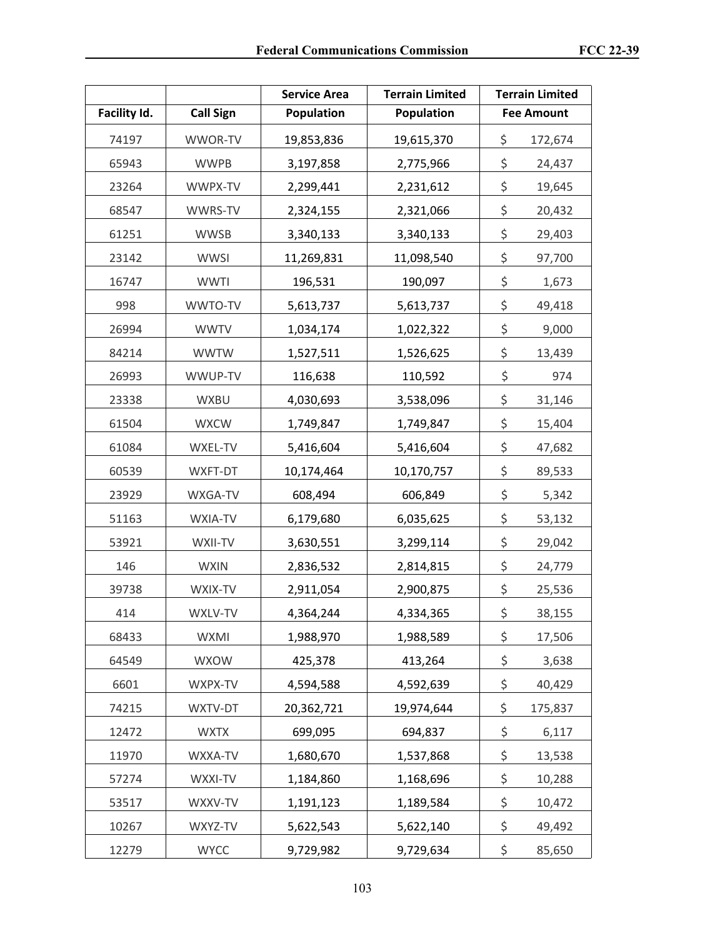|              |                  | <b>Terrain Limited</b><br><b>Service Area</b> |                 |    | <b>Terrain Limited</b> |
|--------------|------------------|-----------------------------------------------|-----------------|----|------------------------|
| Facility Id. | <b>Call Sign</b> | <b>Population</b><br>Population               |                 |    | <b>Fee Amount</b>      |
| 74197        | WWOR-TV          | 19,853,836                                    | 19,615,370      | \$ | 172,674                |
| 65943        | <b>WWPB</b>      | 3,197,858                                     | 2,775,966       | \$ | 24,437                 |
| 23264        | WWPX-TV          | 2,299,441                                     | 2,231,612       | \$ | 19,645                 |
| 68547        | WWRS-TV          | 2,324,155                                     | 2,321,066       | \$ | 20,432                 |
| 61251        | <b>WWSB</b>      | 3,340,133                                     | 3,340,133       | \$ | 29,403                 |
| 23142        | <b>WWSI</b>      | 11,269,831                                    | 11,098,540      | \$ | 97,700                 |
| 16747        | <b>WWTI</b>      | 196,531                                       | 190,097         | \$ | 1,673                  |
| 998          | WWTO-TV          | 5,613,737                                     | 5,613,737       | \$ | 49,418                 |
| 26994        | <b>WWTV</b>      | 1,034,174                                     | 1,022,322       | \$ | 9,000                  |
| 84214        | <b>WWTW</b>      | 1,527,511                                     | 1,526,625       | \$ | 13,439                 |
| 26993        | WWUP-TV          | 116,638                                       | 110,592         | \$ | 974                    |
| 23338        | WXBU             | 4,030,693                                     | 3,538,096       | \$ | 31,146                 |
| 61504        | <b>WXCW</b>      | 1,749,847                                     | 1,749,847       | \$ | 15,404                 |
| 61084        | WXEL-TV          | 5,416,604                                     | 5,416,604       |    | 47,682                 |
| 60539        | WXFT-DT          | 10,174,464                                    | 10,170,757      |    | 89,533                 |
| 23929        | WXGA-TV          | 608,494                                       | 606,849         |    | 5,342                  |
| 51163        | WXIA-TV          | 6,179,680                                     | 6,035,625       |    | 53,132                 |
| 53921        | WXII-TV          | 3,630,551                                     | 3,299,114       | \$ | 29,042                 |
| 146          | <b>WXIN</b>      | 2,836,532                                     | 2,814,815       |    | 24,779                 |
| 39738        | WXIX-TV          | 2,911,054                                     | 2,900,875       | \$ | 25,536                 |
| 414          | WXLV-TV          | 4,364,244                                     | 4,334,365       | \$ | 38,155                 |
| 68433        | WXMI             | 1,988,970                                     | 1,988,589       | \$ | 17,506                 |
| 64549        | <b>WXOW</b>      | 425,378                                       | 413,264         | \$ | 3,638                  |
| 6601         | WXPX-TV          | 4,594,588                                     | 4,592,639       | \$ | 40,429                 |
| 74215        | WXTV-DT          | 20,362,721                                    | 19,974,644      | \$ | 175,837                |
| 12472        | <b>WXTX</b>      | 699,095                                       | 694,837         | \$ | 6,117                  |
| 11970        | WXXA-TV          | 1,680,670<br>1,537,868                        |                 | \$ | 13,538                 |
| 57274        | WXXI-TV          | 1,184,860                                     | 1,168,696       | \$ | 10,288                 |
| 53517        | WXXV-TV          | 1,191,123                                     | 1,189,584       | \$ | 10,472                 |
| 10267        | WXYZ-TV          | 5,622,543                                     | 5,622,140       | \$ | 49,492                 |
| 12279        | <b>WYCC</b>      | 9,729,982                                     | \$<br>9,729,634 |    | 85,650                 |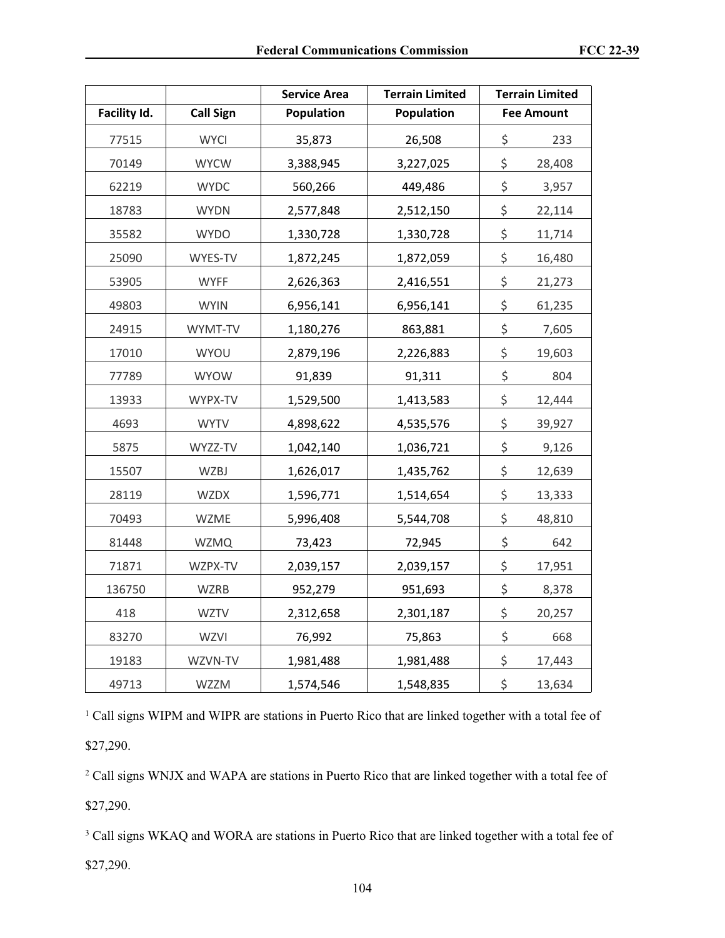|              |                  | <b>Service Area</b><br><b>Terrain Limited</b> |                 |    | <b>Terrain Limited</b> |
|--------------|------------------|-----------------------------------------------|-----------------|----|------------------------|
| Facility Id. | <b>Call Sign</b> | Population                                    | Population      |    | <b>Fee Amount</b>      |
| 77515        | <b>WYCI</b>      | 35,873                                        | 26,508          | \$ | 233                    |
| 70149        | <b>WYCW</b>      | 3,388,945                                     | 3,227,025       | \$ | 28,408                 |
| 62219        | <b>WYDC</b>      | 560,266                                       | 449,486         | \$ | 3,957                  |
| 18783        | <b>WYDN</b>      | 2,577,848                                     | 2,512,150       | \$ | 22,114                 |
| 35582        | <b>WYDO</b>      | 1,330,728                                     | 1,330,728       | \$ | 11,714                 |
| 25090        | WYES-TV          | 1,872,245                                     | 1,872,059       | \$ | 16,480                 |
| 53905        | <b>WYFF</b>      | 2,626,363                                     | 2,416,551       | \$ | 21,273                 |
| 49803        | <b>WYIN</b>      | 6,956,141                                     | 6,956,141       | \$ | 61,235                 |
| 24915        | WYMT-TV          | 1,180,276                                     | 863,881         | \$ | 7,605                  |
| 17010        | WYOU             | 2,879,196                                     | 2,226,883       | \$ | 19,603                 |
| 77789        | <b>WYOW</b>      | 91,839                                        | 91,311          | \$ | 804                    |
| 13933        | WYPX-TV          | 1,529,500                                     | 1,413,583       | \$ | 12,444                 |
| 4693         | <b>WYTV</b>      | 4,898,622                                     | 4,535,576       | \$ | 39,927                 |
| 5875         | WYZZ-TV          | 1,042,140                                     | 1,036,721       | \$ | 9,126                  |
| 15507        | <b>WZBJ</b>      | 1,626,017                                     | 1,435,762       | \$ | 12,639                 |
| 28119        | <b>WZDX</b>      | 1,596,771                                     | 1,514,654       | \$ | 13,333                 |
| 70493        | <b>WZME</b>      | 5,996,408                                     | 5,544,708       | \$ | 48,810                 |
| 81448        | <b>WZMQ</b>      | 73,423                                        | 72,945          | \$ | 642                    |
| 71871        | WZPX-TV          | 2,039,157                                     | 2,039,157       | \$ | 17,951                 |
| 136750       | <b>WZRB</b>      | 952,279                                       | 951,693         | \$ | 8,378                  |
| 418          | <b>WZTV</b>      | 2,312,658                                     | 2,301,187       | \$ | 20,257                 |
| 83270        | WZVI             | 76,992                                        | 75,863          | \$ | 668                    |
| 19183        | WZVN-TV          | 1,981,488                                     | \$<br>1,981,488 |    | 17,443                 |
| 49713        | <b>WZZM</b>      | 1,574,546                                     | \$<br>1,548,835 |    | 13,634                 |

<sup>1</sup> Call signs WIPM and WIPR are stations in Puerto Rico that are linked together with a total fee of \$27,290.

<sup>2</sup> Call signs WNJX and WAPA are stations in Puerto Rico that are linked together with a total fee of \$27,290.

<sup>3</sup> Call signs WKAQ and WORA are stations in Puerto Rico that are linked together with a total fee of \$27,290.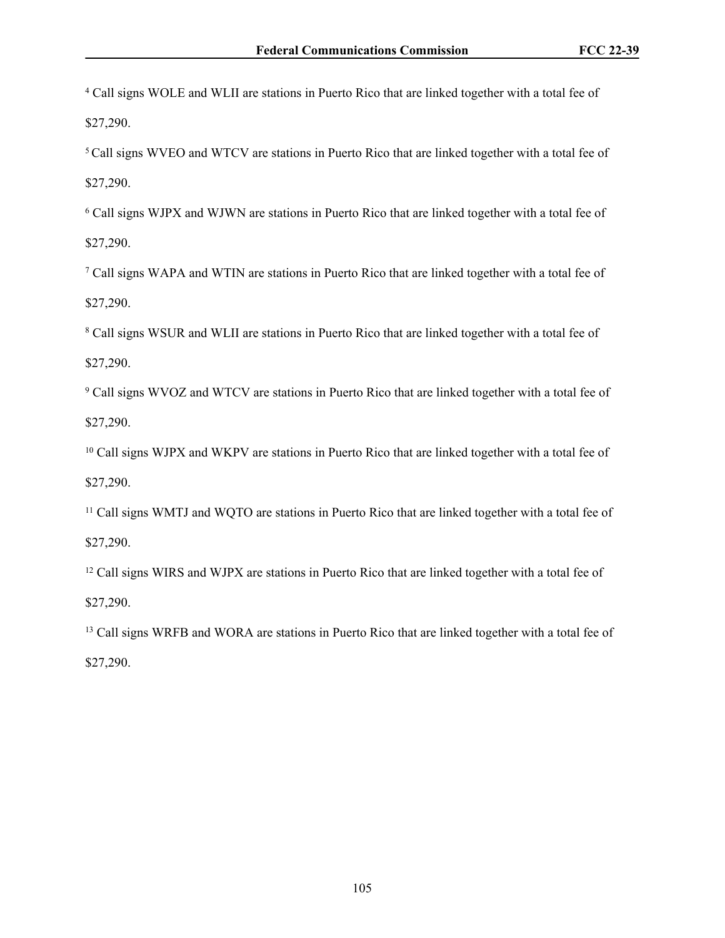4 Call signs WOLE and WLII are stations in Puerto Rico that are linked together with a total fee of \$27,290.

<sup>5</sup> Call signs WVEO and WTCV are stations in Puerto Rico that are linked together with a total fee of \$27,290.

6 Call signs WJPX and WJWN are stations in Puerto Rico that are linked together with a total fee of \$27,290.

7 Call signs WAPA and WTIN are stations in Puerto Rico that are linked together with a total fee of \$27,290.

<sup>8</sup> Call signs WSUR and WLII are stations in Puerto Rico that are linked together with a total fee of \$27,290.

<sup>9</sup> Call signs WVOZ and WTCV are stations in Puerto Rico that are linked together with a total fee of \$27,290.

<sup>10</sup> Call signs WJPX and WKPV are stations in Puerto Rico that are linked together with a total fee of \$27,290.

<sup>11</sup> Call signs WMTJ and WQTO are stations in Puerto Rico that are linked together with a total fee of \$27,290.

<sup>12</sup> Call signs WIRS and WJPX are stations in Puerto Rico that are linked together with a total fee of \$27,290.

<sup>13</sup> Call signs WRFB and WORA are stations in Puerto Rico that are linked together with a total fee of \$27,290.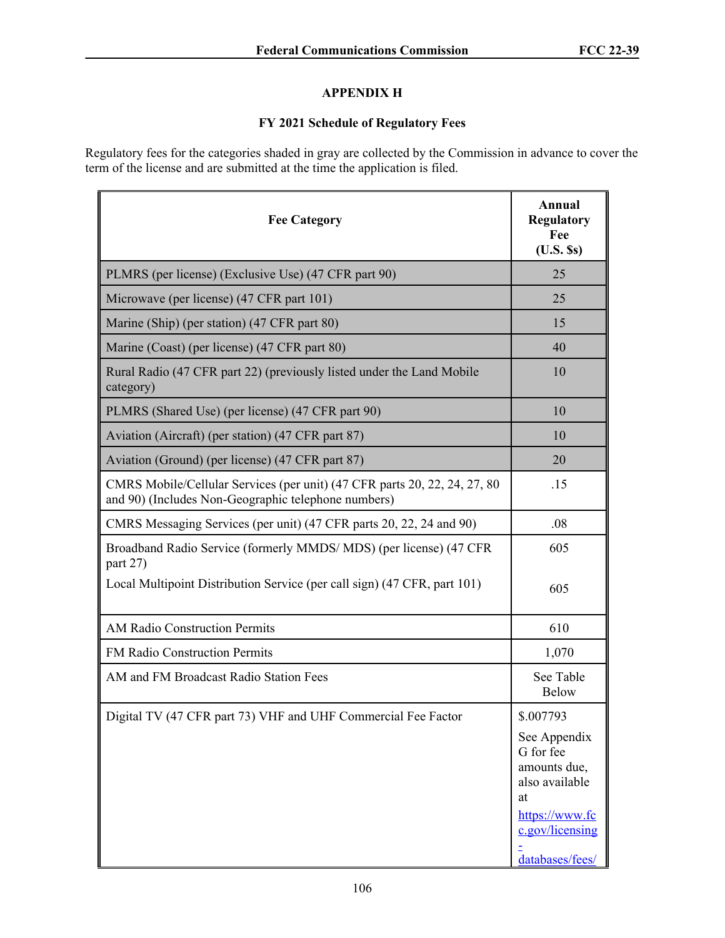## **APPENDIX H**

## **FY 2021 Schedule of Regulatory Fees**

Regulatory fees for the categories shaded in gray are collected by the Commission in advance to cover the term of the license and are submitted at the time the application is filed.

| <b>Fee Category</b>                                                                                                              | Annual<br><b>Regulatory</b><br>Fee<br>$(U.S.$ $s)$                                                                        |
|----------------------------------------------------------------------------------------------------------------------------------|---------------------------------------------------------------------------------------------------------------------------|
| PLMRS (per license) (Exclusive Use) (47 CFR part 90)                                                                             | 25                                                                                                                        |
| Microwave (per license) (47 CFR part 101)                                                                                        | 25                                                                                                                        |
| Marine (Ship) (per station) (47 CFR part 80)                                                                                     | 15                                                                                                                        |
| Marine (Coast) (per license) (47 CFR part 80)                                                                                    | 40                                                                                                                        |
| Rural Radio (47 CFR part 22) (previously listed under the Land Mobile<br>category)                                               | 10                                                                                                                        |
| PLMRS (Shared Use) (per license) (47 CFR part 90)                                                                                | 10                                                                                                                        |
| Aviation (Aircraft) (per station) (47 CFR part 87)                                                                               | 10                                                                                                                        |
| Aviation (Ground) (per license) (47 CFR part 87)                                                                                 | 20                                                                                                                        |
| CMRS Mobile/Cellular Services (per unit) (47 CFR parts 20, 22, 24, 27, 80<br>and 90) (Includes Non-Geographic telephone numbers) | .15                                                                                                                       |
| CMRS Messaging Services (per unit) (47 CFR parts 20, 22, 24 and 90)                                                              | .08                                                                                                                       |
| Broadband Radio Service (formerly MMDS/MDS) (per license) (47 CFR<br>part 27)                                                    | 605                                                                                                                       |
| Local Multipoint Distribution Service (per call sign) (47 CFR, part 101)                                                         | 605                                                                                                                       |
| <b>AM Radio Construction Permits</b>                                                                                             | 610                                                                                                                       |
| FM Radio Construction Permits                                                                                                    | 1,070                                                                                                                     |
| AM and FM Broadcast Radio Station Fees                                                                                           | See Table<br><b>Below</b>                                                                                                 |
| Digital TV (47 CFR part 73) VHF and UHF Commercial Fee Factor                                                                    | \$.007793                                                                                                                 |
|                                                                                                                                  | See Appendix<br>G for fee<br>amounts due,<br>also available<br>at<br>https://www.fc<br>c.gov/licensing<br>databases/fees/ |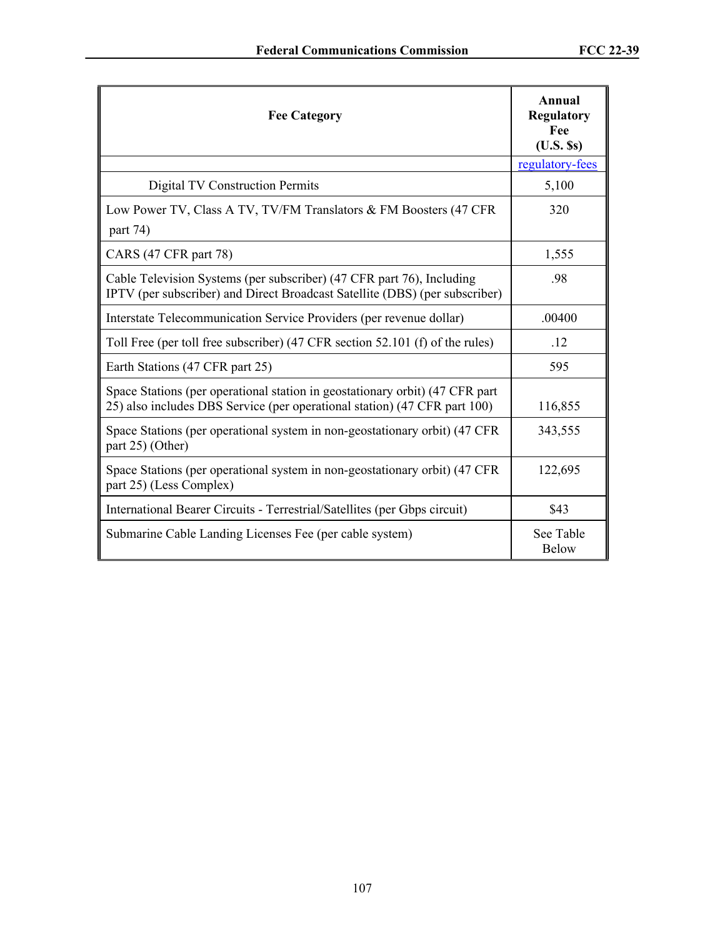| <b>Fee Category</b>                                                                                                                                       | Annual<br><b>Regulatory</b><br>Fee<br>$(U.S.$ Ss) |
|-----------------------------------------------------------------------------------------------------------------------------------------------------------|---------------------------------------------------|
|                                                                                                                                                           | regulatory-fees                                   |
| <b>Digital TV Construction Permits</b>                                                                                                                    | 5,100                                             |
| Low Power TV, Class A TV, TV/FM Translators & FM Boosters (47 CFR)<br>part 74)                                                                            | 320                                               |
| CARS (47 CFR part 78)                                                                                                                                     | 1,555                                             |
| Cable Television Systems (per subscriber) (47 CFR part 76), Including<br>IPTV (per subscriber) and Direct Broadcast Satellite (DBS) (per subscriber)      | .98                                               |
| Interstate Telecommunication Service Providers (per revenue dollar)                                                                                       | .00400                                            |
| Toll Free (per toll free subscriber) (47 CFR section 52.101 (f) of the rules)                                                                             | .12                                               |
| Earth Stations (47 CFR part 25)                                                                                                                           | 595                                               |
| Space Stations (per operational station in geostationary orbit) (47 CFR part<br>25) also includes DBS Service (per operational station) (47 CFR part 100) | 116,855                                           |
| Space Stations (per operational system in non-geostationary orbit) (47 CFR)<br>part 25) (Other)                                                           | 343,555                                           |
| Space Stations (per operational system in non-geostationary orbit) (47 CFR)<br>part 25) (Less Complex)                                                    | 122,695                                           |
| International Bearer Circuits - Terrestrial/Satellites (per Gbps circuit)                                                                                 | \$43                                              |
| Submarine Cable Landing Licenses Fee (per cable system)                                                                                                   | See Table<br><b>Below</b>                         |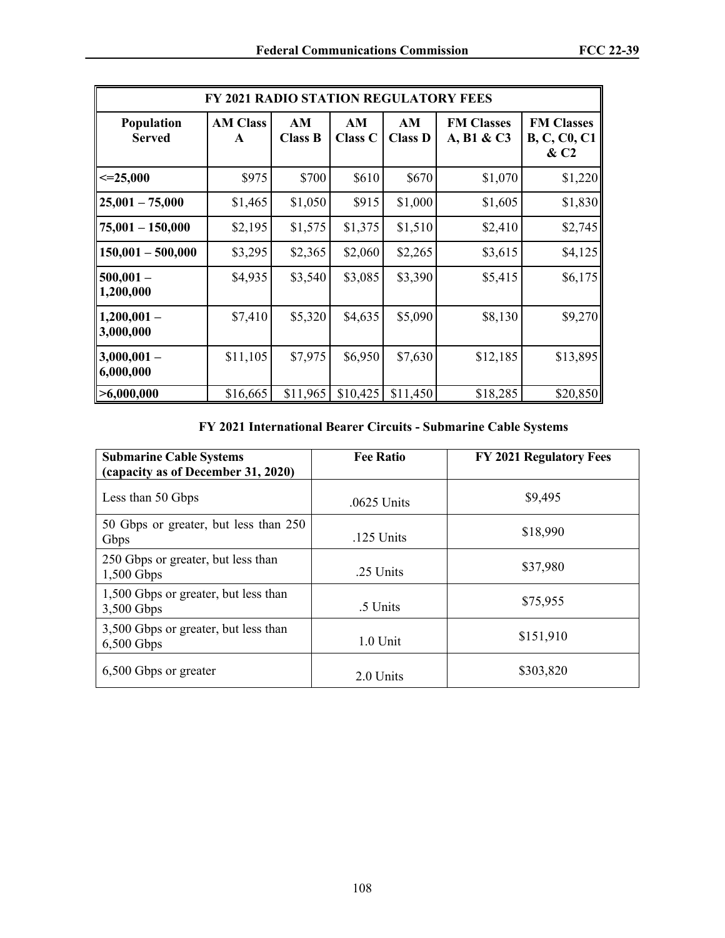| <b>FY 2021 RADIO STATION REGULATORY FEES</b> |                      |                      |                      |                      |                                 |                                                              |
|----------------------------------------------|----------------------|----------------------|----------------------|----------------------|---------------------------------|--------------------------------------------------------------|
| <b>Population</b><br><b>Served</b>           | <b>AM Class</b><br>A | AM<br><b>Class B</b> | AM<br><b>Class C</b> | AM<br><b>Class D</b> | <b>FM Classes</b><br>A, B1 & C3 | <b>FM Classes</b><br><b>B, C, C0, C1</b><br>& C <sub>2</sub> |
| $\leq 25,000$                                | \$975                | \$700                | \$610                | \$670                | \$1,070                         | \$1,220                                                      |
| $25,001 - 75,000$                            | \$1,465              | \$1,050              | \$915                | \$1,000              | \$1,605                         | \$1,830                                                      |
| $75,001 - 150,000$                           | \$2,195              | \$1,575              | \$1,375              | \$1,510              | \$2,410                         | \$2,745                                                      |
| $150,001 - 500,000$                          | \$3,295              | \$2,365              | \$2,060              | \$2,265              | \$3,615                         | \$4,125                                                      |
| $500,001 -$<br>1,200,000                     | \$4,935              | \$3,540              | \$3,085              | \$3,390              | \$5,415                         | \$6,175                                                      |
| $1,200,001-$<br>3,000,000                    | \$7,410              | \$5,320              | \$4,635              | \$5,090              | \$8,130                         | \$9,270                                                      |
| $3,000,001 -$<br>6,000,000                   | \$11,105             | \$7,975              | \$6,950              | \$7,630              | \$12,185                        | \$13,895                                                     |
| >6,000,000                                   | \$16,665             | \$11,965             | \$10,425             | \$11,450             | \$18,285                        | \$20,850                                                     |

**FY 2021 International Bearer Circuits - Submarine Cable Systems**

| <b>Submarine Cable Systems</b><br>(capacity as of December 31, 2020) | <b>Fee Ratio</b> | <b>FY 2021 Regulatory Fees</b> |
|----------------------------------------------------------------------|------------------|--------------------------------|
| Less than 50 Gbps                                                    | .0625 Units      | \$9,495                        |
| 50 Gbps or greater, but less than 250<br>Gbps                        | .125 Units       | \$18,990                       |
| 250 Gbps or greater, but less than<br>$1,500$ Gbps                   | .25 Units        | \$37,980                       |
| 1,500 Gbps or greater, but less than<br>3,500 Gbps                   | .5 Units         | \$75,955                       |
| 3,500 Gbps or greater, but less than<br>$6,500$ Gbps                 | $1.0$ Unit       | \$151,910                      |
| 6,500 Gbps or greater                                                | 2.0 Units        | \$303,820                      |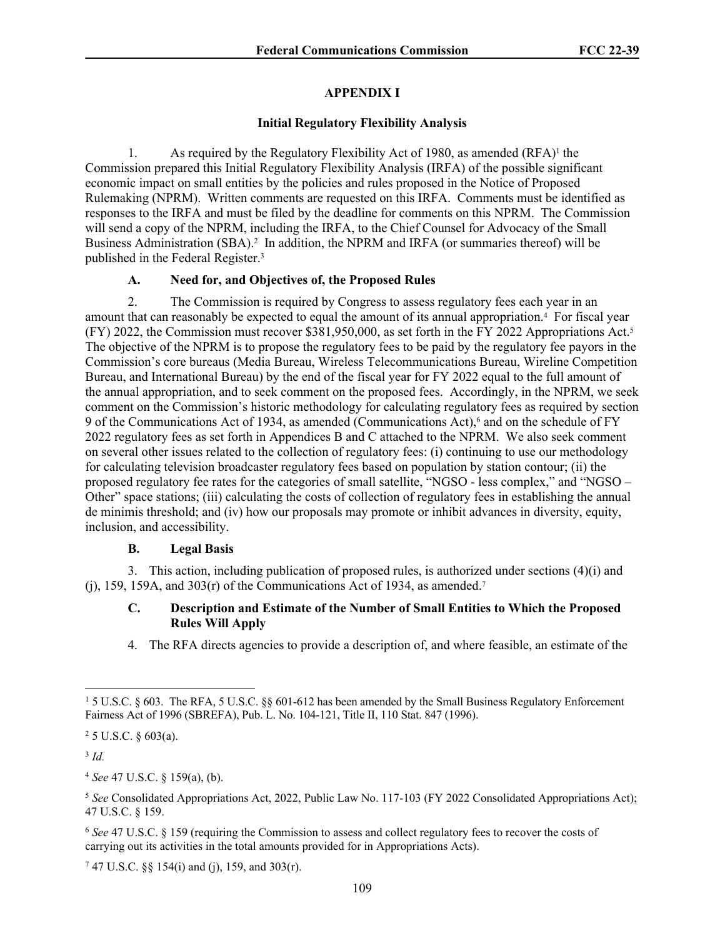## **APPENDIX I**

## **Initial Regulatory Flexibility Analysis**

1. As required by the Regulatory Flexibility Act of 1980, as amended (RFA)<sup>1</sup> the Commission prepared this Initial Regulatory Flexibility Analysis (IRFA) of the possible significant economic impact on small entities by the policies and rules proposed in the Notice of Proposed Rulemaking (NPRM). Written comments are requested on this IRFA. Comments must be identified as responses to the IRFA and must be filed by the deadline for comments on this NPRM. The Commission will send a copy of the NPRM, including the IRFA, to the Chief Counsel for Advocacy of the Small Business Administration (SBA).<sup>2</sup> In addition, the NPRM and IRFA (or summaries thereof) will be published in the Federal Register.<sup>3</sup>

## **A. Need for, and Objectives of, the Proposed Rules**

2. The Commission is required by Congress to assess regulatory fees each year in an amount that can reasonably be expected to equal the amount of its annual appropriation.<sup>4</sup> For fiscal year (FY) 2022, the Commission must recover \$381,950,000, as set forth in the FY 2022 Appropriations Act.<sup>5</sup> The objective of the NPRM is to propose the regulatory fees to be paid by the regulatory fee payors in the Commission's core bureaus (Media Bureau, Wireless Telecommunications Bureau, Wireline Competition Bureau, and International Bureau) by the end of the fiscal year for FY 2022 equal to the full amount of the annual appropriation, and to seek comment on the proposed fees. Accordingly, in the NPRM, we seek comment on the Commission's historic methodology for calculating regulatory fees as required by section 9 of the Communications Act of 1934, as amended (Communications Act),<sup>6</sup> and on the schedule of FY 2022 regulatory fees as set forth in Appendices B and C attached to the NPRM. We also seek comment on several other issues related to the collection of regulatory fees: (i) continuing to use our methodology for calculating television broadcaster regulatory fees based on population by station contour; (ii) the proposed regulatory fee rates for the categories of small satellite, "NGSO - less complex," and "NGSO – Other" space stations; (iii) calculating the costs of collection of regulatory fees in establishing the annual de minimis threshold; and (iv) how our proposals may promote or inhibit advances in diversity, equity, inclusion, and accessibility.

## **B. Legal Basis**

3. This action, including publication of proposed rules, is authorized under sections (4)(i) and (j), 159, 159A, and 303 $(r)$  of the Communications Act of 1934, as amended.<sup>7</sup>

## **C. Description and Estimate of the Number of Small Entities to Which the Proposed Rules Will Apply**

4. The RFA directs agencies to provide a description of, and where feasible, an estimate of the

 $25$  U.S.C.  $§$  603(a).

3 *Id.*

<sup>4</sup> *See* 47 U.S.C. § 159(a), (b).

7 47 U.S.C. §§ 154(i) and (j), 159, and 303(r).

<sup>&</sup>lt;sup>1</sup> 5 U.S.C. § 603. The RFA, 5 U.S.C. §§ 601-612 has been amended by the Small Business Regulatory Enforcement Fairness Act of 1996 (SBREFA), Pub. L. No. 104-121, Title II, 110 Stat. 847 (1996).

<sup>5</sup> *See* Consolidated Appropriations Act, 2022, Public Law No. 117-103 (FY 2022 Consolidated Appropriations Act); 47 U.S.C. § 159.

<sup>6</sup> *See* 47 U.S.C. § 159 (requiring the Commission to assess and collect regulatory fees to recover the costs of carrying out its activities in the total amounts provided for in Appropriations Acts).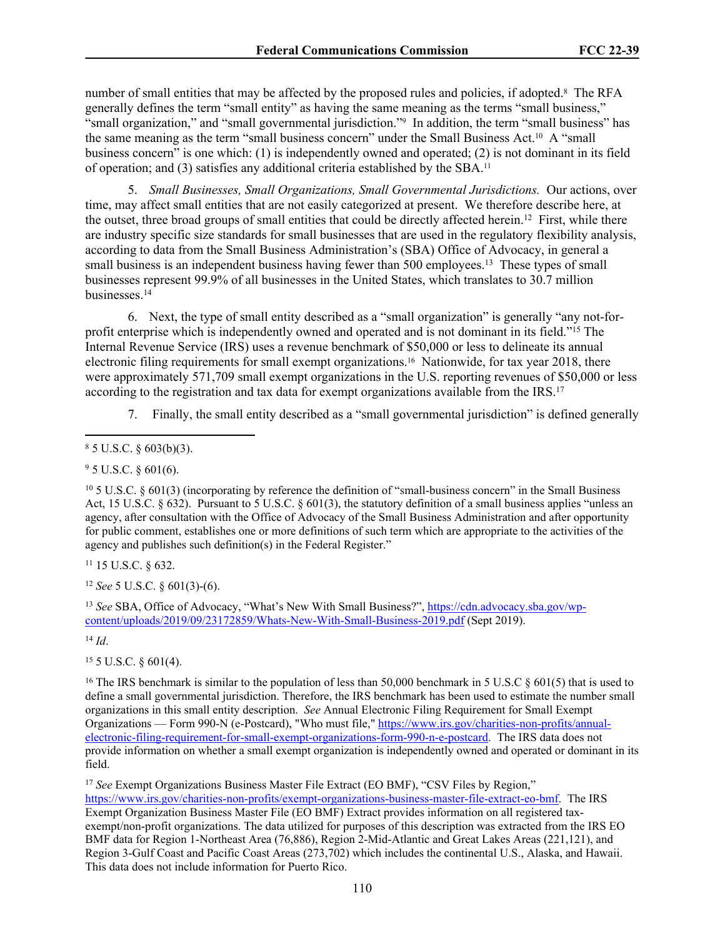number of small entities that may be affected by the proposed rules and policies, if adopted.<sup>8</sup> The RFA generally defines the term "small entity" as having the same meaning as the terms "small business," "small organization," and "small governmental jurisdiction."<sup>9</sup> In addition, the term "small business" has the same meaning as the term "small business concern" under the Small Business Act.10 A "small business concern<sup>"</sup> is one which: (1) is independently owned and operated; (2) is not dominant in its field of operation; and (3) satisfies any additional criteria established by the SBA.<sup>11</sup>

5. *Small Businesses, Small Organizations, Small Governmental Jurisdictions.* Our actions, over time, may affect small entities that are not easily categorized at present. We therefore describe here, at the outset, three broad groups of small entities that could be directly affected herein.<sup>12</sup> First, while there are industry specific size standards for small businesses that are used in the regulatory flexibility analysis, according to data from the Small Business Administration's (SBA) Office of Advocacy, in general a small business is an independent business having fewer than 500 employees.<sup>13</sup> These types of small businesses represent 99.9% of all businesses in the United States, which translates to 30.7 million businesses.<sup>14</sup>

6. Next, the type of small entity described as a "small organization" is generally "any not-forprofit enterprise which is independently owned and operated and is not dominant in its field."<sup>15</sup> The Internal Revenue Service (IRS) uses a revenue benchmark of \$50,000 or less to delineate its annual electronic filing requirements for small exempt organizations.16 Nationwide, for tax year 2018, there were approximately 571,709 small exempt organizations in the U.S. reporting revenues of \$50,000 or less according to the registration and tax data for exempt organizations available from the IRS.<sup>17</sup>

7. Finally, the small entity described as a "small governmental jurisdiction" is defined generally

 $95$  U.S.C.  $§$  601(6).

<sup>10</sup> 5 U.S.C. § 601(3) (incorporating by reference the definition of "small-business concern" in the Small Business Act, 15 U.S.C.  $\S 632$ ). Pursuant to 5 U.S.C.  $\S 601(3)$ , the statutory definition of a small business applies "unless an agency, after consultation with the Office of Advocacy of the Small Business Administration and after opportunity for public comment, establishes one or more definitions of such term which are appropriate to the activities of the agency and publishes such definition(s) in the Federal Register."

<sup>11</sup> 15 U.S.C. § 632.

<sup>12</sup> *See* 5 U.S.C. § 601(3)-(6).

<sup>13</sup> See SBA, Office of Advocacy, "What's New With Small Business?", [https://cdn.advocacy.sba.gov/wp](https://cdn.advocacy.sba.gov/wp-content/uploads/2019/09/23172859/Whats-New-With-Small-Business-2019.pdf)[content/uploads/2019/09/23172859/Whats-New-With-Small-Business-2019.pdf](https://cdn.advocacy.sba.gov/wp-content/uploads/2019/09/23172859/Whats-New-With-Small-Business-2019.pdf) (Sept 2019).

 $14$  *Id.* 

 $15$  5 U.S.C. § 601(4).

<sup>16</sup> The IRS benchmark is similar to the population of less than 50,000 benchmark in 5 U.S.C  $\S$  601(5) that is used to define a small governmental jurisdiction. Therefore, the IRS benchmark has been used to estimate the number small organizations in this small entity description. *See* Annual Electronic Filing Requirement for Small Exempt Organizations — Form 990-N (e-Postcard), "Who must file," [https://www.irs.gov/charities-non-profits/annual](https://www.irs.gov/charities-non-profits/annual-electronic-filing-requirement-for-small-exempt-organizations-form-990-n-e-postcard)[electronic-filing-requirement-for-small-exempt-organizations-form-990-n-e-postcard](https://www.irs.gov/charities-non-profits/annual-electronic-filing-requirement-for-small-exempt-organizations-form-990-n-e-postcard). The IRS data does not provide information on whether a small exempt organization is independently owned and operated or dominant in its field.

<sup>17</sup> *See* Exempt Organizations Business Master File Extract (EO BMF), "CSV Files by Region," [https://www.irs.gov/charities-non-profits/exempt-organizations-business-master-file-extract-eo-bmf.](https://www.irs.gov/charities-non-profits/exempt-organizations-business-master-file-extract-eo-bmf) The IRS Exempt Organization Business Master File (EO BMF) Extract provides information on all registered taxexempt/non-profit organizations. The data utilized for purposes of this description was extracted from the IRS EO BMF data for Region 1-Northeast Area (76,886), Region 2-Mid-Atlantic and Great Lakes Areas (221,121), and Region 3-Gulf Coast and Pacific Coast Areas (273,702) which includes the continental U.S., Alaska, and Hawaii. This data does not include information for Puerto Rico.

 $85$  U.S.C.  $§$  603(b)(3).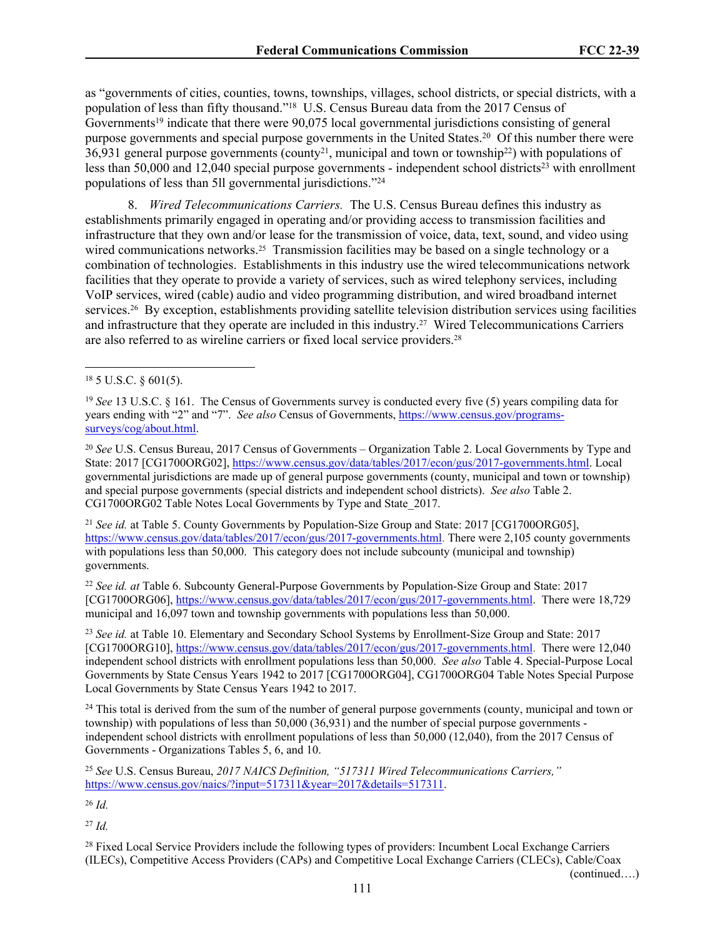as "governments of cities, counties, towns, townships, villages, school districts, or special districts, with a population of less than fifty thousand."<sup>18</sup> U.S. Census Bureau data from the 2017 Census of Governments<sup>19</sup> indicate that there were 90,075 local governmental jurisdictions consisting of general purpose governments and special purpose governments in the United States.<sup>20</sup> Of this number there were  $36,931$  general purpose governments (county<sup>21</sup>, municipal and town or township<sup>22</sup>) with populations of less than 50,000 and 12,040 special purpose governments - independent school districts<sup>23</sup> with enrollment populations of less than 5ll governmental jurisdictions."<sup>24</sup>

8. *Wired Telecommunications Carriers.* The U.S. Census Bureau defines this industry as establishments primarily engaged in operating and/or providing access to transmission facilities and infrastructure that they own and/or lease for the transmission of voice, data, text, sound, and video using wired communications networks.<sup>25</sup> Transmission facilities may be based on a single technology or a combination of technologies. Establishments in this industry use the wired telecommunications network facilities that they operate to provide a variety of services, such as wired telephony services, including VoIP services, wired (cable) audio and video programming distribution, and wired broadband internet services.26 By exception, establishments providing satellite television distribution services using facilities and infrastructure that they operate are included in this industry.27 Wired Telecommunications Carriers are also referred to as wireline carriers or fixed local service providers.<sup>28</sup>

<sup>20</sup> *See* U.S. Census Bureau, 2017 Census of Governments – Organization Table 2. Local Governments by Type and State: 2017 [CG1700ORG02], [https://www.census.gov/data/tables/2017/econ/gus/2017-governments.html.](https://www.census.gov/data/tables/2017/econ/gus/2017-governments.html) Local governmental jurisdictions are made up of general purpose governments (county, municipal and town or township) and special purpose governments (special districts and independent school districts). *See also* Table 2. CG1700ORG02 Table Notes Local Governments by Type and State\_2017.

<sup>21</sup> *See id.* at Table 5. County Governments by Population-Size Group and State: 2017 [CG1700ORG05], <https://www.census.gov/data/tables/2017/econ/gus/2017-governments.html>. There were 2,105 county governments with populations less than 50,000. This category does not include subcounty (municipal and township) governments.

<sup>22</sup> *See id. at* Table 6. Subcounty General-Purpose Governments by Population-Size Group and State: 2017 [CG1700ORG06], <https://www.census.gov/data/tables/2017/econ/gus/2017-governments.html>. There were 18,729 municipal and 16,097 town and township governments with populations less than 50,000.

<sup>23</sup> *See id.* at Table 10. Elementary and Secondary School Systems by Enrollment-Size Group and State: 2017 [CG1700ORG10], <https://www.census.gov/data/tables/2017/econ/gus/2017-governments.html>. There were 12,040 independent school districts with enrollment populations less than 50,000. *See also* Table 4. Special-Purpose Local Governments by State Census Years 1942 to 2017 [CG1700ORG04], CG1700ORG04 Table Notes Special Purpose Local Governments by State Census Years 1942 to 2017.

<sup>24</sup> This total is derived from the sum of the number of general purpose governments (county, municipal and town or township) with populations of less than 50,000 (36,931) and the number of special purpose governments independent school districts with enrollment populations of less than 50,000 (12,040), from the 2017 Census of Governments - Organizations Tables 5, 6, and 10.

<sup>26</sup> *Id.*

<sup>27</sup> *Id.*

<sup>28</sup> Fixed Local Service Providers include the following types of providers: Incumbent Local Exchange Carriers (ILECs), Competitive Access Providers (CAPs) and Competitive Local Exchange Carriers (CLECs), Cable/Coax

(continued….)

<sup>18</sup> 5 U.S.C. § 601(5).

<sup>19</sup> *See* 13 U.S.C. § 161. The Census of Governments survey is conducted every five (5) years compiling data for years ending with "2" and "7". *See also* Census of Governments, [https://www.census.gov/programs](https://www.census.gov/programs-surveys/cog/about.html)[surveys/cog/about.html.](https://www.census.gov/programs-surveys/cog/about.html)

<sup>25</sup> *See* U.S. Census Bureau, *2017 NAICS Definition, "517311 Wired Telecommunications Carriers,"* [https://www.census.gov/naics/?input=517311&year=2017&details=517311.](https://www.census.gov/naics/?input=517311&year=2017&details=517311)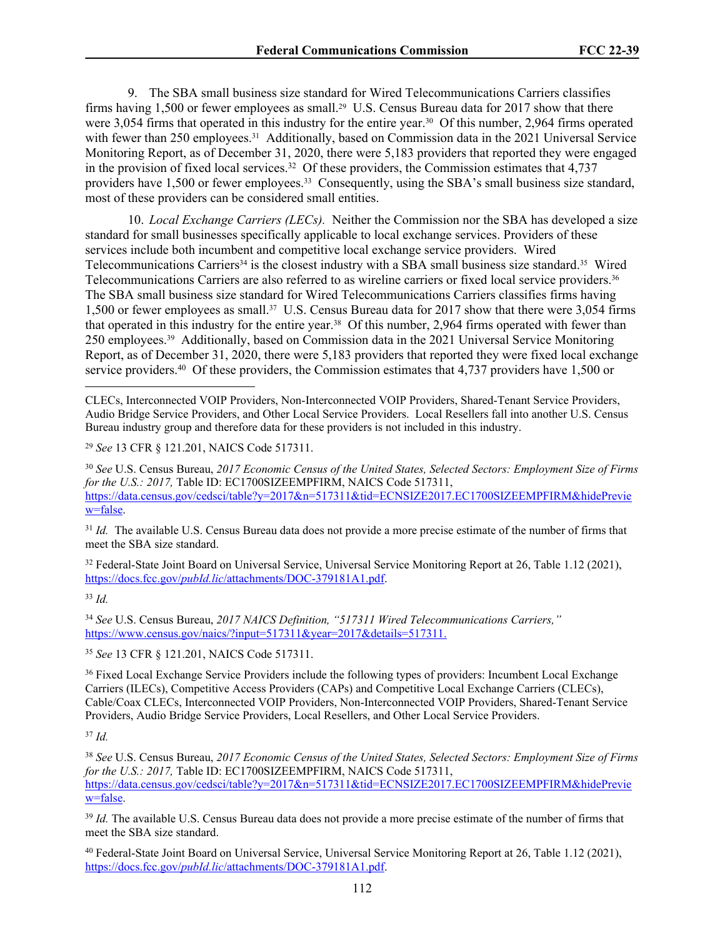9. The SBA small business size standard for Wired Telecommunications Carriers classifies firms having 1,500 or fewer employees as small.<sup>29</sup> U.S. Census Bureau data for 2017 show that there were 3,054 firms that operated in this industry for the entire year.<sup>30</sup> Of this number, 2,964 firms operated with fewer than 250 employees.<sup>31</sup> Additionally, based on Commission data in the 2021 Universal Service Monitoring Report, as of December 31, 2020, there were 5,183 providers that reported they were engaged in the provision of fixed local services.<sup>32</sup> Of these providers, the Commission estimates that  $4,737$ providers have 1,500 or fewer employees.<sup>33</sup> Consequently, using the SBA's small business size standard, most of these providers can be considered small entities.

10. *Local Exchange Carriers (LECs).* Neither the Commission nor the SBA has developed a size standard for small businesses specifically applicable to local exchange services. Providers of these services include both incumbent and competitive local exchange service providers. Wired Telecommunications Carriers<sup>34</sup> is the closest industry with a SBA small business size standard.<sup>35</sup> Wired Telecommunications Carriers are also referred to as wireline carriers or fixed local service providers.<sup>36</sup> The SBA small business size standard for Wired Telecommunications Carriers classifies firms having 1,500 or fewer employees as small.37 U.S. Census Bureau data for 2017 show that there were 3,054 firms that operated in this industry for the entire year.<sup>38</sup> Of this number, 2,964 firms operated with fewer than 250 employees.39 Additionally, based on Commission data in the 2021 Universal Service Monitoring Report, as of December 31, 2020, there were 5,183 providers that reported they were fixed local exchange service providers.<sup>40</sup> Of these providers, the Commission estimates that 4,737 providers have 1,500 or

<sup>29</sup> *See* 13 CFR § 121.201, NAICS Code 517311.

<sup>30</sup> *See* U.S. Census Bureau, *2017 Economic Census of the United States, Selected Sectors: Employment Size of Firms for the U.S.: 2017,* Table ID: EC1700SIZEEMPFIRM, NAICS Code 517311, [https://data.census.gov/cedsci/table?y=2017&n=517311&tid=ECNSIZE2017.EC1700SIZEEMPFIRM&hidePrevie](https://data.census.gov/cedsci/table?y=2017&n=517311&tid=ECNSIZE2017.EC1700SIZEEMPFIRM&hidePreview=false) [w=false.](https://data.census.gov/cedsci/table?y=2017&n=517311&tid=ECNSIZE2017.EC1700SIZEEMPFIRM&hidePreview=false)

<sup>31</sup> *Id.* The available U.S. Census Bureau data does not provide a more precise estimate of the number of firms that meet the SBA size standard.

<sup>32</sup> Federal-State Joint Board on Universal Service, Universal Service Monitoring Report at 26, Table 1.12 (2021), https://docs.fcc.gov/*pubId.lic*[/attachments/DOC-379181A1.pdf.](https://docs.fcc.gov/public/attachments/DOC-379181A1.pdf)

<sup>33</sup> *Id.*

<sup>34</sup> *See* U.S. Census Bureau, *2017 NAICS Definition, "517311 Wired Telecommunications Carriers,"* [https://www.census.gov/naics/?input=517311&year=2017&details=517311.](https://www.census.gov/naics/?input=517311&year=2017&details=517311)

<sup>35</sup> *See* 13 CFR § 121.201, NAICS Code 517311.

<sup>36</sup> Fixed Local Exchange Service Providers include the following types of providers: Incumbent Local Exchange Carriers (ILECs), Competitive Access Providers (CAPs) and Competitive Local Exchange Carriers (CLECs), Cable/Coax CLECs, Interconnected VOIP Providers, Non-Interconnected VOIP Providers, Shared-Tenant Service Providers, Audio Bridge Service Providers, Local Resellers, and Other Local Service Providers.

<sup>37</sup> *Id.*

<sup>38</sup> *See* U.S. Census Bureau, *2017 Economic Census of the United States, Selected Sectors: Employment Size of Firms for the U.S.: 2017, Table ID: EC1700SIZEEMPFIRM, NAICS Code 517311,* [https://data.census.gov/cedsci/table?y=2017&n=517311&tid=ECNSIZE2017.EC1700SIZEEMPFIRM&hidePrevie](https://data.census.gov/cedsci/table?y=2017&n=517311&tid=ECNSIZE2017.EC1700SIZEEMPFIRM&hidePreview=false) [w=false.](https://data.census.gov/cedsci/table?y=2017&n=517311&tid=ECNSIZE2017.EC1700SIZEEMPFIRM&hidePreview=false)

<sup>39</sup> *Id.* The available U.S. Census Bureau data does not provide a more precise estimate of the number of firms that meet the SBA size standard.

<sup>40</sup> Federal-State Joint Board on Universal Service, Universal Service Monitoring Report at 26, Table 1.12 (2021), https://docs.fcc.gov/*pubId.lic*[/attachments/DOC-379181A1.pdf.](https://docs.fcc.gov/public/attachments/DOC-379181A1.pdf)

CLECs, Interconnected VOIP Providers, Non-Interconnected VOIP Providers, Shared-Tenant Service Providers, Audio Bridge Service Providers, and Other Local Service Providers. Local Resellers fall into another U.S. Census Bureau industry group and therefore data for these providers is not included in this industry.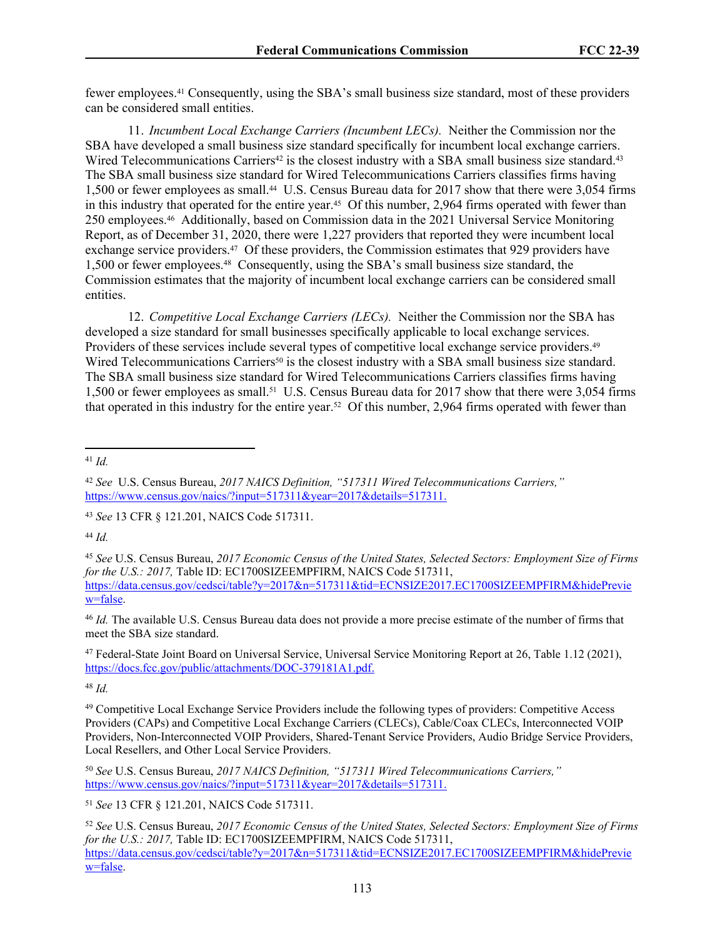fewer employees.41 Consequently, using the SBA's small business size standard, most of these providers can be considered small entities.

11. *Incumbent Local Exchange Carriers (Incumbent LECs).* Neither the Commission nor the SBA have developed a small business size standard specifically for incumbent local exchange carriers. Wired Telecommunications Carriers<sup>42</sup> is the closest industry with a SBA small business size standard.<sup>43</sup> The SBA small business size standard for Wired Telecommunications Carriers classifies firms having 1,500 or fewer employees as small.<sup>44</sup> U.S. Census Bureau data for 2017 show that there were 3,054 firms in this industry that operated for the entire year.<sup>45</sup> Of this number, 2,964 firms operated with fewer than 250 employees.46 Additionally, based on Commission data in the 2021 Universal Service Monitoring Report, as of December 31, 2020, there were 1,227 providers that reported they were incumbent local exchange service providers.<sup>47</sup> Of these providers, the Commission estimates that 929 providers have 1,500 or fewer employees.48 Consequently, using the SBA's small business size standard, the Commission estimates that the majority of incumbent local exchange carriers can be considered small entities.

12. *Competitive Local Exchange Carriers (LECs).* Neither the Commission nor the SBA has developed a size standard for small businesses specifically applicable to local exchange services. Providers of these services include several types of competitive local exchange service providers.<sup>49</sup> Wired Telecommunications Carriers<sup>50</sup> is the closest industry with a SBA small business size standard. The SBA small business size standard for Wired Telecommunications Carriers classifies firms having 1,500 or fewer employees as small.51 U.S. Census Bureau data for 2017 show that there were 3,054 firms that operated in this industry for the entire year.52 Of this number, 2,964 firms operated with fewer than

<sup>41</sup> *Id.*

<sup>44</sup> *Id.*

<sup>45</sup> *See* U.S. Census Bureau, *2017 Economic Census of the United States, Selected Sectors: Employment Size of Firms for the U.S.: 2017, Table ID: EC1700SIZEEMPFIRM, NAICS Code 517311,* [https://data.census.gov/cedsci/table?y=2017&n=517311&tid=ECNSIZE2017.EC1700SIZEEMPFIRM&hidePrevie](https://data.census.gov/cedsci/table?y=2017&n=517311&tid=ECNSIZE2017.EC1700SIZEEMPFIRM&hidePreview=false) [w=false.](https://data.census.gov/cedsci/table?y=2017&n=517311&tid=ECNSIZE2017.EC1700SIZEEMPFIRM&hidePreview=false)

<sup>46</sup> *Id.* The available U.S. Census Bureau data does not provide a more precise estimate of the number of firms that meet the SBA size standard.

<sup>47</sup> Federal-State Joint Board on Universal Service, Universal Service Monitoring Report at 26, Table 1.12 (2021), [https://docs.fcc.gov/public/attachments/DOC-379181A1.pdf.](https://docs.fcc.gov/public/attachments/DOC-379181A1.pdf)

<sup>48</sup> *Id.*

<sup>49</sup> Competitive Local Exchange Service Providers include the following types of providers: Competitive Access Providers (CAPs) and Competitive Local Exchange Carriers (CLECs), Cable/Coax CLECs, Interconnected VOIP Providers, Non-Interconnected VOIP Providers, Shared-Tenant Service Providers, Audio Bridge Service Providers, Local Resellers, and Other Local Service Providers.

<sup>50</sup> *See* U.S. Census Bureau, *2017 NAICS Definition, "517311 Wired Telecommunications Carriers,"* [https://www.census.gov/naics/?input=517311&year=2017&details=517311.](https://www.census.gov/naics/?input=517311&year=2017&details=517311)

<sup>42</sup> *See* U.S. Census Bureau, *2017 NAICS Definition, "517311 Wired Telecommunications Carriers,"* [https://www.census.gov/naics/?input=517311&year=2017&details=517311.](https://www.census.gov/naics/?input=517311&year=2017&details=517311)

<sup>43</sup> *See* 13 CFR § 121.201, NAICS Code 517311.

<sup>51</sup> *See* 13 CFR § 121.201, NAICS Code 517311.

<sup>52</sup> *See* U.S. Census Bureau, *2017 Economic Census of the United States, Selected Sectors: Employment Size of Firms for the U.S.: 2017,* Table ID: EC1700SIZEEMPFIRM, NAICS Code 517311, [https://data.census.gov/cedsci/table?y=2017&n=517311&tid=ECNSIZE2017.EC1700SIZEEMPFIRM&hidePrevie](https://data.census.gov/cedsci/table?y=2017&n=517311&tid=ECNSIZE2017.EC1700SIZEEMPFIRM&hidePreview=false) [w=false.](https://data.census.gov/cedsci/table?y=2017&n=517311&tid=ECNSIZE2017.EC1700SIZEEMPFIRM&hidePreview=false)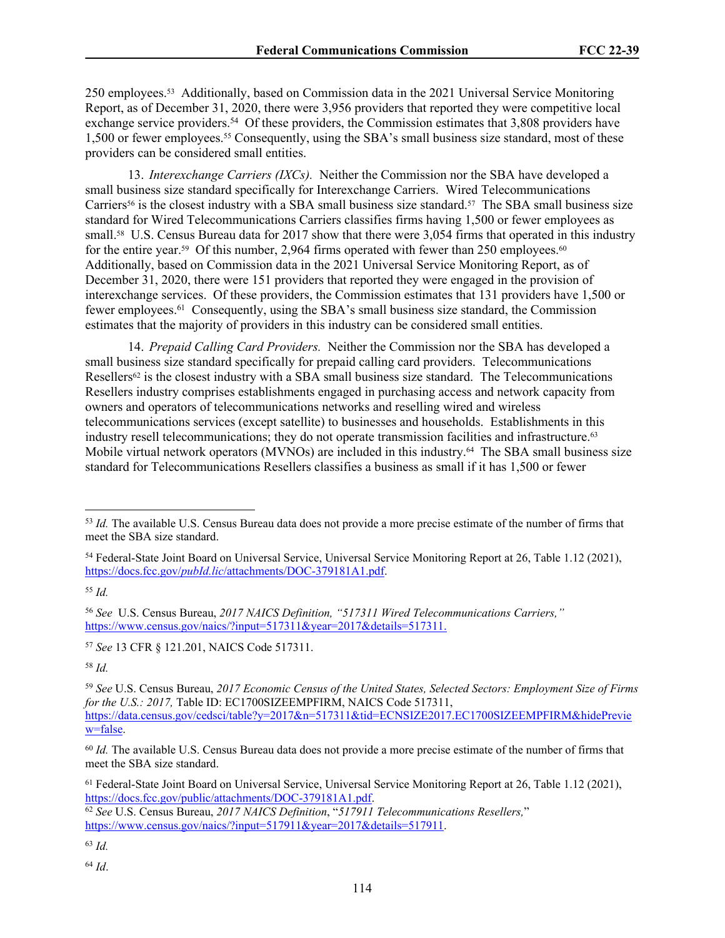250 employees.53 Additionally, based on Commission data in the 2021 Universal Service Monitoring Report, as of December 31, 2020, there were 3,956 providers that reported they were competitive local exchange service providers.<sup>54</sup> Of these providers, the Commission estimates that 3,808 providers have 1,500 or fewer employees.55 Consequently, using the SBA's small business size standard, most of these providers can be considered small entities.

13. *Interexchange Carriers (IXCs).* Neither the Commission nor the SBA have developed a small business size standard specifically for Interexchange Carriers. Wired Telecommunications Carriers<sup>56</sup> is the closest industry with a SBA small business size standard.<sup>57</sup> The SBA small business size standard for Wired Telecommunications Carriers classifies firms having 1,500 or fewer employees as small.<sup>58</sup> U.S. Census Bureau data for 2017 show that there were 3,054 firms that operated in this industry for the entire year.<sup>59</sup> Of this number, 2,964 firms operated with fewer than 250 employees.<sup>60</sup> Additionally, based on Commission data in the 2021 Universal Service Monitoring Report, as of December 31, 2020, there were 151 providers that reported they were engaged in the provision of interexchange services. Of these providers, the Commission estimates that 131 providers have 1,500 or fewer employees.<sup>61</sup> Consequently, using the SBA's small business size standard, the Commission estimates that the majority of providers in this industry can be considered small entities.

14. *Prepaid Calling Card Providers.* Neither the Commission nor the SBA has developed a small business size standard specifically for prepaid calling card providers. Telecommunications Resellers $62$  is the closest industry with a SBA small business size standard. The Telecommunications Resellers industry comprises establishments engaged in purchasing access and network capacity from owners and operators of telecommunications networks and reselling wired and wireless telecommunications services (except satellite) to businesses and households. Establishments in this industry resell telecommunications; they do not operate transmission facilities and infrastructure.<sup>63</sup> Mobile virtual network operators (MVNOs) are included in this industry.<sup>64</sup> The SBA small business size standard for Telecommunications Resellers classifies a business as small if it has 1,500 or fewer

<sup>55</sup> *Id.*

<sup>56</sup> *See* U.S. Census Bureau, *2017 NAICS Definition, "517311 Wired Telecommunications Carriers,"* [https://www.census.gov/naics/?input=517311&year=2017&details=517311.](https://www.census.gov/naics/?input=517311&year=2017&details=517311)

<sup>58</sup> *Id.*

<sup>59</sup> *See* U.S. Census Bureau, *2017 Economic Census of the United States, Selected Sectors: Employment Size of Firms for the U.S.: 2017,* Table ID: EC1700SIZEEMPFIRM, NAICS Code 517311, [https://data.census.gov/cedsci/table?y=2017&n=517311&tid=ECNSIZE2017.EC1700SIZEEMPFIRM&hidePrevie](https://data.census.gov/cedsci/table?y=2017&n=517311&tid=ECNSIZE2017.EC1700SIZEEMPFIRM&hidePreview=false) [w=false.](https://data.census.gov/cedsci/table?y=2017&n=517311&tid=ECNSIZE2017.EC1700SIZEEMPFIRM&hidePreview=false)

<sup>60</sup> *Id.* The available U.S. Census Bureau data does not provide a more precise estimate of the number of firms that meet the SBA size standard.

<sup>61</sup> Federal-State Joint Board on Universal Service, Universal Service Monitoring Report at 26, Table 1.12 (2021), [https://docs.fcc.gov/public/attachments/DOC-379181A1.pdf.](https://docs.fcc.gov/public/attachments/DOC-379181A1.pdf)

<sup>63</sup> *Id.*

<sup>53</sup> *Id.* The available U.S. Census Bureau data does not provide a more precise estimate of the number of firms that meet the SBA size standard.

<sup>54</sup> Federal-State Joint Board on Universal Service, Universal Service Monitoring Report at 26, Table 1.12 (2021), https://docs.fcc.gov/*pubId.lic*[/attachments/DOC-379181A1.pdf.](https://docs.fcc.gov/public/attachments/DOC-379181A1.pdf)

<sup>57</sup> *See* 13 CFR § 121.201, NAICS Code 517311.

<sup>62</sup> *See* U.S. Census Bureau, *2017 NAICS Definition*, "*517911 Telecommunications Resellers,*" [https://www.census.gov/naics/?input=517911&year=2017&details=517911.](https://www.census.gov/naics/?input=517911&year=2017&details=517911)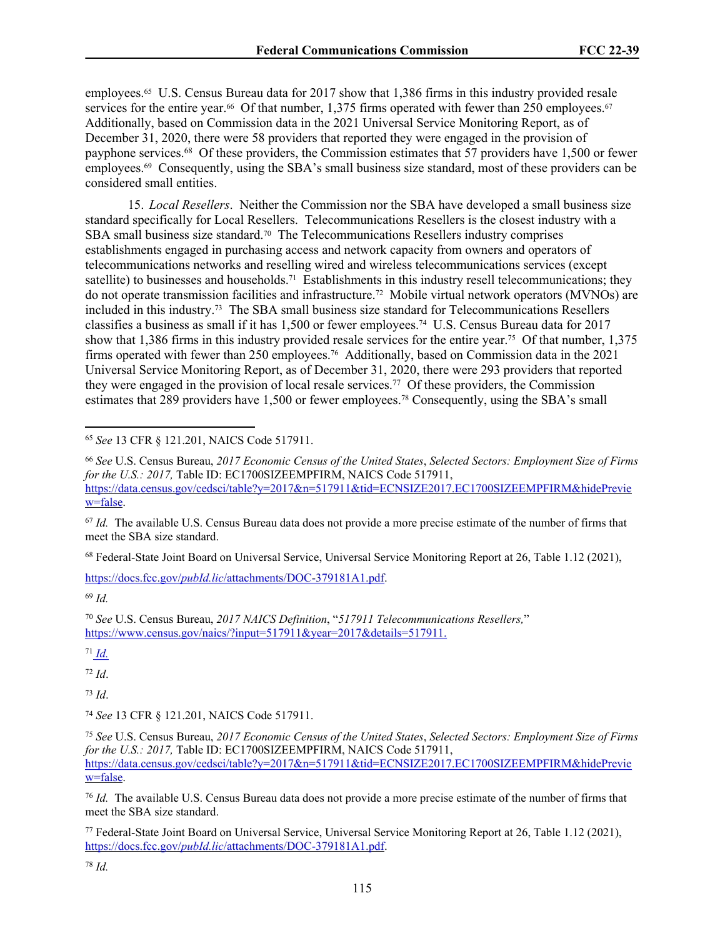employees.65 U.S. Census Bureau data for 2017 show that 1,386 firms in this industry provided resale services for the entire year.<sup>66</sup> Of that number, 1,375 firms operated with fewer than 250 employees.<sup>67</sup> Additionally, based on Commission data in the 2021 Universal Service Monitoring Report, as of December 31, 2020, there were 58 providers that reported they were engaged in the provision of payphone services.<sup>68</sup> Of these providers, the Commission estimates that 57 providers have 1,500 or fewer employees.69 Consequently, using the SBA's small business size standard, most of these providers can be considered small entities.

15. *Local Resellers*. Neither the Commission nor the SBA have developed a small business size standard specifically for Local Resellers. Telecommunications Resellers is the closest industry with a SBA small business size standard.<sup>70</sup> The Telecommunications Resellers industry comprises establishments engaged in purchasing access and network capacity from owners and operators of telecommunications networks and reselling wired and wireless telecommunications services (except satellite) to businesses and households.<sup>71</sup> Establishments in this industry resell telecommunications; they do not operate transmission facilities and infrastructure.72 Mobile virtual network operators (MVNOs) are included in this industry.73 The SBA small business size standard for Telecommunications Resellers classifies a business as small if it has 1,500 or fewer employees.74 U.S. Census Bureau data for 2017 show that 1,386 firms in this industry provided resale services for the entire year.75 Of that number, 1,375 firms operated with fewer than 250 employees.<sup>76</sup> Additionally, based on Commission data in the 2021 Universal Service Monitoring Report, as of December 31, 2020, there were 293 providers that reported they were engaged in the provision of local resale services.<sup>77</sup> Of these providers, the Commission estimates that 289 providers have 1,500 or fewer employees.78 Consequently, using the SBA's small

<sup>65</sup> *See* 13 CFR § 121.201, NAICS Code 517911.

<sup>67</sup> *Id.* The available U.S. Census Bureau data does not provide a more precise estimate of the number of firms that meet the SBA size standard.

<sup>68</sup> Federal-State Joint Board on Universal Service, Universal Service Monitoring Report at 26, Table 1.12 (2021),

https://docs.fcc.gov/*pubId.lic*[/attachments/DOC-379181A1.pdf.](https://docs.fcc.gov/public/attachments/DOC-379181A1.pdf)

<sup>69</sup> *Id.*

<sup>70</sup> *See* U.S. Census Bureau, *2017 NAICS Definition*, "*517911 Telecommunications Resellers,*" [https://www.census.gov/naics/?input=517911&year=2017&details=517911.](https://www.census.gov/naics/?input=517911&year=2017&details=517911)

<sup>71</sup> *Id.*

<sup>72</sup> *Id*.

<sup>73</sup> *Id*.

<sup>74</sup> *See* 13 CFR § 121.201, NAICS Code 517911.

<sup>75</sup> *See* U.S. Census Bureau, *2017 Economic Census of the United States*, *Selected Sectors: Employment Size of Firms for the U.S.: 2017, Table ID: EC1700SIZEEMPFIRM, NAICS Code 517911,* [https://data.census.gov/cedsci/table?y=2017&n=517911&tid=ECNSIZE2017.EC1700SIZEEMPFIRM&hidePrevie](https://data.census.gov/cedsci/table?y=2017&n=517911&tid=ECNSIZE2017.EC1700SIZEEMPFIRM&hidePreview=false) [w=false.](https://data.census.gov/cedsci/table?y=2017&n=517911&tid=ECNSIZE2017.EC1700SIZEEMPFIRM&hidePreview=false)

<sup>76</sup> *Id.* The available U.S. Census Bureau data does not provide a more precise estimate of the number of firms that meet the SBA size standard.

<sup>77</sup> Federal-State Joint Board on Universal Service, Universal Service Monitoring Report at 26, Table 1.12 (2021), https://docs.fcc.gov/*pubId.lic*[/attachments/DOC-379181A1.pdf.](https://docs.fcc.gov/public/attachments/DOC-379181A1.pdf)

<sup>66</sup> *See* U.S. Census Bureau, *2017 Economic Census of the United States*, *Selected Sectors: Employment Size of Firms for the U.S.: 2017, Table ID: EC1700SIZEEMPFIRM, NAICS Code 517911,* [https://data.census.gov/cedsci/table?y=2017&n=517911&tid=ECNSIZE2017.EC1700SIZEEMPFIRM&hidePrevie](https://data.census.gov/cedsci/table?y=2017&n=517911&tid=ECNSIZE2017.EC1700SIZEEMPFIRM&hidePreview=false) [w=false.](https://data.census.gov/cedsci/table?y=2017&n=517911&tid=ECNSIZE2017.EC1700SIZEEMPFIRM&hidePreview=false)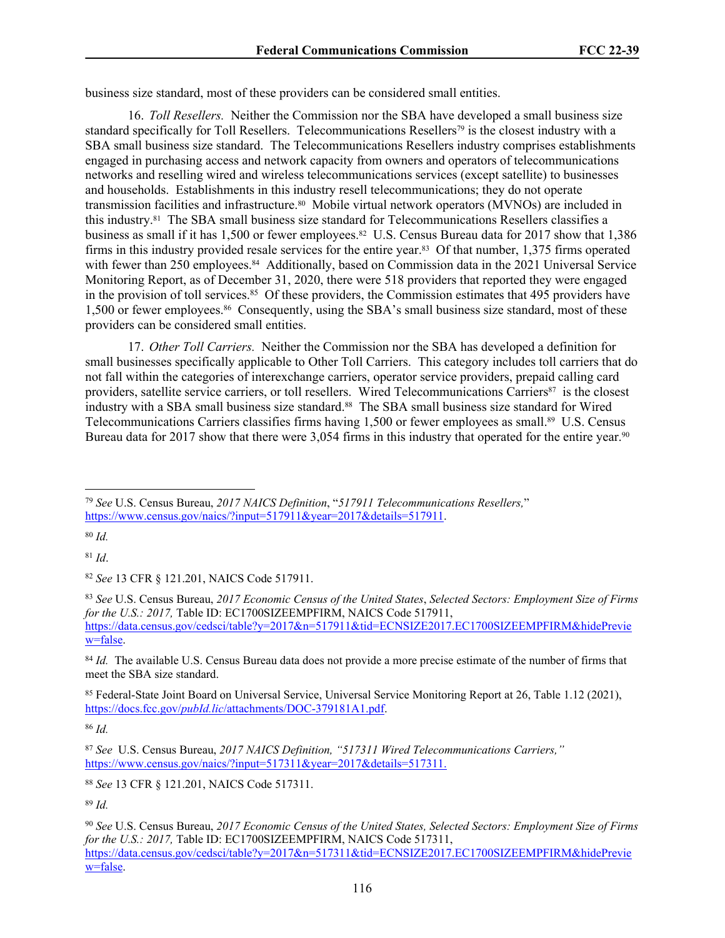business size standard, most of these providers can be considered small entities.

16. *Toll Resellers.* Neither the Commission nor the SBA have developed a small business size standard specifically for Toll Resellers. Telecommunications Resellers79 is the closest industry with a SBA small business size standard. The Telecommunications Resellers industry comprises establishments engaged in purchasing access and network capacity from owners and operators of telecommunications networks and reselling wired and wireless telecommunications services (except satellite) to businesses and households. Establishments in this industry resell telecommunications; they do not operate transmission facilities and infrastructure.80 Mobile virtual network operators (MVNOs) are included in this industry.81 The SBA small business size standard for Telecommunications Resellers classifies a business as small if it has 1,500 or fewer employees.<sup>82</sup> U.S. Census Bureau data for 2017 show that 1,386 firms in this industry provided resale services for the entire year.<sup>83</sup> Of that number, 1,375 firms operated with fewer than 250 employees.<sup>84</sup> Additionally, based on Commission data in the 2021 Universal Service Monitoring Report, as of December 31, 2020, there were 518 providers that reported they were engaged in the provision of toll services.<sup>85</sup> Of these providers, the Commission estimates that 495 providers have 1,500 or fewer employees.<sup>86</sup> Consequently, using the SBA's small business size standard, most of these providers can be considered small entities.

17. *Other Toll Carriers.* Neither the Commission nor the SBA has developed a definition for small businesses specifically applicable to Other Toll Carriers. This category includes toll carriers that do not fall within the categories of interexchange carriers, operator service providers, prepaid calling card providers, satellite service carriers, or toll resellers. Wired Telecommunications Carriers87 is the closest industry with a SBA small business size standard.<sup>88</sup> The SBA small business size standard for Wired Telecommunications Carriers classifies firms having 1,500 or fewer employees as small.89 U.S. Census Bureau data for 2017 show that there were 3,054 firms in this industry that operated for the entire year.<sup>90</sup>

<sup>80</sup> *Id.*

<sup>81</sup> *Id*.

<sup>82</sup> *See* 13 CFR § 121.201, NAICS Code 517911.

<sup>83</sup> *See* U.S. Census Bureau, *2017 Economic Census of the United States*, *Selected Sectors: Employment Size of Firms for the U.S.: 2017,* Table ID: EC1700SIZEEMPFIRM, NAICS Code 517911, [https://data.census.gov/cedsci/table?y=2017&n=517911&tid=ECNSIZE2017.EC1700SIZEEMPFIRM&hidePrevie](https://data.census.gov/cedsci/table?y=2017&n=517911&tid=ECNSIZE2017.EC1700SIZEEMPFIRM&hidePreview=false) [w=false.](https://data.census.gov/cedsci/table?y=2017&n=517911&tid=ECNSIZE2017.EC1700SIZEEMPFIRM&hidePreview=false)

<sup>84</sup> *Id.* The available U.S. Census Bureau data does not provide a more precise estimate of the number of firms that meet the SBA size standard.

<sup>85</sup> Federal-State Joint Board on Universal Service, Universal Service Monitoring Report at 26, Table 1.12 (2021), https://docs.fcc.gov/*pubId.lic*[/attachments/DOC-379181A1.pdf.](https://docs.fcc.gov/public/attachments/DOC-379181A1.pdf)

<sup>86</sup> *Id.*

<sup>88</sup> *See* 13 CFR § 121.201, NAICS Code 517311.

<sup>79</sup> *See* U.S. Census Bureau, *2017 NAICS Definition*, "*517911 Telecommunications Resellers,*" [https://www.census.gov/naics/?input=517911&year=2017&details=517911.](https://www.census.gov/naics/?input=517911&year=2017&details=517911)

<sup>87</sup> *See* U.S. Census Bureau, *2017 NAICS Definition, "517311 Wired Telecommunications Carriers,"* [https://www.census.gov/naics/?input=517311&year=2017&details=517311.](https://www.census.gov/naics/?input=517311&year=2017&details=517311)

<sup>90</sup> *See* U.S. Census Bureau, *2017 Economic Census of the United States, Selected Sectors: Employment Size of Firms for the U.S.: 2017,* Table ID: EC1700SIZEEMPFIRM, NAICS Code 517311, [https://data.census.gov/cedsci/table?y=2017&n=517311&tid=ECNSIZE2017.EC1700SIZEEMPFIRM&hidePrevie](https://data.census.gov/cedsci/table?y=2017&n=517311&tid=ECNSIZE2017.EC1700SIZEEMPFIRM&hidePreview=false) [w=false.](https://data.census.gov/cedsci/table?y=2017&n=517311&tid=ECNSIZE2017.EC1700SIZEEMPFIRM&hidePreview=false)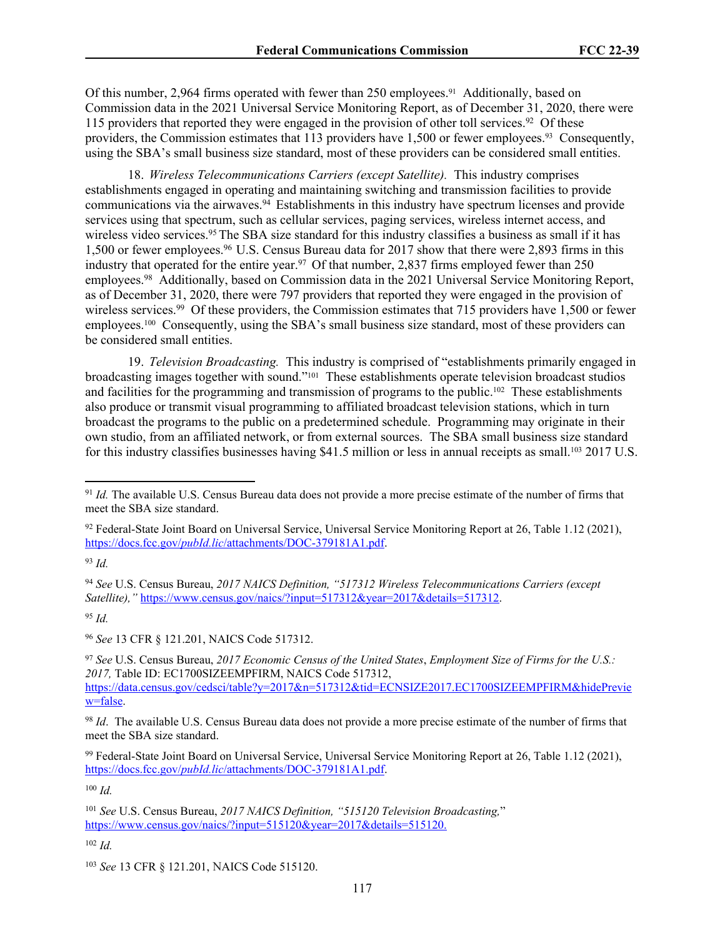Of this number, 2,964 firms operated with fewer than 250 employees.<sup>91</sup> Additionally, based on Commission data in the 2021 Universal Service Monitoring Report, as of December 31, 2020, there were 115 providers that reported they were engaged in the provision of other toll services.<sup>92</sup> Of these providers, the Commission estimates that 113 providers have 1,500 or fewer employees.<sup>93</sup> Consequently, using the SBA's small business size standard, most of these providers can be considered small entities.

18. *Wireless Telecommunications Carriers (except Satellite).* This industry comprises establishments engaged in operating and maintaining switching and transmission facilities to provide communications via the airwaves.<sup>94</sup> Establishments in this industry have spectrum licenses and provide services using that spectrum, such as cellular services, paging services, wireless internet access, and wireless video services.<sup>95</sup>The SBA size standard for this industry classifies a business as small if it has 1,500 or fewer employees.<sup>96</sup>U.S. Census Bureau data for 2017 show that there were 2,893 firms in this industry that operated for the entire year.<sup>97</sup> Of that number, 2,837 firms employed fewer than 250 employees.<sup>98</sup> Additionally, based on Commission data in the 2021 Universal Service Monitoring Report, as of December 31, 2020, there were 797 providers that reported they were engaged in the provision of wireless services.<sup>99</sup> Of these providers, the Commission estimates that 715 providers have 1,500 or fewer employees.100 Consequently, using the SBA's small business size standard, most of these providers can be considered small entities.

19. *Television Broadcasting.* This industry is comprised of "establishments primarily engaged in broadcasting images together with sound."101 These establishments operate television broadcast studios and facilities for the programming and transmission of programs to the public.102 These establishments also produce or transmit visual programming to affiliated broadcast television stations, which in turn broadcast the programs to the public on a predetermined schedule. Programming may originate in their own studio, from an affiliated network, or from external sources. The SBA small business size standard for this industry classifies businesses having \$41.5 million or less in annual receipts as small.<sup>103</sup> 2017 U.S.

<sup>94</sup> *See* U.S. Census Bureau, *2017 NAICS Definition, "517312 Wireless Telecommunications Carriers (except Satellite),"* [https://www.census.gov/naics/?input=517312&year=2017&details=517312.](https://www.census.gov/naics/?input=517312&year=2017&details=517312)

<sup>95</sup> *Id.*

<sup>96</sup> *See* 13 CFR § 121.201, NAICS Code 517312.

<sup>97</sup> *See* U.S. Census Bureau, *2017 Economic Census of the United States*, *Employment Size of Firms for the U.S.: 2017,* Table ID: EC1700SIZEEMPFIRM, NAICS Code 517312, [https://data.census.gov/cedsci/table?y=2017&n=517312&tid=ECNSIZE2017.EC1700SIZEEMPFIRM&hidePrevie](https://data.census.gov/cedsci/table?y=2017&n=517312&tid=ECNSIZE2017.EC1700SIZEEMPFIRM&hidePreview=false) [w=false.](https://data.census.gov/cedsci/table?y=2017&n=517312&tid=ECNSIZE2017.EC1700SIZEEMPFIRM&hidePreview=false)

<sup>98</sup> *Id*. The available U.S. Census Bureau data does not provide a more precise estimate of the number of firms that meet the SBA size standard.

<sup>99</sup> Federal-State Joint Board on Universal Service, Universal Service Monitoring Report at 26, Table 1.12 (2021), https://docs.fcc.gov/*pubId.lic*[/attachments/DOC-379181A1.pdf.](https://docs.fcc.gov/public/attachments/DOC-379181A1.pdf)

<sup>100</sup> *Id.*

<sup>91</sup> *Id.* The available U.S. Census Bureau data does not provide a more precise estimate of the number of firms that meet the SBA size standard.

<sup>92</sup> Federal-State Joint Board on Universal Service, Universal Service Monitoring Report at 26, Table 1.12 (2021), https://docs.fcc.gov/*pubId.lic*[/attachments/DOC-379181A1.pdf.](https://docs.fcc.gov/public/attachments/DOC-379181A1.pdf)

<sup>93</sup> *Id.*

<sup>101</sup> *See* U.S. Census Bureau, *2017 NAICS Definition, "515120 Television Broadcasting,*" [https://www.census.gov/naics/?input=515120&year=2017&details=515120.](https://www.census.gov/naics/?input=515120&year=2017&details=515120)

<sup>103</sup> *See* 13 CFR § 121.201, NAICS Code 515120.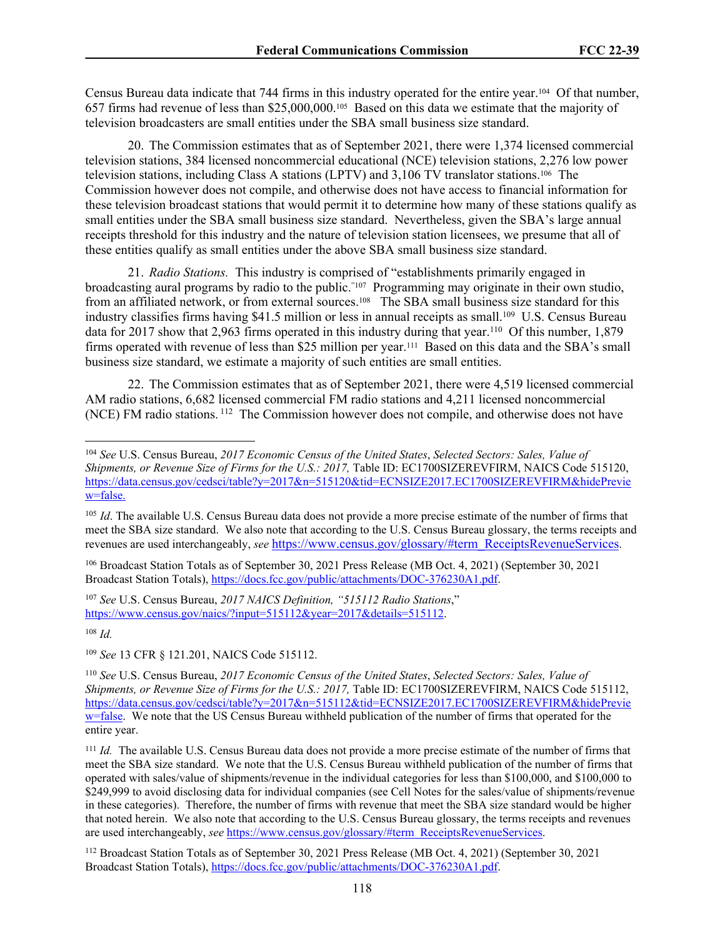Census Bureau data indicate that 744 firms in this industry operated for the entire year.104 Of that number, 657 firms had revenue of less than \$25,000,000.105 Based on this data we estimate that the majority of television broadcasters are small entities under the SBA small business size standard.

20. The Commission estimates that as of September 2021, there were 1,374 licensed commercial television stations, 384 licensed noncommercial educational (NCE) television stations, 2,276 low power television stations, including Class A stations (LPTV) and 3,106 TV translator stations.106 The Commission however does not compile, and otherwise does not have access to financial information for these television broadcast stations that would permit it to determine how many of these stations qualify as small entities under the SBA small business size standard. Nevertheless, given the SBA's large annual receipts threshold for this industry and the nature of television station licensees, we presume that all of these entities qualify as small entities under the above SBA small business size standard.

21. *Radio Stations.* This industry is comprised of "establishments primarily engaged in broadcasting aural programs by radio to the public."107 Programming may originate in their own studio, from an affiliated network, or from external sources.<sup>108</sup> The SBA small business size standard for this industry classifies firms having \$41.5 million or less in annual receipts as small.<sup>109</sup> U.S. Census Bureau data for 2017 show that 2,963 firms operated in this industry during that year.<sup>110</sup> Of this number, 1,879 firms operated with revenue of less than \$25 million per year.<sup>111</sup> Based on this data and the SBA's small business size standard, we estimate a majority of such entities are small entities.

22. The Commission estimates that as of September 2021, there were 4,519 licensed commercial AM radio stations, 6,682 licensed commercial FM radio stations and 4,211 licensed noncommercial (NCE) FM radio stations.<sup>112</sup> The Commission however does not compile, and otherwise does not have

<sup>107</sup> *See* U.S. Census Bureau, *2017 NAICS Definition, "515112 Radio Stations*," [https://www.census.gov/naics/?input=515112&year=2017&details=515112.](https://www.census.gov/naics/?input=515112&year=2017&details=515112)

<sup>108</sup> *Id.*

<sup>109</sup> *See* 13 CFR § 121.201, NAICS Code 515112.

<sup>104</sup> *See* U.S. Census Bureau, *2017 Economic Census of the United States*, *Selected Sectors: Sales, Value of Shipments, or Revenue Size of Firms for the U.S.: 2017, Table ID: EC1700SIZEREVFIRM, NAICS Code 515120,* https://data.census.gov/cedsci/table?y=2017&n=515120&tid=ECNSIZE2017.EC1700SIZEREVFIRM&hidePrevie w=false.

<sup>&</sup>lt;sup>105</sup> *Id*. The available U.S. Census Bureau data does not provide a more precise estimate of the number of firms that meet the SBA size standard. We also note that according to the U.S. Census Bureau glossary, the terms receipts and revenues are used interchangeably, *see* [https://www.census.gov/glossary/#term\\_ReceiptsRevenueServices](https://www.census.gov/glossary/#term_ReceiptsRevenueServices).

<sup>106</sup> Broadcast Station Totals as of September 30, 2021 Press Release (MB Oct. 4, 2021) (September 30, 2021 Broadcast Station Totals), [https://docs.fcc.gov/public/attachments/DOC-376230A1.pdf.](https://docs.fcc.gov/public/attachments/DOC-376230A1.pdf)

<sup>110</sup> *See* U.S. Census Bureau, *2017 Economic Census of the United States*, *Selected Sectors: Sales, Value of Shipments, or Revenue Size of Firms for the U.S.: 2017, Table ID: EC1700SIZEREVFIRM, NAICS Code 515112,* [https://data.census.gov/cedsci/table?y=2017&n=515112&tid=ECNSIZE2017.EC1700SIZEREVFIRM&hidePrevie](https://data.census.gov/cedsci/table?y=2017&n=515112&tid=ECNSIZE2017.EC1700SIZEREVFIRM&hidePreview=false) [w=false.](https://data.census.gov/cedsci/table?y=2017&n=515112&tid=ECNSIZE2017.EC1700SIZEREVFIRM&hidePreview=false) We note that the US Census Bureau withheld publication of the number of firms that operated for the entire year.

<sup>111</sup> *Id.* The available U.S. Census Bureau data does not provide a more precise estimate of the number of firms that meet the SBA size standard. We note that the U.S. Census Bureau withheld publication of the number of firms that operated with sales/value of shipments/revenue in the individual categories for less than \$100,000, and \$100,000 to \$249,999 to avoid disclosing data for individual companies (see Cell Notes for the sales/value of shipments/revenue in these categories). Therefore, the number of firms with revenue that meet the SBA size standard would be higher that noted herein. We also note that according to the U.S. Census Bureau glossary, the terms receipts and revenues are used interchangeably, *see* [https://www.census.gov/glossary/#term\\_ReceiptsRevenueServices](https://www.census.gov/glossary/#term_ReceiptsRevenueServices).

<sup>112</sup> Broadcast Station Totals as of September 30, 2021 Press Release (MB Oct. 4, 2021) (September 30, 2021 Broadcast Station Totals), [https://docs.fcc.gov/public/attachments/DOC-376230A1.pdf.](https://docs.fcc.gov/public/attachments/DOC-376230A1.pdf)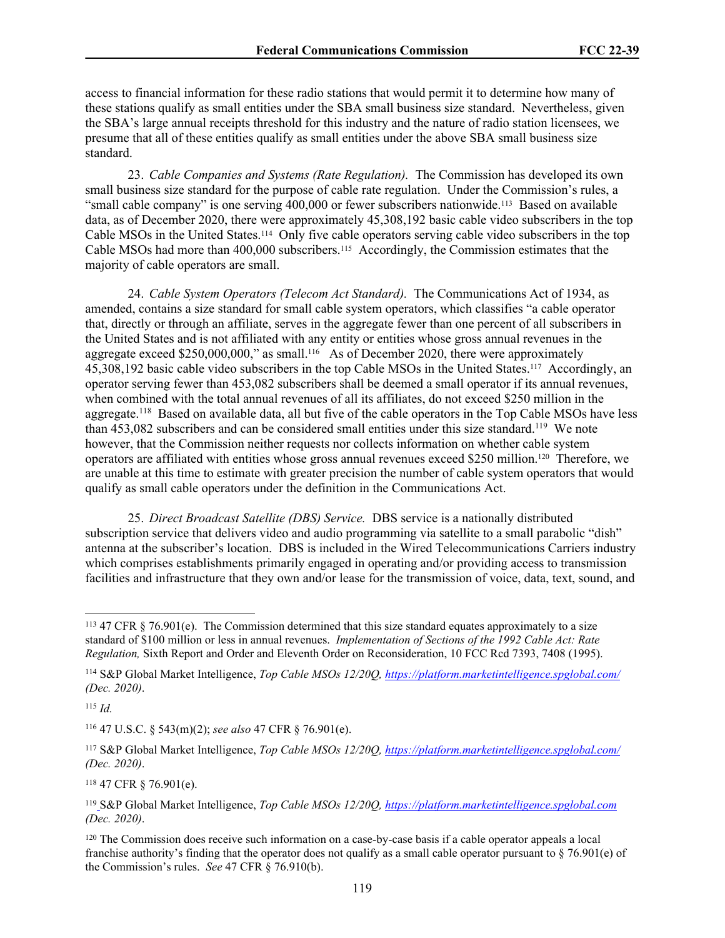access to financial information for these radio stations that would permit it to determine how many of these stations qualify as small entities under the SBA small business size standard. Nevertheless, given the SBA's large annual receipts threshold for this industry and the nature of radio station licensees, we presume that all of these entities qualify as small entities under the above SBA small business size standard.

23. *Cable Companies and Systems (Rate Regulation).* The Commission has developed its own small business size standard for the purpose of cable rate regulation. Under the Commission's rules, a "small cable company" is one serving 400,000 or fewer subscribers nationwide.<sup>113</sup> Based on available data, as of December 2020, there were approximately 45,308,192 basic cable video subscribers in the top Cable MSOs in the United States.114 Only five cable operators serving cable video subscribers in the top Cable MSOs had more than 400,000 subscribers.115 Accordingly, the Commission estimates that the majority of cable operators are small.

24. *Cable System Operators (Telecom Act Standard).* The Communications Act of 1934, as amended, contains a size standard for small cable system operators, which classifies "a cable operator that, directly or through an affiliate, serves in the aggregate fewer than one percent of all subscribers in the United States and is not affiliated with any entity or entities whose gross annual revenues in the aggregate exceed \$250,000,000," as small.<sup>116</sup> As of December 2020, there were approximately 45,308,192 basic cable video subscribers in the top Cable MSOs in the United States.117 Accordingly, an operator serving fewer than 453,082 subscribers shall be deemed a small operator if its annual revenues, when combined with the total annual revenues of all its affiliates, do not exceed \$250 million in the aggregate.<sup>118</sup> Based on available data, all but five of the cable operators in the Top Cable MSOs have less than 453,082 subscribers and can be considered small entities under this size standard.<sup>119</sup> We note however, that the Commission neither requests nor collects information on whether cable system operators are affiliated with entities whose gross annual revenues exceed \$250 million.120 Therefore, we are unable at this time to estimate with greater precision the number of cable system operators that would qualify as small cable operators under the definition in the Communications Act.

25. *Direct Broadcast Satellite (DBS) Service.* DBS service is a nationally distributed subscription service that delivers video and audio programming via satellite to a small parabolic "dish" antenna at the subscriber's location. DBS is included in the Wired Telecommunications Carriers industry which comprises establishments primarily engaged in operating and/or providing access to transmission facilities and infrastructure that they own and/or lease for the transmission of voice, data, text, sound, and

<sup>115</sup> *Id.*

<sup>116</sup> 47 U.S.C. § 543(m)(2); *see also* 47 CFR § 76.901(e).

<sup>118</sup> 47 CFR § 76.901(e).

<sup>&</sup>lt;sup>113</sup> 47 CFR  $\S$  76.901(e). The Commission determined that this size standard equates approximately to a size standard of \$100 million or less in annual revenues. *Implementation of Sections of the 1992 Cable Act: Rate Regulation,* Sixth Report and Order and Eleventh Order on Reconsideration, 10 FCC Rcd 7393, 7408 (1995).

<sup>114</sup> S&P Global Market Intelligence, *Top Cable MSOs 12/20Q,<https://platform.marketintelligence.spglobal.com/> (Dec. 2020)*.

<sup>117</sup> S&P Global Market Intelligence, *Top Cable MSOs 12/20Q,<https://platform.marketintelligence.spglobal.com/> (Dec. 2020)*.

<sup>119</sup> S&P Global Market Intelligence, *Top Cable MSOs 12/20Q,<https://platform.marketintelligence.spglobal.com> (Dec. 2020)*.

<sup>120</sup> The Commission does receive such information on a case-by-case basis if a cable operator appeals a local franchise authority's finding that the operator does not qualify as a small cable operator pursuant to  $\S$  76.901(e) of the Commission's rules. *See* 47 CFR § 76.910(b).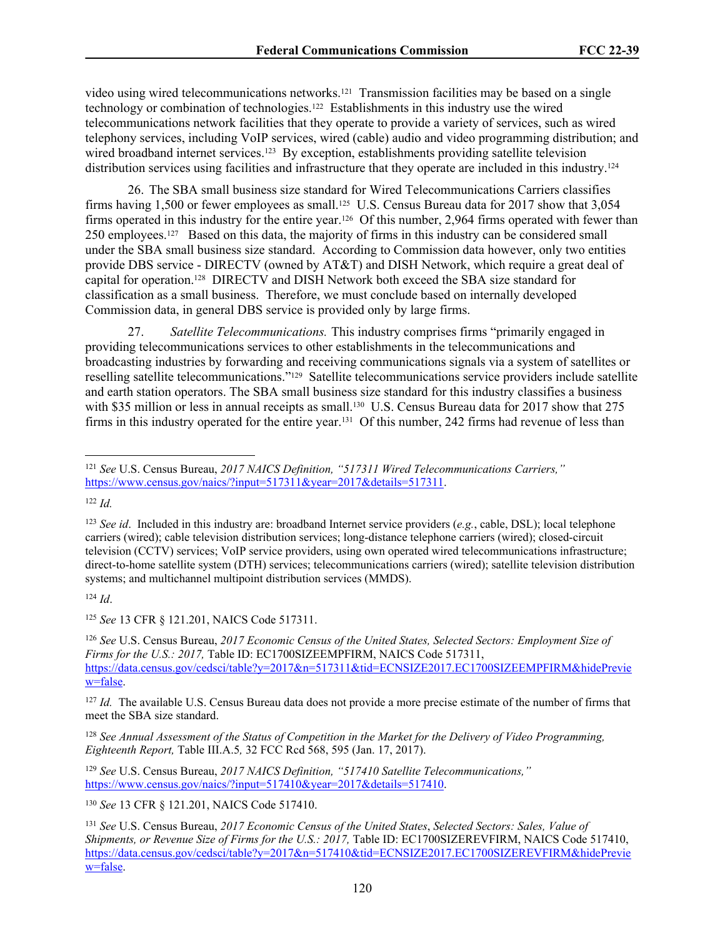video using wired telecommunications networks.<sup>121</sup> Transmission facilities may be based on a single technology or combination of technologies.122 Establishments in this industry use the wired telecommunications network facilities that they operate to provide a variety of services, such as wired telephony services, including VoIP services, wired (cable) audio and video programming distribution; and wired broadband internet services.<sup>123</sup> By exception, establishments providing satellite television distribution services using facilities and infrastructure that they operate are included in this industry.<sup>124</sup>

26. The SBA small business size standard for Wired Telecommunications Carriers classifies firms having 1,500 or fewer employees as small.<sup>125</sup> U.S. Census Bureau data for 2017 show that 3,054 firms operated in this industry for the entire year.<sup>126</sup> Of this number, 2,964 firms operated with fewer than 250 employees.127 Based on this data, the majority of firms in this industry can be considered small under the SBA small business size standard. According to Commission data however, only two entities provide DBS service - DIRECTV (owned by AT&T) and DISH Network, which require a great deal of capital for operation.128 DIRECTV and DISH Network both exceed the SBA size standard for classification as a small business. Therefore, we must conclude based on internally developed Commission data, in general DBS service is provided only by large firms.

27. *Satellite Telecommunications.* This industry comprises firms "primarily engaged in providing telecommunications services to other establishments in the telecommunications and broadcasting industries by forwarding and receiving communications signals via a system of satellites or reselling satellite telecommunications."129 Satellite telecommunications service providers include satellite and earth station operators. The SBA small business size standard for this industry classifies a business with \$35 million or less in annual receipts as small.<sup>130</sup> U.S. Census Bureau data for 2017 show that 275 firms in this industry operated for the entire year.131 Of this number, 242 firms had revenue of less than

<sup>122</sup> *Id.*

<sup>124</sup> *Id*.

<sup>125</sup> *See* 13 CFR § 121.201, NAICS Code 517311.

<sup>126</sup> *See* U.S. Census Bureau, *2017 Economic Census of the United States, Selected Sectors: Employment Size of Firms for the U.S.: 2017, Table ID: EC1700SIZEEMPFIRM, NAICS Code 517311,* [https://data.census.gov/cedsci/table?y=2017&n=517311&tid=ECNSIZE2017.EC1700SIZEEMPFIRM&hidePrevie](https://data.census.gov/cedsci/table?y=2017&n=517311&tid=ECNSIZE2017.EC1700SIZEEMPFIRM&hidePreview=false) [w=false.](https://data.census.gov/cedsci/table?y=2017&n=517311&tid=ECNSIZE2017.EC1700SIZEEMPFIRM&hidePreview=false)

<sup>127</sup> *Id.* The available U.S. Census Bureau data does not provide a more precise estimate of the number of firms that meet the SBA size standard.

<sup>128</sup> *See Annual Assessment of the Status of Competition in the Market for the Delivery of Video Programming, Eighteenth Report,* Table III.A.5*,* 32 FCC Rcd 568, 595 (Jan. 17, 2017).

<sup>129</sup> *See* U.S. Census Bureau, *2017 NAICS Definition, "517410 Satellite Telecommunications,"*  [https://www.census.gov/naics/?input=517410&year=2017&details=517410.](https://www.census.gov/naics/?input=621410&year=2017&details=621410)

<sup>130</sup> *See* 13 CFR § 121.201, NAICS Code 517410.

<sup>121</sup> *See* U.S. Census Bureau, *2017 NAICS Definition, "517311 Wired Telecommunications Carriers,"* [https://www.census.gov/naics/?input=517311&year=2017&details=517311.](https://www.census.gov/naics/?input=517311&year=2017&details=517311)

<sup>123</sup> *See id*. Included in this industry are: broadband Internet service providers (*e.g.*, cable, DSL); local telephone carriers (wired); cable television distribution services; long-distance telephone carriers (wired); closed-circuit television (CCTV) services; VoIP service providers, using own operated wired telecommunications infrastructure; direct-to-home satellite system (DTH) services; telecommunications carriers (wired); satellite television distribution systems; and multichannel multipoint distribution services (MMDS).

<sup>131</sup> *See* U.S. Census Bureau, *2017 Economic Census of the United States*, *Selected Sectors: Sales, Value of Shipments, or Revenue Size of Firms for the U.S.: 2017, Table ID: EC1700SIZEREVFIRM, NAICS Code 517410,* [https://data.census.gov/cedsci/table?y=2017&n=517410&tid=ECNSIZE2017.EC1700SIZEREVFIRM&hidePrevie](https://data.census.gov/cedsci/table?y=2017&n=517410&tid=ECNSIZE2017.EC1700SIZEREVFIRM&hidePreview=false) [w=false.](https://data.census.gov/cedsci/table?y=2017&n=517410&tid=ECNSIZE2017.EC1700SIZEREVFIRM&hidePreview=false)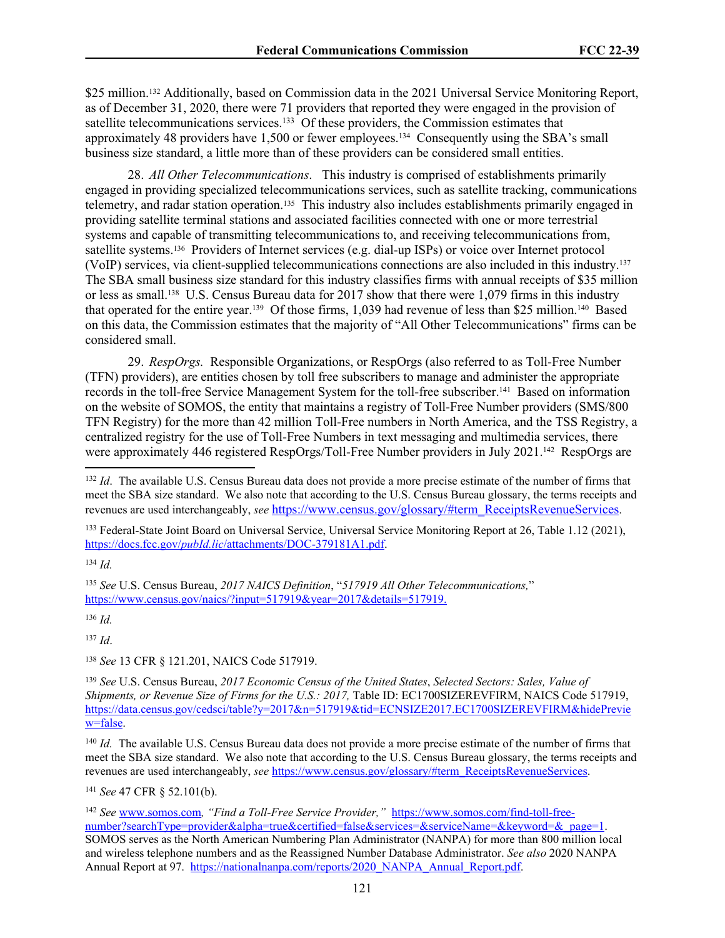\$25 million.<sup>132</sup> Additionally, based on Commission data in the 2021 Universal Service Monitoring Report, as of December 31, 2020, there were 71 providers that reported they were engaged in the provision of satellite telecommunications services.<sup>133</sup> Of these providers, the Commission estimates that approximately 48 providers have 1,500 or fewer employees.<sup>134</sup> Consequently using the SBA's small business size standard, a little more than of these providers can be considered small entities.

28. *All Other Telecommunications*. This industry is comprised of establishments primarily engaged in providing specialized telecommunications services, such as satellite tracking, communications telemetry, and radar station operation.135 This industry also includes establishments primarily engaged in providing satellite terminal stations and associated facilities connected with one or more terrestrial systems and capable of transmitting telecommunications to, and receiving telecommunications from, satellite systems.136 Providers of Internet services (e.g. dial-up ISPs) or voice over Internet protocol (VoIP) services, via client-supplied telecommunications connections are also included in this industry.<sup>137</sup> The SBA small business size standard for this industry classifies firms with annual receipts of \$35 million or less as small.138 U.S. Census Bureau data for 2017 show that there were 1,079 firms in this industry that operated for the entire year.139 Of those firms, 1,039 had revenue of less than \$25 million.140 Based on this data, the Commission estimates that the majority of "All Other Telecommunications" firms can be considered small.

29. *RespOrgs.*Responsible Organizations, or RespOrgs (also referred to as Toll-Free Number (TFN) providers), are entities chosen by toll free subscribers to manage and administer the appropriate records in the toll-free Service Management System for the toll-free subscriber.141 Based on information on the website of SOMOS, the entity that maintains a registry of Toll-Free Number providers (SMS/800 TFN Registry) for the more than 42 million Toll-Free numbers in North America, and the TSS Registry, a centralized registry for the use of Toll-Free Numbers in text messaging and multimedia services, there were approximately 446 registered RespOrgs/Toll-Free Number providers in July 2021.<sup>142</sup> RespOrgs are

<sup>133</sup> Federal-State Joint Board on Universal Service, Universal Service Monitoring Report at 26, Table 1.12 (2021), https://docs.fcc.gov/*pubId.lic*[/attachments/DOC-379181A1.pdf.](https://docs.fcc.gov/public/attachments/DOC-379181A1.pdf)

<sup>134</sup> *Id.*

<sup>135</sup> *See* U.S. Census Bureau, *2017 NAICS Definition*, "*517919 All Other Telecommunications,*" [https://www.census.gov/naics/?input=517919&year=2017&details=517919.](https://www.census.gov/naics/?input=517919&year=2017&details=517919)

<sup>136</sup> *Id.*

<sup>137</sup> *Id*.

<sup>138</sup> *See* 13 CFR § 121.201, NAICS Code 517919.

<sup>141</sup> *See* 47 CFR § 52.101(b).

<sup>&</sup>lt;sup>132</sup> *Id.* The available U.S. Census Bureau data does not provide a more precise estimate of the number of firms that meet the SBA size standard. We also note that according to the U.S. Census Bureau glossary, the terms receipts and revenues are used interchangeably, *see* [https://www.census.gov/glossary/#term\\_ReceiptsRevenueServices](https://www.census.gov/glossary/#term_ReceiptsRevenueServices).

<sup>139</sup> *See* U.S. Census Bureau, *2017 Economic Census of the United States*, *Selected Sectors: Sales, Value of Shipments, or Revenue Size of Firms for the U.S.: 2017, Table ID: EC1700SIZEREVFIRM, NAICS Code 517919,* [https://data.census.gov/cedsci/table?y=2017&n=517919&tid=ECNSIZE2017.EC1700SIZEREVFIRM&hidePrevie](https://data.census.gov/cedsci/table?y=2017&n=517919&tid=ECNSIZE2017.EC1700SIZEREVFIRM&hidePreview=false) [w=false.](https://data.census.gov/cedsci/table?y=2017&n=517919&tid=ECNSIZE2017.EC1700SIZEREVFIRM&hidePreview=false)

<sup>&</sup>lt;sup>140</sup> *Id.* The available U.S. Census Bureau data does not provide a more precise estimate of the number of firms that meet the SBA size standard. We also note that according to the U.S. Census Bureau glossary, the terms receipts and revenues are used interchangeably, *see* [https://www.census.gov/glossary/#term\\_ReceiptsRevenueServices](https://www.census.gov/glossary/#term_ReceiptsRevenueServices).

<sup>142</sup> *See* [www.somos.com](http://www.somos.com)*, "Find a Toll-Free Service Provider,"* [https://www.somos.com/find-toll-free](https://www.somos.com/find-toll-free-number?searchType=provider&alpha=true&certified=false&services=&serviceName=&keyword=&_page=1)[number?searchType=provider&alpha=true&certified=false&services=&serviceName=&keyword=&\\_page=1.](https://www.somos.com/find-toll-free-number?searchType=provider&alpha=true&certified=false&services=&serviceName=&keyword=&_page=1) SOMOS serves as the North American Numbering Plan Administrator (NANPA) for more than 800 million local and wireless telephone numbers and as the Reassigned Number Database Administrator. *See also* 2020 NANPA Annual Report at 97. [https://nationalnanpa.com/reports/2020\\_NANPA\\_Annual\\_Report.pdf.](https://nationalnanpa.com/reports/2020_NANPA_Annual_Report.pdf)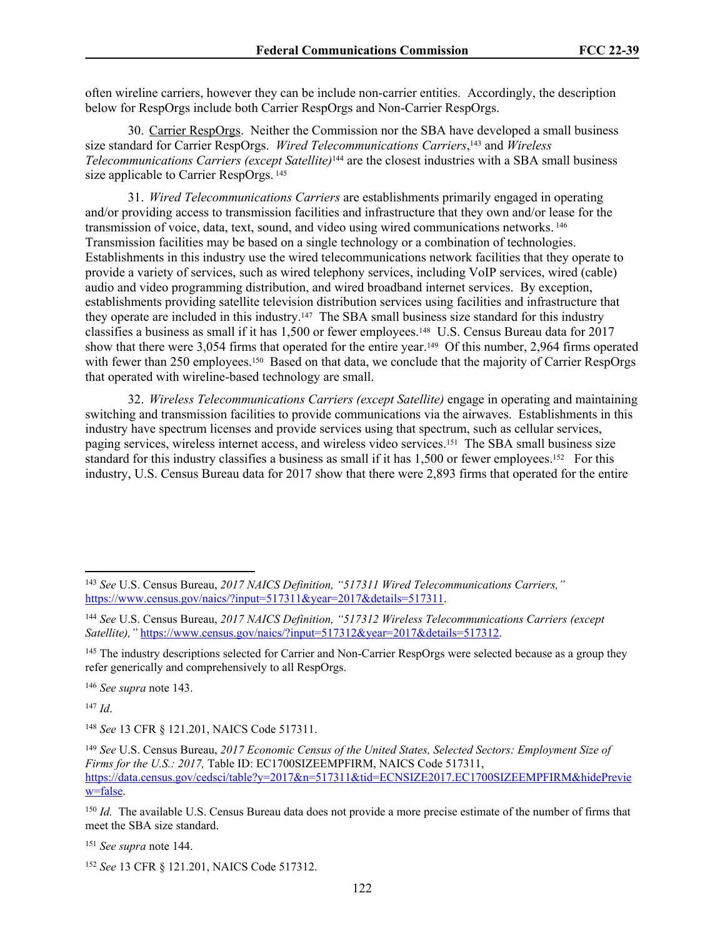often wireline carriers, however they can be include non-carrier entities. Accordingly, the description below for RespOrgs include both Carrier RespOrgs and Non-Carrier RespOrgs.

<span id="page-121-1"></span><span id="page-121-0"></span>30. Carrier RespOrgs. Neither the Commission nor the SBA have developed a small business size standard for Carrier RespOrgs. *Wired Telecommunications Carriers*, <sup>143</sup> and *Wireless Telecommunications Carriers (except Satellite)*144 are the closest industries with a SBA small business size applicable to Carrier RespOrgs.<sup>145</sup>

31. *Wired Telecommunications Carriers* are establishments primarily engaged in operating and/or providing access to transmission facilities and infrastructure that they own and/or lease for the transmission of voice, data, text, sound, and video using wired communications networks.<sup>146</sup> Transmission facilities may be based on a single technology or a combination of technologies. Establishments in this industry use the wired telecommunications network facilities that they operate to provide a variety of services, such as wired telephony services, including VoIP services, wired (cable) audio and video programming distribution, and wired broadband internet services. By exception, establishments providing satellite television distribution services using facilities and infrastructure that they operate are included in this industry.147 The SBA small business size standard for this industry classifies a business as small if it has 1,500 or fewer employees.148 U.S. Census Bureau data for 2017 show that there were 3,054 firms that operated for the entire year.<sup>149</sup> Of this number, 2,964 firms operated with fewer than 250 employees.<sup>150</sup> Based on that data, we conclude that the majority of Carrier RespOrgs that operated with wireline-based technology are small.

32. *Wireless Telecommunications Carriers (except Satellite)* engage in operating and maintaining switching and transmission facilities to provide communications via the airwaves. Establishments in this industry have spectrum licenses and provide services using that spectrum, such as cellular services, paging services, wireless internet access, and wireless video services.151 The SBA small business size standard for this industry classifies a business as small if it has 1,500 or fewer employees.152 For this industry, U.S. Census Bureau data for 2017 show that there were 2,893 firms that operated for the entire

<sup>146</sup> *See supra* note [143.](#page-121-0)

<sup>147</sup> *Id*.

<sup>148</sup> *See* 13 CFR § 121.201, NAICS Code 517311.

<sup>151</sup> *See supra* note [144.](#page-121-1)

<sup>143</sup> *See* U.S. Census Bureau, *2017 NAICS Definition, "517311 Wired Telecommunications Carriers,"* [https://www.census.gov/naics/?input=517311&year=2017&details=517311.](https://www.census.gov/naics/?input=517911&year=2017&details=517311)

<sup>144</sup> *See* U.S. Census Bureau, *2017 NAICS Definition, "517312 Wireless Telecommunications Carriers (except Satellite),"* [https://www.census.gov/naics/?input=517312&year=2017&details=517312.](https://www.census.gov/naics/?input=517312&year=2017&details=517312)

<sup>&</sup>lt;sup>145</sup> The industry descriptions selected for Carrier and Non-Carrier RespOrgs were selected because as a group they refer generically and comprehensively to all RespOrgs.

<sup>149</sup> *See* U.S. Census Bureau, *2017 Economic Census of the United States, Selected Sectors: Employment Size of Firms for the U.S.: 2017, Table ID: EC1700SIZEEMPFIRM, NAICS Code 517311,* [https://data.census.gov/cedsci/table?y=2017&n=517311&tid=ECNSIZE2017.EC1700SIZEEMPFIRM&hidePrevie](https://data.census.gov/cedsci/table?y=2017&n=517311&tid=ECNSIZE2017.EC1700SIZEEMPFIRM&hidePreview=false) [w=false.](https://data.census.gov/cedsci/table?y=2017&n=517311&tid=ECNSIZE2017.EC1700SIZEEMPFIRM&hidePreview=false)

<sup>&</sup>lt;sup>150</sup> *Id.* The available U.S. Census Bureau data does not provide a more precise estimate of the number of firms that meet the SBA size standard.

<sup>152</sup> *See* 13 CFR § 121.201, NAICS Code 517312.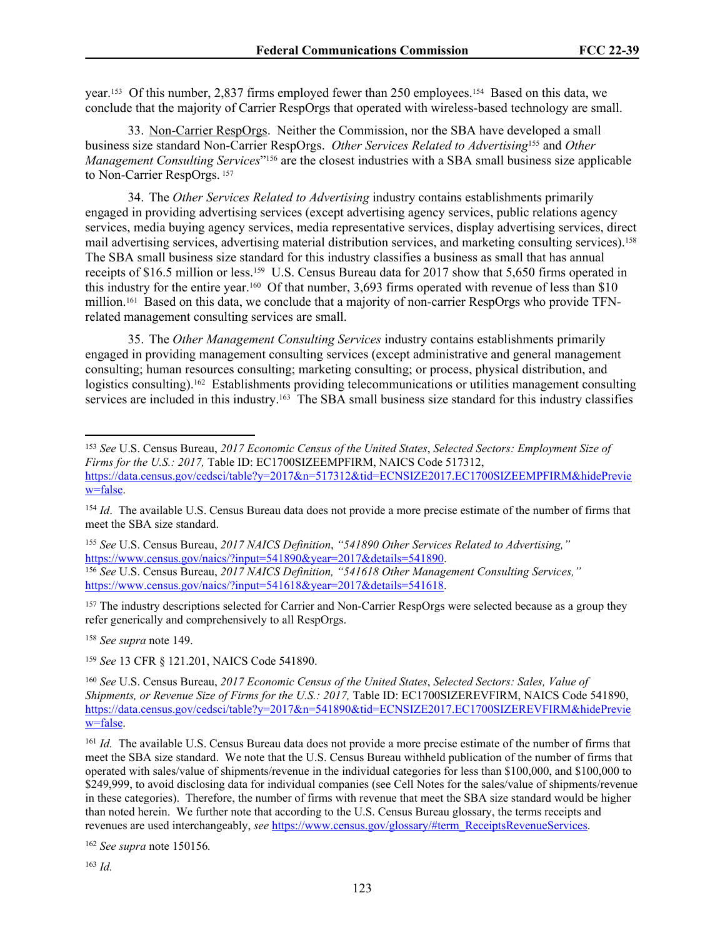year.153 Of this number, 2,837 firms employed fewer than 250 employees.154 Based on this data, we conclude that the majority of Carrier RespOrgs that operated with wireless-based technology are small.

<span id="page-122-1"></span><span id="page-122-0"></span>33. Non-Carrier RespOrgs. Neither the Commission, nor the SBA have developed a small business size standard Non-Carrier RespOrgs. *Other Services Related to Advertising*155 and *Other Management Consulting Services*" <sup>156</sup> are the closest industries with a SBA small business size applicable to Non-Carrier RespOrgs.<sup>157</sup>

34. The *Other Services Related to Advertising* industry contains establishments primarily engaged in providing advertising services (except advertising agency services, public relations agency services, media buying agency services, media representative services, display advertising services, direct mail advertising services, advertising material distribution services, and marketing consulting services).<sup>158</sup> The SBA small business size standard for this industry classifies a business as small that has annual receipts of \$16.5 million or less.159 U.S. Census Bureau data for 2017 show that 5,650 firms operated in this industry for the entire year.160 Of that number, 3,693 firms operated with revenue of less than \$10 million.<sup>161</sup> Based on this data, we conclude that a majority of non-carrier RespOrgs who provide TFNrelated management consulting services are small.

35. The *Other Management Consulting Services* industry contains establishments primarily engaged in providing management consulting services (except administrative and general management consulting; human resources consulting; marketing consulting; or process, physical distribution, and logistics consulting).<sup>162</sup> Establishments providing telecommunications or utilities management consulting services are included in this industry.<sup>163</sup> The SBA small business size standard for this industry classifies

<sup>155</sup> *See* U.S. Census Bureau, *2017 NAICS Definition*, *"541890 Other Services Related to Advertising,"*  [https://www.census.gov/naics/?input=541890&year=2017&details=541890.](https://www.census.gov/naics/?input=541890&year=2017&details=541890) <sup>156</sup> *See* U.S. Census Bureau, *2017 NAICS Definition, "541618 Other Management Consulting Services,"* [https://www.census.gov/naics/?input=541618&year=2017&details=541618.](https://www.census.gov/naics/?input=541618&year=2017&details=541618)

<sup>157</sup> The industry descriptions selected for Carrier and Non-Carrier RespOrgs were selected because as a group they refer generically and comprehensively to all RespOrgs.

<sup>158</sup> *See supra* note 149.

<sup>159</sup> *See* 13 CFR § 121.201, NAICS Code 541890.

<sup>153</sup> *See* U.S. Census Bureau, *2017 Economic Census of the United States*, *Selected Sectors: Employment Size of Firms for the U.S.: 2017,* Table ID: EC1700SIZEEMPFIRM, NAICS Code 517312, [https://data.census.gov/cedsci/table?y=2017&n=517312&tid=ECNSIZE2017.EC1700SIZEEMPFIRM&hidePrevie](https://data.census.gov/cedsci/table?y=2017&n=517312&tid=ECNSIZE2017.EC1700SIZEEMPFIRM&hidePreview=false) [w=false.](https://data.census.gov/cedsci/table?y=2017&n=517312&tid=ECNSIZE2017.EC1700SIZEEMPFIRM&hidePreview=false)

<sup>&</sup>lt;sup>154</sup> *Id.* The available U.S. Census Bureau data does not provide a more precise estimate of the number of firms that meet the SBA size standard.

<sup>160</sup> *See* U.S. Census Bureau, *2017 Economic Census of the United States*, *Selected Sectors: Sales, Value of Shipments, or Revenue Size of Firms for the U.S.: 2017, Table ID: EC1700SIZEREVFIRM, NAICS Code 541890,* [https://data.census.gov/cedsci/table?y=2017&n=541890&tid=ECNSIZE2017.EC1700SIZEREVFIRM&hidePrevie](https://data.census.gov/cedsci/table?y=2017&n=541890&tid=ECNSIZE2017.EC1700SIZEREVFIRM&hidePreview=false) [w=false.](https://data.census.gov/cedsci/table?y=2017&n=541890&tid=ECNSIZE2017.EC1700SIZEREVFIRM&hidePreview=false)

<sup>&</sup>lt;sup>161</sup> *Id.* The available U.S. Census Bureau data does not provide a more precise estimate of the number of firms that meet the SBA size standard. We note that the U.S. Census Bureau withheld publication of the number of firms that operated with sales/value of shipments/revenue in the individual categories for less than \$100,000, and \$100,000 to \$249,999, to avoid disclosing data for individual companies (see Cell Notes for the sales/value of shipments/revenue in these categories). Therefore, the number of firms with revenue that meet the SBA size standard would be higher than noted herein. We further note that according to the U.S. Census Bureau glossary, the terms receipts and revenues are used interchangeably, *see* [https://www.census.gov/glossary/#term\\_ReceiptsRevenueServices](https://www.census.gov/glossary/#term_ReceiptsRevenueServices).

<sup>162</sup> *See supra* note 150[156](#page-122-0)*.*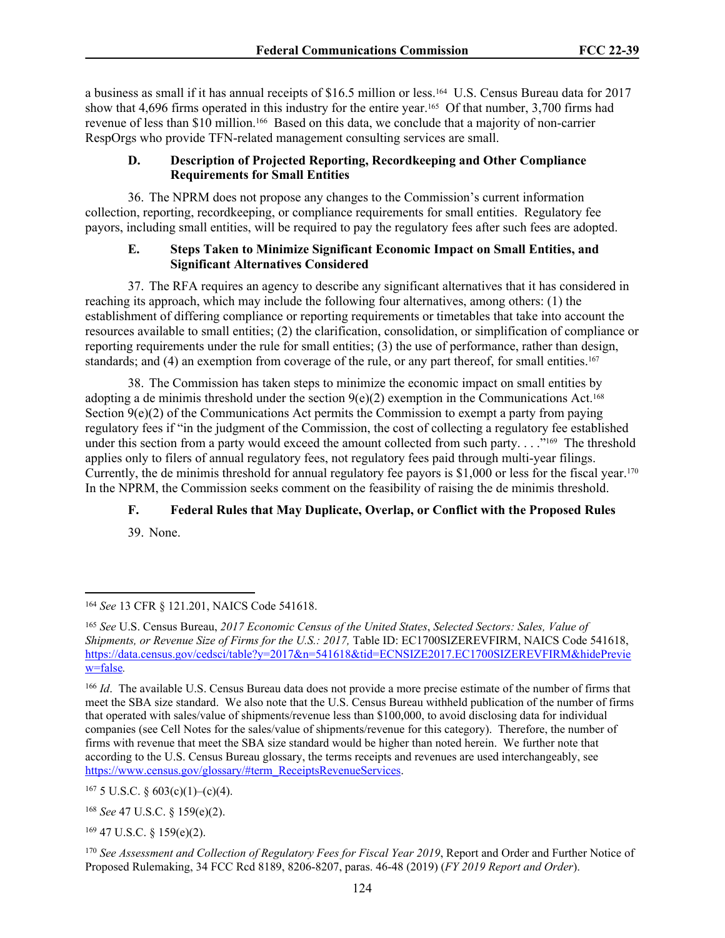a business as small if it has annual receipts of \$16.5 million or less.164 U.S. Census Bureau data for 2017 show that 4,696 firms operated in this industry for the entire year.<sup>165</sup> Of that number, 3,700 firms had revenue of less than \$10 million.166 Based on this data, we conclude that a majority of non-carrier RespOrgs who provide TFN-related management consulting services are small.

## **D. Description of Projected Reporting, Recordkeeping and Other Compliance Requirements for Small Entities**

36. The NPRM does not propose any changes to the Commission's current information collection, reporting, recordkeeping, or compliance requirements for small entities. Regulatory fee payors, including small entities, will be required to pay the regulatory fees after such fees are adopted.

## **E. Steps Taken to Minimize Significant Economic Impact on Small Entities, and Significant Alternatives Considered**

37. The RFA requires an agency to describe any significant alternatives that it has considered in reaching its approach, which may include the following four alternatives, among others: (1) the establishment of differing compliance or reporting requirements or timetables that take into account the resources available to small entities; (2) the clarification, consolidation, or simplification of compliance or reporting requirements under the rule for small entities; (3) the use of performance, rather than design, standards; and (4) an exemption from coverage of the rule, or any part thereof, for small entities.<sup>167</sup>

38. The Commission has taken steps to minimize the economic impact on small entities by adopting a de minimis threshold under the section  $9(e)(2)$  exemption in the Communications Act.<sup>168</sup> Section 9(e)(2) of the Communications Act permits the Commission to exempt a party from paying regulatory fees if "in the judgment of the Commission, the cost of collecting a regulatory fee established under this section from a party would exceed the amount collected from such party. . . . .<sup>"169</sup> The threshold applies only to filers of annual regulatory fees, not regulatory fees paid through multi-year filings. Currently, the de minimis threshold for annual regulatory fee payors is \$1,000 or less for the fiscal year.<sup>170</sup> In the NPRM, the Commission seeks comment on the feasibility of raising the de minimis threshold.

# **F. Federal Rules that May Duplicate, Overlap, or Conflict with the Proposed Rules**

39. None.

 $169$  47 U.S.C. § 159(e)(2).

<sup>164</sup> *See* 13 CFR § 121.201, NAICS Code 541618.

<sup>165</sup> *See* U.S. Census Bureau, *2017 Economic Census of the United States*, *Selected Sectors: Sales, Value of Shipments, or Revenue Size of Firms for the U.S.: 2017, Table ID: EC1700SIZEREVFIRM, NAICS Code 541618,* [https://data.census.gov/cedsci/table?y=2017&n=541618&tid=ECNSIZE2017.EC1700SIZEREVFIRM&hidePrevie](https://data.census.gov/cedsci/table?y=2017&n=541618&tid=ECNSIZE2017.EC1700SIZEREVFIRM&hidePreview=false) [w=false](https://data.census.gov/cedsci/table?y=2017&n=541618&tid=ECNSIZE2017.EC1700SIZEREVFIRM&hidePreview=false)*.*

<sup>&</sup>lt;sup>166</sup> *Id*. The available U.S. Census Bureau data does not provide a more precise estimate of the number of firms that meet the SBA size standard. We also note that the U.S. Census Bureau withheld publication of the number of firms that operated with sales/value of shipments/revenue less than \$100,000, to avoid disclosing data for individual companies (see Cell Notes for the sales/value of shipments/revenue for this category). Therefore, the number of firms with revenue that meet the SBA size standard would be higher than noted herein. We further note that according to the U.S. Census Bureau glossary, the terms receipts and revenues are used interchangeably, see [https://www.census.gov/glossary/#term\\_ReceiptsRevenueServices.](https://www.census.gov/glossary/#term_ReceiptsRevenueServices)

 $167$  5 U.S.C. § 603(c)(1)–(c)(4).

<sup>168</sup> *See* 47 U.S.C. § 159(e)(2).

<sup>170</sup> *See Assessment and Collection of Regulatory Fees for Fiscal Year 2019*, Report and Order and Further Notice of Proposed Rulemaking, 34 FCC Rcd 8189, 8206-8207, paras. 46-48 (2019) (*FY 2019 Report and Order*).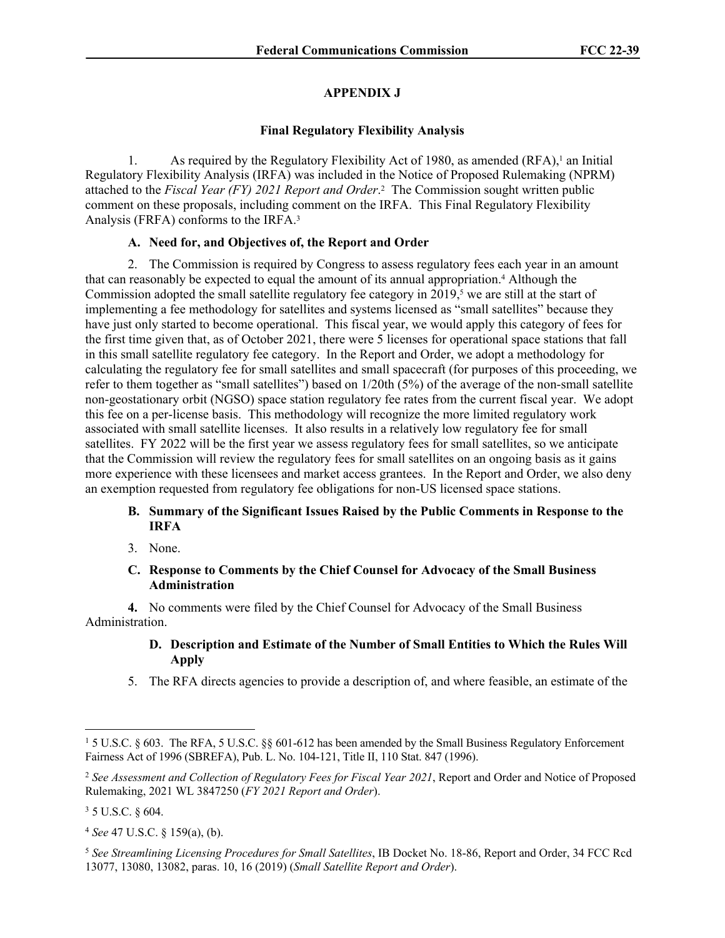## **APPENDIX J**

#### **Final Regulatory Flexibility Analysis**

1. As required by the Regulatory Flexibility Act of 1980, as amended (RFA),<sup>1</sup> an Initial Regulatory Flexibility Analysis (IRFA) was included in the Notice of Proposed Rulemaking (NPRM) attached to the *Fiscal Year (FY) 2021 Report and Order*.<sup>2</sup> The Commission sought written public comment on these proposals, including comment on the IRFA. This Final Regulatory Flexibility Analysis (FRFA) conforms to the IRFA.<sup>3</sup>

## **A. Need for, and Objectives of, the Report and Order**

2. The Commission is required by Congress to assess regulatory fees each year in an amount that can reasonably be expected to equal the amount of its annual appropriation.<sup>4</sup> Although the Commission adopted the small satellite regulatory fee category in 2019,<sup>5</sup> we are still at the start of implementing a fee methodology for satellites and systems licensed as "small satellites" because they have just only started to become operational. This fiscal year, we would apply this category of fees for the first time given that, as of October 2021, there were 5 licenses for operational space stations that fall in this small satellite regulatory fee category. In the Report and Order, we adopt a methodology for calculating the regulatory fee for small satellites and small spacecraft (for purposes of this proceeding, we refer to them together as "small satellites") based on 1/20th (5%) of the average of the non-small satellite non-geostationary orbit (NGSO) space station regulatory fee rates from the current fiscal year. We adopt this fee on a per-license basis. This methodology will recognize the more limited regulatory work associated with small satellite licenses. It also results in a relatively low regulatory fee for small satellites. FY 2022 will be the first year we assess regulatory fees for small satellites, so we anticipate that the Commission will review the regulatory fees for small satellites on an ongoing basis as it gains more experience with these licensees and market access grantees. In the Report and Order, we also deny an exemption requested from regulatory fee obligations for non-US licensed space stations.

## **B. Summary of the Significant Issues Raised by the Public Comments in Response to the IRFA**

3. None.

## **C. Response to Comments by the Chief Counsel for Advocacy of the Small Business Administration**

**4.** No comments were filed by the Chief Counsel for Advocacy of the Small Business Administration.

## **D. Description and Estimate of the Number of Small Entities to Which the Rules Will Apply**

5. The RFA directs agencies to provide a description of, and where feasible, an estimate of the

<sup>1</sup> 5 U.S.C. § 603. The RFA, 5 U.S.C. §§ 601-612 has been amended by the Small Business Regulatory Enforcement Fairness Act of 1996 (SBREFA), Pub. L. No. 104-121, Title II, 110 Stat. 847 (1996).

<sup>2</sup> *See Assessment and Collection of Regulatory Fees for Fiscal Year 2021*, Report and Order and Notice of Proposed Rulemaking, 2021 WL 3847250 (*FY 2021 Report and Order*).

 $3 \,$  5 U.S.C. § 604.

<sup>4</sup> *See* 47 U.S.C. § 159(a), (b).

<sup>5</sup> *See Streamlining Licensing Procedures for Small Satellites*, IB Docket No. 18-86, Report and Order, 34 FCC Rcd 13077, 13080, 13082, paras. 10, 16 (2019) (*Small Satellite Report and Order*).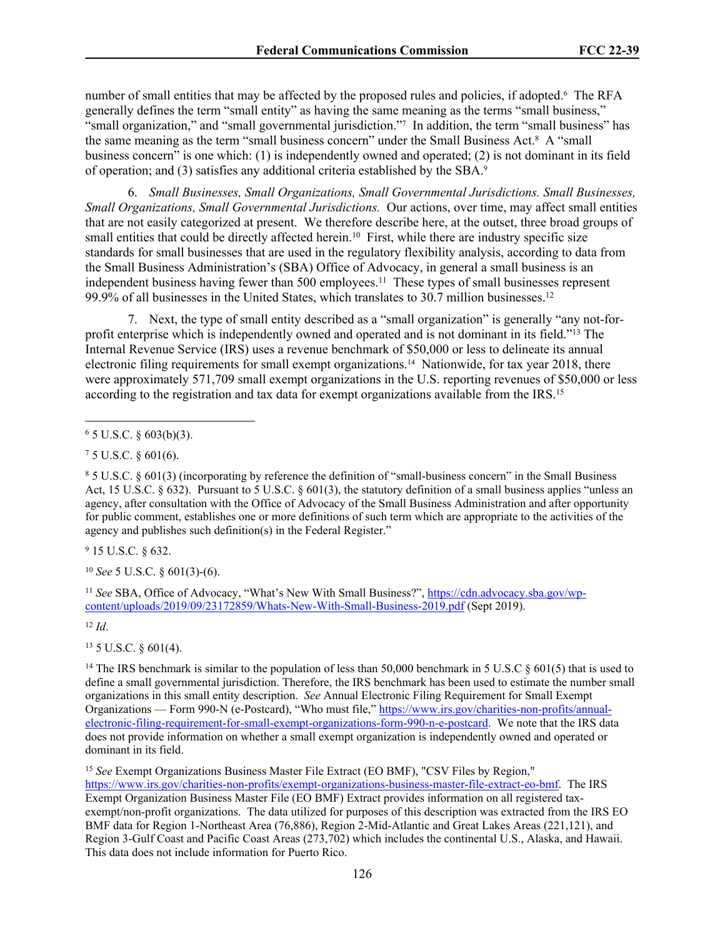number of small entities that may be affected by the proposed rules and policies, if adopted.<sup>6</sup> The RFA generally defines the term "small entity" as having the same meaning as the terms "small business," "small organization," and "small governmental jurisdiction."7 In addition, the term "small business" has the same meaning as the term "small business concern" under the Small Business Act.<sup>8</sup> A "small business concern" is one which: (1) is independently owned and operated; (2) is not dominant in its field of operation; and (3) satisfies any additional criteria established by the SBA.<sup>9</sup>

6. *Small Businesses, Small Organizations, Small Governmental Jurisdictions. Small Businesses, Small Organizations, Small Governmental Jurisdictions.* Our actions, over time, may affect small entities that are not easily categorized at present. We therefore describe here, at the outset, three broad groups of small entities that could be directly affected herein.<sup>10</sup> First, while there are industry specific size standards for small businesses that are used in the regulatory flexibility analysis, according to data from the Small Business Administration's (SBA) Office of Advocacy, in general a small business is an independent business having fewer than 500 employees.<sup>11</sup> These types of small businesses represent 99.9% of all businesses in the United States, which translates to 30.7 million businesses.<sup>12</sup>

7. Next, the type of small entity described as a "small organization" is generally "any not-forprofit enterprise which is independently owned and operated and is not dominant in its field."<sup>13</sup> The Internal Revenue Service (IRS) uses a revenue benchmark of \$50,000 or less to delineate its annual electronic filing requirements for small exempt organizations.14 Nationwide, for tax year 2018, there were approximately 571,709 small exempt organizations in the U.S. reporting revenues of \$50,000 or less according to the registration and tax data for exempt organizations available from the IRS.<sup>15</sup>

9 15 U.S.C. § 632.

<sup>10</sup> *See* 5 U.S.C. § 601(3)-(6).

<sup>11</sup> See SBA, Office of Advocacy, "What's New With Small Business?", [https://cdn.advocacy.sba.gov/wp](https://cdn.advocacy.sba.gov/wp-content/uploads/2019/09/23172859/Whats-New-With-Small-Business-2019.pdf)[content/uploads/2019/09/23172859/Whats-New-With-Small-Business-2019.pdf](https://cdn.advocacy.sba.gov/wp-content/uploads/2019/09/23172859/Whats-New-With-Small-Business-2019.pdf) (Sept 2019).

<sup>12</sup> *Id*.

<sup>13</sup> 5 U.S.C. § 601(4).

<sup>14</sup> The IRS benchmark is similar to the population of less than 50,000 benchmark in 5 U.S.C  $\S$  601(5) that is used to define a small governmental jurisdiction. Therefore, the IRS benchmark has been used to estimate the number small organizations in this small entity description. *See* Annual Electronic Filing Requirement for Small Exempt Organizations — Form 990-N (e-Postcard), "Who must file," [https://www.irs.gov/charities-non-profits/annual](https://www.irs.gov/charities-non-profits/annual-electronic-filing-requirement-for-small-exempt-organizations-form-990-n-e-postcard)[electronic-filing-requirement-for-small-exempt-organizations-form-990-n-e-postcard](https://www.irs.gov/charities-non-profits/annual-electronic-filing-requirement-for-small-exempt-organizations-form-990-n-e-postcard). We note that the IRS data does not provide information on whether a small exempt organization is independently owned and operated or dominant in its field.

<sup>15</sup> *See* Exempt Organizations Business Master File Extract (EO BMF), "CSV Files by Region," [https://www.irs.gov/charities-non-profits/exempt-organizations-business-master-file-extract-eo-bmf.](https://www.irs.gov/charities-non-profits/exempt-organizations-business-master-file-extract-eo-bmf) The IRS Exempt Organization Business Master File (EO BMF) Extract provides information on all registered taxexempt/non-profit organizations. The data utilized for purposes of this description was extracted from the IRS EO BMF data for Region 1-Northeast Area (76,886), Region 2-Mid-Atlantic and Great Lakes Areas (221,121), and Region 3-Gulf Coast and Pacific Coast Areas (273,702) which includes the continental U.S., Alaska, and Hawaii. This data does not include information for Puerto Rico.

 $6$  5 U.S.C. § 603(b)(3).

<sup>7</sup> 5 U.S.C. § 601(6).

<sup>8</sup> 5 U.S.C. § 601(3) (incorporating by reference the definition of "small-business concern" in the Small Business Act, 15 U.S.C. § 632). Pursuant to 5 U.S.C. § 601(3), the statutory definition of a small business applies "unless an agency, after consultation with the Office of Advocacy of the Small Business Administration and after opportunity for public comment, establishes one or more definitions of such term which are appropriate to the activities of the agency and publishes such definition(s) in the Federal Register."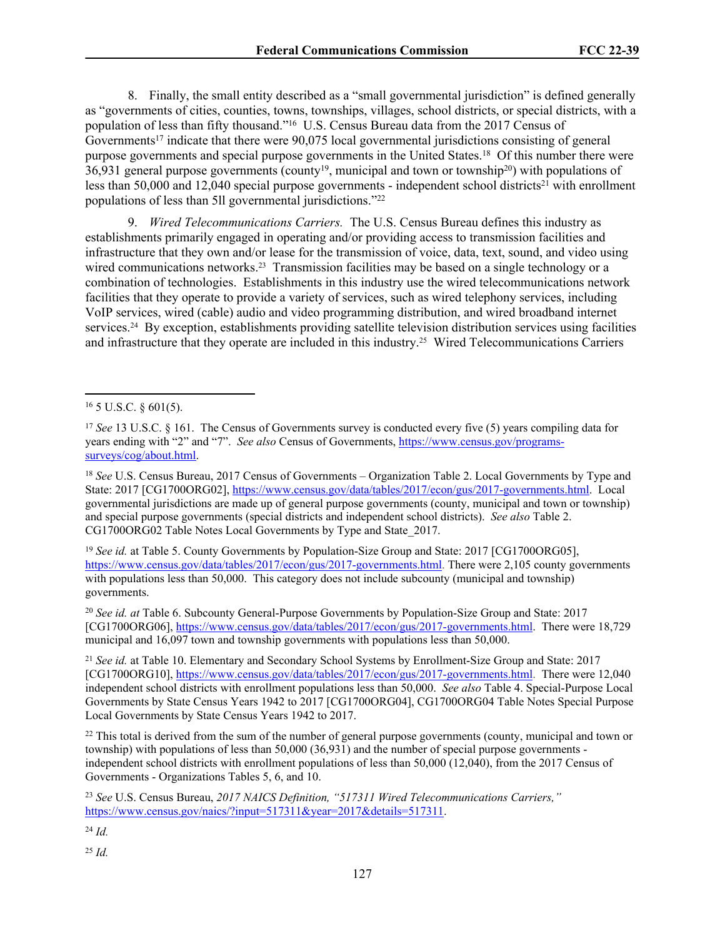8. Finally, the small entity described as a "small governmental jurisdiction" is defined generally as "governments of cities, counties, towns, townships, villages, school districts, or special districts, with a population of less than fifty thousand."<sup>16</sup> U.S. Census Bureau data from the 2017 Census of Governments<sup>17</sup> indicate that there were 90,075 local governmental jurisdictions consisting of general purpose governments and special purpose governments in the United States.<sup>18</sup> Of this number there were  $36,931$  general purpose governments (county<sup>19</sup>, municipal and town or township<sup>20</sup>) with populations of less than 50,000 and 12,040 special purpose governments - independent school districts<sup>21</sup> with enrollment populations of less than 5ll governmental jurisdictions."<sup>22</sup>

9. *Wired Telecommunications Carriers.* The U.S. Census Bureau defines this industry as establishments primarily engaged in operating and/or providing access to transmission facilities and infrastructure that they own and/or lease for the transmission of voice, data, text, sound, and video using wired communications networks.<sup>23</sup> Transmission facilities may be based on a single technology or a combination of technologies. Establishments in this industry use the wired telecommunications network facilities that they operate to provide a variety of services, such as wired telephony services, including VoIP services, wired (cable) audio and video programming distribution, and wired broadband internet services.24 By exception, establishments providing satellite television distribution services using facilities and infrastructure that they operate are included in this industry.25 Wired Telecommunications Carriers

<sup>19</sup> *See id.* at Table 5. County Governments by Population-Size Group and State: 2017 [CG1700ORG05], <https://www.census.gov/data/tables/2017/econ/gus/2017-governments.html>. There were 2,105 county governments with populations less than 50,000. This category does not include subcounty (municipal and township) governments.

<sup>20</sup> *See id. at* Table 6. Subcounty General-Purpose Governments by Population-Size Group and State: 2017 [CG1700ORG06], <https://www.census.gov/data/tables/2017/econ/gus/2017-governments.html>. There were 18,729 municipal and 16,097 town and township governments with populations less than 50,000.

<sup>21</sup> *See id.* at Table 10. Elementary and Secondary School Systems by Enrollment-Size Group and State: 2017 [CG1700ORG10], <https://www.census.gov/data/tables/2017/econ/gus/2017-governments.html>. There were 12,040 independent school districts with enrollment populations less than 50,000. *See also* Table 4. Special-Purpose Local Governments by State Census Years 1942 to 2017 [CG1700ORG04], CG1700ORG04 Table Notes Special Purpose Local Governments by State Census Years 1942 to 2017.

<sup>22</sup> This total is derived from the sum of the number of general purpose governments (county, municipal and town or township) with populations of less than 50,000 (36,931) and the number of special purpose governments independent school districts with enrollment populations of less than 50,000 (12,040), from the 2017 Census of Governments - Organizations Tables 5, 6, and 10.

<sup>23</sup> *See* U.S. Census Bureau, *2017 NAICS Definition, "517311 Wired Telecommunications Carriers,"* [https://www.census.gov/naics/?input=517311&year=2017&details=517311.](https://www.census.gov/naics/?input=517311&year=2017&details=517311)

<sup>24</sup> *Id.*

 $16$  5 U.S.C. § 601(5).

<sup>&</sup>lt;sup>17</sup> *See* 13 U.S.C. § 161. The Census of Governments survey is conducted every five (5) years compiling data for years ending with "2" and "7". *See also* Census of Governments, [https://www.census.gov/programs](https://www.census.gov/programs-surveys/cog/about.html)[surveys/cog/about.html.](https://www.census.gov/programs-surveys/cog/about.html)

<sup>18</sup> *See* U.S. Census Bureau, 2017 Census of Governments – Organization Table 2. Local Governments by Type and State: 2017 [CG1700ORG02], [https://www.census.gov/data/tables/2017/econ/gus/2017-governments.html.](https://www.census.gov/data/tables/2017/econ/gus/2017-governments.html) Local governmental jurisdictions are made up of general purpose governments (county, municipal and town or township) and special purpose governments (special districts and independent school districts). *See also* Table 2. CG1700ORG02 Table Notes Local Governments by Type and State\_2017.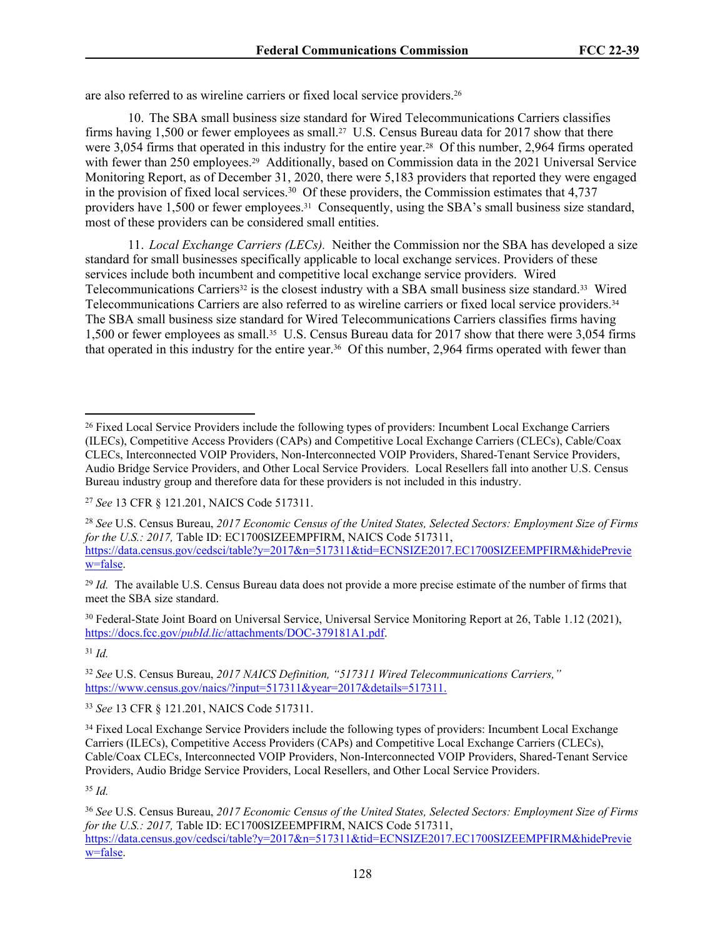are also referred to as wireline carriers or fixed local service providers.<sup>26</sup>

10. The SBA small business size standard for Wired Telecommunications Carriers classifies firms having 1,500 or fewer employees as small.27 U.S. Census Bureau data for 2017 show that there were 3,054 firms that operated in this industry for the entire year.<sup>28</sup> Of this number, 2,964 firms operated with fewer than 250 employees.<sup>29</sup> Additionally, based on Commission data in the 2021 Universal Service Monitoring Report, as of December 31, 2020, there were 5,183 providers that reported they were engaged in the provision of fixed local services.<sup>30</sup> Of these providers, the Commission estimates that 4,737 providers have 1,500 or fewer employees.<sup>31</sup> Consequently, using the SBA's small business size standard, most of these providers can be considered small entities.

11. *Local Exchange Carriers (LECs).* Neither the Commission nor the SBA has developed a size standard for small businesses specifically applicable to local exchange services. Providers of these services include both incumbent and competitive local exchange service providers. Wired Telecommunications Carriers<sup>32</sup> is the closest industry with a SBA small business size standard.<sup>33</sup> Wired Telecommunications Carriers are also referred to as wireline carriers or fixed local service providers.<sup>34</sup> The SBA small business size standard for Wired Telecommunications Carriers classifies firms having 1,500 or fewer employees as small.35 U.S. Census Bureau data for 2017 show that there were 3,054 firms that operated in this industry for the entire year.<sup>36</sup> Of this number, 2,964 firms operated with fewer than

<sup>29</sup> *Id.* The available U.S. Census Bureau data does not provide a more precise estimate of the number of firms that meet the SBA size standard.

<sup>30</sup> Federal-State Joint Board on Universal Service, Universal Service Monitoring Report at 26, Table 1.12 (2021), https://docs.fcc.gov/*pubId.lic*[/attachments/DOC-379181A1.pdf.](https://docs.fcc.gov/public/attachments/DOC-379181A1.pdf)

<sup>31</sup> *Id.*

<sup>32</sup> *See* U.S. Census Bureau, *2017 NAICS Definition, "517311 Wired Telecommunications Carriers,"* [https://www.census.gov/naics/?input=517311&year=2017&details=517311.](https://www.census.gov/naics/?input=517311&year=2017&details=517311)

<sup>33</sup> *See* 13 CFR § 121.201, NAICS Code 517311.

<sup>&</sup>lt;sup>26</sup> Fixed Local Service Providers include the following types of providers: Incumbent Local Exchange Carriers (ILECs), Competitive Access Providers (CAPs) and Competitive Local Exchange Carriers (CLECs), Cable/Coax CLECs, Interconnected VOIP Providers, Non-Interconnected VOIP Providers, Shared-Tenant Service Providers, Audio Bridge Service Providers, and Other Local Service Providers. Local Resellers fall into another U.S. Census Bureau industry group and therefore data for these providers is not included in this industry.

<sup>27</sup> *See* 13 CFR § 121.201, NAICS Code 517311.

<sup>28</sup> *See* U.S. Census Bureau, *2017 Economic Census of the United States, Selected Sectors: Employment Size of Firms for the U.S.: 2017,* Table ID: EC1700SIZEEMPFIRM, NAICS Code 517311, [https://data.census.gov/cedsci/table?y=2017&n=517311&tid=ECNSIZE2017.EC1700SIZEEMPFIRM&hidePrevie](https://data.census.gov/cedsci/table?y=2017&n=517311&tid=ECNSIZE2017.EC1700SIZEEMPFIRM&hidePreview=false) [w=false.](https://data.census.gov/cedsci/table?y=2017&n=517311&tid=ECNSIZE2017.EC1700SIZEEMPFIRM&hidePreview=false)

<sup>&</sup>lt;sup>34</sup> Fixed Local Exchange Service Providers include the following types of providers: Incumbent Local Exchange Carriers (ILECs), Competitive Access Providers (CAPs) and Competitive Local Exchange Carriers (CLECs), Cable/Coax CLECs, Interconnected VOIP Providers, Non-Interconnected VOIP Providers, Shared-Tenant Service Providers, Audio Bridge Service Providers, Local Resellers, and Other Local Service Providers.

<sup>36</sup> *See* U.S. Census Bureau, *2017 Economic Census of the United States, Selected Sectors: Employment Size of Firms for the U.S.: 2017,* Table ID: EC1700SIZEEMPFIRM, NAICS Code 517311, [https://data.census.gov/cedsci/table?y=2017&n=517311&tid=ECNSIZE2017.EC1700SIZEEMPFIRM&hidePrevie](https://data.census.gov/cedsci/table?y=2017&n=517311&tid=ECNSIZE2017.EC1700SIZEEMPFIRM&hidePreview=false) [w=false.](https://data.census.gov/cedsci/table?y=2017&n=517311&tid=ECNSIZE2017.EC1700SIZEEMPFIRM&hidePreview=false)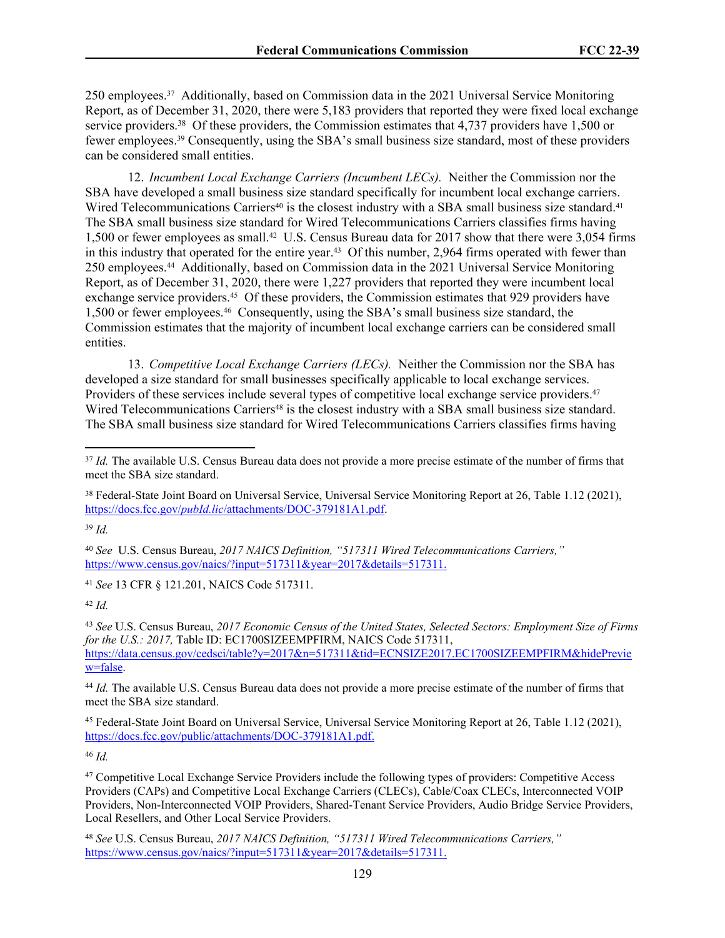250 employees.37 Additionally, based on Commission data in the 2021 Universal Service Monitoring Report, as of December 31, 2020, there were 5,183 providers that reported they were fixed local exchange service providers.<sup>38</sup> Of these providers, the Commission estimates that 4,737 providers have 1,500 or fewer employees.39 Consequently, using the SBA's small business size standard, most of these providers can be considered small entities.

12. *Incumbent Local Exchange Carriers (Incumbent LECs).* Neither the Commission nor the SBA have developed a small business size standard specifically for incumbent local exchange carriers. Wired Telecommunications Carriers<sup>40</sup> is the closest industry with a SBA small business size standard.<sup>41</sup> The SBA small business size standard for Wired Telecommunications Carriers classifies firms having 1,500 or fewer employees as small.42 U.S. Census Bureau data for 2017 show that there were 3,054 firms in this industry that operated for the entire year.<sup>43</sup> Of this number, 2,964 firms operated with fewer than 250 employees.44 Additionally, based on Commission data in the 2021 Universal Service Monitoring Report, as of December 31, 2020, there were 1,227 providers that reported they were incumbent local exchange service providers.45 Of these providers, the Commission estimates that 929 providers have 1,500 or fewer employees.46 Consequently, using the SBA's small business size standard, the Commission estimates that the majority of incumbent local exchange carriers can be considered small entities.

13. *Competitive Local Exchange Carriers (LECs).* Neither the Commission nor the SBA has developed a size standard for small businesses specifically applicable to local exchange services. Providers of these services include several types of competitive local exchange service providers.<sup>47</sup> Wired Telecommunications Carriers<sup>48</sup> is the closest industry with a SBA small business size standard. The SBA small business size standard for Wired Telecommunications Carriers classifies firms having

<sup>39</sup> *Id.*

<sup>40</sup> *See* U.S. Census Bureau, *2017 NAICS Definition, "517311 Wired Telecommunications Carriers,"* [https://www.census.gov/naics/?input=517311&year=2017&details=517311.](https://www.census.gov/naics/?input=517311&year=2017&details=517311)

<sup>41</sup> *See* 13 CFR § 121.201, NAICS Code 517311.

<sup>42</sup> *Id.*

<sup>43</sup> *See* U.S. Census Bureau, *2017 Economic Census of the United States, Selected Sectors: Employment Size of Firms for the U.S.: 2017,* Table ID: EC1700SIZEEMPFIRM, NAICS Code 517311, [https://data.census.gov/cedsci/table?y=2017&n=517311&tid=ECNSIZE2017.EC1700SIZEEMPFIRM&hidePrevie](https://data.census.gov/cedsci/table?y=2017&n=517311&tid=ECNSIZE2017.EC1700SIZEEMPFIRM&hidePreview=false) [w=false.](https://data.census.gov/cedsci/table?y=2017&n=517311&tid=ECNSIZE2017.EC1700SIZEEMPFIRM&hidePreview=false)

<sup>44</sup> *Id.* The available U.S. Census Bureau data does not provide a more precise estimate of the number of firms that meet the SBA size standard.

<sup>45</sup> Federal-State Joint Board on Universal Service, Universal Service Monitoring Report at 26, Table 1.12 (2021), [https://docs.fcc.gov/public/attachments/DOC-379181A1.pdf.](https://docs.fcc.gov/public/attachments/DOC-379181A1.pdf)

<sup>46</sup> *Id.*

<sup>47</sup> Competitive Local Exchange Service Providers include the following types of providers: Competitive Access Providers (CAPs) and Competitive Local Exchange Carriers (CLECs), Cable/Coax CLECs, Interconnected VOIP Providers, Non-Interconnected VOIP Providers, Shared-Tenant Service Providers, Audio Bridge Service Providers, Local Resellers, and Other Local Service Providers.

<sup>48</sup> *See* U.S. Census Bureau, *2017 NAICS Definition, "517311 Wired Telecommunications Carriers,"* [https://www.census.gov/naics/?input=517311&year=2017&details=517311.](https://www.census.gov/naics/?input=517311&year=2017&details=517311)

<sup>&</sup>lt;sup>37</sup> *Id.* The available U.S. Census Bureau data does not provide a more precise estimate of the number of firms that meet the SBA size standard.

<sup>&</sup>lt;sup>38</sup> Federal-State Joint Board on Universal Service, Universal Service Monitoring Report at 26, Table 1.12 (2021), https://docs.fcc.gov/*pubId.lic*[/attachments/DOC-379181A1.pdf.](https://docs.fcc.gov/public/attachments/DOC-379181A1.pdf)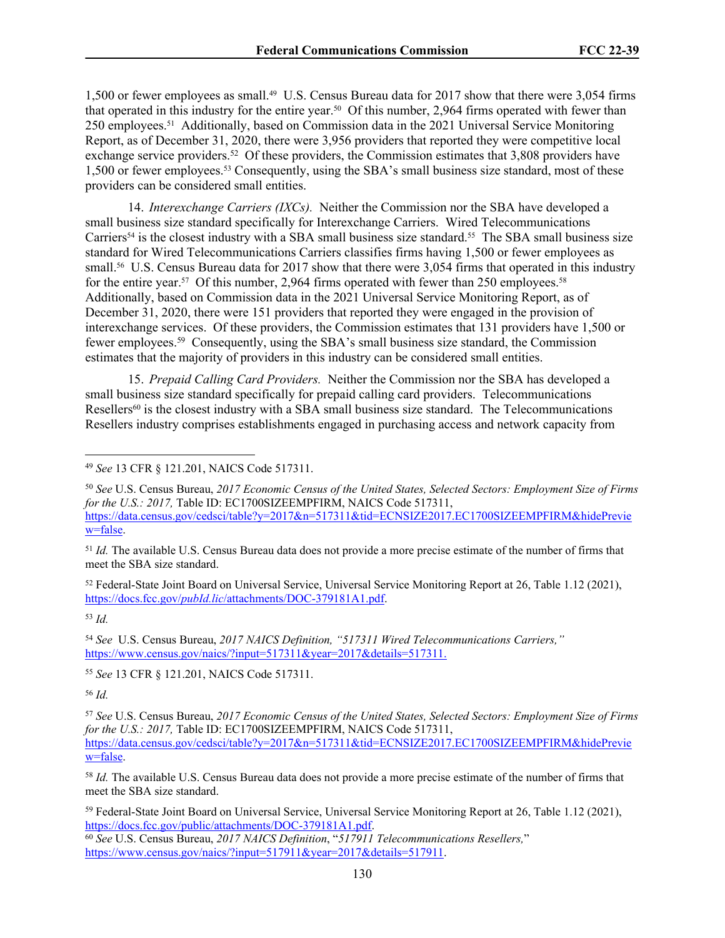1,500 or fewer employees as small.49 U.S. Census Bureau data for 2017 show that there were 3,054 firms that operated in this industry for the entire year.50 Of this number, 2,964 firms operated with fewer than 250 employees.51 Additionally, based on Commission data in the 2021 Universal Service Monitoring Report, as of December 31, 2020, there were 3,956 providers that reported they were competitive local exchange service providers.<sup>52</sup> Of these providers, the Commission estimates that 3,808 providers have 1,500 or fewer employees.53 Consequently, using the SBA's small business size standard, most of these providers can be considered small entities.

14. *Interexchange Carriers (IXCs).* Neither the Commission nor the SBA have developed a small business size standard specifically for Interexchange Carriers. Wired Telecommunications Carriers<sup>54</sup> is the closest industry with a SBA small business size standard.<sup>55</sup> The SBA small business size standard for Wired Telecommunications Carriers classifies firms having 1,500 or fewer employees as small.<sup>56</sup> U.S. Census Bureau data for 2017 show that there were 3,054 firms that operated in this industry for the entire year.<sup>57</sup> Of this number, 2,964 firms operated with fewer than 250 employees.<sup>58</sup> Additionally, based on Commission data in the 2021 Universal Service Monitoring Report, as of December 31, 2020, there were 151 providers that reported they were engaged in the provision of interexchange services. Of these providers, the Commission estimates that 131 providers have 1,500 or fewer employees.<sup>59</sup> Consequently, using the SBA's small business size standard, the Commission estimates that the majority of providers in this industry can be considered small entities.

15. *Prepaid Calling Card Providers.* Neither the Commission nor the SBA has developed a small business size standard specifically for prepaid calling card providers. Telecommunications Resellers<sup>60</sup> is the closest industry with a SBA small business size standard. The Telecommunications Resellers industry comprises establishments engaged in purchasing access and network capacity from

<sup>51</sup> *Id.* The available U.S. Census Bureau data does not provide a more precise estimate of the number of firms that meet the SBA size standard.

<sup>52</sup> Federal-State Joint Board on Universal Service, Universal Service Monitoring Report at 26, Table 1.12 (2021), https://docs.fcc.gov/*pubId.lic*[/attachments/DOC-379181A1.pdf.](https://docs.fcc.gov/public/attachments/DOC-379181A1.pdf)

<sup>53</sup> *Id.*

<sup>54</sup> *See* U.S. Census Bureau, *2017 NAICS Definition, "517311 Wired Telecommunications Carriers,"* [https://www.census.gov/naics/?input=517311&year=2017&details=517311.](https://www.census.gov/naics/?input=517311&year=2017&details=517311)

<sup>55</sup> *See* 13 CFR § 121.201, NAICS Code 517311.

<sup>56</sup> *Id.*

<sup>57</sup> *See* U.S. Census Bureau, *2017 Economic Census of the United States, Selected Sectors: Employment Size of Firms for the U.S.: 2017, Table ID: EC1700SIZEEMPFIRM, NAICS Code 517311,* [https://data.census.gov/cedsci/table?y=2017&n=517311&tid=ECNSIZE2017.EC1700SIZEEMPFIRM&hidePrevie](https://data.census.gov/cedsci/table?y=2017&n=517311&tid=ECNSIZE2017.EC1700SIZEEMPFIRM&hidePreview=false) [w=false.](https://data.census.gov/cedsci/table?y=2017&n=517311&tid=ECNSIZE2017.EC1700SIZEEMPFIRM&hidePreview=false)

<sup>58</sup> *Id.* The available U.S. Census Bureau data does not provide a more precise estimate of the number of firms that meet the SBA size standard.

<sup>59</sup> Federal-State Joint Board on Universal Service, Universal Service Monitoring Report at 26, Table 1.12 (2021), [https://docs.fcc.gov/public/attachments/DOC-379181A1.pdf.](https://docs.fcc.gov/public/attachments/DOC-379181A1.pdf)

<sup>60</sup> *See* U.S. Census Bureau, *2017 NAICS Definition*, "*517911 Telecommunications Resellers,*" [https://www.census.gov/naics/?input=517911&year=2017&details=517911.](https://www.census.gov/naics/?input=517911&year=2017&details=517911)

<sup>49</sup> *See* 13 CFR § 121.201, NAICS Code 517311.

<sup>50</sup> *See* U.S. Census Bureau, *2017 Economic Census of the United States, Selected Sectors: Employment Size of Firms for the U.S.: 2017, Table ID: EC1700SIZEEMPFIRM, NAICS Code 517311,* [https://data.census.gov/cedsci/table?y=2017&n=517311&tid=ECNSIZE2017.EC1700SIZEEMPFIRM&hidePrevie](https://data.census.gov/cedsci/table?y=2017&n=517311&tid=ECNSIZE2017.EC1700SIZEEMPFIRM&hidePreview=false) [w=false.](https://data.census.gov/cedsci/table?y=2017&n=517311&tid=ECNSIZE2017.EC1700SIZEEMPFIRM&hidePreview=false)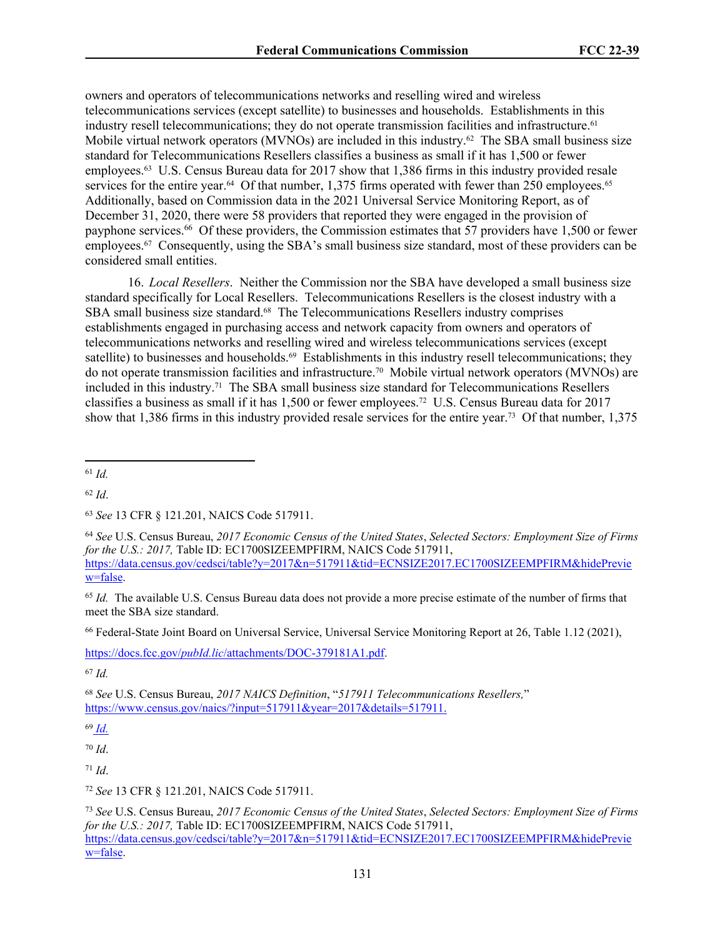owners and operators of telecommunications networks and reselling wired and wireless telecommunications services (except satellite) to businesses and households. Establishments in this industry resell telecommunications; they do not operate transmission facilities and infrastructure.<sup>61</sup> Mobile virtual network operators (MVNOs) are included in this industry.<sup>62</sup> The SBA small business size standard for Telecommunications Resellers classifies a business as small if it has 1,500 or fewer employees.63 U.S. Census Bureau data for 2017 show that 1,386 firms in this industry provided resale services for the entire year.<sup>64</sup> Of that number, 1,375 firms operated with fewer than 250 employees.<sup>65</sup> Additionally, based on Commission data in the 2021 Universal Service Monitoring Report, as of December 31, 2020, there were 58 providers that reported they were engaged in the provision of payphone services.<sup>66</sup> Of these providers, the Commission estimates that 57 providers have 1,500 or fewer employees.67 Consequently, using the SBA's small business size standard, most of these providers can be considered small entities.

16. *Local Resellers*. Neither the Commission nor the SBA have developed a small business size standard specifically for Local Resellers. Telecommunications Resellers is the closest industry with a SBA small business size standard.<sup>68</sup> The Telecommunications Resellers industry comprises establishments engaged in purchasing access and network capacity from owners and operators of telecommunications networks and reselling wired and wireless telecommunications services (except satellite) to businesses and households.<sup>69</sup> Establishments in this industry resell telecommunications; they do not operate transmission facilities and infrastructure.70 Mobile virtual network operators (MVNOs) are included in this industry.71 The SBA small business size standard for Telecommunications Resellers classifies a business as small if it has 1,500 or fewer employees.72 U.S. Census Bureau data for 2017 show that 1,386 firms in this industry provided resale services for the entire year.73 Of that number, 1,375

<sup>61</sup> *Id.*

<sup>62</sup> *Id*.

<sup>65</sup> *Id.* The available U.S. Census Bureau data does not provide a more precise estimate of the number of firms that meet the SBA size standard.

<sup>66</sup> Federal-State Joint Board on Universal Service, Universal Service Monitoring Report at 26, Table 1.12 (2021),

https://docs.fcc.gov/*pubId.lic*[/attachments/DOC-379181A1.pdf.](https://docs.fcc.gov/public/attachments/DOC-379181A1.pdf)

<sup>67</sup> *Id.*

<sup>68</sup> *See* U.S. Census Bureau, *2017 NAICS Definition*, "*517911 Telecommunications Resellers,*" [https://www.census.gov/naics/?input=517911&year=2017&details=517911.](https://www.census.gov/naics/?input=517911&year=2017&details=517911)

<sup>69</sup> *Id.*

<sup>70</sup> *Id*.

<sup>71</sup> *Id*.

<sup>72</sup> *See* 13 CFR § 121.201, NAICS Code 517911.

<sup>73</sup> *See* U.S. Census Bureau, *2017 Economic Census of the United States*, *Selected Sectors: Employment Size of Firms for the U.S.: 2017,* Table ID: EC1700SIZEEMPFIRM, NAICS Code 517911, [https://data.census.gov/cedsci/table?y=2017&n=517911&tid=ECNSIZE2017.EC1700SIZEEMPFIRM&hidePrevie](https://data.census.gov/cedsci/table?y=2017&n=517911&tid=ECNSIZE2017.EC1700SIZEEMPFIRM&hidePreview=false) [w=false.](https://data.census.gov/cedsci/table?y=2017&n=517911&tid=ECNSIZE2017.EC1700SIZEEMPFIRM&hidePreview=false)

<sup>63</sup> *See* 13 CFR § 121.201, NAICS Code 517911.

<sup>64</sup> *See* U.S. Census Bureau, *2017 Economic Census of the United States*, *Selected Sectors: Employment Size of Firms for the U.S.: 2017, Table ID: EC1700SIZEEMPFIRM, NAICS Code 517911,* [https://data.census.gov/cedsci/table?y=2017&n=517911&tid=ECNSIZE2017.EC1700SIZEEMPFIRM&hidePrevie](https://data.census.gov/cedsci/table?y=2017&n=517911&tid=ECNSIZE2017.EC1700SIZEEMPFIRM&hidePreview=false) [w=false.](https://data.census.gov/cedsci/table?y=2017&n=517911&tid=ECNSIZE2017.EC1700SIZEEMPFIRM&hidePreview=false)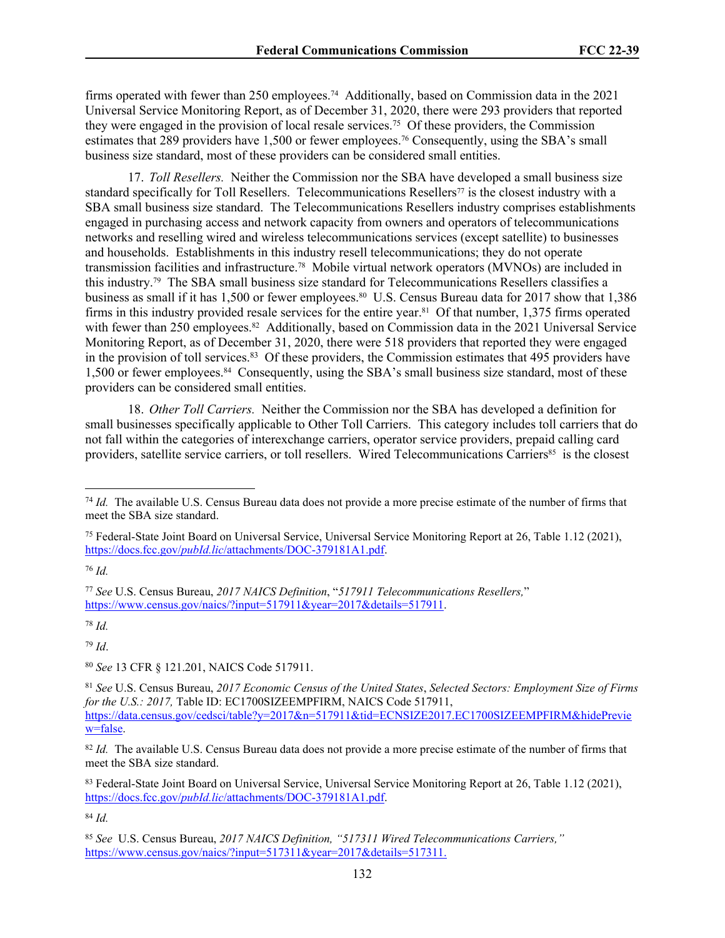firms operated with fewer than 250 employees.<sup>74</sup> Additionally, based on Commission data in the 2021 Universal Service Monitoring Report, as of December 31, 2020, there were 293 providers that reported they were engaged in the provision of local resale services.<sup>75</sup> Of these providers, the Commission estimates that 289 providers have 1,500 or fewer employees.<sup>76</sup> Consequently, using the SBA's small business size standard, most of these providers can be considered small entities.

17. *Toll Resellers.* Neither the Commission nor the SBA have developed a small business size standard specifically for Toll Resellers. Telecommunications Resellers<sup>77</sup> is the closest industry with a SBA small business size standard. The Telecommunications Resellers industry comprises establishments engaged in purchasing access and network capacity from owners and operators of telecommunications networks and reselling wired and wireless telecommunications services (except satellite) to businesses and households. Establishments in this industry resell telecommunications; they do not operate transmission facilities and infrastructure.78 Mobile virtual network operators (MVNOs) are included in this industry.79 The SBA small business size standard for Telecommunications Resellers classifies a business as small if it has 1,500 or fewer employees.<sup>80</sup> U.S. Census Bureau data for 2017 show that 1,386 firms in this industry provided resale services for the entire year.81 Of that number, 1,375 firms operated with fewer than 250 employees.<sup>82</sup> Additionally, based on Commission data in the 2021 Universal Service Monitoring Report, as of December 31, 2020, there were 518 providers that reported they were engaged in the provision of toll services.<sup>83</sup> Of these providers, the Commission estimates that 495 providers have 1,500 or fewer employees.84 Consequently, using the SBA's small business size standard, most of these providers can be considered small entities.

18. *Other Toll Carriers.* Neither the Commission nor the SBA has developed a definition for small businesses specifically applicable to Other Toll Carriers. This category includes toll carriers that do not fall within the categories of interexchange carriers, operator service providers, prepaid calling card providers, satellite service carriers, or toll resellers. Wired Telecommunications Carriers<sup>85</sup> is the closest

<sup>76</sup> *Id.*

<sup>78</sup> *Id.*

<sup>79</sup> *Id*.

<sup>80</sup> *See* 13 CFR § 121.201, NAICS Code 517911.

<sup>83</sup> Federal-State Joint Board on Universal Service, Universal Service Monitoring Report at 26, Table 1.12 (2021), https://docs.fcc.gov/*pubId.lic*[/attachments/DOC-379181A1.pdf.](https://docs.fcc.gov/public/attachments/DOC-379181A1.pdf)

<sup>74</sup> *Id.* The available U.S. Census Bureau data does not provide a more precise estimate of the number of firms that meet the SBA size standard.

<sup>75</sup> Federal-State Joint Board on Universal Service, Universal Service Monitoring Report at 26, Table 1.12 (2021), https://docs.fcc.gov/*pubId.lic*[/attachments/DOC-379181A1.pdf.](https://docs.fcc.gov/public/attachments/DOC-379181A1.pdf)

<sup>77</sup> *See* U.S. Census Bureau, *2017 NAICS Definition*, "*517911 Telecommunications Resellers,*" [https://www.census.gov/naics/?input=517911&year=2017&details=517911.](https://www.census.gov/naics/?input=517911&year=2017&details=517911)

<sup>81</sup> *See* U.S. Census Bureau, *2017 Economic Census of the United States*, *Selected Sectors: Employment Size of Firms for the U.S.: 2017,* Table ID: EC1700SIZEEMPFIRM, NAICS Code 517911, [https://data.census.gov/cedsci/table?y=2017&n=517911&tid=ECNSIZE2017.EC1700SIZEEMPFIRM&hidePrevie](https://data.census.gov/cedsci/table?y=2017&n=517911&tid=ECNSIZE2017.EC1700SIZEEMPFIRM&hidePreview=false) [w=false.](https://data.census.gov/cedsci/table?y=2017&n=517911&tid=ECNSIZE2017.EC1700SIZEEMPFIRM&hidePreview=false)

<sup>&</sup>lt;sup>82</sup> *Id.* The available U.S. Census Bureau data does not provide a more precise estimate of the number of firms that meet the SBA size standard.

<sup>85</sup> *See* U.S. Census Bureau, *2017 NAICS Definition, "517311 Wired Telecommunications Carriers,"* [https://www.census.gov/naics/?input=517311&year=2017&details=517311.](https://www.census.gov/naics/?input=517311&year=2017&details=517311)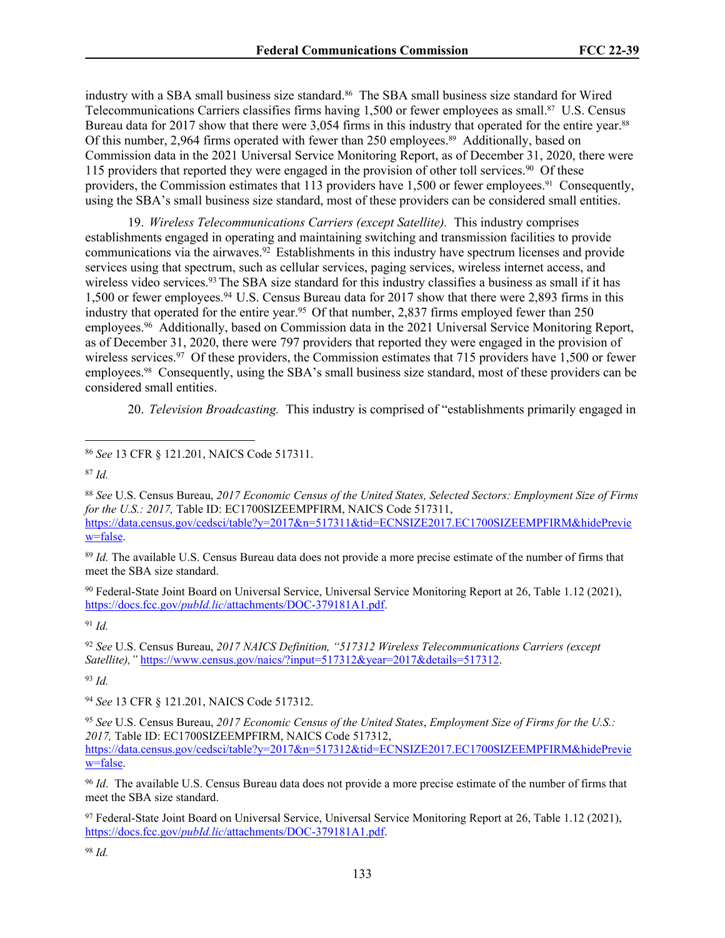industry with a SBA small business size standard.<sup>86</sup> The SBA small business size standard for Wired Telecommunications Carriers classifies firms having 1,500 or fewer employees as small.87 U.S. Census Bureau data for 2017 show that there were 3,054 firms in this industry that operated for the entire year.<sup>88</sup> Of this number, 2,964 firms operated with fewer than 250 employees.89 Additionally, based on Commission data in the 2021 Universal Service Monitoring Report, as of December 31, 2020, there were 115 providers that reported they were engaged in the provision of other toll services.<sup>90</sup> Of these providers, the Commission estimates that 113 providers have 1,500 or fewer employees.91 Consequently, using the SBA's small business size standard, most of these providers can be considered small entities.

19. *Wireless Telecommunications Carriers (except Satellite).* This industry comprises establishments engaged in operating and maintaining switching and transmission facilities to provide communications via the airwaves.<sup>92</sup> Establishments in this industry have spectrum licenses and provide services using that spectrum, such as cellular services, paging services, wireless internet access, and wireless video services.<sup>93</sup> The SBA size standard for this industry classifies a business as small if it has 1,500 or fewer employees.<sup>94</sup>U.S. Census Bureau data for 2017 show that there were 2,893 firms in this industry that operated for the entire year.<sup>95</sup> Of that number, 2,837 firms employed fewer than 250 employees.<sup>96</sup> Additionally, based on Commission data in the 2021 Universal Service Monitoring Report, as of December 31, 2020, there were 797 providers that reported they were engaged in the provision of wireless services.<sup>97</sup> Of these providers, the Commission estimates that 715 providers have 1,500 or fewer employees.98 Consequently, using the SBA's small business size standard, most of these providers can be considered small entities.

20. *Television Broadcasting.* This industry is comprised of "establishments primarily engaged in

<sup>89</sup> *Id.* The available U.S. Census Bureau data does not provide a more precise estimate of the number of firms that meet the SBA size standard.

<sup>90</sup> Federal-State Joint Board on Universal Service, Universal Service Monitoring Report at 26, Table 1.12 (2021), https://docs.fcc.gov/*pubId.lic*[/attachments/DOC-379181A1.pdf.](https://docs.fcc.gov/public/attachments/DOC-379181A1.pdf)

<sup>91</sup> *Id.*

<sup>92</sup> *See* U.S. Census Bureau, *2017 NAICS Definition, "517312 Wireless Telecommunications Carriers (except Satellite),"* [https://www.census.gov/naics/?input=517312&year=2017&details=517312.](https://www.census.gov/naics/?input=517312&year=2017&details=517312)

<sup>93</sup> *Id.*

<sup>94</sup> *See* 13 CFR § 121.201, NAICS Code 517312.

<sup>96</sup> *Id*. The available U.S. Census Bureau data does not provide a more precise estimate of the number of firms that meet the SBA size standard.

<sup>97</sup> Federal-State Joint Board on Universal Service, Universal Service Monitoring Report at 26, Table 1.12 (2021), https://docs.fcc.gov/*pubId.lic*[/attachments/DOC-379181A1.pdf.](https://docs.fcc.gov/public/attachments/DOC-379181A1.pdf)

<sup>86</sup> *See* 13 CFR § 121.201, NAICS Code 517311.

<sup>87</sup> *Id.*

<sup>88</sup> *See* U.S. Census Bureau, *2017 Economic Census of the United States, Selected Sectors: Employment Size of Firms for the U.S.: 2017,* Table ID: EC1700SIZEEMPFIRM, NAICS Code 517311, [https://data.census.gov/cedsci/table?y=2017&n=517311&tid=ECNSIZE2017.EC1700SIZEEMPFIRM&hidePrevie](https://data.census.gov/cedsci/table?y=2017&n=517311&tid=ECNSIZE2017.EC1700SIZEEMPFIRM&hidePreview=false) [w=false.](https://data.census.gov/cedsci/table?y=2017&n=517311&tid=ECNSIZE2017.EC1700SIZEEMPFIRM&hidePreview=false)

<sup>95</sup> *See* U.S. Census Bureau, *2017 Economic Census of the United States*, *Employment Size of Firms for the U.S.: 2017,* Table ID: EC1700SIZEEMPFIRM, NAICS Code 517312, [https://data.census.gov/cedsci/table?y=2017&n=517312&tid=ECNSIZE2017.EC1700SIZEEMPFIRM&hidePrevie](https://data.census.gov/cedsci/table?y=2017&n=517312&tid=ECNSIZE2017.EC1700SIZEEMPFIRM&hidePreview=false) [w=false.](https://data.census.gov/cedsci/table?y=2017&n=517312&tid=ECNSIZE2017.EC1700SIZEEMPFIRM&hidePreview=false)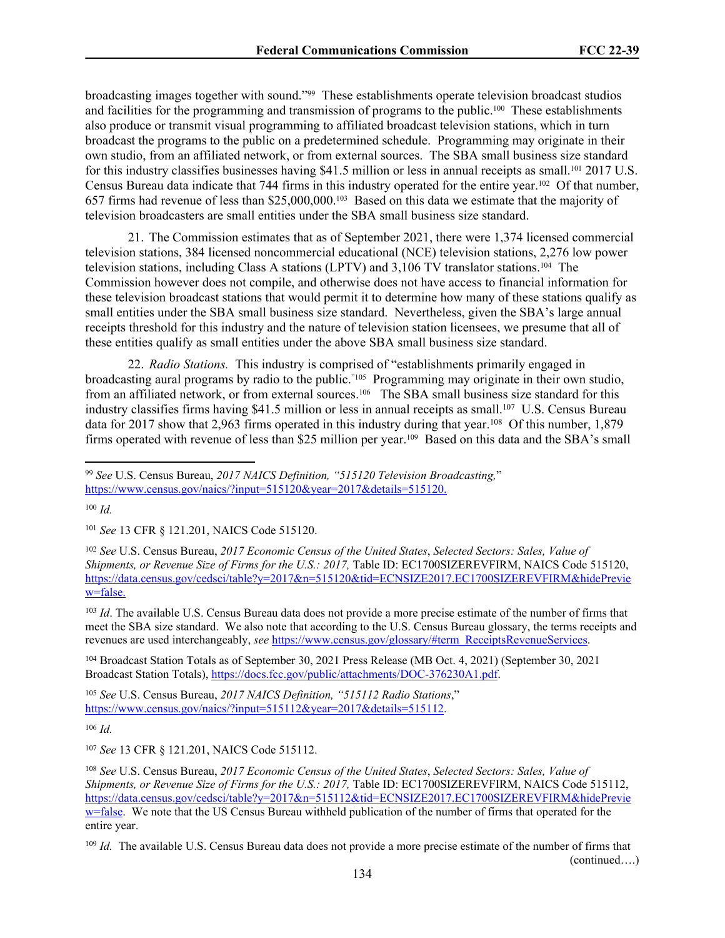broadcasting images together with sound."99 These establishments operate television broadcast studios and facilities for the programming and transmission of programs to the public.100 These establishments also produce or transmit visual programming to affiliated broadcast television stations, which in turn broadcast the programs to the public on a predetermined schedule. Programming may originate in their own studio, from an affiliated network, or from external sources. The SBA small business size standard for this industry classifies businesses having \$41.5 million or less in annual receipts as small.<sup>101</sup> 2017 U.S. Census Bureau data indicate that 744 firms in this industry operated for the entire year.102 Of that number, 657 firms had revenue of less than \$25,000,000.103 Based on this data we estimate that the majority of television broadcasters are small entities under the SBA small business size standard.

21. The Commission estimates that as of September 2021, there were 1,374 licensed commercial television stations, 384 licensed noncommercial educational (NCE) television stations, 2,276 low power television stations, including Class A stations (LPTV) and 3,106 TV translator stations.104 The Commission however does not compile, and otherwise does not have access to financial information for these television broadcast stations that would permit it to determine how many of these stations qualify as small entities under the SBA small business size standard. Nevertheless, given the SBA's large annual receipts threshold for this industry and the nature of television station licensees, we presume that all of these entities qualify as small entities under the above SBA small business size standard.

22. *Radio Stations.* This industry is comprised of "establishments primarily engaged in broadcasting aural programs by radio to the public."105 Programming may originate in their own studio, from an affiliated network, or from external sources.<sup>106</sup> The SBA small business size standard for this industry classifies firms having \$41.5 million or less in annual receipts as small.<sup>107</sup> U.S. Census Bureau data for 2017 show that 2,963 firms operated in this industry during that year.<sup>108</sup> Of this number, 1,879 firms operated with revenue of less than \$25 million per year.109 Based on this data and the SBA's small

<sup>103</sup> *Id*. The available U.S. Census Bureau data does not provide a more precise estimate of the number of firms that meet the SBA size standard. We also note that according to the U.S. Census Bureau glossary, the terms receipts and revenues are used interchangeably, *see* [https://www.census.gov/glossary/#term\\_ReceiptsRevenueServices](https://www.census.gov/glossary/#term_ReceiptsRevenueServices).

<sup>104</sup> Broadcast Station Totals as of September 30, 2021 Press Release (MB Oct. 4, 2021) (September 30, 2021 Broadcast Station Totals), [https://docs.fcc.gov/public/attachments/DOC-376230A1.pdf.](https://docs.fcc.gov/public/attachments/DOC-376230A1.pdf)

<sup>105</sup> *See* U.S. Census Bureau, *2017 NAICS Definition, "515112 Radio Stations*," [https://www.census.gov/naics/?input=515112&year=2017&details=515112.](https://www.census.gov/naics/?input=515112&year=2017&details=515112)

<sup>106</sup> *Id.*

<sup>107</sup> *See* 13 CFR § 121.201, NAICS Code 515112.

<sup>99</sup> *See* U.S. Census Bureau, *2017 NAICS Definition, "515120 Television Broadcasting,*" [https://www.census.gov/naics/?input=515120&year=2017&details=515120.](https://www.census.gov/naics/?input=515120&year=2017&details=515120)

<sup>100</sup> *Id.*

<sup>101</sup> *See* 13 CFR § 121.201, NAICS Code 515120.

<sup>102</sup> *See* U.S. Census Bureau, *2017 Economic Census of the United States*, *Selected Sectors: Sales, Value of Shipments, or Revenue Size of Firms for the U.S.: 2017, Table ID: EC1700SIZEREVFIRM, NAICS Code 515120,* https://data.census.gov/cedsci/table?y=2017&n=515120&tid=ECNSIZE2017.EC1700SIZEREVFIRM&hidePrevie w=false.

<sup>108</sup> *See* U.S. Census Bureau, *2017 Economic Census of the United States*, *Selected Sectors: Sales, Value of Shipments, or Revenue Size of Firms for the U.S.: 2017, Table ID: EC1700SIZEREVFIRM, NAICS Code 515112,* [https://data.census.gov/cedsci/table?y=2017&n=515112&tid=ECNSIZE2017.EC1700SIZEREVFIRM&hidePrevie](https://data.census.gov/cedsci/table?y=2017&n=515112&tid=ECNSIZE2017.EC1700SIZEREVFIRM&hidePreview=false) [w=false.](https://data.census.gov/cedsci/table?y=2017&n=515112&tid=ECNSIZE2017.EC1700SIZEREVFIRM&hidePreview=false) We note that the US Census Bureau withheld publication of the number of firms that operated for the entire year.

<sup>&</sup>lt;sup>109</sup> *Id.* The available U.S. Census Bureau data does not provide a more precise estimate of the number of firms that (continued….)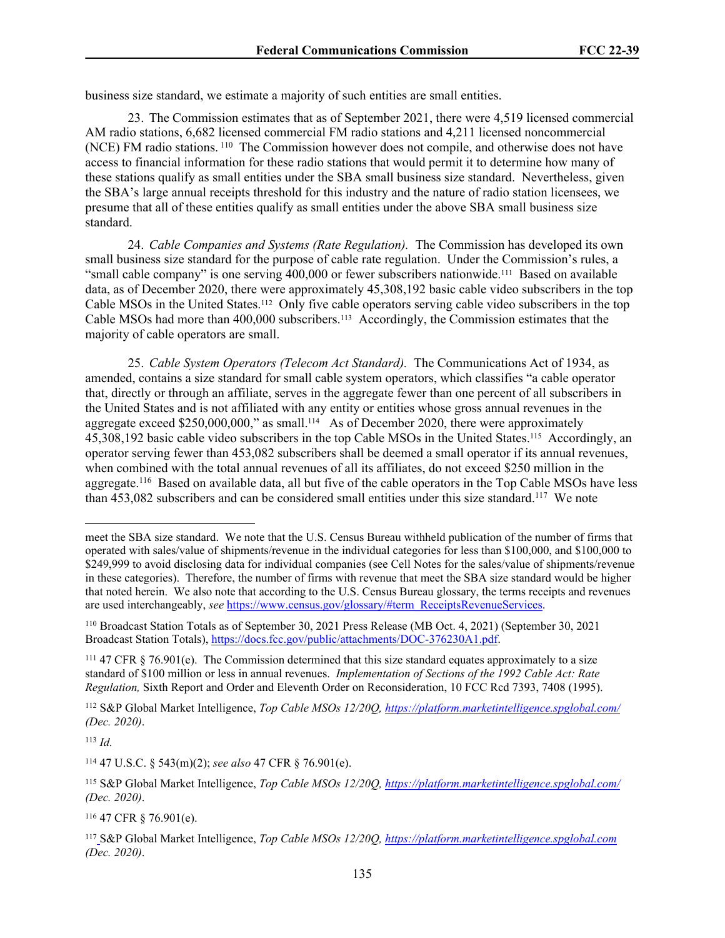business size standard, we estimate a majority of such entities are small entities.

23. The Commission estimates that as of September 2021, there were 4,519 licensed commercial AM radio stations, 6,682 licensed commercial FM radio stations and 4,211 licensed noncommercial (NCE) FM radio stations.<sup>110</sup> The Commission however does not compile, and otherwise does not have access to financial information for these radio stations that would permit it to determine how many of these stations qualify as small entities under the SBA small business size standard. Nevertheless, given the SBA's large annual receipts threshold for this industry and the nature of radio station licensees, we presume that all of these entities qualify as small entities under the above SBA small business size standard.

24. *Cable Companies and Systems (Rate Regulation).* The Commission has developed its own small business size standard for the purpose of cable rate regulation. Under the Commission's rules, a "small cable company" is one serving 400,000 or fewer subscribers nationwide.<sup>111</sup> Based on available data, as of December 2020, there were approximately 45,308,192 basic cable video subscribers in the top Cable MSOs in the United States.112 Only five cable operators serving cable video subscribers in the top Cable MSOs had more than 400,000 subscribers.113 Accordingly, the Commission estimates that the majority of cable operators are small.

25. *Cable System Operators (Telecom Act Standard).* The Communications Act of 1934, as amended, contains a size standard for small cable system operators, which classifies "a cable operator that, directly or through an affiliate, serves in the aggregate fewer than one percent of all subscribers in the United States and is not affiliated with any entity or entities whose gross annual revenues in the aggregate exceed \$250,000,000," as small.114 As of December 2020, there were approximately 45,308,192 basic cable video subscribers in the top Cable MSOs in the United States.115 Accordingly, an operator serving fewer than 453,082 subscribers shall be deemed a small operator if its annual revenues, when combined with the total annual revenues of all its affiliates, do not exceed \$250 million in the aggregate.<sup>116</sup> Based on available data, all but five of the cable operators in the Top Cable MSOs have less than 453,082 subscribers and can be considered small entities under this size standard.<sup>117</sup> We note

<sup>113</sup> *Id.*

<sup>116</sup> 47 CFR § 76.901(e).

meet the SBA size standard. We note that the U.S. Census Bureau withheld publication of the number of firms that operated with sales/value of shipments/revenue in the individual categories for less than \$100,000, and \$100,000 to \$249,999 to avoid disclosing data for individual companies (see Cell Notes for the sales/value of shipments/revenue in these categories). Therefore, the number of firms with revenue that meet the SBA size standard would be higher that noted herein. We also note that according to the U.S. Census Bureau glossary, the terms receipts and revenues are used interchangeably, *see* [https://www.census.gov/glossary/#term\\_ReceiptsRevenueServices](https://www.census.gov/glossary/#term_ReceiptsRevenueServices).

<sup>110</sup> Broadcast Station Totals as of September 30, 2021 Press Release (MB Oct. 4, 2021) (September 30, 2021 Broadcast Station Totals), [https://docs.fcc.gov/public/attachments/DOC-376230A1.pdf.](https://docs.fcc.gov/public/attachments/DOC-376230A1.pdf)

 $111$  47 CFR § 76.901(e). The Commission determined that this size standard equates approximately to a size standard of \$100 million or less in annual revenues. *Implementation of Sections of the 1992 Cable Act: Rate Regulation,* Sixth Report and Order and Eleventh Order on Reconsideration, 10 FCC Rcd 7393, 7408 (1995).

<sup>112</sup> S&P Global Market Intelligence, *Top Cable MSOs 12/20Q,<https://platform.marketintelligence.spglobal.com/> (Dec. 2020)*.

<sup>114</sup> 47 U.S.C. § 543(m)(2); *see also* 47 CFR § 76.901(e).

<sup>115</sup> S&P Global Market Intelligence, *Top Cable MSOs 12/20Q,<https://platform.marketintelligence.spglobal.com/> (Dec. 2020)*.

<sup>117</sup> S&P Global Market Intelligence, *Top Cable MSOs 12/20Q,<https://platform.marketintelligence.spglobal.com> (Dec. 2020)*.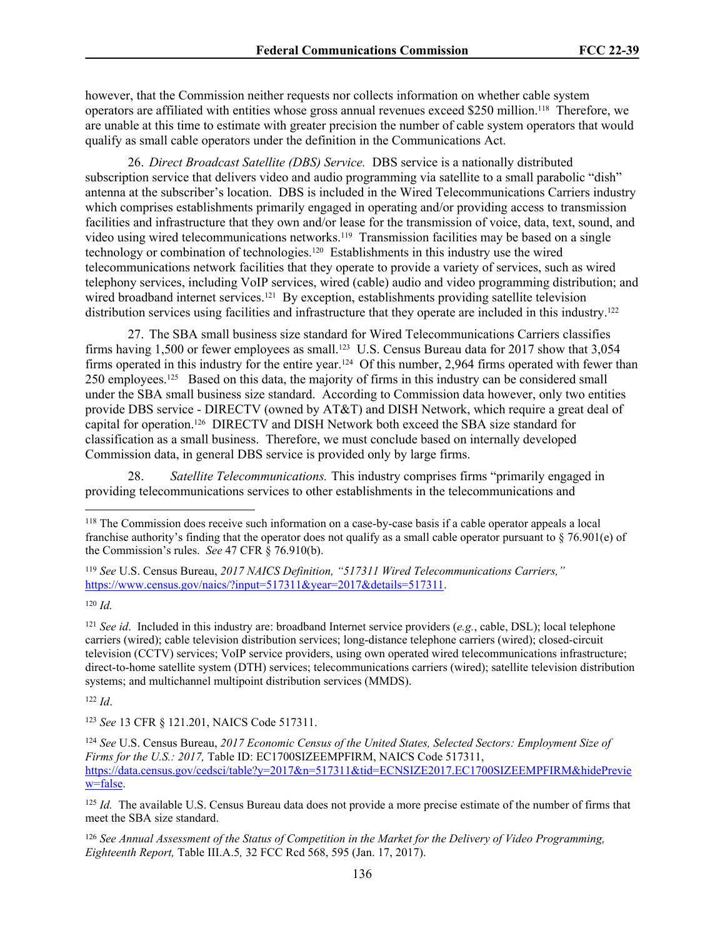however, that the Commission neither requests nor collects information on whether cable system operators are affiliated with entities whose gross annual revenues exceed \$250 million.118 Therefore, we are unable at this time to estimate with greater precision the number of cable system operators that would qualify as small cable operators under the definition in the Communications Act.

26. *Direct Broadcast Satellite (DBS) Service.* DBS service is a nationally distributed subscription service that delivers video and audio programming via satellite to a small parabolic "dish" antenna at the subscriber's location. DBS is included in the Wired Telecommunications Carriers industry which comprises establishments primarily engaged in operating and/or providing access to transmission facilities and infrastructure that they own and/or lease for the transmission of voice, data, text, sound, and video using wired telecommunications networks.<sup>119</sup> Transmission facilities may be based on a single technology or combination of technologies.120 Establishments in this industry use the wired telecommunications network facilities that they operate to provide a variety of services, such as wired telephony services, including VoIP services, wired (cable) audio and video programming distribution; and wired broadband internet services.<sup>121</sup> By exception, establishments providing satellite television distribution services using facilities and infrastructure that they operate are included in this industry.<sup>122</sup>

27. The SBA small business size standard for Wired Telecommunications Carriers classifies firms having 1,500 or fewer employees as small.<sup>123</sup> U.S. Census Bureau data for 2017 show that 3,054 firms operated in this industry for the entire year.<sup>124</sup> Of this number, 2,964 firms operated with fewer than 250 employees.125 Based on this data, the majority of firms in this industry can be considered small under the SBA small business size standard. According to Commission data however, only two entities provide DBS service - DIRECTV (owned by AT&T) and DISH Network, which require a great deal of capital for operation.126 DIRECTV and DISH Network both exceed the SBA size standard for classification as a small business. Therefore, we must conclude based on internally developed Commission data, in general DBS service is provided only by large firms.

28. *Satellite Telecommunications.* This industry comprises firms "primarily engaged in providing telecommunications services to other establishments in the telecommunications and

<sup>121</sup> *See id*. Included in this industry are: broadband Internet service providers (*e.g.*, cable, DSL); local telephone carriers (wired); cable television distribution services; long-distance telephone carriers (wired); closed-circuit television (CCTV) services; VoIP service providers, using own operated wired telecommunications infrastructure; direct-to-home satellite system (DTH) services; telecommunications carriers (wired); satellite television distribution systems; and multichannel multipoint distribution services (MMDS).

<sup>122</sup> *Id*.

<sup>123</sup> *See* 13 CFR § 121.201, NAICS Code 517311.

<sup>125</sup> *Id.* The available U.S. Census Bureau data does not provide a more precise estimate of the number of firms that meet the SBA size standard.

<sup>126</sup> *See Annual Assessment of the Status of Competition in the Market for the Delivery of Video Programming, Eighteenth Report,* Table III.A.5*,* 32 FCC Rcd 568, 595 (Jan. 17, 2017).

<sup>118</sup> The Commission does receive such information on a case-by-case basis if a cable operator appeals a local franchise authority's finding that the operator does not qualify as a small cable operator pursuant to  $\S$  76.901(e) of the Commission's rules. *See* 47 CFR § 76.910(b).

<sup>119</sup> *See* U.S. Census Bureau, *2017 NAICS Definition, "517311 Wired Telecommunications Carriers,"* [https://www.census.gov/naics/?input=517311&year=2017&details=517311.](https://www.census.gov/naics/?input=517311&year=2017&details=517311)

<sup>120</sup> *Id.*

<sup>124</sup> *See* U.S. Census Bureau, *2017 Economic Census of the United States, Selected Sectors: Employment Size of Firms for the U.S.: 2017, Table ID: EC1700SIZEEMPFIRM, NAICS Code 517311,* [https://data.census.gov/cedsci/table?y=2017&n=517311&tid=ECNSIZE2017.EC1700SIZEEMPFIRM&hidePrevie](https://data.census.gov/cedsci/table?y=2017&n=517311&tid=ECNSIZE2017.EC1700SIZEEMPFIRM&hidePreview=false) [w=false.](https://data.census.gov/cedsci/table?y=2017&n=517311&tid=ECNSIZE2017.EC1700SIZEEMPFIRM&hidePreview=false)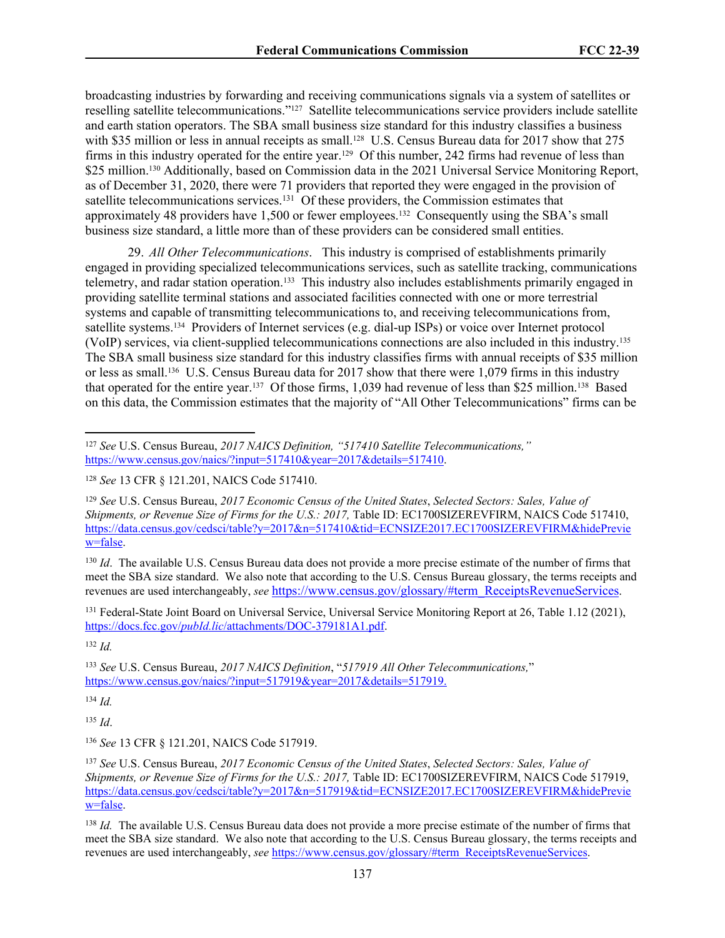broadcasting industries by forwarding and receiving communications signals via a system of satellites or reselling satellite telecommunications."127 Satellite telecommunications service providers include satellite and earth station operators. The SBA small business size standard for this industry classifies a business with \$35 million or less in annual receipts as small.<sup>128</sup> U.S. Census Bureau data for 2017 show that 275 firms in this industry operated for the entire year.129 Of this number, 242 firms had revenue of less than \$25 million.<sup>130</sup> Additionally, based on Commission data in the 2021 Universal Service Monitoring Report, as of December 31, 2020, there were 71 providers that reported they were engaged in the provision of satellite telecommunications services.<sup>131</sup> Of these providers, the Commission estimates that approximately 48 providers have 1,500 or fewer employees.132 Consequently using the SBA's small business size standard, a little more than of these providers can be considered small entities.

29. *All Other Telecommunications*. This industry is comprised of establishments primarily engaged in providing specialized telecommunications services, such as satellite tracking, communications telemetry, and radar station operation.133 This industry also includes establishments primarily engaged in providing satellite terminal stations and associated facilities connected with one or more terrestrial systems and capable of transmitting telecommunications to, and receiving telecommunications from, satellite systems.134 Providers of Internet services (e.g. dial-up ISPs) or voice over Internet protocol (VoIP) services, via client-supplied telecommunications connections are also included in this industry.<sup>135</sup> The SBA small business size standard for this industry classifies firms with annual receipts of \$35 million or less as small.136 U.S. Census Bureau data for 2017 show that there were 1,079 firms in this industry that operated for the entire year.137 Of those firms, 1,039 had revenue of less than \$25 million.138 Based on this data, the Commission estimates that the majority of "All Other Telecommunications" firms can be

<sup>130</sup> *Id.* The available U.S. Census Bureau data does not provide a more precise estimate of the number of firms that meet the SBA size standard. We also note that according to the U.S. Census Bureau glossary, the terms receipts and revenues are used interchangeably, *see* [https://www.census.gov/glossary/#term\\_ReceiptsRevenueServices](https://www.census.gov/glossary/#term_ReceiptsRevenueServices).

<sup>131</sup> Federal-State Joint Board on Universal Service, Universal Service Monitoring Report at 26, Table 1.12 (2021), https://docs.fcc.gov/*pubId.lic*[/attachments/DOC-379181A1.pdf.](https://docs.fcc.gov/public/attachments/DOC-379181A1.pdf)

<sup>132</sup> *Id.*

<sup>133</sup> *See* U.S. Census Bureau, *2017 NAICS Definition*, "*517919 All Other Telecommunications,*" [https://www.census.gov/naics/?input=517919&year=2017&details=517919.](https://www.census.gov/naics/?input=517919&year=2017&details=517919)

<sup>134</sup> *Id.*

<sup>135</sup> *Id*.

<sup>136</sup> *See* 13 CFR § 121.201, NAICS Code 517919.

<sup>137</sup> *See* U.S. Census Bureau, *2017 Economic Census of the United States*, *Selected Sectors: Sales, Value of Shipments, or Revenue Size of Firms for the U.S.: 2017, Table ID: EC1700SIZEREVFIRM, NAICS Code 517919,* [https://data.census.gov/cedsci/table?y=2017&n=517919&tid=ECNSIZE2017.EC1700SIZEREVFIRM&hidePrevie](https://data.census.gov/cedsci/table?y=2017&n=517919&tid=ECNSIZE2017.EC1700SIZEREVFIRM&hidePreview=false) [w=false.](https://data.census.gov/cedsci/table?y=2017&n=517919&tid=ECNSIZE2017.EC1700SIZEREVFIRM&hidePreview=false)

<sup>138</sup> *Id.* The available U.S. Census Bureau data does not provide a more precise estimate of the number of firms that meet the SBA size standard. We also note that according to the U.S. Census Bureau glossary, the terms receipts and revenues are used interchangeably, *see* [https://www.census.gov/glossary/#term\\_ReceiptsRevenueServices](https://www.census.gov/glossary/#term_ReceiptsRevenueServices).

<sup>127</sup> *See* U.S. Census Bureau, *2017 NAICS Definition, "517410 Satellite Telecommunications,"*  [https://www.census.gov/naics/?input=517410&year=2017&details=517410.](https://www.census.gov/naics/?input=621410&year=2017&details=621410)

<sup>128</sup> *See* 13 CFR § 121.201, NAICS Code 517410.

<sup>129</sup> *See* U.S. Census Bureau, *2017 Economic Census of the United States*, *Selected Sectors: Sales, Value of Shipments, or Revenue Size of Firms for the U.S.: 2017, Table ID: EC1700SIZEREVFIRM, NAICS Code 517410,* [https://data.census.gov/cedsci/table?y=2017&n=517410&tid=ECNSIZE2017.EC1700SIZEREVFIRM&hidePrevie](https://data.census.gov/cedsci/table?y=2017&n=517410&tid=ECNSIZE2017.EC1700SIZEREVFIRM&hidePreview=false) [w=false.](https://data.census.gov/cedsci/table?y=2017&n=517410&tid=ECNSIZE2017.EC1700SIZEREVFIRM&hidePreview=false)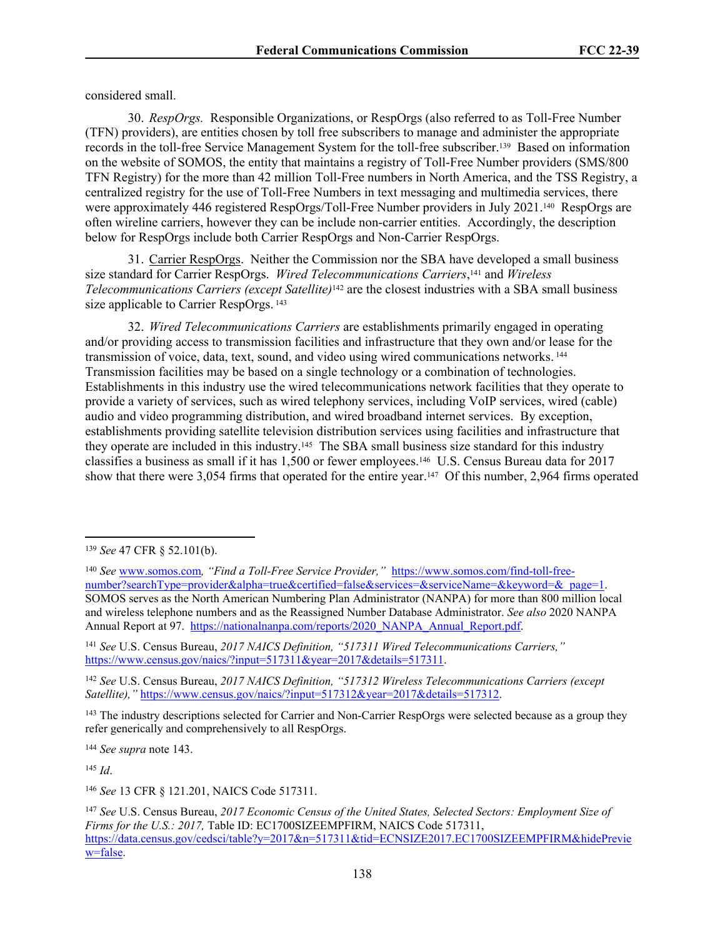considered small.

30. *RespOrgs.*Responsible Organizations, or RespOrgs (also referred to as Toll-Free Number (TFN) providers), are entities chosen by toll free subscribers to manage and administer the appropriate records in the toll-free Service Management System for the toll-free subscriber.139 Based on information on the website of SOMOS, the entity that maintains a registry of Toll-Free Number providers (SMS/800 TFN Registry) for the more than 42 million Toll-Free numbers in North America, and the TSS Registry, a centralized registry for the use of Toll-Free Numbers in text messaging and multimedia services, there were approximately 446 registered RespOrgs/Toll-Free Number providers in July 2021.<sup>140</sup> RespOrgs are often wireline carriers, however they can be include non-carrier entities. Accordingly, the description below for RespOrgs include both Carrier RespOrgs and Non-Carrier RespOrgs.

31. Carrier RespOrgs. Neither the Commission nor the SBA have developed a small business size standard for Carrier RespOrgs. *Wired Telecommunications Carriers*, <sup>141</sup> and *Wireless Telecommunications Carriers (except Satellite)*142 are the closest industries with a SBA small business size applicable to Carrier RespOrgs.<sup>143</sup>

32. *Wired Telecommunications Carriers* are establishments primarily engaged in operating and/or providing access to transmission facilities and infrastructure that they own and/or lease for the transmission of voice, data, text, sound, and video using wired communications networks.<sup>144</sup> Transmission facilities may be based on a single technology or a combination of technologies. Establishments in this industry use the wired telecommunications network facilities that they operate to provide a variety of services, such as wired telephony services, including VoIP services, wired (cable) audio and video programming distribution, and wired broadband internet services. By exception, establishments providing satellite television distribution services using facilities and infrastructure that they operate are included in this industry.145 The SBA small business size standard for this industry classifies a business as small if it has 1,500 or fewer employees.146 U.S. Census Bureau data for 2017 show that there were 3,054 firms that operated for the entire year.<sup>147</sup> Of this number, 2,964 firms operated

<sup>144</sup> *See supra* note [143.](#page-121-0)

<sup>145</sup> *Id*.

<sup>146</sup> *See* 13 CFR § 121.201, NAICS Code 517311.

<sup>139</sup> *See* 47 CFR § 52.101(b).

<sup>140</sup> *See* [www.somos.com](http://www.somos.com)*, "Find a Toll-Free Service Provider,"* [https://www.somos.com/find-toll-free](https://www.somos.com/find-toll-free-number?searchType=provider&alpha=true&certified=false&services=&serviceName=&keyword=&_page=1)[number?searchType=provider&alpha=true&certified=false&services=&serviceName=&keyword=&\\_page=1.](https://www.somos.com/find-toll-free-number?searchType=provider&alpha=true&certified=false&services=&serviceName=&keyword=&_page=1) SOMOS serves as the North American Numbering Plan Administrator (NANPA) for more than 800 million local and wireless telephone numbers and as the Reassigned Number Database Administrator. *See also* 2020 NANPA Annual Report at 97. [https://nationalnanpa.com/reports/2020\\_NANPA\\_Annual\\_Report.pdf.](https://nationalnanpa.com/reports/2020_NANPA_Annual_Report.pdf)

<sup>141</sup> *See* U.S. Census Bureau, *2017 NAICS Definition, "517311 Wired Telecommunications Carriers,"* [https://www.census.gov/naics/?input=517311&year=2017&details=517311.](https://www.census.gov/naics/?input=517911&year=2017&details=517311)

<sup>142</sup> *See* U.S. Census Bureau, *2017 NAICS Definition, "517312 Wireless Telecommunications Carriers (except Satellite),"* [https://www.census.gov/naics/?input=517312&year=2017&details=517312.](https://www.census.gov/naics/?input=517312&year=2017&details=517312)

<sup>&</sup>lt;sup>143</sup> The industry descriptions selected for Carrier and Non-Carrier RespOrgs were selected because as a group they refer generically and comprehensively to all RespOrgs.

<sup>147</sup> *See* U.S. Census Bureau, *2017 Economic Census of the United States, Selected Sectors: Employment Size of Firms for the U.S.: 2017,* Table ID: EC1700SIZEEMPFIRM, NAICS Code 517311, [https://data.census.gov/cedsci/table?y=2017&n=517311&tid=ECNSIZE2017.EC1700SIZEEMPFIRM&hidePrevie](https://data.census.gov/cedsci/table?y=2017&n=517311&tid=ECNSIZE2017.EC1700SIZEEMPFIRM&hidePreview=false) [w=false.](https://data.census.gov/cedsci/table?y=2017&n=517311&tid=ECNSIZE2017.EC1700SIZEEMPFIRM&hidePreview=false)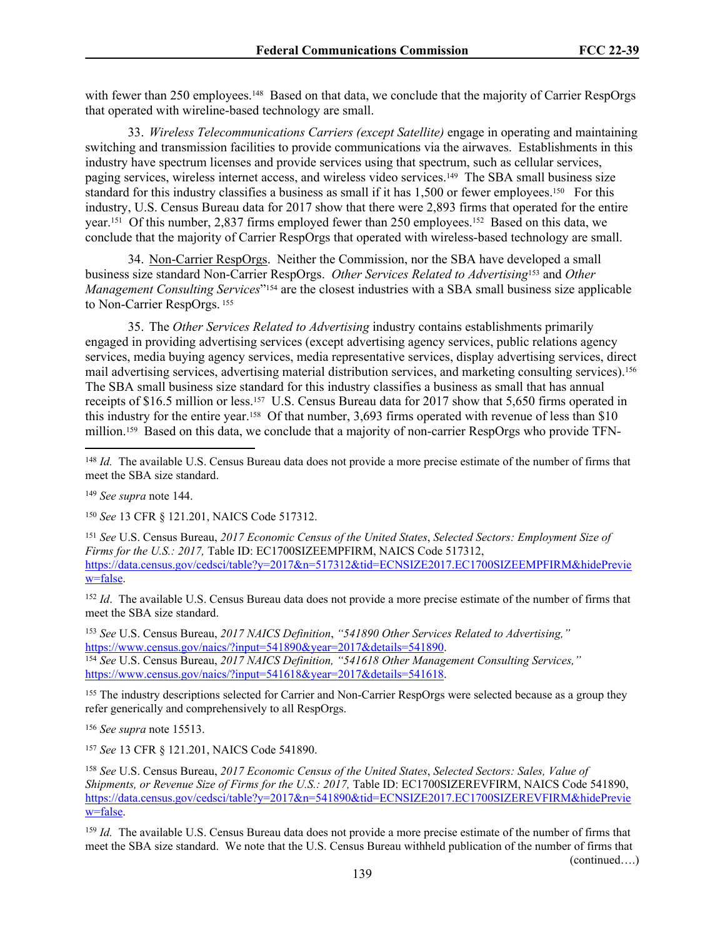with fewer than 250 employees.<sup>148</sup> Based on that data, we conclude that the majority of Carrier RespOrgs that operated with wireline-based technology are small.

33. *Wireless Telecommunications Carriers (except Satellite)* engage in operating and maintaining switching and transmission facilities to provide communications via the airwaves. Establishments in this industry have spectrum licenses and provide services using that spectrum, such as cellular services, paging services, wireless internet access, and wireless video services.149 The SBA small business size standard for this industry classifies a business as small if it has 1,500 or fewer employees.<sup>150</sup> For this industry, U.S. Census Bureau data for 2017 show that there were 2,893 firms that operated for the entire year.151 Of this number, 2,837 firms employed fewer than 250 employees.152 Based on this data, we conclude that the majority of Carrier RespOrgs that operated with wireless-based technology are small.

34. Non-Carrier RespOrgs. Neither the Commission, nor the SBA have developed a small business size standard Non-Carrier RespOrgs. *Other Services Related to Advertising*153 and *Other Management Consulting Services*" <sup>154</sup> are the closest industries with a SBA small business size applicable to Non-Carrier RespOrgs.<sup>155</sup>

35. The *Other Services Related to Advertising* industry contains establishments primarily engaged in providing advertising services (except advertising agency services, public relations agency services, media buying agency services, media representative services, display advertising services, direct mail advertising services, advertising material distribution services, and marketing consulting services).<sup>156</sup> The SBA small business size standard for this industry classifies a business as small that has annual receipts of \$16.5 million or less.<sup>157</sup> U.S. Census Bureau data for 2017 show that 5,650 firms operated in this industry for the entire year.158 Of that number, 3,693 firms operated with revenue of less than \$10 million.159 Based on this data, we conclude that a majority of non-carrier RespOrgs who provide TFN-

<sup>148</sup> *Id.* The available U.S. Census Bureau data does not provide a more precise estimate of the number of firms that meet the SBA size standard.

<sup>149</sup> *See supra* note [144.](#page-121-1)

<sup>150</sup> *See* 13 CFR § 121.201, NAICS Code 517312.

<sup>151</sup> *See* U.S. Census Bureau, *2017 Economic Census of the United States*, *Selected Sectors: Employment Size of Firms for the U.S.: 2017,* Table ID: EC1700SIZEEMPFIRM, NAICS Code 517312, [https://data.census.gov/cedsci/table?y=2017&n=517312&tid=ECNSIZE2017.EC1700SIZEEMPFIRM&hidePrevie](https://data.census.gov/cedsci/table?y=2017&n=517312&tid=ECNSIZE2017.EC1700SIZEEMPFIRM&hidePreview=false) [w=false.](https://data.census.gov/cedsci/table?y=2017&n=517312&tid=ECNSIZE2017.EC1700SIZEEMPFIRM&hidePreview=false)

<sup>152</sup> *Id.* The available U.S. Census Bureau data does not provide a more precise estimate of the number of firms that meet the SBA size standard.

<sup>153</sup> *See* U.S. Census Bureau, *2017 NAICS Definition*, *"541890 Other Services Related to Advertising,"*  [https://www.census.gov/naics/?input=541890&year=2017&details=541890.](https://www.census.gov/naics/?input=541890&year=2017&details=541890) <sup>154</sup> *See* U.S. Census Bureau, *2017 NAICS Definition, "541618 Other Management Consulting Services,"* [https://www.census.gov/naics/?input=541618&year=2017&details=541618.](https://www.census.gov/naics/?input=541618&year=2017&details=541618)

<sup>155</sup> The industry descriptions selected for Carrier and Non-Carrier RespOrgs were selected because as a group they refer generically and comprehensively to all RespOrgs.

<sup>156</sup> *See supra* note [1551](#page-122-1)3.

<sup>157</sup> *See* 13 CFR § 121.201, NAICS Code 541890.

<sup>158</sup> *See* U.S. Census Bureau, *2017 Economic Census of the United States*, *Selected Sectors: Sales, Value of Shipments, or Revenue Size of Firms for the U.S.: 2017, Table ID: EC1700SIZEREVFIRM, NAICS Code 541890,* [https://data.census.gov/cedsci/table?y=2017&n=541890&tid=ECNSIZE2017.EC1700SIZEREVFIRM&hidePrevie](https://data.census.gov/cedsci/table?y=2017&n=541890&tid=ECNSIZE2017.EC1700SIZEREVFIRM&hidePreview=false) [w=false.](https://data.census.gov/cedsci/table?y=2017&n=541890&tid=ECNSIZE2017.EC1700SIZEREVFIRM&hidePreview=false)

<sup>159</sup> *Id.* The available U.S. Census Bureau data does not provide a more precise estimate of the number of firms that meet the SBA size standard. We note that the U.S. Census Bureau withheld publication of the number of firms that (continued….)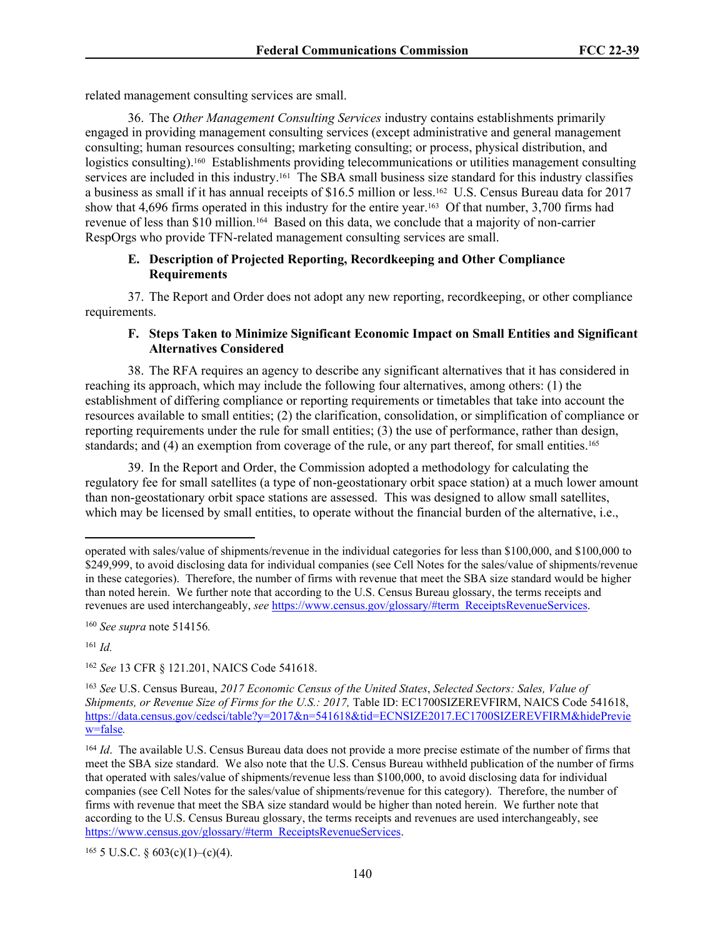related management consulting services are small.

36. The *Other Management Consulting Services* industry contains establishments primarily engaged in providing management consulting services (except administrative and general management consulting; human resources consulting; marketing consulting; or process, physical distribution, and logistics consulting).<sup>160</sup> Establishments providing telecommunications or utilities management consulting services are included in this industry.161 The SBA small business size standard for this industry classifies a business as small if it has annual receipts of \$16.5 million or less.162 U.S. Census Bureau data for 2017 show that 4,696 firms operated in this industry for the entire year.<sup>163</sup> Of that number, 3,700 firms had revenue of less than \$10 million.164 Based on this data, we conclude that a majority of non-carrier RespOrgs who provide TFN-related management consulting services are small.

### **E. Description of Projected Reporting, Recordkeeping and Other Compliance Requirements**

37. The Report and Order does not adopt any new reporting, recordkeeping, or other compliance requirements.

### **F. Steps Taken to Minimize Significant Economic Impact on Small Entities and Significant Alternatives Considered**

38. The RFA requires an agency to describe any significant alternatives that it has considered in reaching its approach, which may include the following four alternatives, among others: (1) the establishment of differing compliance or reporting requirements or timetables that take into account the resources available to small entities; (2) the clarification, consolidation, or simplification of compliance or reporting requirements under the rule for small entities; (3) the use of performance, rather than design, standards; and (4) an exemption from coverage of the rule, or any part thereof, for small entities.<sup>165</sup>

39. In the Report and Order, the Commission adopted a methodology for calculating the regulatory fee for small satellites (a type of non-geostationary orbit space station) at a much lower amount than non-geostationary orbit space stations are assessed. This was designed to allow small satellites, which may be licensed by small entities, to operate without the financial burden of the alternative, i.e.,

<sup>161</sup> *Id.*

<sup>162</sup> *See* 13 CFR § 121.201, NAICS Code 541618.

 $165$  5 U.S.C. § 603(c)(1)–(c)(4).

operated with sales/value of shipments/revenue in the individual categories for less than \$100,000, and \$100,000 to \$249,999, to avoid disclosing data for individual companies (see Cell Notes for the sales/value of shipments/revenue in these categories). Therefore, the number of firms with revenue that meet the SBA size standard would be higher than noted herein. We further note that according to the U.S. Census Bureau glossary, the terms receipts and revenues are used interchangeably, *see* [https://www.census.gov/glossary/#term\\_ReceiptsRevenueServices](https://www.census.gov/glossary/#term_ReceiptsRevenueServices).

<sup>160</sup> *See supra* note 514[156](#page-122-0)*.*

<sup>163</sup> *See* U.S. Census Bureau, *2017 Economic Census of the United States*, *Selected Sectors: Sales, Value of Shipments, or Revenue Size of Firms for the U.S.: 2017, Table ID: EC1700SIZEREVFIRM, NAICS Code 541618,* [https://data.census.gov/cedsci/table?y=2017&n=541618&tid=ECNSIZE2017.EC1700SIZEREVFIRM&hidePrevie](https://data.census.gov/cedsci/table?y=2017&n=541618&tid=ECNSIZE2017.EC1700SIZEREVFIRM&hidePreview=false) [w=false](https://data.census.gov/cedsci/table?y=2017&n=541618&tid=ECNSIZE2017.EC1700SIZEREVFIRM&hidePreview=false)*.*

<sup>164</sup> *Id*. The available U.S. Census Bureau data does not provide a more precise estimate of the number of firms that meet the SBA size standard. We also note that the U.S. Census Bureau withheld publication of the number of firms that operated with sales/value of shipments/revenue less than \$100,000, to avoid disclosing data for individual companies (see Cell Notes for the sales/value of shipments/revenue for this category). Therefore, the number of firms with revenue that meet the SBA size standard would be higher than noted herein. We further note that according to the U.S. Census Bureau glossary, the terms receipts and revenues are used interchangeably, see [https://www.census.gov/glossary/#term\\_ReceiptsRevenueServices.](https://www.census.gov/glossary/#term_ReceiptsRevenueServices)